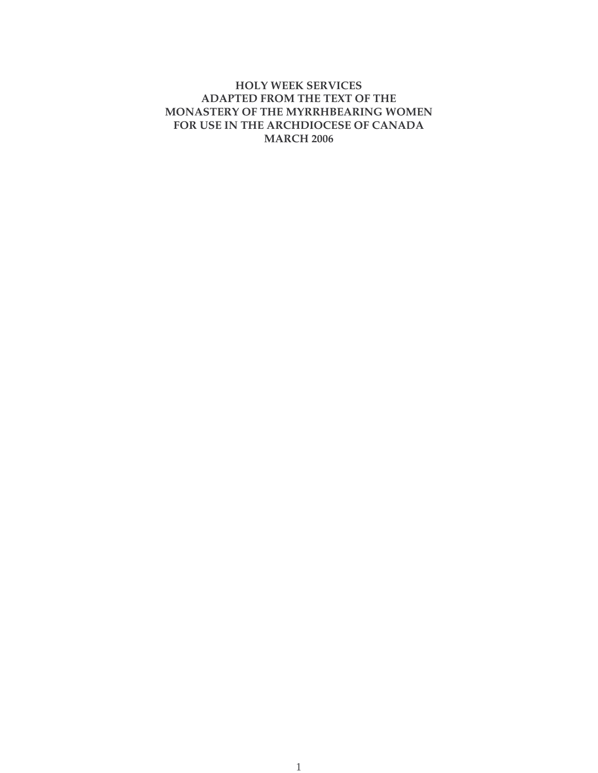# **HOLY WEEK SERVICES ADAPTED FROM THE TEXT OF THE MONASTERY OF THE MYRRHBEARING WOMEN FOR USE IN THE ARCHDIOCESE OF CANADA MARCH 2006**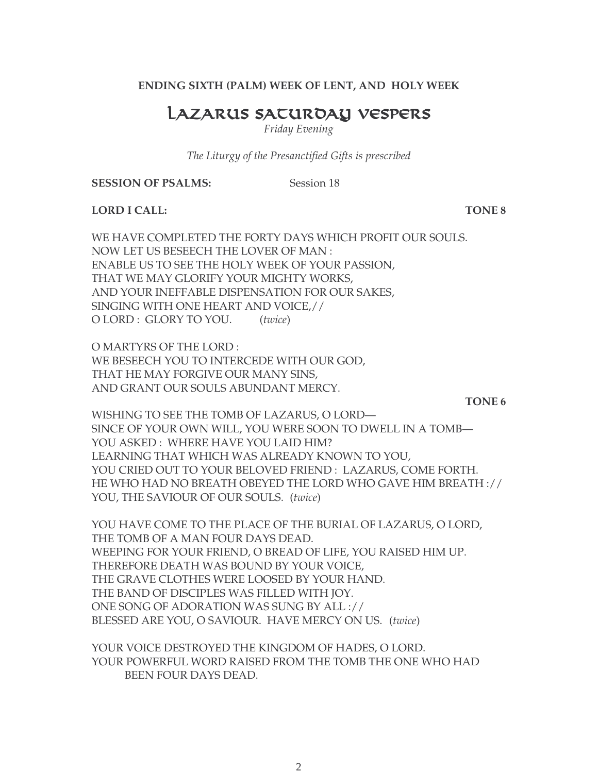**ENDING SIXTH (PALM) WEEK OF LENT, AND HOLY WEEK**

# LAZARUS SATUROAY VESPERS

*Friday Evening*

*The Liturgy of the Presanctified Gifts is prescribed*

**SESSION OF PSALMS:** Session 18

**LORD I CALL: TONE 8**

WE HAVE COMPLETED THE FORTY DAYS WHICH PROFIT OUR SOULS. NOW LET US BESEECH THE LOVER OF MAN : ENABLE US TO SEE THE HOLY WEEK OF YOUR PASSION, THAT WE MAY GLORIFY YOUR MIGHTY WORKS, AND YOUR INEFFABLE DISPENSATION FOR OUR SAKES, SINGING WITH ONE HEART AND VOICE,// O LORD : GLORY TO YOU. (*twice*)

O MARTYRS OF THE LORD : WE BESEECH YOU TO INTERCEDE WITH OUR GOD, THAT HE MAY FORGIVE OUR MANY SINS, AND GRANT OUR SOULS ABUNDANT MERCY.

**TONE 6**

WISHING TO SEE THE TOMB OF LAZARUS, O LORD— SINCE OF YOUR OWN WILL, YOU WERE SOON TO DWELL IN A TOMB— YOU ASKED: WHERE HAVE YOU LAID HIM? LEARNING THAT WHICH WAS ALREADY KNOWN TO YOU, YOU CRIED OUT TO YOUR BELOVED FRIEND : LAZARUS, COME FORTH. HE WHO HAD NO BREATH OBEYED THE LORD WHO GAVE HIM BREATH :// YOU, THE SAVIOUR OF OUR SOULS. (*twice*)

YOU HAVE COME TO THE PLACE OF THE BURIAL OF LAZARUS, O LORD, THE TOMB OF A MAN FOUR DAYS DEAD. WEEPING FOR YOUR FRIEND, O BREAD OF LIFE, YOU RAISED HIM UP. THEREFORE DEATH WAS BOUND BY YOUR VOICE, THE GRAVE CLOTHES WERE LOOSED BY YOUR HAND. THE BAND OF DISCIPLES WAS FILLED WITH JOY. ONE SONG OF ADORATION WAS SUNG BY ALL :// BLESSED ARE YOU, O SAVIOUR. HAVE MERCY ON US. (*twice*)

YOUR VOICE DESTROYED THE KINGDOM OF HADES, O LORD. YOUR POWERFUL WORD RAISED FROM THE TOMB THE ONE WHO HAD BEEN FOUR DAYS DEAD.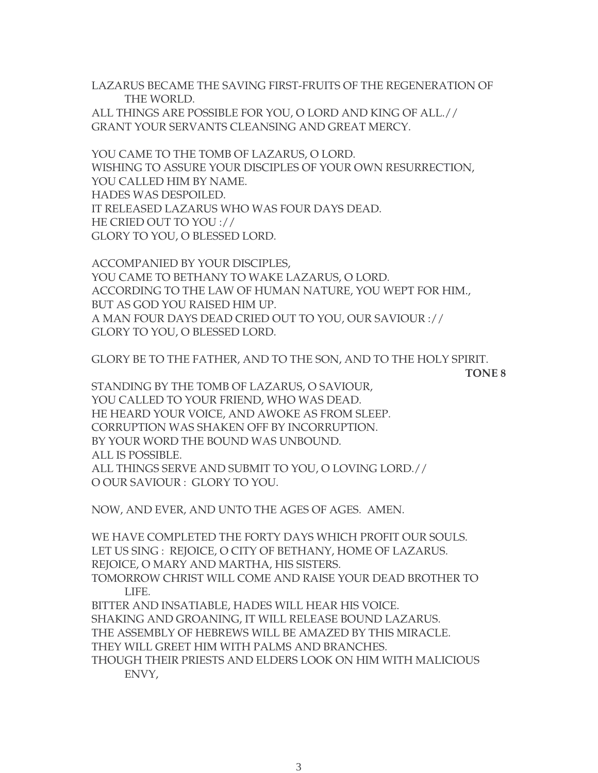LAZARUS BECAME THE SAVING FIRST-FRUITS OF THE REGENERATION OF THE WORLD. ALL THINGS ARE POSSIBLE FOR YOU, O LORD AND KING OF ALL.// GRANT YOUR SERVANTS CLEANSING AND GREAT MERCY.

YOU CAME TO THE TOMB OF LAZARUS, O LORD. WISHING TO ASSURE YOUR DISCIPLES OF YOUR OWN RESURRECTION, YOU CALLED HIM BY NAME. HADES WAS DESPOILED. IT RELEASED LAZARUS WHO WAS FOUR DAYS DEAD. HE CRIED OUT TO YOU :// GLORY TO YOU, O BLESSED LORD.

ACCOMPANIED BY YOUR DISCIPLES, YOU CAME TO BETHANY TO WAKE LAZARUS, O LORD. ACCORDING TO THE LAW OF HUMAN NATURE, YOU WEPT FOR HIM., BUT AS GOD YOU RAISED HIM UP. A MAN FOUR DAYS DEAD CRIED OUT TO YOU, OUR SAVIOUR :// GLORY TO YOU, O BLESSED LORD.

GLORY BE TO THE FATHER, AND TO THE SON, AND TO THE HOLY SPIRIT.

**TONE 8**

STANDING BY THE TOMB OF LAZARUS, O SAVIOUR, YOU CALLED TO YOUR FRIEND, WHO WAS DEAD. HE HEARD YOUR VOICE, AND AWOKE AS FROM SLEEP. CORRUPTION WAS SHAKEN OFF BY INCORRUPTION. BY YOUR WORD THE BOUND WAS UNBOUND. ALL IS POSSIBLE. ALL THINGS SERVE AND SUBMIT TO YOU, O LOVING LORD.// O OUR SAVIOUR : GLORY TO YOU.

NOW, AND EVER, AND UNTO THE AGES OF AGES. AMEN.

WE HAVE COMPLETED THE FORTY DAYS WHICH PROFIT OUR SOULS. LET US SING : REJOICE, O CITY OF BETHANY, HOME OF LAZARUS. REJOICE, O MARY AND MARTHA, HIS SISTERS. TOMORROW CHRIST WILL COME AND RAISE YOUR DEAD BROTHER TO LIFE. BITTER AND INSATIABLE, HADES WILL HEAR HIS VOICE. SHAKING AND GROANING, IT WILL RELEASE BOUND LAZARUS. THE ASSEMBLY OF HEBREWS WILL BE AMAZED BY THIS MIRACLE. THEY WILL GREET HIM WITH PALMS AND BRANCHES. THOUGH THEIR PRIESTS AND ELDERS LOOK ON HIM WITH MALICIOUS ENVY,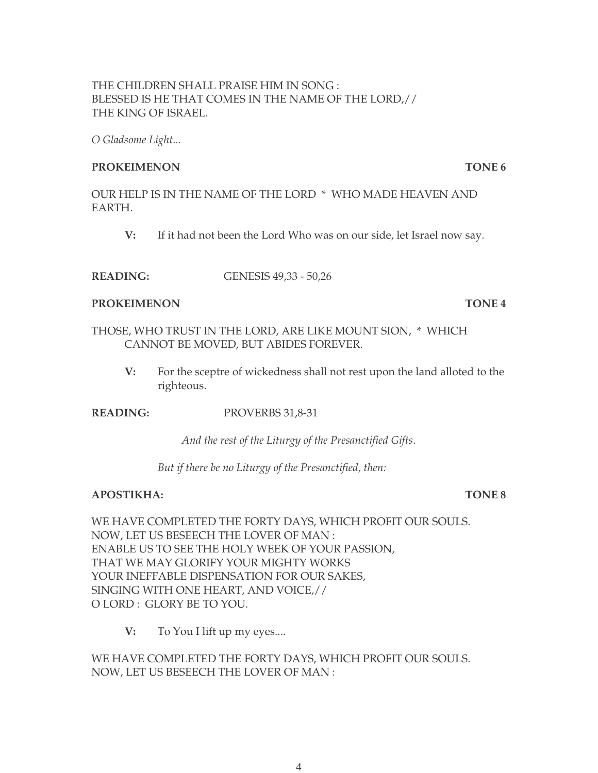# THE CHILDREN SHALL PRAISE HIM IN SONG : BLESSED IS HE THAT COMES IN THE NAME OF THE LORD,// THE KING OF ISRAEL.

*O Gladsome Light...*

### **PROKEIMENON** TONE 6

OUR HELP IS IN THE NAME OF THE LORD \* WHO MADE HEAVEN AND EARTH.

- **V:** If it had not been the Lord Who was on our side, let Israel now say.
- **READING:** GENESIS 49,33 50,26

### **PROKEIMENON TONE 4**

- THOSE, WHO TRUST IN THE LORD, ARE LIKE MOUNT SION, \* WHICH CANNOT BE MOVED, BUT ABIDES FOREVER.
	- **V:** For the sceptre of wickedness shall not rest upon the land alloted to the righteous.

# **READING:** PROVERBS 31,8-31

*And the rest of the Liturgy of the Presanctified Gifts*.

*But if there be no Liturgy of the Presanctified, then:*

# **APOSTIKHA: TONE 8**

WE HAVE COMPLETED THE FORTY DAYS, WHICH PROFIT OUR SOULS. NOW, LET US BESEECH THE LOVER OF MAN : ENABLE US TO SEE THE HOLY WEEK OF YOUR PASSION, THAT WE MAY GLORIFY YOUR MIGHTY WORKS YOUR INEFFABLE DISPENSATION FOR OUR SAKES, SINGING WITH ONE HEART, AND VOICE,// O LORD : GLORY BE TO YOU.

**V:** To You I lift up my eyes....

WE HAVE COMPLETED THE FORTY DAYS, WHICH PROFIT OUR SOULS. NOW, LET US BESEECH THE LOVER OF MAN :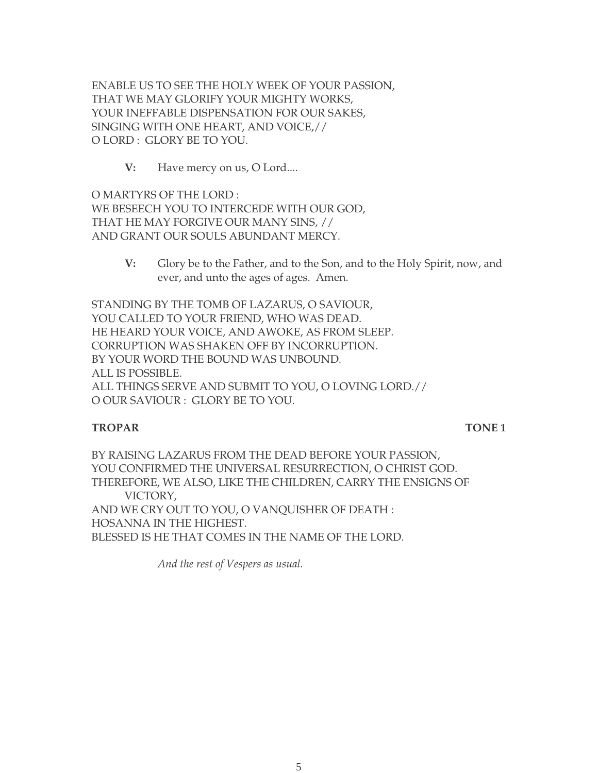ENABLE US TO SEE THE HOLY WEEK OF YOUR PASSION, THAT WE MAY GLORIFY YOUR MIGHTY WORKS, YOUR INEFFABLE DISPENSATION FOR OUR SAKES, SINGING WITH ONE HEART, AND VOICE,// O LORD : GLORY BE TO YOU.

**V:** Have mercy on us, O Lord....

O MARTYRS OF THE LORD : WE BESEECH YOU TO INTERCEDE WITH OUR GOD, THAT HE MAY FORGIVE OUR MANY SINS, // AND GRANT OUR SOULS ABUNDANT MERCY.

> **V:** Glory be to the Father, and to the Son, and to the Holy Spirit, now, and ever, and unto the ages of ages. Amen.

STANDING BY THE TOMB OF LAZARUS, O SAVIOUR, YOU CALLED TO YOUR FRIEND, WHO WAS DEAD. HE HEARD YOUR VOICE, AND AWOKE, AS FROM SLEEP. CORRUPTION WAS SHAKEN OFF BY INCORRUPTION. BY YOUR WORD THE BOUND WAS UNBOUND. ALL IS POSSIBLE. ALL THINGS SERVE AND SUBMIT TO YOU, O LOVING LORD.// O OUR SAVIOUR : GLORY BE TO YOU.

#### **TROPAR TONE 1**

BY RAISING LAZARUS FROM THE DEAD BEFORE YOUR PASSION, YOU CONFIRMED THE UNIVERSAL RESURRECTION, O CHRIST GOD. THEREFORE, WE ALSO, LIKE THE CHILDREN, CARRY THE ENSIGNS OF VICTORY, AND WE CRY OUT TO YOU, O VANQUISHER OF DEATH : HOSANNA IN THE HIGHEST. BLESSED IS HE THAT COMES IN THE NAME OF THE LORD.

*And the rest of Vespers as usual.*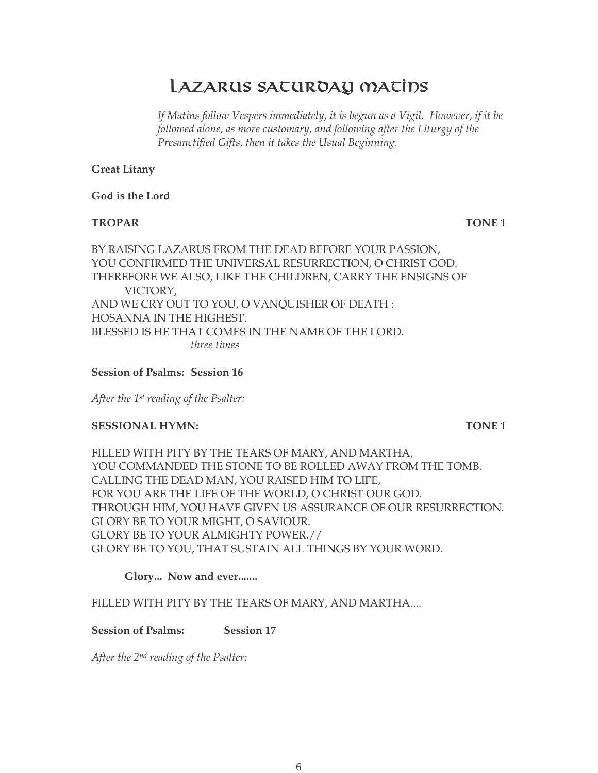# LAZARUS SACUROAY MACIDS

If Matins follow Vespers immediately, it is begun as a Vigil. However, if it be *followed alone, as more customary, and following after the Liturgy of the Presanctified Gifts, then it takes the Usual Beginning.*

# **Great Litany**

**God is the Lord** 

# **TROPAR TONE 1**

BY RAISING LAZARUS FROM THE DEAD BEFORE YOUR PASSION, YOU CONFIRMED THE UNIVERSAL RESURRECTION, O CHRIST GOD. THEREFORE WE ALSO, LIKE THE CHILDREN, CARRY THE ENSIGNS OF VICTORY, AND WE CRY OUT TO YOU, O VANQUISHER OF DEATH : HOSANNA IN THE HIGHEST. BLESSED IS HE THAT COMES IN THE NAME OF THE LORD. *three times*

**Session of Psalms: Session 16**

*After the 1st reading of the Psalter:*

# **SESSIONAL HYMN:** TONE 1

FILLED WITH PITY BY THE TEARS OF MARY, AND MARTHA, YOU COMMANDED THE STONE TO BE ROLLED AWAY FROM THE TOMB. CALLING THE DEAD MAN, YOU RAISED HIM TO LIFE, FOR YOU ARE THE LIFE OF THE WORLD, O CHRIST OUR GOD. THROUGH HIM, YOU HAVE GIVEN US ASSURANCE OF OUR RESURRECTION. GLORY BE TO YOUR MIGHT, O SAVIOUR. GLORY BE TO YOUR ALMIGHTY POWER.// GLORY BE TO YOU, THAT SUSTAIN ALL THINGS BY YOUR WORD.

# **Glory... Now and ever.......**

# FILLED WITH PITY BY THE TEARS OF MARY, AND MARTHA....

# **Session of Psalms: Session 17**

*After the 2nd reading of the Psalter:*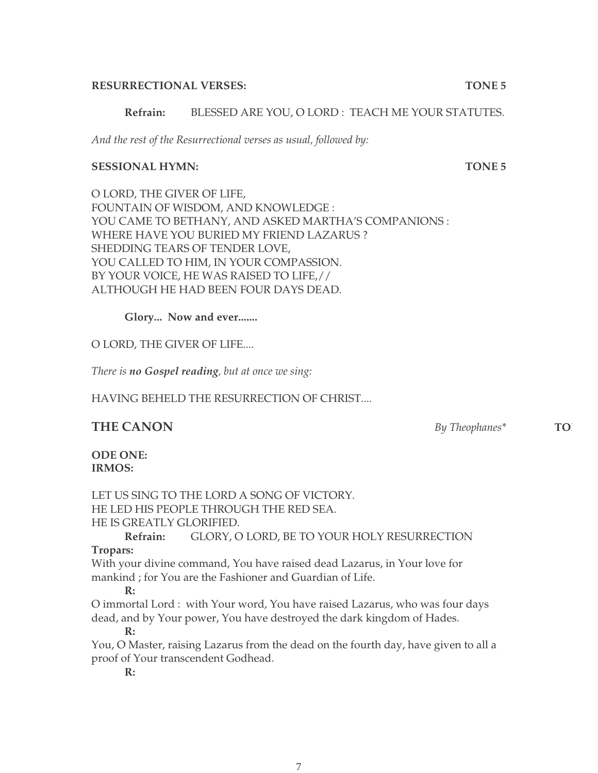#### **RESURRECTIONAL VERSES: TONE 5**

### **Refrain:** BLESSED ARE YOU, O LORD : TEACH ME YOUR STATUTES.

*And the rest of the Resurrectional verses as usual, followed by:*

#### **SESSIONAL HYMN: TONE 5**

O LORD, THE GIVER OF LIFE, FOUNTAIN OF WISDOM, AND KNOWLEDGE : YOU CAME TO BETHANY, AND ASKED MARTHA'S COMPANIONS : WHERE HAVE YOU BURIED MY FRIEND LAZARUS ? SHEDDING TEARS OF TENDER LOVE, YOU CALLED TO HIM, IN YOUR COMPASSION. BY YOUR VOICE, HE WAS RAISED TO LIFE,// ALTHOUGH HE HAD BEEN FOUR DAYS DEAD.

**Glory... Now and ever.......**

O LORD, THE GIVER OF LIFE....

*There is no Gospel reading, but at once we sing:*

HAVING BEHELD THE RESURRECTION OF CHRIST....

**ODE ONE: IRMOS:**

LET US SING TO THE LORD A SONG OF VICTORY. HE LED HIS PEOPLE THROUGH THE RED SEA. HE IS GREATLY GLORIFIED.

**Refrain:** GLORY, O LORD, BE TO YOUR HOLY RESURRECTION **Tropars:**

With your divine command, You have raised dead Lazarus, in Your love for mankind ; for You are the Fashioner and Guardian of Life.

# **R:**

O immortal Lord : with Your word, You have raised Lazarus, who was four days dead, and by Your power, You have destroyed the dark kingdom of Hades.

#### **R:**

You, O Master, raising Lazarus from the dead on the fourth day, have given to all a proof of Your transcendent Godhead.

**R:**

**THE CANON** *By Theophanes<sup>\*</sup>* **<b>TO**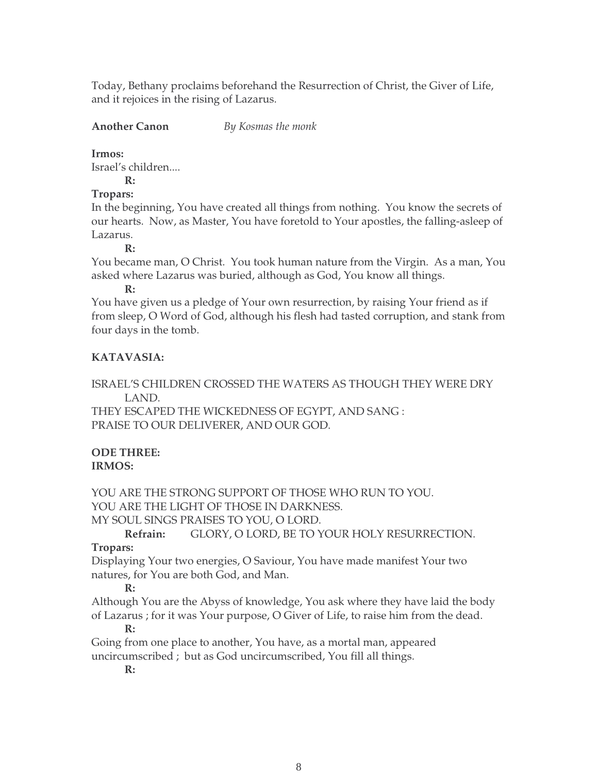Today, Bethany proclaims beforehand the Resurrection of Christ, the Giver of Life, and it rejoices in the rising of Lazarus.

### **Another Canon** *By Kosmas the monk*

#### **Irmos:**

Israel's children....

**R:**

# **Tropars:**

In the beginning, You have created all things from nothing. You know the secrets of our hearts. Now, as Master, You have foretold to Your apostles, the falling-asleep of Lazarus.

**R:**

You became man, O Christ. You took human nature from the Virgin. As a man, You asked where Lazarus was buried, although as God, You know all things.

**R:**

You have given us a pledge of Your own resurrection, by raising Your friend as if from sleep, O Word of God, although his flesh had tasted corruption, and stank from four days in the tomb.

# **KATAVASIA:**

ISRAEL'S CHILDREN CROSSED THE WATERS AS THOUGH THEY WERE DRY LAND.

THEY ESCAPED THE WICKEDNESS OF EGYPT, AND SANG : PRAISE TO OUR DELIVERER, AND OUR GOD.

#### **ODE THREE: IRMOS:**

YOU ARE THE STRONG SUPPORT OF THOSE WHO RUN TO YOU. YOU ARE THE LIGHT OF THOSE IN DARKNESS. MY SOUL SINGS PRAISES TO YOU, O LORD.

**Refrain:** GLORY, O LORD, BE TO YOUR HOLY RESURRECTION. **Tropars:**

Displaying Your two energies, O Saviour, You have made manifest Your two natures, for You are both God, and Man.

# **R:**

Although You are the Abyss of knowledge, You ask where they have laid the body of Lazarus ; for it was Your purpose, O Giver of Life, to raise him from the dead. **R:**

Going from one place to another, You have, as a mortal man, appeared uncircumscribed ; but as God uncircumscribed, You fill all things.

**R:**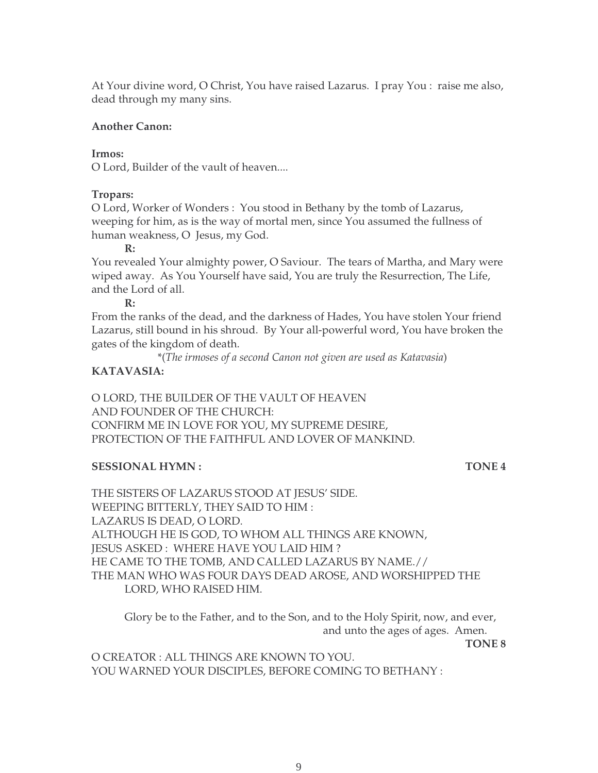At Your divine word, O Christ, You have raised Lazarus. I pray You : raise me also, dead through my many sins.

#### **Another Canon:**

#### **Irmos:**

O Lord, Builder of the vault of heaven....

#### **Tropars:**

O Lord, Worker of Wonders : You stood in Bethany by the tomb of Lazarus, weeping for him, as is the way of mortal men, since You assumed the fullness of human weakness, O Jesus, my God.

#### **R:**

You revealed Your almighty power, O Saviour. The tears of Martha, and Mary were wiped away. As You Yourself have said, You are truly the Resurrection, The Life, and the Lord of all.

**R:**

From the ranks of the dead, and the darkness of Hades, You have stolen Your friend Lazarus, still bound in his shroud. By Your all-powerful word, You have broken the gates of the kingdom of death.

\*(*The irmoses of a second Canon not given are used as Katavasia*)

# **KATAVASIA:**

O LORD, THE BUILDER OF THE VAULT OF HEAVEN AND FOUNDER OF THE CHURCH: CONFIRM ME IN LOVE FOR YOU, MY SUPREME DESIRE, PROTECTION OF THE FAITHFUL AND LOVER OF MANKIND.

# **SESSIONAL HYMN :** TONE 4

THE SISTERS OF LAZARUS STOOD AT JESUS' SIDE. WEEPING BITTERLY, THEY SAID TO HIM : LAZARUS IS DEAD, O LORD. ALTHOUGH HE IS GOD, TO WHOM ALL THINGS ARE KNOWN, JESUS ASKED : WHERE HAVE YOU LAID HIM ? HE CAME TO THE TOMB, AND CALLED LAZARUS BY NAME.// THE MAN WHO WAS FOUR DAYS DEAD AROSE, AND WORSHIPPED THE LORD, WHO RAISED HIM.

Glory be to the Father, and to the Son, and to the Holy Spirit, now, and ever, and unto the ages of ages. Amen.

**TONE 8**

O CREATOR : ALL THINGS ARE KNOWN TO YOU. YOU WARNED YOUR DISCIPLES, BEFORE COMING TO BETHANY :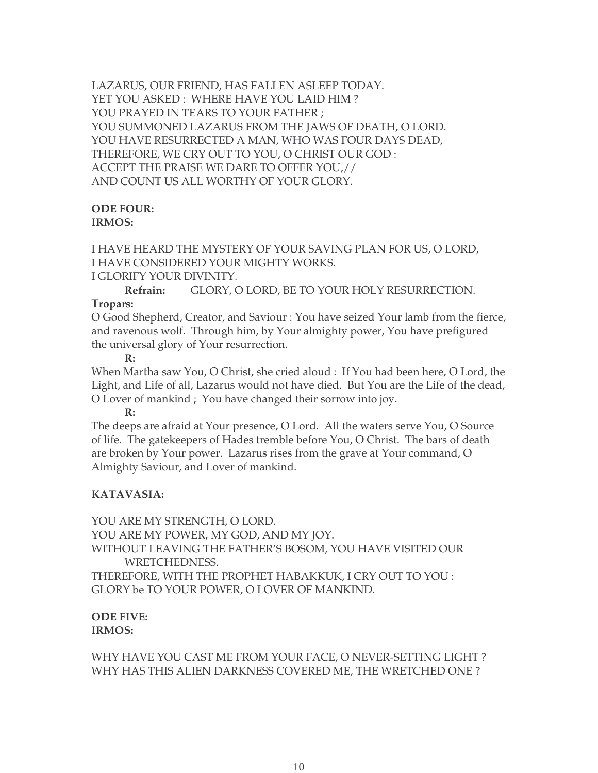LAZARUS, OUR FRIEND, HAS FALLEN ASLEEP TODAY. YET YOU ASKED : WHERE HAVE YOU LAID HIM ? YOU PRAYED IN TEARS TO YOUR FATHER ; YOU SUMMONED LAZARUS FROM THE JAWS OF DEATH, O LORD. YOU HAVE RESURRECTED A MAN, WHO WAS FOUR DAYS DEAD, THEREFORE, WE CRY OUT TO YOU, O CHRIST OUR GOD : ACCEPT THE PRAISE WE DARE TO OFFER YOU,// AND COUNT US ALL WORTHY OF YOUR GLORY.

### **ODE FOUR: IRMOS:**

I HAVE HEARD THE MYSTERY OF YOUR SAVING PLAN FOR US, O LORD, I HAVE CONSIDERED YOUR MIGHTY WORKS.

I GLORIFY YOUR DIVINITY.

**Refrain:** GLORY, O LORD, BE TO YOUR HOLY RESURRECTION. **Tropars:**

O Good Shepherd, Creator, and Saviour : You have seized Your lamb from the fierce, and ravenous wolf. Through him, by Your almighty power, You have prefigured the universal glory of Your resurrection.

**R:**

When Martha saw You, O Christ, she cried aloud : If You had been here, O Lord, the Light, and Life of all, Lazarus would not have died. But You are the Life of the dead, O Lover of mankind ; You have changed their sorrow into joy.

**R:**

The deeps are afraid at Your presence, O Lord. All the waters serve You, O Source of life. The gatekeepers of Hades tremble before You, O Christ. The bars of death are broken by Your power. Lazarus rises from the grave at Your command, O Almighty Saviour, and Lover of mankind.

# **KATAVASIA:**

YOU ARE MY STRENGTH, O LORD. YOU ARE MY POWER, MY GOD, AND MY JOY. WITHOUT LEAVING THE FATHER'S BOSOM, YOU HAVE VISITED OUR WRETCHEDNESS. THEREFORE, WITH THE PROPHET HABAKKUK, I CRY OUT TO YOU : GLORY be TO YOUR POWER, O LOVER OF MANKIND.

# **ODE FIVE: IRMOS:**

WHY HAVE YOU CAST ME FROM YOUR FACE, O NEVER-SETTING LIGHT ? WHY HAS THIS ALIEN DARKNESS COVERED ME, THE WRETCHED ONE ?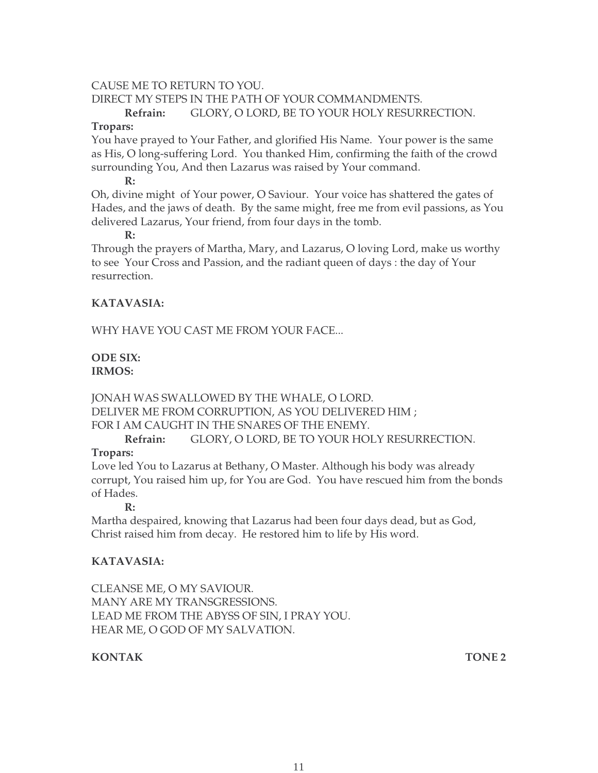### CAUSE ME TO RETURN TO YOU.

DIRECT MY STEPS IN THE PATH OF YOUR COMMANDMENTS. **Refrain:** GLORY, O LORD, BE TO YOUR HOLY RESURRECTION.

#### **Tropars:**

You have prayed to Your Father, and glorified His Name. Your power is the same as His, O long-suffering Lord. You thanked Him, confirming the faith of the crowd surrounding You, And then Lazarus was raised by Your command.

**R:**

Oh, divine might of Your power, O Saviour. Your voice has shattered the gates of Hades, and the jaws of death. By the same might, free me from evil passions, as You delivered Lazarus, Your friend, from four days in the tomb.

#### **R:**

Through the prayers of Martha, Mary, and Lazarus, O loving Lord, make us worthy to see Your Cross and Passion, and the radiant queen of days : the day of Your resurrection.

# **KATAVASIA:**

WHY HAVE YOU CAST ME FROM YOUR FACE...

### **ODE SIX: IRMOS:**

JONAH WAS SWALLOWED BY THE WHALE, O LORD. DELIVER ME FROM CORRUPTION, AS YOU DELIVERED HIM ; FOR I AM CAUGHT IN THE SNARES OF THE ENEMY.

**Refrain:** GLORY, O LORD, BE TO YOUR HOLY RESURRECTION.

### **Tropars:**

Love led You to Lazarus at Bethany, O Master. Although his body was already corrupt, You raised him up, for You are God. You have rescued him from the bonds of Hades.

**R:**

Martha despaired, knowing that Lazarus had been four days dead, but as God, Christ raised him from decay. He restored him to life by His word.

# **KATAVASIA:**

CLEANSE ME, O MY SAVIOUR. MANY ARE MY TRANSGRESSIONS. LEAD ME FROM THE ABYSS OF SIN, I PRAY YOU. HEAR ME, O GOD OF MY SALVATION.

# **KONTAK TONE 2**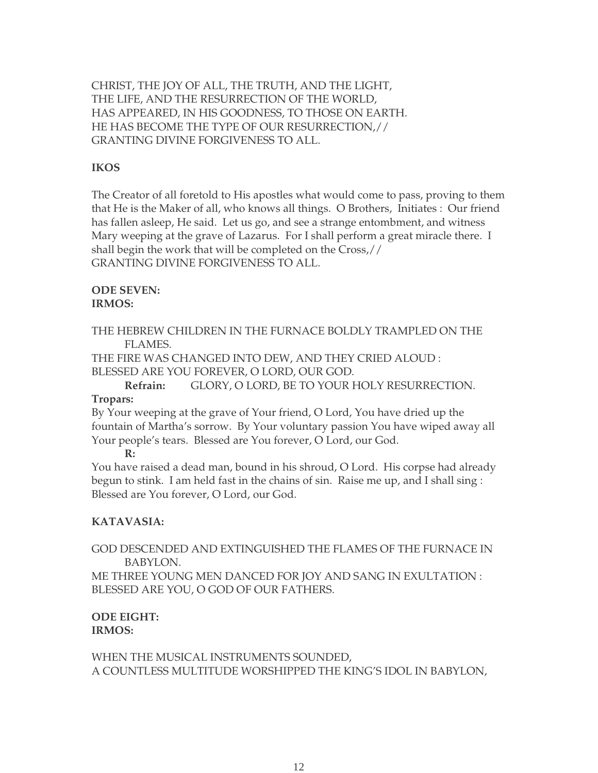CHRIST, THE JOY OF ALL, THE TRUTH, AND THE LIGHT, THE LIFE, AND THE RESURRECTION OF THE WORLD, HAS APPEARED, IN HIS GOODNESS, TO THOSE ON EARTH. HE HAS BECOME THE TYPE OF OUR RESURRECTION,// GRANTING DIVINE FORGIVENESS TO ALL.

### **IKOS**

The Creator of all foretold to His apostles what would come to pass, proving to them that He is the Maker of all, who knows all things. O Brothers, Initiates : Our friend has fallen asleep, He said. Let us go, and see a strange entombment, and witness Mary weeping at the grave of Lazarus. For I shall perform a great miracle there. I shall begin the work that will be completed on the Cross,// GRANTING DIVINE FORGIVENESS TO ALL.

#### **ODE SEVEN: IRMOS:**

THE HEBREW CHILDREN IN THE FURNACE BOLDLY TRAMPLED ON THE FLAMES.

THE FIRE WAS CHANGED INTO DEW, AND THEY CRIED ALOUD : BLESSED ARE YOU FOREVER, O LORD, OUR GOD.

**Refrain:** GLORY, O LORD, BE TO YOUR HOLY RESURRECTION. **Tropars:**

By Your weeping at the grave of Your friend, O Lord, You have dried up the

fountain of Martha's sorrow. By Your voluntary passion You have wiped away all Your people's tears. Blessed are You forever, O Lord, our God.

#### **R:**

You have raised a dead man, bound in his shroud, O Lord. His corpse had already begun to stink. I am held fast in the chains of sin. Raise me up, and I shall sing : Blessed are You forever, O Lord, our God.

### **KATAVASIA:**

GOD DESCENDED AND EXTINGUISHED THE FLAMES OF THE FURNACE IN BABYLON.

ME THREE YOUNG MEN DANCED FOR JOY AND SANG IN EXULTATION : BLESSED ARE YOU, O GOD OF OUR FATHERS.

### **ODE EIGHT: IRMOS:**

WHEN THE MUSICAL INSTRUMENTS SOUNDED, A COUNTLESS MULTITUDE WORSHIPPED THE KING'S IDOL IN BABYLON,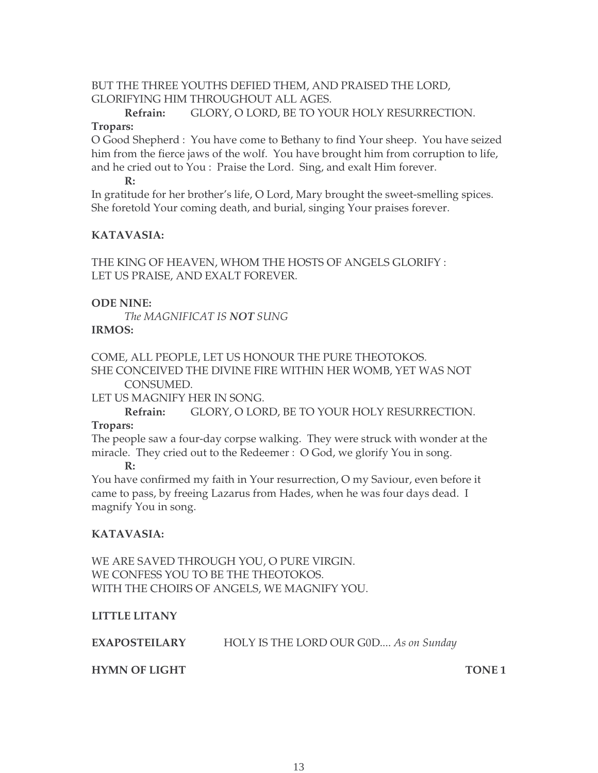# BUT THE THREE YOUTHS DEFIED THEM, AND PRAISED THE LORD, GLORIFYING HIM THROUGHOUT ALL AGES.

**Refrain:** GLORY, O LORD, BE TO YOUR HOLY RESURRECTION.

# **Tropars:**

O Good Shepherd : You have come to Bethany to find Your sheep. You have seized him from the fierce jaws of the wolf. You have brought him from corruption to life, and he cried out to You : Praise the Lord. Sing, and exalt Him forever.

**R:**

In gratitude for her brother's life, O Lord, Mary brought the sweet-smelling spices. She foretold Your coming death, and burial, singing Your praises forever.

# **KATAVASIA:**

THE KING OF HEAVEN, WHOM THE HOSTS OF ANGELS GLORIFY : LET US PRAISE, AND EXALT FOREVER.

# **ODE NINE:**

*The MAGNIFICAT IS NOT SUNG* **IRMOS:** 

COME, ALL PEOPLE, LET US HONOUR THE PURE THEOTOKOS. SHE CONCEIVED THE DIVINE FIRE WITHIN HER WOMB, YET WAS NOT CONSUMED.

LET US MAGNIFY HER IN SONG.

**Refrain:** GLORY, O LORD, BE TO YOUR HOLY RESURRECTION.

# **Tropars:**

The people saw a four-day corpse walking. They were struck with wonder at the miracle. They cried out to the Redeemer : O God, we glorify You in song.

**R:**

You have confirmed my faith in Your resurrection, O my Saviour, even before it came to pass, by freeing Lazarus from Hades, when he was four days dead. I magnify You in song.

# **KATAVASIA:**

WE ARE SAVED THROUGH YOU, O PURE VIRGIN. WE CONFESS YOU TO BE THE THEOTOKOS. WITH THE CHOIRS OF ANGELS, WE MAGNIFY YOU.

# **LITTLE LITANY**

**EXAPOSTEILARY** HOLY IS THE LORD OUR G0D.... *As on Sunday*

# **HYMN OF LIGHT TONE 1**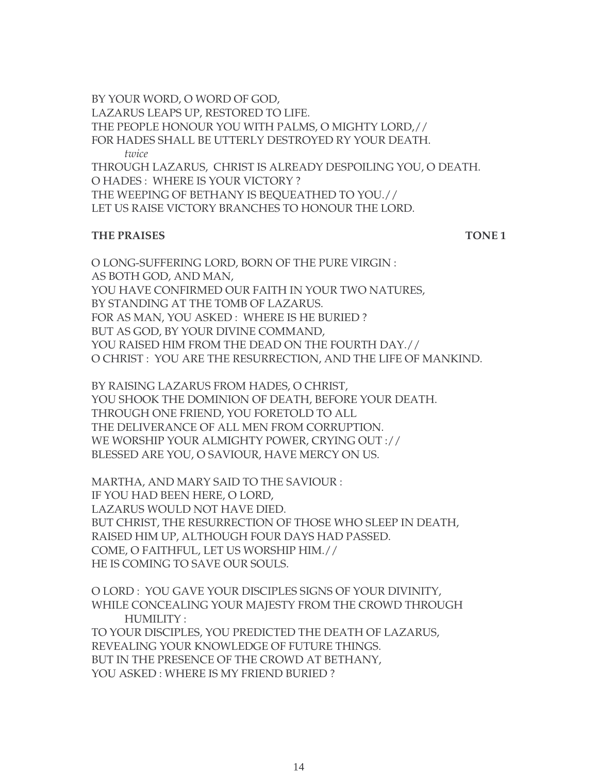BY YOUR WORD, O WORD OF GOD, LAZARUS LEAPS UP, RESTORED TO LIFE. THE PEOPLE HONOUR YOU WITH PALMS, O MIGHTY LORD,// FOR HADES SHALL BE UTTERLY DESTROYED RY YOUR DEATH. *twice* THROUGH LAZARUS, CHRIST IS ALREADY DESPOILING YOU, O DEATH. O HADES : WHERE IS YOUR VICTORY ? THE WEEPING OF BETHANY IS BEQUEATHED TO YOU.// LET US RAISE VICTORY BRANCHES TO HONOUR THE LORD.

#### **THE PRAISES** TONE 1

O LONG-SUFFERING LORD, BORN OF THE PURE VIRGIN : AS BOTH GOD, AND MAN, YOU HAVE CONFIRMED OUR FAITH IN YOUR TWO NATURES, BY STANDING AT THE TOMB OF LAZARUS. FOR AS MAN, YOU ASKED : WHERE IS HE BURIED ? BUT AS GOD, BY YOUR DIVINE COMMAND, YOU RAISED HIM FROM THE DEAD ON THE FOURTH DAY.// O CHRIST : YOU ARE THE RESURRECTION, AND THE LIFE OF MANKIND.

BY RAISING LAZARUS FROM HADES, O CHRIST, YOU SHOOK THE DOMINION OF DEATH, BEFORE YOUR DEATH. THROUGH ONE FRIEND, YOU FORETOLD TO ALL THE DELIVERANCE OF ALL MEN FROM CORRUPTION. WE WORSHIP YOUR ALMIGHTY POWER, CRYING OUT :// BLESSED ARE YOU, O SAVIOUR, HAVE MERCY ON US.

MARTHA, AND MARY SAID TO THE SAVIOUR : IF YOU HAD BEEN HERE, O LORD, LAZARUS WOULD NOT HAVE DIED. BUT CHRIST, THE RESURRECTION OF THOSE WHO SLEEP IN DEATH, RAISED HIM UP, ALTHOUGH FOUR DAYS HAD PASSED. COME, O FAITHFUL, LET US WORSHIP HIM.// HE IS COMING TO SAVE OUR SOULS.

O LORD : YOU GAVE YOUR DISCIPLES SIGNS OF YOUR DIVINITY, WHILE CONCEALING YOUR MAJESTY FROM THE CROWD THROUGH HUMILITY : TO YOUR DISCIPLES, YOU PREDICTED THE DEATH OF LAZARUS, REVEALING YOUR KNOWLEDGE OF FUTURE THINGS. BUT IN THE PRESENCE OF THE CROWD AT BETHANY, YOU ASKED : WHERE IS MY FRIEND BURIED ?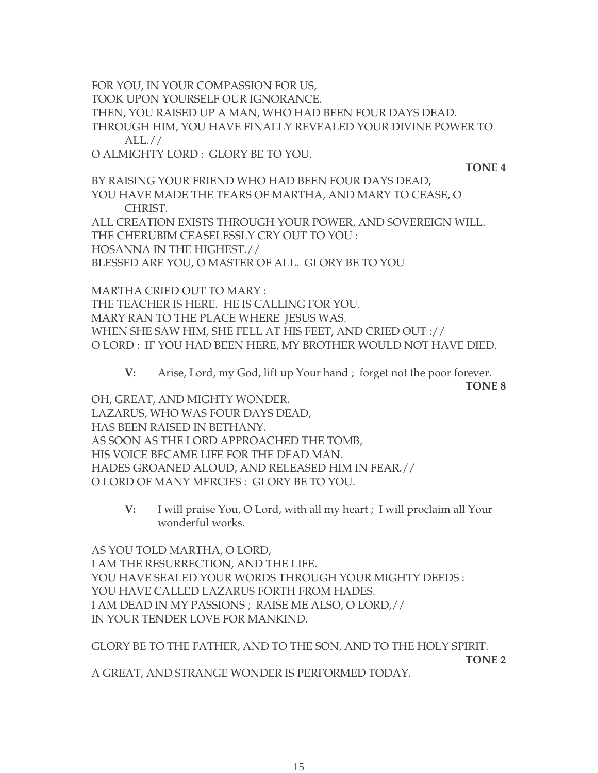FOR YOU, IN YOUR COMPASSION FOR US,

TOOK UPON YOURSELF OUR IGNORANCE.

THEN, YOU RAISED UP A MAN, WHO HAD BEEN FOUR DAYS DEAD.

THROUGH HIM, YOU HAVE FINALLY REVEALED YOUR DIVINE POWER TO ALL.//

O ALMIGHTY LORD : GLORY BE TO YOU.

**TONE 4**

BY RAISING YOUR FRIEND WHO HAD BEEN FOUR DAYS DEAD, YOU HAVE MADE THE TEARS OF MARTHA, AND MARY TO CEASE, O CHRIST.

ALL CREATION EXISTS THROUGH YOUR POWER, AND SOVEREIGN WILL. THE CHERUBIM CEASELESSLY CRY OUT TO YOU : HOSANNA IN THE HIGHEST.//

BLESSED ARE YOU, O MASTER OF ALL. GLORY BE TO YOU

MARTHA CRIED OUT TO MARY : THE TEACHER IS HERE. HE IS CALLING FOR YOU. MARY RAN TO THE PLACE WHERE JESUS WAS. WHEN SHE SAW HIM, SHE FELL AT HIS FEET, AND CRIED OUT :// O LORD : IF YOU HAD BEEN HERE, MY BROTHER WOULD NOT HAVE DIED.

**V:** Arise, Lord, my God, lift up Your hand ; forget not the poor forever.

**TONE 8**

OH, GREAT, AND MIGHTY WONDER. LAZARUS, WHO WAS FOUR DAYS DEAD, HAS BEEN RAISED IN BETHANY. AS SOON AS THE LORD APPROACHED THE TOMB, HIS VOICE BECAME LIFE FOR THE DEAD MAN. HADES GROANED ALOUD, AND RELEASED HIM IN FEAR.// O LORD OF MANY MERCIES : GLORY BE TO YOU.

> **V:** I will praise You, O Lord, with all my heart ; I will proclaim all Your wonderful works.

AS YOU TOLD MARTHA, O LORD, I AM THE RESURRECTION, AND THE LIFE. YOU HAVE SEALED YOUR WORDS THROUGH YOUR MIGHTY DEEDS : YOU HAVE CALLED LAZARUS FORTH FROM HADES. I AM DEAD IN MY PASSIONS ; RAISE ME ALSO, O LORD,// IN YOUR TENDER LOVE FOR MANKIND.

GLORY BE TO THE FATHER, AND TO THE SON, AND TO THE HOLY SPIRIT.

**TONE 2**

A GREAT, AND STRANGE WONDER IS PERFORMED TODAY.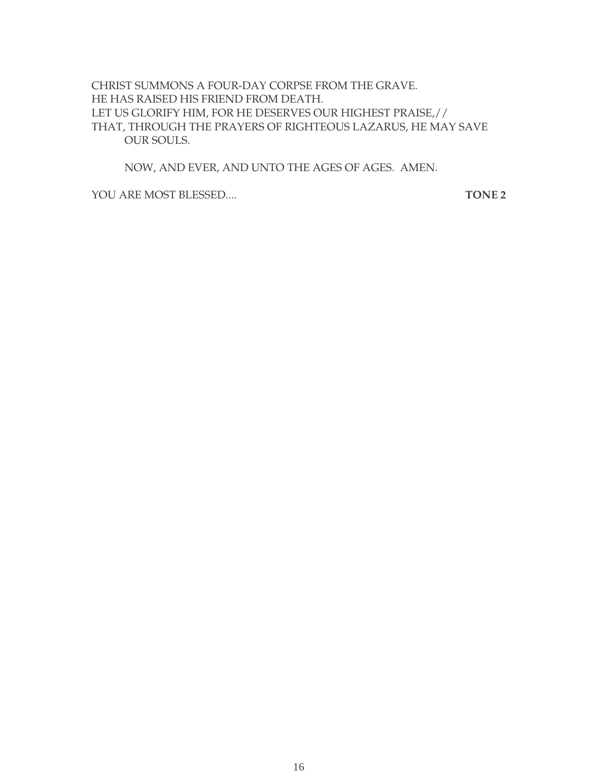CHRIST SUMMONS A FOUR-DAY CORPSE FROM THE GRAVE. HE HAS RAISED HIS FRIEND FROM DEATH. LET US GLORIFY HIM, FOR HE DESERVES OUR HIGHEST PRAISE,// THAT, THROUGH THE PRAYERS OF RIGHTEOUS LAZARUS, HE MAY SAVE OUR SOULS.

NOW, AND EVER, AND UNTO THE AGES OF AGES. AMEN.

YOU ARE MOST BLESSED.... **TONE 2**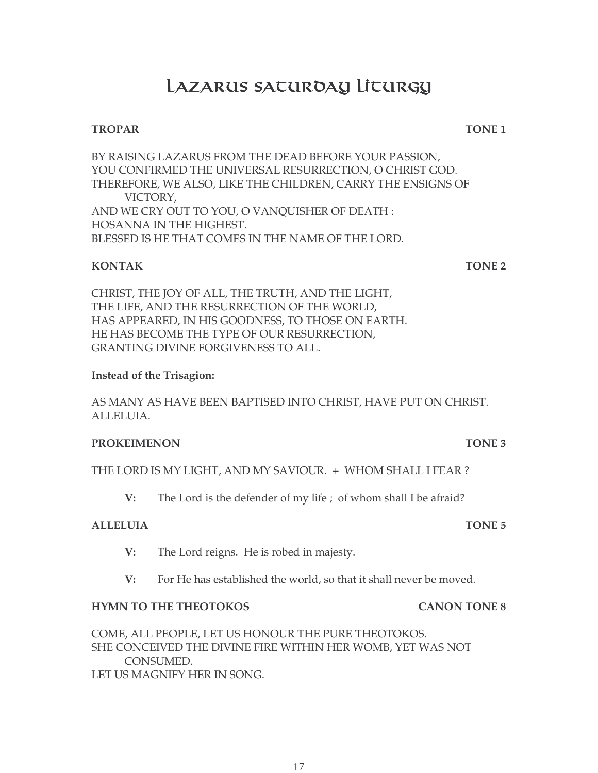# LAZARUS SATUROAY LITURGY

# **TROPAR TONE 1**

BY RAISING LAZARUS FROM THE DEAD BEFORE YOUR PASSION, YOU CONFIRMED THE UNIVERSAL RESURRECTION, O CHRIST GOD. THEREFORE, WE ALSO, LIKE THE CHILDREN, CARRY THE ENSIGNS OF VICTORY, AND WE CRY OUT TO YOU, O VANQUISHER OF DEATH : HOSANNA IN THE HIGHEST. BLESSED IS HE THAT COMES IN THE NAME OF THE LORD.

# **KONTAK TONE 2**

CHRIST, THE JOY OF ALL, THE TRUTH, AND THE LIGHT, THE LIFE, AND THE RESURRECTION OF THE WORLD, HAS APPEARED, IN HIS GOODNESS, TO THOSE ON EARTH. HE HAS BECOME THE TYPE OF OUR RESURRECTION, GRANTING DIVINE FORGIVENESS TO ALL.

# **Instead of the Trisagion:**

AS MANY AS HAVE BEEN BAPTISED INTO CHRIST, HAVE PUT ON CHRIST. ALLELUIA.

### **PROKEIMENON** TONE 3

THE LORD IS MY LIGHT, AND MY SAVIOUR. + WHOM SHALL I FEAR ?

**V:** The Lord is the defender of my life ; of whom shall I be afraid?

# **ALLELUIA TONE 5**

- **V:** The Lord reigns. He is robed in majesty.
- **V:** For He has established the world, so that it shall never be moved.

# **HYMN TO THE THEOTOKOS CANON TONE 8**

COME, ALL PEOPLE, LET US HONOUR THE PURE THEOTOKOS. SHE CONCEIVED THE DIVINE FIRE WITHIN HER WOMB, YET WAS NOT CONSUMED. LET US MAGNIFY HER IN SONG.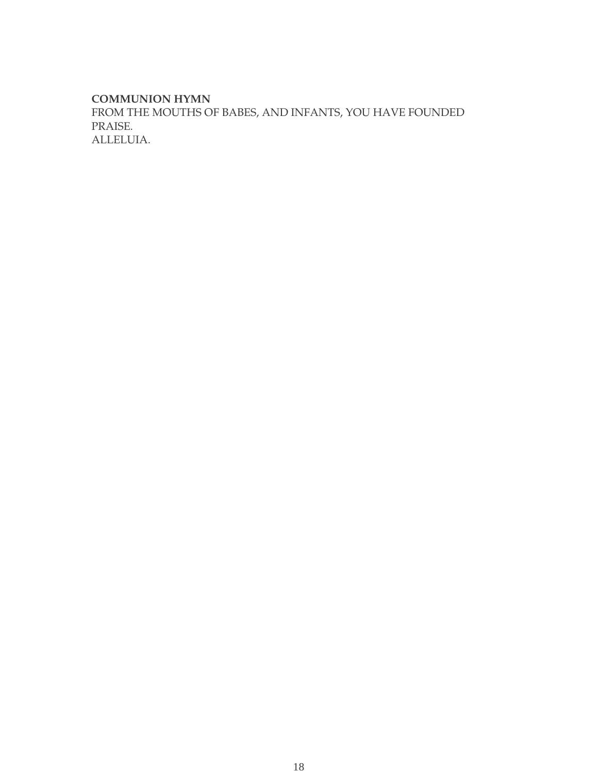#### **COMMUNION HYMN**

FROM THE MOUTHS OF BABES, AND INFANTS, YOU HAVE FOUNDED PRAISE. ALLELUIA.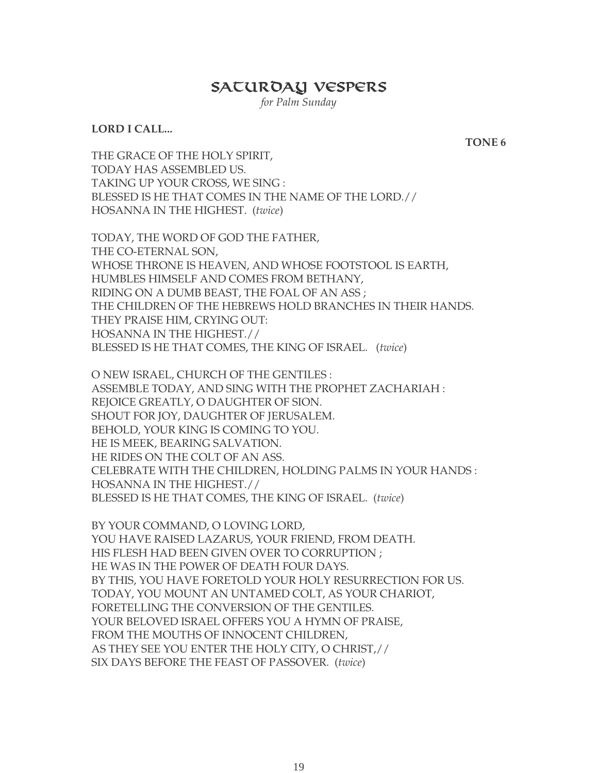# SACUROAY VESPERS

*for Palm Sunday*

#### **LORD I CALL...**

**TONE 6**

THE GRACE OF THE HOLY SPIRIT, TODAY HAS ASSEMBLED US. TAKING UP YOUR CROSS, WE SING : BLESSED IS HE THAT COMES IN THE NAME OF THE LORD.// HOSANNA IN THE HIGHEST. (*twice*)

TODAY, THE WORD OF GOD THE FATHER, THE CO-ETERNAL SON, WHOSE THRONE IS HEAVEN, AND WHOSE FOOTSTOOL IS EARTH, HUMBLES HIMSELF AND COMES FROM BETHANY, RIDING ON A DUMB BEAST, THE FOAL OF AN ASS ; THE CHILDREN OF THE HEBREWS HOLD BRANCHES IN THEIR HANDS. THEY PRAISE HIM, CRYING OUT: HOSANNA IN THE HIGHEST.// BLESSED IS HE THAT COMES, THE KING OF ISRAEL. (*twice*)

O NEW ISRAEL, CHURCH OF THE GENTILES : ASSEMBLE TODAY, AND SING WITH THE PROPHET ZACHARIAH : REJOICE GREATLY, O DAUGHTER OF SION. SHOUT FOR JOY, DAUGHTER OF JERUSALEM. BEHOLD, YOUR KING IS COMING TO YOU. HE IS MEEK, BEARING SALVATION. HE RIDES ON THE COLT OF AN ASS. CELEBRATE WITH THE CHILDREN, HOLDING PALMS IN YOUR HANDS : HOSANNA IN THE HIGHEST.// BLESSED IS HE THAT COMES, THE KING OF ISRAEL. (*twice*)

BY YOUR COMMAND, O LOVING LORD, YOU HAVE RAISED LAZARUS, YOUR FRIEND, FROM DEATH. HIS FLESH HAD BEEN GIVEN OVER TO CORRUPTION ; HE WAS IN THE POWER OF DEATH FOUR DAYS. BY THIS, YOU HAVE FORETOLD YOUR HOLY RESURRECTION FOR US. TODAY, YOU MOUNT AN UNTAMED COLT, AS YOUR CHARIOT, FORETELLING THE CONVERSION OF THE GENTILES. YOUR BELOVED ISRAEL OFFERS YOU A HYMN OF PRAISE, FROM THE MOUTHS OF INNOCENT CHILDREN, AS THEY SEE YOU ENTER THE HOLY CITY, O CHRIST,// SIX DAYS BEFORE THE FEAST OF PASSOVER. (*twice*)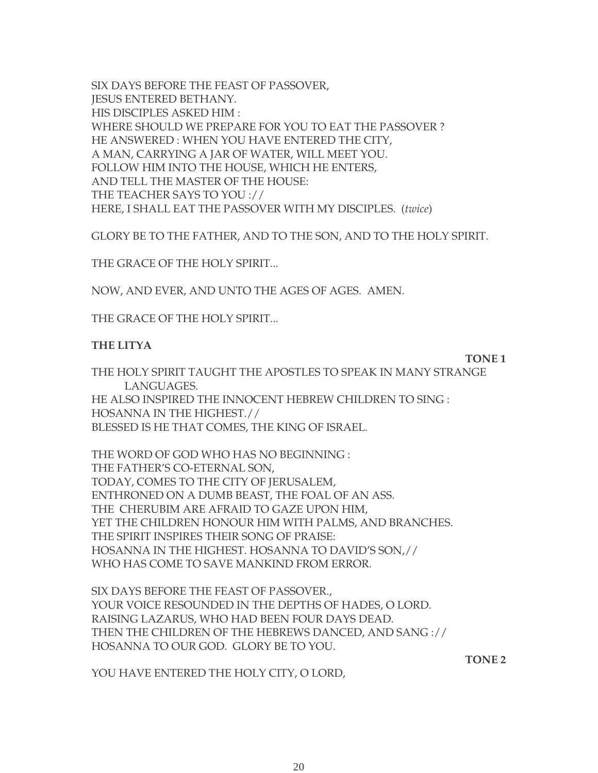SIX DAYS BEFORE THE FEAST OF PASSOVER, JESUS ENTERED BETHANY. HIS DISCIPLES ASKED HIM : WHERE SHOULD WE PREPARE FOR YOU TO EAT THE PASSOVER ? HE ANSWERED : WHEN YOU HAVE ENTERED THE CITY, A MAN, CARRYING A JAR OF WATER, WILL MEET YOU. FOLLOW HIM INTO THE HOUSE, WHICH HE ENTERS, AND TELL THE MASTER OF THE HOUSE: THE TEACHER SAYS TO YOU :// HERE, I SHALL EAT THE PASSOVER WITH MY DISCIPLES. (*twice*)

GLORY BE TO THE FATHER, AND TO THE SON, AND TO THE HOLY SPIRIT.

THE GRACE OF THE HOLY SPIRIT...

NOW, AND EVER, AND UNTO THE AGES OF AGES. AMEN.

THE GRACE OF THE HOLY SPIRIT...

#### **THE LITYA**

**TONE 1** 

THE HOLY SPIRIT TAUGHT THE APOSTLES TO SPEAK IN MANY STRANGE LANGUAGES. HE ALSO INSPIRED THE INNOCENT HEBREW CHILDREN TO SING : HOSANNA IN THE HIGHEST.// BLESSED IS HE THAT COMES, THE KING OF ISRAEL.

THE WORD OF GOD WHO HAS NO BEGINNING : THE FATHER'S CO-ETERNAL SON, TODAY, COMES TO THE CITY OF JERUSALEM, ENTHRONED ON A DUMB BEAST, THE FOAL OF AN ASS. THE CHERUBIM ARE AFRAID TO GAZE UPON HIM, YET THE CHILDREN HONOUR HIM WITH PALMS, AND BRANCHES. THE SPIRIT INSPIRES THEIR SONG OF PRAISE: HOSANNA IN THE HIGHEST. HOSANNA TO DAVID'S SON,// WHO HAS COME TO SAVE MANKIND FROM ERROR.

SIX DAYS BEFORE THE FEAST OF PASSOVER., YOUR VOICE RESOUNDED IN THE DEPTHS OF HADES, O LORD. RAISING LAZARUS, WHO HAD BEEN FOUR DAYS DEAD. THEN THE CHILDREN OF THE HEBREWS DANCED, AND SANG :// HOSANNA TO OUR GOD. GLORY BE TO YOU.

**TONE 2**

YOU HAVE ENTERED THE HOLY CITY, O LORD,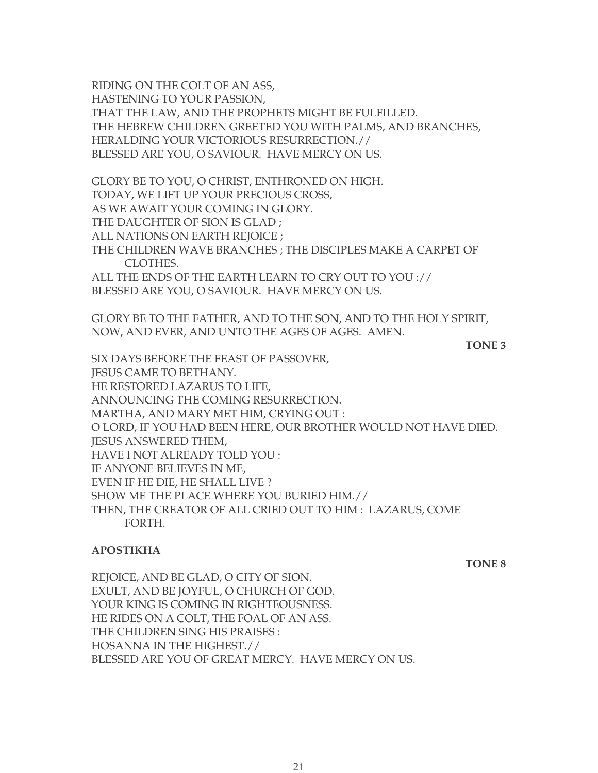RIDING ON THE COLT OF AN ASS, HASTENING TO YOUR PASSION, THAT THE LAW, AND THE PROPHETS MIGHT BE FULFILLED. THE HEBREW CHILDREN GREETED YOU WITH PALMS, AND BRANCHES, HERALDING YOUR VICTORIOUS RESURRECTION.// BLESSED ARE YOU, O SAVIOUR. HAVE MERCY ON US.

GLORY BE TO YOU, O CHRIST, ENTHRONED ON HIGH. TODAY, WE LIFT UP YOUR PRECIOUS CROSS, AS WE AWAIT YOUR COMING IN GLORY. THE DAUGHTER OF SION IS GLAD ; ALL NATIONS ON EARTH REJOICE ; THE CHILDREN WAVE BRANCHES ; THE DISCIPLES MAKE A CARPET OF CLOTHES. ALL THE ENDS OF THE EARTH LEARN TO CRY OUT TO YOU ://

BLESSED ARE YOU, O SAVIOUR. HAVE MERCY ON US.

GLORY BE TO THE FATHER, AND TO THE SON, AND TO THE HOLY SPIRIT, NOW, AND EVER, AND UNTO THE AGES OF AGES. AMEN.

**TONE 3**

SIX DAYS BEFORE THE FEAST OF PASSOVER, JESUS CAME TO BETHANY. HE RESTORED LAZARUS TO LIFE, ANNOUNCING THE COMING RESURRECTION. MARTHA, AND MARY MET HIM, CRYING OUT : O LORD, IF YOU HAD BEEN HERE, OUR BROTHER WOULD NOT HAVE DIED. **IESUS ANSWERED THEM.** HAVE I NOT ALREADY TOLD YOU : IF ANYONE BELIEVES IN ME, EVEN IF HE DIE, HE SHALL LIVE ? SHOW ME THE PLACE WHERE YOU BURIED HIM.// THEN, THE CREATOR OF ALL CRIED OUT TO HIM : LAZARUS, COME FORTH.

### **APOSTIKHA**

**TONE 8**

REJOICE, AND BE GLAD, O CITY OF SION. EXULT, AND BE JOYFUL, O CHURCH OF GOD. YOUR KING IS COMING IN RIGHTEOUSNESS. HE RIDES ON A COLT, THE FOAL OF AN ASS. THE CHILDREN SING HIS PRAISES : HOSANNA IN THE HIGHEST.// BLESSED ARE YOU OF GREAT MERCY. HAVE MERCY ON US.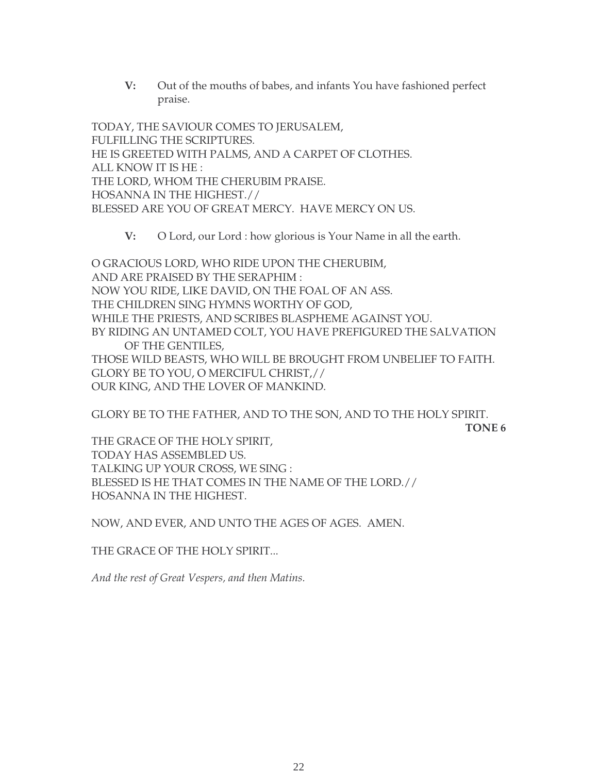**V:** Out of the mouths of babes, and infants You have fashioned perfect praise.

TODAY, THE SAVIOUR COMES TO JERUSALEM, FULFILLING THE SCRIPTURES. HE IS GREETED WITH PALMS, AND A CARPET OF CLOTHES. ALL KNOW IT IS HE : THE LORD, WHOM THE CHERUBIM PRAISE. HOSANNA IN THE HIGHEST.// BLESSED ARE YOU OF GREAT MERCY. HAVE MERCY ON US.

**V:** O Lord, our Lord : how glorious is Your Name in all the earth.

O GRACIOUS LORD, WHO RIDE UPON THE CHERUBIM, AND ARE PRAISED BY THE SERAPHIM : NOW YOU RIDE, LIKE DAVID, ON THE FOAL OF AN ASS. THE CHILDREN SING HYMNS WORTHY OF GOD, WHILE THE PRIESTS, AND SCRIBES BLASPHEME AGAINST YOU. BY RIDING AN UNTAMED COLT, YOU HAVE PREFIGURED THE SALVATION OF THE GENTILES, THOSE WILD BEASTS, WHO WILL BE BROUGHT FROM UNBELIEF TO FAITH. GLORY BE TO YOU, O MERCIFUL CHRIST,// OUR KING, AND THE LOVER OF MANKIND.

GLORY BE TO THE FATHER, AND TO THE SON, AND TO THE HOLY SPIRIT. **TONE 6**

THE GRACE OF THE HOLY SPIRIT, TODAY HAS ASSEMBLED US. TALKING UP YOUR CROSS, WE SING : BLESSED IS HE THAT COMES IN THE NAME OF THE LORD.// HOSANNA IN THE HIGHEST.

NOW, AND EVER, AND UNTO THE AGES OF AGES. AMEN.

THE GRACE OF THE HOLY SPIRIT...

*And the rest of Great Vespers, and then Matins.*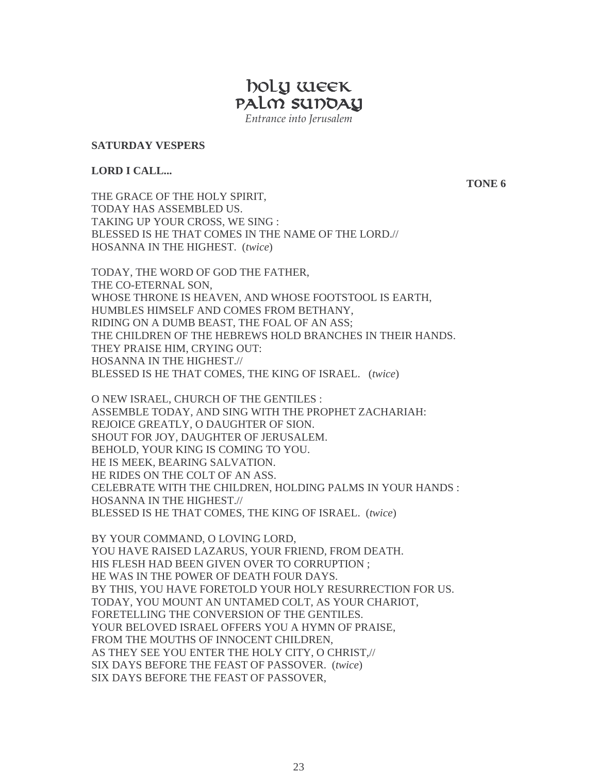**Market School Service School Service School Service School Service School Service School Service School Example 1** PALM SUDOAY *Entrance into Jerusalem*

**SATURDAY VESPERS**

#### **LORD I CALL...**

**TONE 6**

THE GRACE OF THE HOLY SPIRIT, TODAY HAS ASSEMBLED US. TAKING UP YOUR CROSS, WE SING : BLESSED IS HE THAT COMES IN THE NAME OF THE LORD.// HOSANNA IN THE HIGHEST. (*twice*)

TODAY, THE WORD OF GOD THE FATHER, THE CO-ETERNAL SON, WHOSE THRONE IS HEAVEN, AND WHOSE FOOTSTOOL IS EARTH, HUMBLES HIMSELF AND COMES FROM BETHANY, RIDING ON A DUMB BEAST, THE FOAL OF AN ASS; THE CHILDREN OF THE HEBREWS HOLD BRANCHES IN THEIR HANDS. THEY PRAISE HIM, CRYING OUT: HOSANNA IN THE HIGHEST.// BLESSED IS HE THAT COMES, THE KING OF ISRAEL. (*twice*)

O NEW ISRAEL, CHURCH OF THE GENTILES : ASSEMBLE TODAY, AND SING WITH THE PROPHET ZACHARIAH: REJOICE GREATLY, O DAUGHTER OF SION. SHOUT FOR JOY, DAUGHTER OF JERUSALEM. BEHOLD, YOUR KING IS COMING TO YOU. HE IS MEEK, BEARING SALVATION. HE RIDES ON THE COLT OF AN ASS. CELEBRATE WITH THE CHILDREN, HOLDING PALMS IN YOUR HANDS : HOSANNA IN THE HIGHEST.// BLESSED IS HE THAT COMES, THE KING OF ISRAEL. (*twice*)

BY YOUR COMMAND, O LOVING LORD, YOU HAVE RAISED LAZARUS, YOUR FRIEND, FROM DEATH. HIS FLESH HAD BEEN GIVEN OVER TO CORRUPTION ; HE WAS IN THE POWER OF DEATH FOUR DAYS. BY THIS, YOU HAVE FORETOLD YOUR HOLY RESURRECTION FOR US. TODAY, YOU MOUNT AN UNTAMED COLT, AS YOUR CHARIOT, FORETELLING THE CONVERSION OF THE GENTILES. YOUR BELOVED ISRAEL OFFERS YOU A HYMN OF PRAISE, FROM THE MOUTHS OF INNOCENT CHILDREN, AS THEY SEE YOU ENTER THE HOLY CITY, O CHRIST,// SIX DAYS BEFORE THE FEAST OF PASSOVER. (*twice*) SIX DAYS BEFORE THE FEAST OF PASSOVER,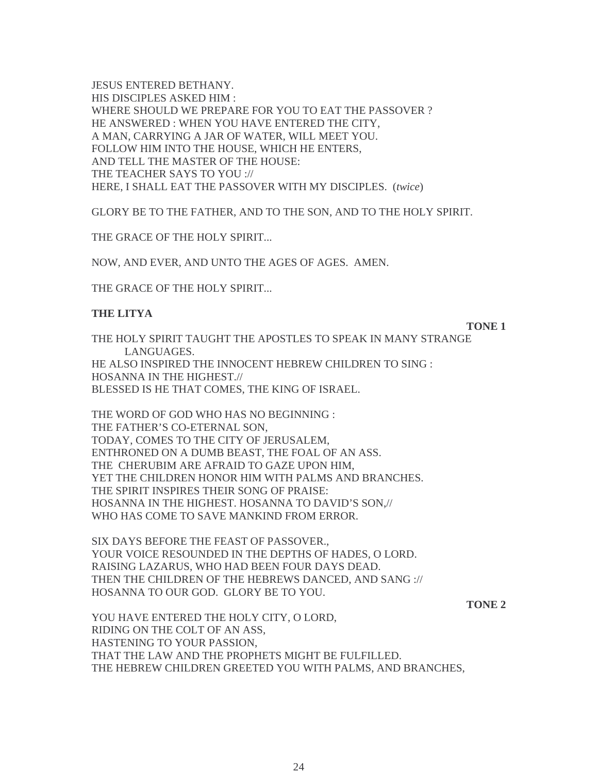JESUS ENTERED BETHANY. HIS DISCIPLES ASKED HIM : WHERE SHOULD WE PREPARE FOR YOU TO EAT THE PASSOVER ? HE ANSWERED : WHEN YOU HAVE ENTERED THE CITY, A MAN, CARRYING A JAR OF WATER, WILL MEET YOU. FOLLOW HIM INTO THE HOUSE, WHICH HE ENTERS, AND TELL THE MASTER OF THE HOUSE: THE TEACHER SAYS TO YOU :// HERE, I SHALL EAT THE PASSOVER WITH MY DISCIPLES. (*twice*)

GLORY BE TO THE FATHER, AND TO THE SON, AND TO THE HOLY SPIRIT.

THE GRACE OF THE HOLY SPIRIT...

NOW, AND EVER, AND UNTO THE AGES OF AGES. AMEN.

THE GRACE OF THE HOLY SPIRIT...

#### **THE LITYA**

**TONE 1** 

THE HOLY SPIRIT TAUGHT THE APOSTLES TO SPEAK IN MANY STRANGE LANGUAGES. HE ALSO INSPIRED THE INNOCENT HEBREW CHILDREN TO SING : HOSANNA IN THE HIGHEST.// BLESSED IS HE THAT COMES, THE KING OF ISRAEL.

THE WORD OF GOD WHO HAS NO BEGINNING : THE FATHER'S CO-ETERNAL SON, TODAY, COMES TO THE CITY OF JERUSALEM, ENTHRONED ON A DUMB BEAST, THE FOAL OF AN ASS. THE CHERUBIM ARE AFRAID TO GAZE UPON HIM, YET THE CHILDREN HONOR HIM WITH PALMS AND BRANCHES. THE SPIRIT INSPIRES THEIR SONG OF PRAISE: HOSANNA IN THE HIGHEST. HOSANNA TO DAVID'S SON,// WHO HAS COME TO SAVE MANKIND FROM ERROR.

SIX DAYS BEFORE THE FEAST OF PASSOVER., YOUR VOICE RESOUNDED IN THE DEPTHS OF HADES, O LORD. RAISING LAZARUS, WHO HAD BEEN FOUR DAYS DEAD. THEN THE CHILDREN OF THE HEBREWS DANCED, AND SANG :// HOSANNA TO OUR GOD. GLORY BE TO YOU.

**TONE 2**

YOU HAVE ENTERED THE HOLY CITY, O LORD, RIDING ON THE COLT OF AN ASS, HASTENING TO YOUR PASSION, THAT THE LAW AND THE PROPHETS MIGHT BE FULFILLED. THE HEBREW CHILDREN GREETED YOU WITH PALMS, AND BRANCHES,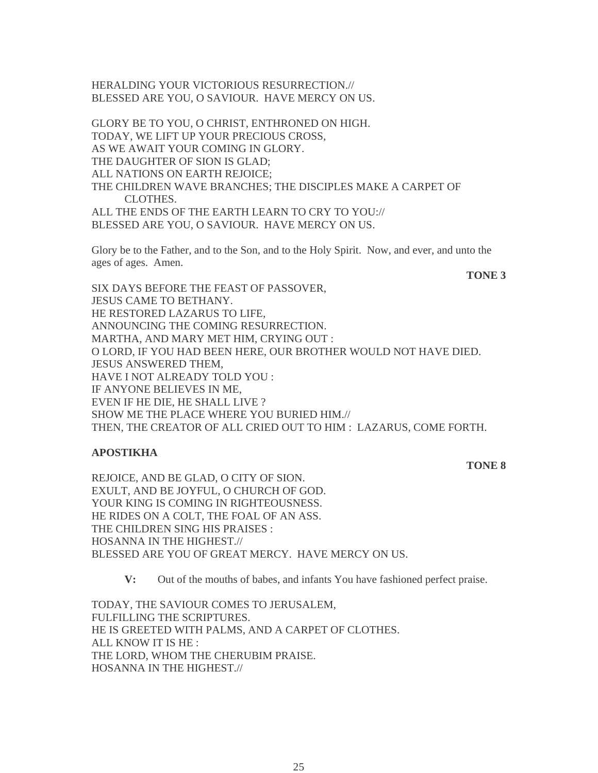HERALDING YOUR VICTORIOUS RESURRECTION.// BLESSED ARE YOU, O SAVIOUR. HAVE MERCY ON US.

GLORY BE TO YOU, O CHRIST, ENTHRONED ON HIGH. TODAY, WE LIFT UP YOUR PRECIOUS CROSS, AS WE AWAIT YOUR COMING IN GLORY. THE DAUGHTER OF SION IS GLAD; ALL NATIONS ON EARTH REJOICE; THE CHILDREN WAVE BRANCHES; THE DISCIPLES MAKE A CARPET OF CLOTHES. ALL THE ENDS OF THE EARTH LEARN TO CRY TO YOU:// BLESSED ARE YOU, O SAVIOUR. HAVE MERCY ON US.

Glory be to the Father, and to the Son, and to the Holy Spirit. Now, and ever, and unto the ages of ages. Amen.

**TONE 3**

SIX DAYS BEFORE THE FEAST OF PASSOVER, JESUS CAME TO BETHANY. HE RESTORED LAZARUS TO LIFE, ANNOUNCING THE COMING RESURRECTION. MARTHA, AND MARY MET HIM, CRYING OUT : O LORD, IF YOU HAD BEEN HERE, OUR BROTHER WOULD NOT HAVE DIED. JESUS ANSWERED THEM, HAVE I NOT ALREADY TOLD YOU : IF ANYONE BELIEVES IN ME, EVEN IF HE DIE, HE SHALL LIVE ? SHOW ME THE PLACE WHERE YOU BURIED HIM.// THEN, THE CREATOR OF ALL CRIED OUT TO HIM : LAZARUS, COME FORTH.

#### **APOSTIKHA**

#### **TONE 8**

REJOICE, AND BE GLAD, O CITY OF SION. EXULT, AND BE JOYFUL, O CHURCH OF GOD. YOUR KING IS COMING IN RIGHTEOUSNESS. HE RIDES ON A COLT, THE FOAL OF AN ASS. THE CHILDREN SING HIS PRAISES : HOSANNA IN THE HIGHEST.// BLESSED ARE YOU OF GREAT MERCY. HAVE MERCY ON US.

**V:** Out of the mouths of babes, and infants You have fashioned perfect praise.

TODAY, THE SAVIOUR COMES TO JERUSALEM, FULFILLING THE SCRIPTURES. HE IS GREETED WITH PALMS, AND A CARPET OF CLOTHES. ALL KNOW IT IS HE : THE LORD, WHOM THE CHERUBIM PRAISE. HOSANNA IN THE HIGHEST.//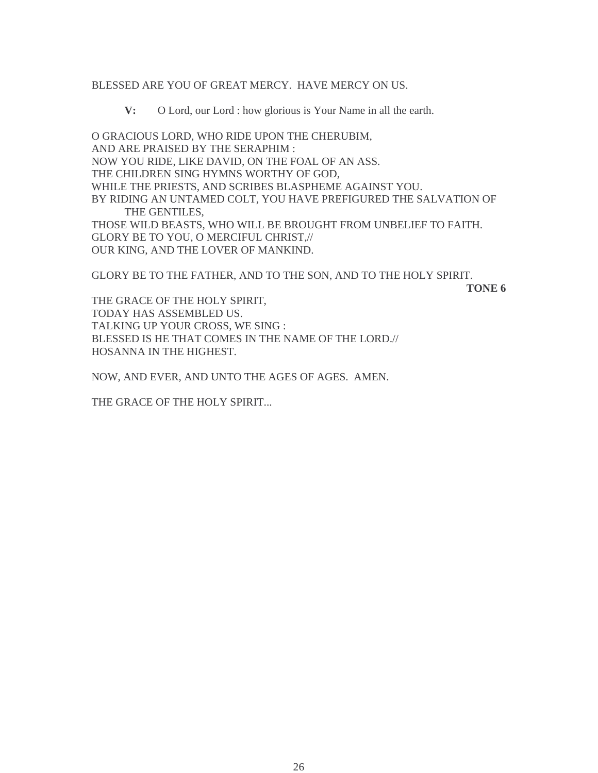#### BLESSED ARE YOU OF GREAT MERCY. HAVE MERCY ON US.

**V:** O Lord, our Lord : how glorious is Your Name in all the earth.

O GRACIOUS LORD, WHO RIDE UPON THE CHERUBIM, AND ARE PRAISED BY THE SERAPHIM : NOW YOU RIDE, LIKE DAVID, ON THE FOAL OF AN ASS. THE CHILDREN SING HYMNS WORTHY OF GOD, WHILE THE PRIESTS, AND SCRIBES BLASPHEME AGAINST YOU. BY RIDING AN UNTAMED COLT, YOU HAVE PREFIGURED THE SALVATION OF THE GENTILES, THOSE WILD BEASTS, WHO WILL BE BROUGHT FROM UNBELIEF TO FAITH. GLORY BE TO YOU, O MERCIFUL CHRIST,// OUR KING, AND THE LOVER OF MANKIND.

GLORY BE TO THE FATHER, AND TO THE SON, AND TO THE HOLY SPIRIT.

**TONE 6**

THE GRACE OF THE HOLY SPIRIT, TODAY HAS ASSEMBLED US. TALKING UP YOUR CROSS, WE SING : BLESSED IS HE THAT COMES IN THE NAME OF THE LORD.// HOSANNA IN THE HIGHEST.

NOW, AND EVER, AND UNTO THE AGES OF AGES. AMEN.

THE GRACE OF THE HOLY SPIRIT...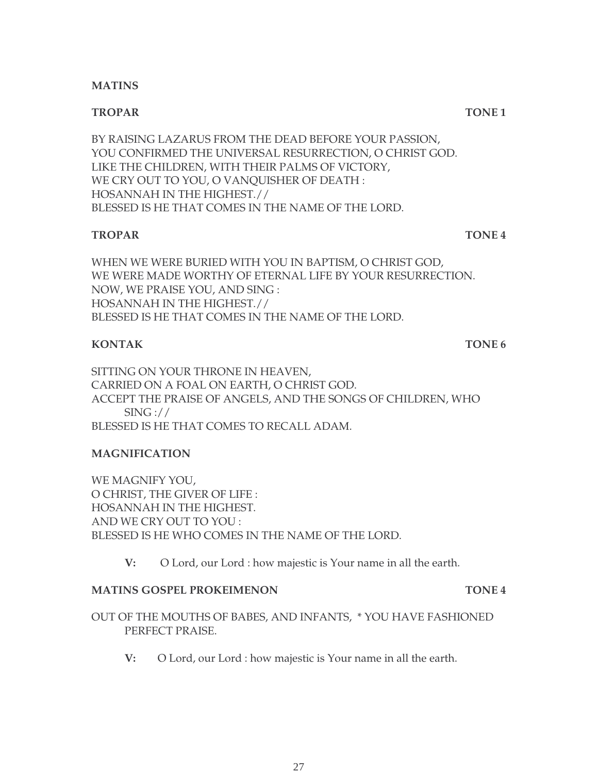#### **MATINS**

#### **TROPAR TONE 1**

BY RAISING LAZARUS FROM THE DEAD BEFORE YOUR PASSION, YOU CONFIRMED THE UNIVERSAL RESURRECTION, O CHRIST GOD. LIKE THE CHILDREN, WITH THEIR PALMS OF VICTORY, WE CRY OUT TO YOU, O VANQUISHER OF DEATH : HOSANNAH IN THE HIGHEST.// BLESSED IS HE THAT COMES IN THE NAME OF THE LORD.

### **TROPAR TONE 4**

WHEN WE WERE BURIED WITH YOU IN BAPTISM, O CHRIST GOD, WE WERE MADE WORTHY OF ETERNAL LIFE BY YOUR RESURRECTION. NOW, WE PRAISE YOU, AND SING : HOSANNAH IN THE HIGHEST.// BLESSED IS HE THAT COMES IN THE NAME OF THE LORD.

## **KONTAK TONE 6**

SITTING ON YOUR THRONE IN HEAVEN, CARRIED ON A FOAL ON EARTH, O CHRIST GOD. ACCEPT THE PRAISE OF ANGELS, AND THE SONGS OF CHILDREN, WHO SING :// BLESSED IS HE THAT COMES TO RECALL ADAM.

### **MAGNIFICATION**

WE MAGNIFY YOU, O CHRIST, THE GIVER OF LIFE : HOSANNAH IN THE HIGHEST. AND WE CRY OUT TO YOU : BLESSED IS HE WHO COMES IN THE NAME OF THE LORD.

**V:** O Lord, our Lord : how majestic is Your name in all the earth.

### **MATINS GOSPEL PROKEIMENON TONE 4**

- OUT OF THE MOUTHS OF BABES, AND INFANTS, \* YOU HAVE FASHIONED PERFECT PRAISE.
	- **V:** O Lord, our Lord : how majestic is Your name in all the earth.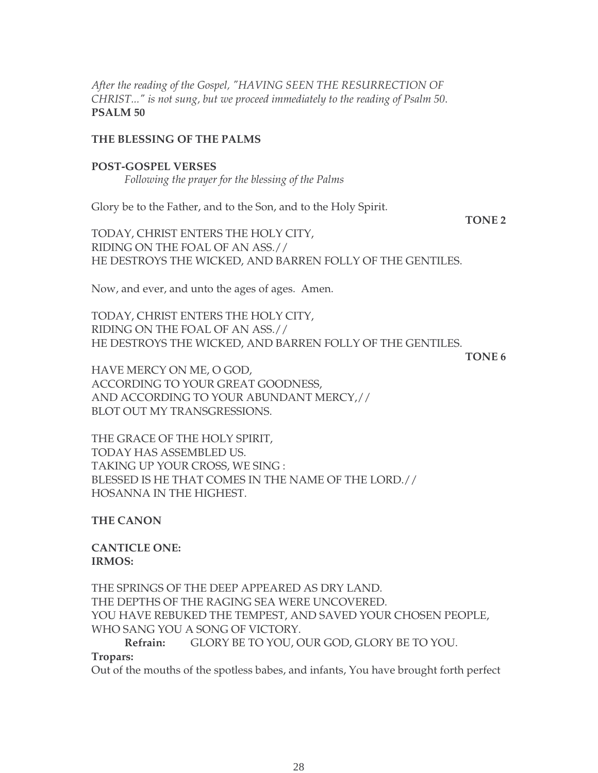*After the reading of the Gospel, "HAVING SEEN THE RESURRECTION OF CHRIST..." is not sung, but we proceed immediately to the reading of Psalm 50*. **PSALM 50**

#### **THE BLESSING OF THE PALMS**

**POST-GOSPEL VERSES** *Following the prayer for the blessing of the Palms*

Glory be to the Father, and to the Son, and to the Holy Spirit.

TODAY, CHRIST ENTERS THE HOLY CITY, RIDING ON THE FOAL OF AN ASS.// HE DESTROYS THE WICKED, AND BARREN FOLLY OF THE GENTILES.

Now, and ever, and unto the ages of ages. Amen.

TODAY, CHRIST ENTERS THE HOLY CITY, RIDING ON THE FOAL OF AN ASS.// HE DESTROYS THE WICKED, AND BARREN FOLLY OF THE GENTILES.

**TONE 6**

**TONE 2**

HAVE MERCY ON ME, O GOD, ACCORDING TO YOUR GREAT GOODNESS, AND ACCORDING TO YOUR ABUNDANT MERCY,// BLOT OUT MY TRANSGRESSIONS.

THE GRACE OF THE HOLY SPIRIT, TODAY HAS ASSEMBLED US. TAKING UP YOUR CROSS, WE SING : BLESSED IS HE THAT COMES IN THE NAME OF THE LORD.// HOSANNA IN THE HIGHEST.

**THE CANON**

**CANTICLE ONE: IRMOS:**

THE SPRINGS OF THE DEEP APPEARED AS DRY LAND. THE DEPTHS OF THE RAGING SEA WERE UNCOVERED. YOU HAVE REBUKED THE TEMPEST, AND SAVED YOUR CHOSEN PEOPLE, WHO SANG YOU A SONG OF VICTORY. **Refrain:** GLORY BE TO YOU, OUR GOD, GLORY BE TO YOU.

#### **Tropars:**

Out of the mouths of the spotless babes, and infants, You have brought forth perfect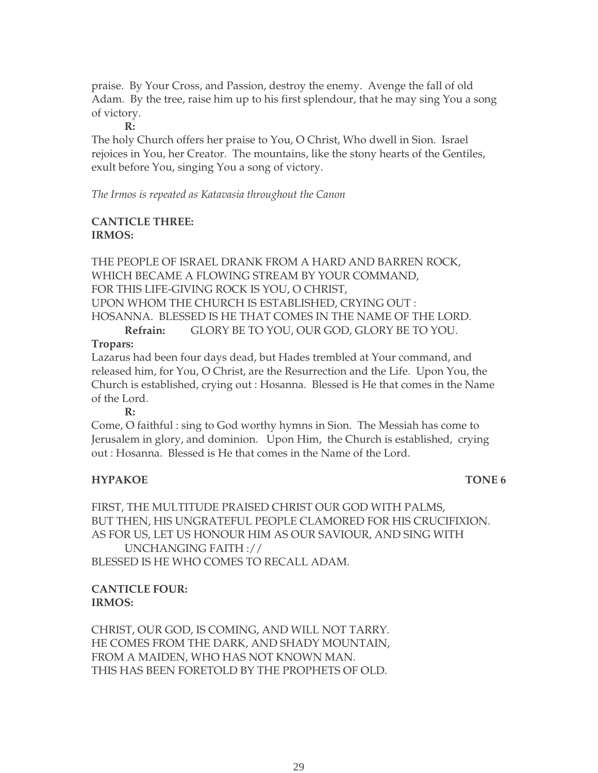praise. By Your Cross, and Passion, destroy the enemy. Avenge the fall of old Adam. By the tree, raise him up to his first splendour, that he may sing You a song of victory.

**R:**

The holy Church offers her praise to You, O Christ, Who dwell in Sion. Israel rejoices in You, her Creator. The mountains, like the stony hearts of the Gentiles, exult before You, singing You a song of victory.

*The Irmos is repeated as Katavasia throughout the Canon*

### **CANTICLE THREE: IRMOS:**

THE PEOPLE OF ISRAEL DRANK FROM A HARD AND BARREN ROCK, WHICH BECAME A FLOWING STREAM BY YOUR COMMAND, FOR THIS LIFE-GIVING ROCK IS YOU, O CHRIST, UPON WHOM THE CHURCH IS ESTABLISHED, CRYING OUT : HOSANNA. BLESSED IS HE THAT COMES IN THE NAME OF THE LORD. **Refrain:** GLORY BE TO YOU, OUR GOD, GLORY BE TO YOU.

### **Tropars:**

Lazarus had been four days dead, but Hades trembled at Your command, and released him, for You, O Christ, are the Resurrection and the Life. Upon You, the Church is established, crying out : Hosanna. Blessed is He that comes in the Name of the Lord.

**R:**

Come, O faithful : sing to God worthy hymns in Sion. The Messiah has come to Jerusalem in glory, and dominion. Upon Him, the Church is established, crying out : Hosanna. Blessed is He that comes in the Name of the Lord.

# **HYPAKOE** TONE 6

FIRST, THE MULTITUDE PRAISED CHRIST OUR GOD WITH PALMS, BUT THEN, HIS UNGRATEFUL PEOPLE CLAMORED FOR HIS CRUCIFIXION. AS FOR US, LET US HONOUR HIM AS OUR SAVIOUR, AND SING WITH UNCHANGING FAITH :// BLESSED IS HE WHO COMES TO RECALL ADAM.

# **CANTICLE FOUR: IRMOS:**

CHRIST, OUR GOD, IS COMING, AND WILL NOT TARRY. HE COMES FROM THE DARK, AND SHADY MOUNTAIN, FROM A MAIDEN, WHO HAS NOT KNOWN MAN. THIS HAS BEEN FORETOLD BY THE PROPHETS OF OLD.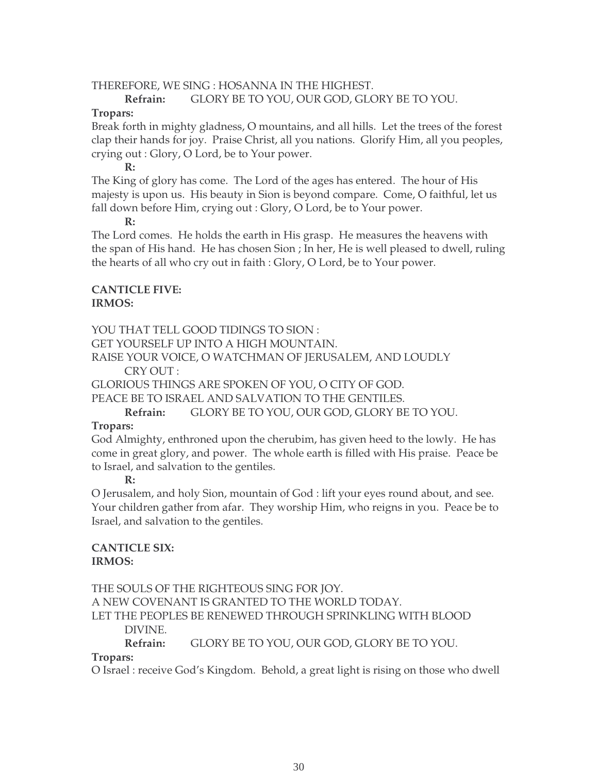#### THEREFORE, WE SING : HOSANNA IN THE HIGHEST.

#### **Refrain:** GLORY BE TO YOU, OUR GOD, GLORY BE TO YOU.

#### **Tropars:**

Break forth in mighty gladness, O mountains, and all hills. Let the trees of the forest clap their hands for joy. Praise Christ, all you nations. Glorify Him, all you peoples, crying out : Glory, O Lord, be to Your power.

#### **R:**

The King of glory has come. The Lord of the ages has entered. The hour of His majesty is upon us. His beauty in Sion is beyond compare. Come, O faithful, let us fall down before Him, crying out : Glory, O Lord, be to Your power.

#### **R:**

The Lord comes. He holds the earth in His grasp. He measures the heavens with the span of His hand. He has chosen Sion ; In her, He is well pleased to dwell, ruling the hearts of all who cry out in faith : Glory, O Lord, be to Your power.

### **CANTICLE FIVE: IRMOS:**

YOU THAT TELL GOOD TIDINGS TO SION :

GET YOURSELF UP INTO A HIGH MOUNTAIN.

RAISE YOUR VOICE, O WATCHMAN OF JERUSALEM, AND LOUDLY CRY OUT :

GLORIOUS THINGS ARE SPOKEN OF YOU, O CITY OF GOD.

PEACE BE TO ISRAEL AND SALVATION TO THE GENTILES.

**Refrain:** GLORY BE TO YOU, OUR GOD, GLORY BE TO YOU.

### **Tropars:**

God Almighty, enthroned upon the cherubim, has given heed to the lowly. He has come in great glory, and power. The whole earth is filled with His praise. Peace be to Israel, and salvation to the gentiles.

**R:**

O Jerusalem, and holy Sion, mountain of God : lift your eyes round about, and see. Your children gather from afar. They worship Him, who reigns in you. Peace be to Israel, and salvation to the gentiles.

#### **CANTICLE SIX: IRMOS:**

THE SOULS OF THE RIGHTEOUS SING FOR JOY. A NEW COVENANT IS GRANTED TO THE WORLD TODAY. LET THE PEOPLES BE RENEWED THROUGH SPRINKLING WITH BLOOD DIVINE. **Refrain:** GLORY BE TO YOU, OUR GOD, GLORY BE TO YOU.

# **Tropars:**

O Israel : receive God's Kingdom. Behold, a great light is rising on those who dwell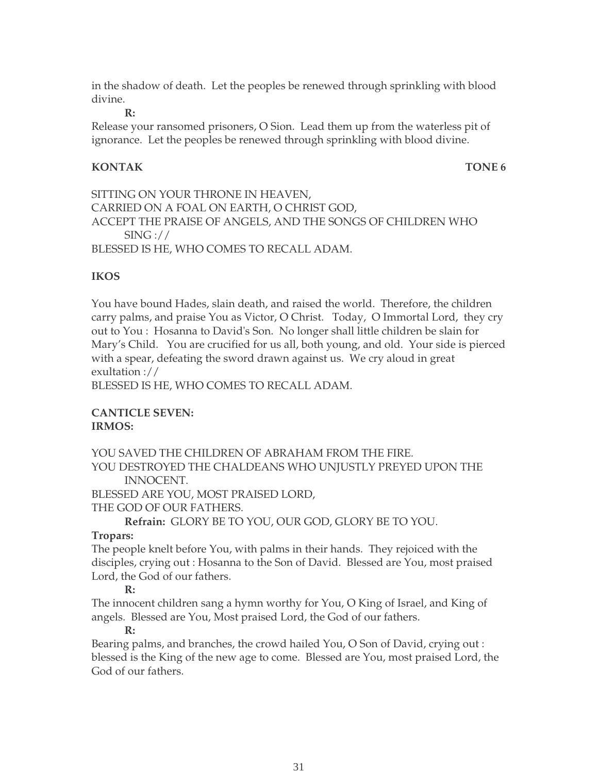in the shadow of death. Let the peoples be renewed through sprinkling with blood divine.

**R:**

Release your ransomed prisoners, O Sion. Lead them up from the waterless pit of ignorance. Let the peoples be renewed through sprinkling with blood divine.

### **KONTAK TONE 6**

SITTING ON YOUR THRONE IN HEAVEN, CARRIED ON A FOAL ON EARTH, O CHRIST GOD, ACCEPT THE PRAISE OF ANGELS, AND THE SONGS OF CHILDREN WHO  $SING$ :// BLESSED IS HE, WHO COMES TO RECALL ADAM.

# **IKOS**

You have bound Hades, slain death, and raised the world. Therefore, the children carry palms, and praise You as Victor, O Christ. Today, O Immortal Lord, they cry out to You : Hosanna to David's Son. No longer shall little children be slain for Mary's Child. You are crucified for us all, both young, and old. Your side is pierced with a spear, defeating the sword drawn against us. We cry aloud in great exultation ://

BLESSED IS HE, WHO COMES TO RECALL ADAM.

#### **CANTICLE SEVEN: IRMOS:**

YOU SAVED THE CHILDREN OF ABRAHAM FROM THE FIRE.

YOU DESTROYED THE CHALDEANS WHO UNJUSTLY PREYED UPON THE INNOCENT.

BLESSED ARE YOU, MOST PRAISED LORD,

THE GOD OF OUR FATHERS.

**Refrain:** GLORY BE TO YOU, OUR GOD, GLORY BE TO YOU.

### **Tropars:**

The people knelt before You, with palms in their hands. They rejoiced with the disciples, crying out : Hosanna to the Son of David. Blessed are You, most praised Lord, the God of our fathers.

### **R:**

The innocent children sang a hymn worthy for You, O King of Israel, and King of angels. Blessed are You, Most praised Lord, the God of our fathers.

#### **R:**

Bearing palms, and branches, the crowd hailed You, O Son of David, crying out : blessed is the King of the new age to come. Blessed are You, most praised Lord, the God of our fathers.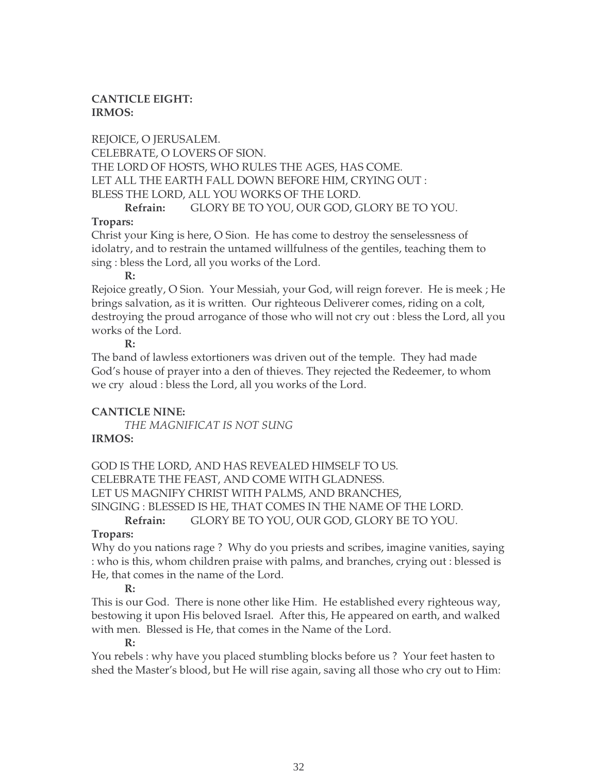# **CANTICLE EIGHT: IRMOS:**

REJOICE, O JERUSALEM. CELEBRATE, O LOVERS OF SION. THE LORD OF HOSTS, WHO RULES THE AGES, HAS COME. LET ALL THE EARTH FALL DOWN BEFORE HIM, CRYING OUT : BLESS THE LORD, ALL YOU WORKS OF THE LORD.

# **Refrain:** GLORY BE TO YOU, OUR GOD, GLORY BE TO YOU.

# **Tropars:**

Christ your King is here, O Sion. He has come to destroy the senselessness of idolatry, and to restrain the untamed willfulness of the gentiles, teaching them to sing : bless the Lord, all you works of the Lord.

#### **R:**

Rejoice greatly, O Sion. Your Messiah, your God, will reign forever. He is meek ; He brings salvation, as it is written. Our righteous Deliverer comes, riding on a colt, destroying the proud arrogance of those who will not cry out : bless the Lord, all you works of the Lord.

### **R:**

The band of lawless extortioners was driven out of the temple. They had made God's house of prayer into a den of thieves. They rejected the Redeemer, to whom we cry aloud : bless the Lord, all you works of the Lord.

# **CANTICLE NINE:**

*THE MAGNIFICAT IS NOT SUNG* **IRMOS:**

GOD IS THE LORD, AND HAS REVEALED HIMSELF TO US. CELEBRATE THE FEAST, AND COME WITH GLADNESS. LET US MAGNIFY CHRIST WITH PALMS, AND BRANCHES, SINGING : BLESSED IS HE, THAT COMES IN THE NAME OF THE LORD.

**Refrain:** GLORY BE TO YOU, OUR GOD, GLORY BE TO YOU.

# **Tropars:**

Why do you nations rage ? Why do you priests and scribes, imagine vanities, saying : who is this, whom children praise with palms, and branches, crying out : blessed is He, that comes in the name of the Lord.

# **R:**

This is our God. There is none other like Him. He established every righteous way, bestowing it upon His beloved Israel. After this, He appeared on earth, and walked with men. Blessed is He, that comes in the Name of the Lord.

### **R:**

You rebels : why have you placed stumbling blocks before us ? Your feet hasten to shed the Master's blood, but He will rise again, saving all those who cry out to Him: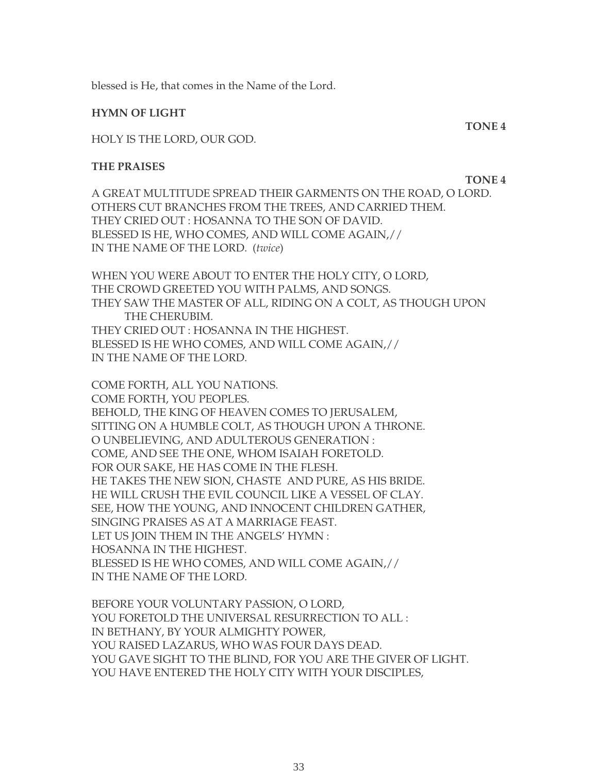blessed is He, that comes in the Name of the Lord.

#### **HYMN OF LIGHT**

HOLY IS THE LORD, OUR GOD.

#### **THE PRAISES**

A GREAT MULTITUDE SPREAD THEIR GARMENTS ON THE ROAD, O LORD. OTHERS CUT BRANCHES FROM THE TREES, AND CARRIED THEM. THEY CRIED OUT : HOSANNA TO THE SON OF DAVID. BLESSED IS HE, WHO COMES, AND WILL COME AGAIN,// IN THE NAME OF THE LORD. (*twice*)

WHEN YOU WERE ABOUT TO ENTER THE HOLY CITY, O LORD, THE CROWD GREETED YOU WITH PALMS, AND SONGS. THEY SAW THE MASTER OF ALL, RIDING ON A COLT, AS THOUGH UPON THE CHERUBIM. THEY CRIED OUT : HOSANNA IN THE HIGHEST. BLESSED IS HE WHO COMES, AND WILL COME AGAIN,// IN THE NAME OF THE LORD.

COME FORTH, ALL YOU NATIONS. COME FORTH, YOU PEOPLES. BEHOLD, THE KING OF HEAVEN COMES TO JERUSALEM, SITTING ON A HUMBLE COLT, AS THOUGH UPON A THRONE. O UNBELIEVING, AND ADULTEROUS GENERATION : COME, AND SEE THE ONE, WHOM ISAIAH FORETOLD. FOR OUR SAKE, HE HAS COME IN THE FLESH. HE TAKES THE NEW SION, CHASTE AND PURE, AS HIS BRIDE. HE WILL CRUSH THE EVIL COUNCIL LIKE A VESSEL OF CLAY. SEE, HOW THE YOUNG, AND INNOCENT CHILDREN GATHER, SINGING PRAISES AS AT A MARRIAGE FEAST. LET US JOIN THEM IN THE ANGELS' HYMN : HOSANNA IN THE HIGHEST. BLESSED IS HE WHO COMES, AND WILL COME AGAIN,// IN THE NAME OF THE LORD.

BEFORE YOUR VOLUNTARY PASSION, O LORD, YOU FORETOLD THE UNIVERSAL RESURRECTION TO ALL : IN BETHANY, BY YOUR ALMIGHTY POWER, YOU RAISED LAZARUS, WHO WAS FOUR DAYS DEAD. YOU GAVE SIGHT TO THE BLIND, FOR YOU ARE THE GIVER OF LIGHT. YOU HAVE ENTERED THE HOLY CITY WITH YOUR DISCIPLES.

**TONE 4**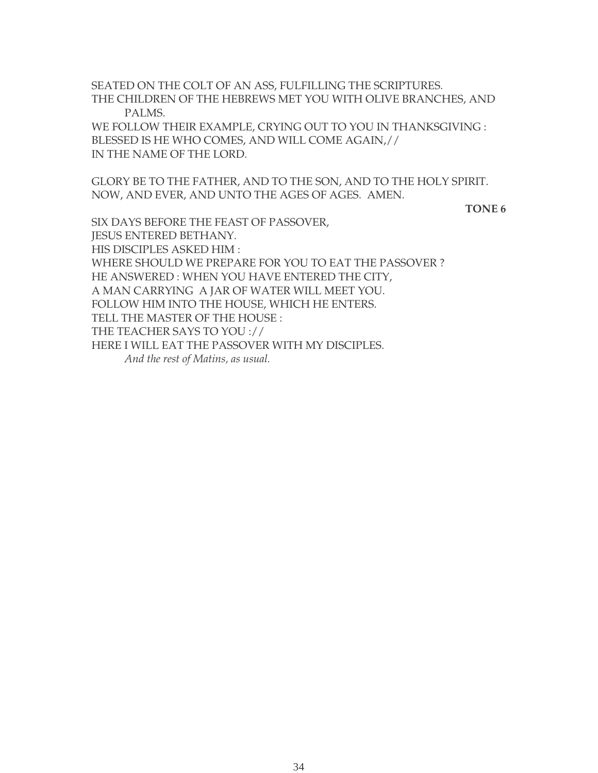SEATED ON THE COLT OF AN ASS, FULFILLING THE SCRIPTURES. THE CHILDREN OF THE HEBREWS MET YOU WITH OLIVE BRANCHES, AND PALMS.

WE FOLLOW THEIR EXAMPLE, CRYING OUT TO YOU IN THANKSGIVING : BLESSED IS HE WHO COMES, AND WILL COME AGAIN,// IN THE NAME OF THE LORD.

GLORY BE TO THE FATHER, AND TO THE SON, AND TO THE HOLY SPIRIT. NOW, AND EVER, AND UNTO THE AGES OF AGES. AMEN.

**TONE 6** 

SIX DAYS BEFORE THE FEAST OF PASSOVER, JESUS ENTERED BETHANY. HIS DISCIPLES ASKED HIM : WHERE SHOULD WE PREPARE FOR YOU TO EAT THE PASSOVER ? HE ANSWERED : WHEN YOU HAVE ENTERED THE CITY, A MAN CARRYING A JAR OF WATER WILL MEET YOU. FOLLOW HIM INTO THE HOUSE, WHICH HE ENTERS. TELL THE MASTER OF THE HOUSE : THE TEACHER SAYS TO YOU :// HERE I WILL EAT THE PASSOVER WITH MY DISCIPLES.  *And the rest of Matins, as usual.*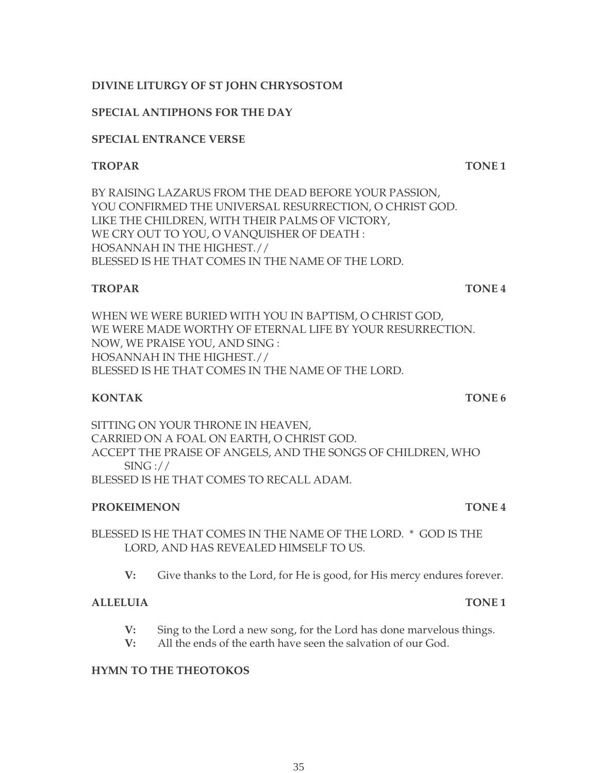# **DIVINE LITURGY OF ST JOHN CHRYSOSTOM**

# **SPECIAL ANTIPHONS FOR THE DAY**

# **SPECIAL ENTRANCE VERSE**

# **TROPAR TONE 1**

BY RAISING LAZARUS FROM THE DEAD BEFORE YOUR PASSION, YOU CONFIRMED THE UNIVERSAL RESURRECTION, O CHRIST GOD. LIKE THE CHILDREN, WITH THEIR PALMS OF VICTORY, WE CRY OUT TO YOU, O VANQUISHER OF DEATH : HOSANNAH IN THE HIGHEST.// BLESSED IS HE THAT COMES IN THE NAME OF THE LORD.

# **TROPAR TONE 4**

WHEN WE WERE BURIED WITH YOU IN BAPTISM, O CHRIST GOD, WE WERE MADE WORTHY OF ETERNAL LIFE BY YOUR RESURRECTION. NOW, WE PRAISE YOU, AND SING : HOSANNAH IN THE HIGHEST.// BLESSED IS HE THAT COMES IN THE NAME OF THE LORD.

# **KONTAK TONE 6**

SITTING ON YOUR THRONE IN HEAVEN, CARRIED ON A FOAL ON EARTH, O CHRIST GOD. ACCEPT THE PRAISE OF ANGELS, AND THE SONGS OF CHILDREN, WHO  $SING: //$ BLESSED IS HE THAT COMES TO RECALL ADAM.

# **PROKEIMENON TONE 4**

BLESSED IS HE THAT COMES IN THE NAME OF THE LORD. \* GOD IS THE LORD, AND HAS REVEALED HIMSELF TO US.

**V:** Give thanks to the Lord, for He is good, for His mercy endures forever.

# **ALLELUIA TONE 1**

- **V:** Sing to the Lord a new song, for the Lord has done marvelous things.
- **V:** All the ends of the earth have seen the salvation of our God.

# **HYMN TO THE THEOTOKOS**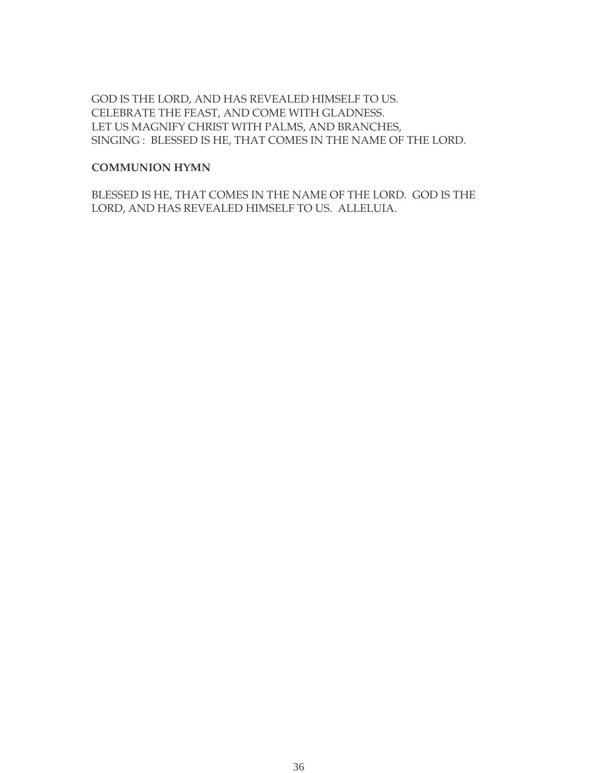GOD IS THE LORD, AND HAS REVEALED HIMSELF TO US. CELEBRATE THE FEAST, AND COME WITH GLADNESS. LET US MAGNIFY CHRIST WITH PALMS, AND BRANCHES, SINGING : BLESSED IS HE, THAT COMES IN THE NAME OF THE LORD.

#### **COMMUNION HYMN**

BLESSED IS HE, THAT COMES IN THE NAME OF THE LORD. GOD IS THE LORD, AND HAS REVEALED HIMSELF TO US. ALLELUIA.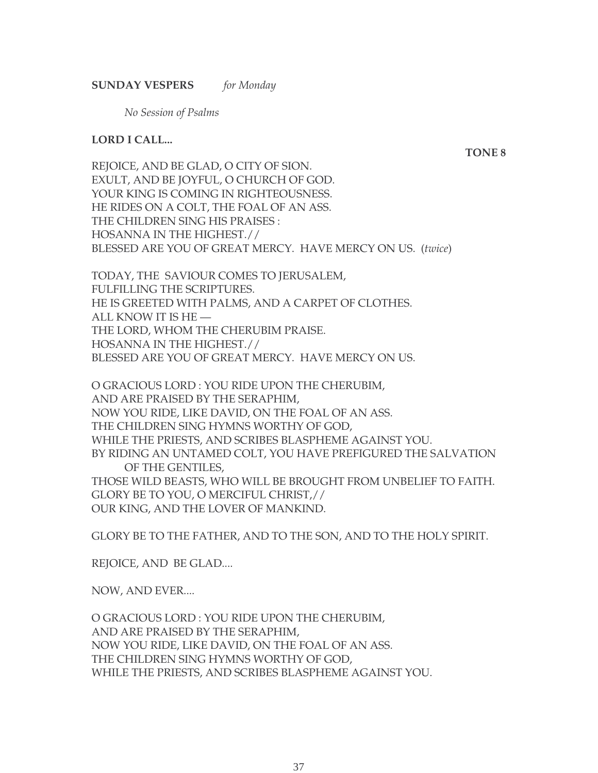**SUNDAY VESPERS** *for Monday*

*No Session of Psalms*

#### **LORD I CALL...**

**TONE 8**

REJOICE, AND BE GLAD, O CITY OF SION. EXULT, AND BE JOYFUL, O CHURCH OF GOD. YOUR KING IS COMING IN RIGHTEOUSNESS. HE RIDES ON A COLT, THE FOAL OF AN ASS. THE CHILDREN SING HIS PRAISES : HOSANNA IN THE HIGHEST.// BLESSED ARE YOU OF GREAT MERCY. HAVE MERCY ON US. (*twice*)

TODAY, THE SAVIOUR COMES TO JERUSALEM, FULFILLING THE SCRIPTURES. HE IS GREETED WITH PALMS, AND A CARPET OF CLOTHES. ALL KNOW IT IS HE — THE LORD, WHOM THE CHERUBIM PRAISE. HOSANNA IN THE HIGHEST.// BLESSED ARE YOU OF GREAT MERCY. HAVE MERCY ON US.

O GRACIOUS LORD : YOU RIDE UPON THE CHERUBIM, AND ARE PRAISED BY THE SERAPHIM, NOW YOU RIDE, LIKE DAVID, ON THE FOAL OF AN ASS. THE CHILDREN SING HYMNS WORTHY OF GOD, WHILE THE PRIESTS, AND SCRIBES BLASPHEME AGAINST YOU. BY RIDING AN UNTAMED COLT, YOU HAVE PREFIGURED THE SALVATION OF THE GENTILES, THOSE WILD BEASTS, WHO WILL BE BROUGHT FROM UNBELIEF TO FAITH. GLORY BE TO YOU, O MERCIFUL CHRIST,// OUR KING, AND THE LOVER OF MANKIND.

GLORY BE TO THE FATHER, AND TO THE SON, AND TO THE HOLY SPIRIT.

REJOICE, AND BE GLAD....

NOW, AND EVER....

O GRACIOUS LORD : YOU RIDE UPON THE CHERUBIM, AND ARE PRAISED BY THE SERAPHIM, NOW YOU RIDE, LIKE DAVID, ON THE FOAL OF AN ASS. THE CHILDREN SING HYMNS WORTHY OF GOD, WHILE THE PRIESTS, AND SCRIBES BLASPHEME AGAINST YOU.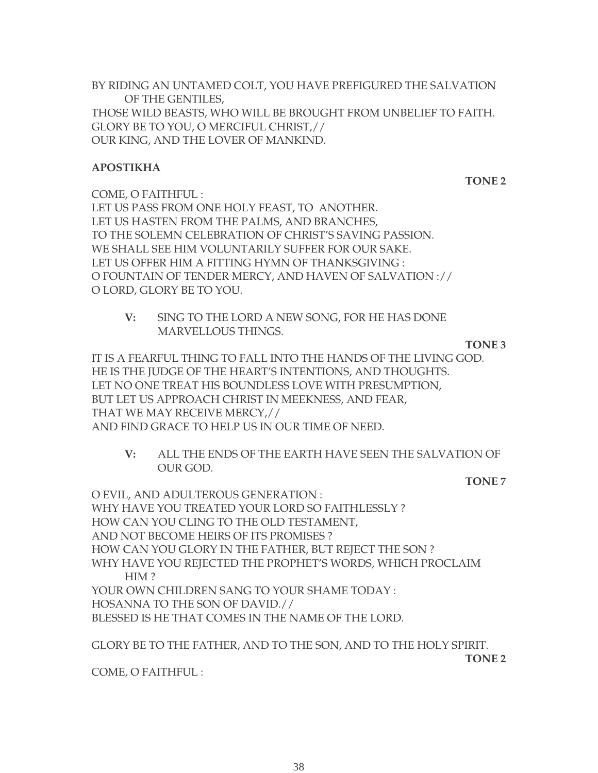BY RIDING AN UNTAMED COLT, YOU HAVE PREFIGURED THE SALVATION OF THE GENTILES, THOSE WILD BEASTS, WHO WILL BE BROUGHT FROM UNBELIEF TO FAITH. GLORY BE TO YOU, O MERCIFUL CHRIST,// OUR KING, AND THE LOVER OF MANKIND.

#### **APOSTIKHA**

**TONE 2**

COME, O FAITHFUL : LET US PASS FROM ONE HOLY FEAST, TO ANOTHER. LET US HASTEN FROM THE PALMS, AND BRANCHES, TO THE SOLEMN CELEBRATION OF CHRIST'S SAVING PASSION. WE SHALL SEE HIM VOLUNTARILY SUFFER FOR OUR SAKE. LET US OFFER HIM A FITTING HYMN OF THANKSGIVING : O FOUNTAIN OF TENDER MERCY, AND HAVEN OF SALVATION :// O LORD, GLORY BE TO YOU.

**V:** SING TO THE LORD A NEW SONG, FOR HE HAS DONE MARVELLOUS THINGS.

**TONE 3**

IT IS A FEARFUL THING TO FALL INTO THE HANDS OF THE LIVING GOD. HE IS THE JUDGE OF THE HEART'S INTENTIONS, AND THOUGHTS. LET NO ONE TREAT HIS BOUNDLESS LOVE WITH PRESUMPTION, BUT LET US APPROACH CHRIST IN MEEKNESS, AND FEAR, THAT WE MAY RECEIVE MERCY,// AND FIND GRACE TO HELP US IN OUR TIME OF NEED.

**V:** ALL THE ENDS OF THE EARTH HAVE SEEN THE SALVATION OF OUR GOD.

**TONE 7**

O EVIL, AND ADULTEROUS GENERATION : WHY HAVE YOU TREATED YOUR LORD SO FAITHLESSLY ? HOW CAN YOU CLING TO THE OLD TESTAMENT, AND NOT BECOME HEIRS OF ITS PROMISES ? HOW CAN YOU GLORY IN THE FATHER, BUT REJECT THE SON? WHY HAVE YOU REJECTED THE PROPHET'S WORDS, WHICH PROCLAIM HIM ? YOUR OWN CHILDREN SANG TO YOUR SHAME TODAY : HOSANNA TO THE SON OF DAVID.// BLESSED IS HE THAT COMES IN THE NAME OF THE LORD.

GLORY BE TO THE FATHER, AND TO THE SON, AND TO THE HOLY SPIRIT.

**TONE 2**

COME, O FAITHFUL :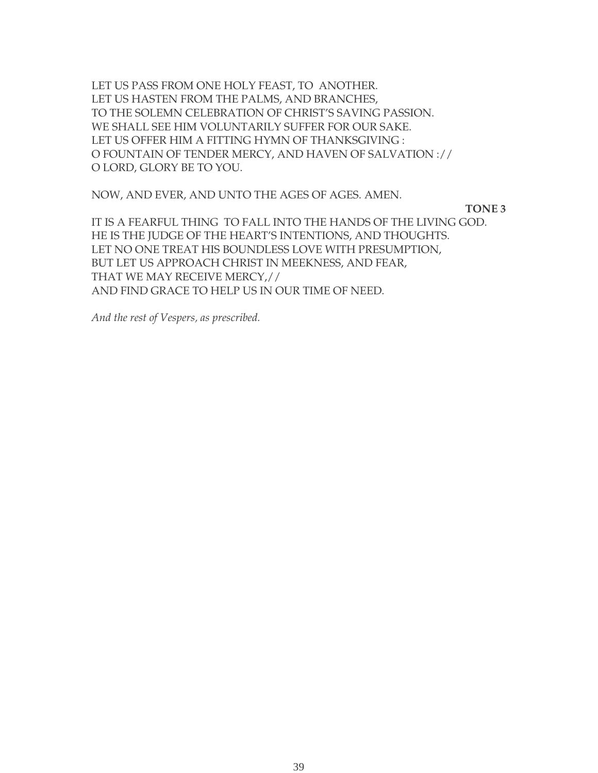LET US PASS FROM ONE HOLY FEAST, TO ANOTHER. LET US HASTEN FROM THE PALMS, AND BRANCHES, TO THE SOLEMN CELEBRATION OF CHRIST'S SAVING PASSION. WE SHALL SEE HIM VOLUNTARILY SUFFER FOR OUR SAKE. LET US OFFER HIM A FITTING HYMN OF THANKSGIVING : O FOUNTAIN OF TENDER MERCY, AND HAVEN OF SALVATION :// O LORD, GLORY BE TO YOU.

NOW, AND EVER, AND UNTO THE AGES OF AGES. AMEN.

**TONE 3**

IT IS A FEARFUL THING TO FALL INTO THE HANDS OF THE LIVING GOD. HE IS THE JUDGE OF THE HEART'S INTENTIONS, AND THOUGHTS. LET NO ONE TREAT HIS BOUNDLESS LOVE WITH PRESUMPTION, BUT LET US APPROACH CHRIST IN MEEKNESS, AND FEAR, THAT WE MAY RECEIVE MERCY,// AND FIND GRACE TO HELP US IN OUR TIME OF NEED.

*And the rest of Vespers, as prescribed.*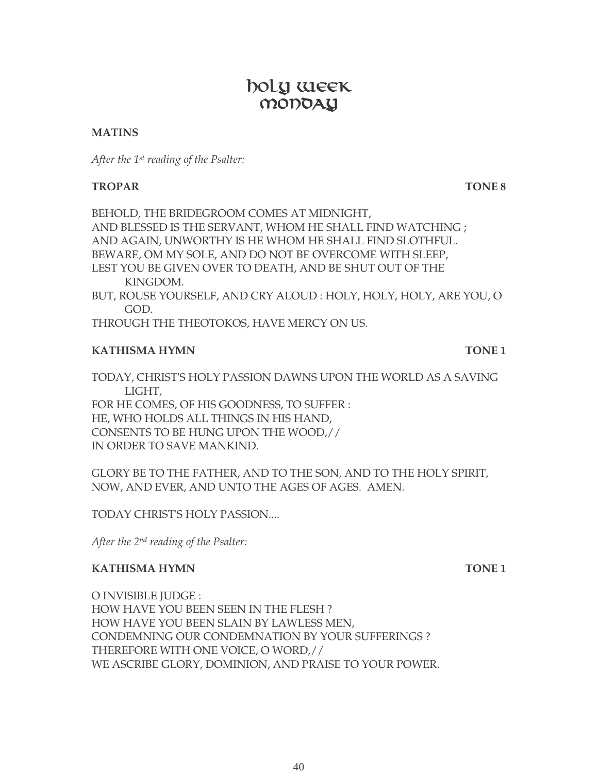# boly week MODOAY

#### **MATINS**

*After the 1st reading of the Psalter:*

#### **TROPAR TONE 8**

BEHOLD, THE BRIDEGROOM COMES AT MIDNIGHT, AND BLESSED IS THE SERVANT, WHOM HE SHALL FIND WATCHING ; AND AGAIN, UNWORTHY IS HE WHOM HE SHALL FIND SLOTHFUL. BEWARE, OM MY SOLE, AND DO NOT BE OVERCOME WITH SLEEP, LEST YOU BE GIVEN OVER TO DEATH, AND BE SHUT OUT OF THE KINGDOM. BUT, ROUSE YOURSELF, AND CRY ALOUD : HOLY, HOLY, HOLY, ARE YOU, O GOD.

THROUGH THE THEOTOKOS, HAVE MERCY ON US.

#### **KATHISMA HYMN TONE 1**

TODAY, CHRIST'S HOLY PASSION DAWNS UPON THE WORLD AS A SAVING LIGHT, FOR HE COMES, OF HIS GOODNESS, TO SUFFER : HE, WHO HOLDS ALL THINGS IN HIS HAND, CONSENTS TO BE HUNG UPON THE WOOD,// IN ORDER TO SAVE MANKIND.

GLORY BE TO THE FATHER, AND TO THE SON, AND TO THE HOLY SPIRIT, NOW, AND EVER, AND UNTO THE AGES OF AGES. AMEN.

TODAY CHRIST'S HOLY PASSION....

*After the 2nd reading of the Psalter:*

#### **KATHISMA HYMN** TONE 1

O INVISIBLE JUDGE : HOW HAVE YOU BEEN SEEN IN THE FLESH ? HOW HAVE YOU BEEN SLAIN BY LAWLESS MEN, CONDEMNING OUR CONDEMNATION BY YOUR SUFFERINGS ? THEREFORE WITH ONE VOICE, O WORD,// WE ASCRIBE GLORY, DOMINION, AND PRAISE TO YOUR POWER.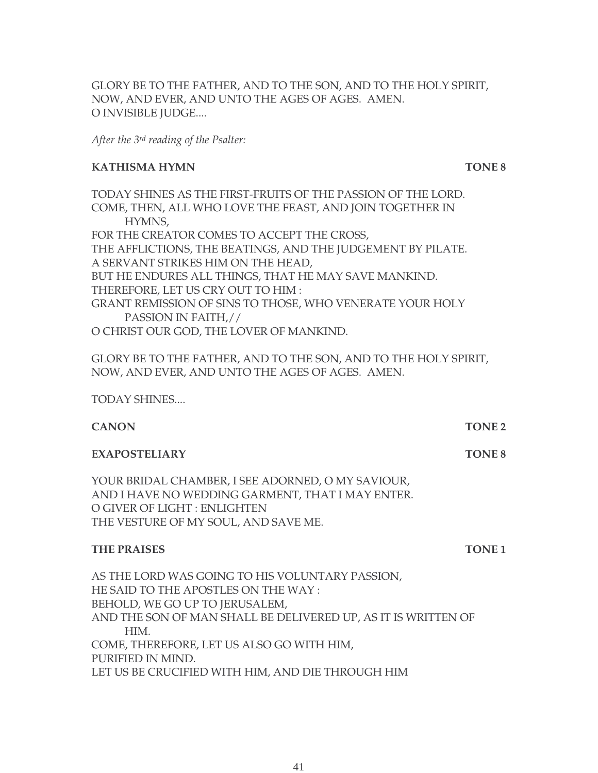GLORY BE TO THE FATHER, AND TO THE SON, AND TO THE HOLY SPIRIT, NOW, AND EVER, AND UNTO THE AGES OF AGES. AMEN. O INVISIBLE JUDGE....

*After the 3rd reading of the Psalter:*

#### **KATHISMA HYMN TONE 8**

TODAY SHINES AS THE FIRST-FRUITS OF THE PASSION OF THE LORD. COME, THEN, ALL WHO LOVE THE FEAST, AND JOIN TOGETHER IN HYMNS, FOR THE CREATOR COMES TO ACCEPT THE CROSS, THE AFFLICTIONS, THE BEATINGS, AND THE JUDGEMENT BY PILATE. A SERVANT STRIKES HIM ON THE HEAD, BUT HE ENDURES ALL THINGS, THAT HE MAY SAVE MANKIND. THEREFORE, LET US CRY OUT TO HIM : GRANT REMISSION OF SINS TO THOSE, WHO VENERATE YOUR HOLY PASSION IN FAITH,// O CHRIST OUR GOD, THE LOVER OF MANKIND.

GLORY BE TO THE FATHER, AND TO THE SON, AND TO THE HOLY SPIRIT, NOW, AND EVER, AND UNTO THE AGES OF AGES. AMEN.

TODAY SHINES....

| <b>TONE 2</b> |
|---------------|
|               |

#### **EXAPOSTELIARY** TONE 8

YOUR BRIDAL CHAMBER, I SEE ADORNED, O MY SAVIOUR, AND I HAVE NO WEDDING GARMENT, THAT I MAY ENTER. O GIVER OF LIGHT : ENLIGHTEN THE VESTURE OF MY SOUL, AND SAVE ME.

#### **THE PRAISES** TONE 1

AS THE LORD WAS GOING TO HIS VOLUNTARY PASSION, HE SAID TO THE APOSTLES ON THE WAY : BEHOLD, WE GO UP TO JERUSALEM, AND THE SON OF MAN SHALL BE DELIVERED UP, AS IT IS WRITTEN OF HIM. COME, THEREFORE, LET US ALSO GO WITH HIM, PURIFIED IN MIND. LET US BE CRUCIFIED WITH HIM, AND DIE THROUGH HIM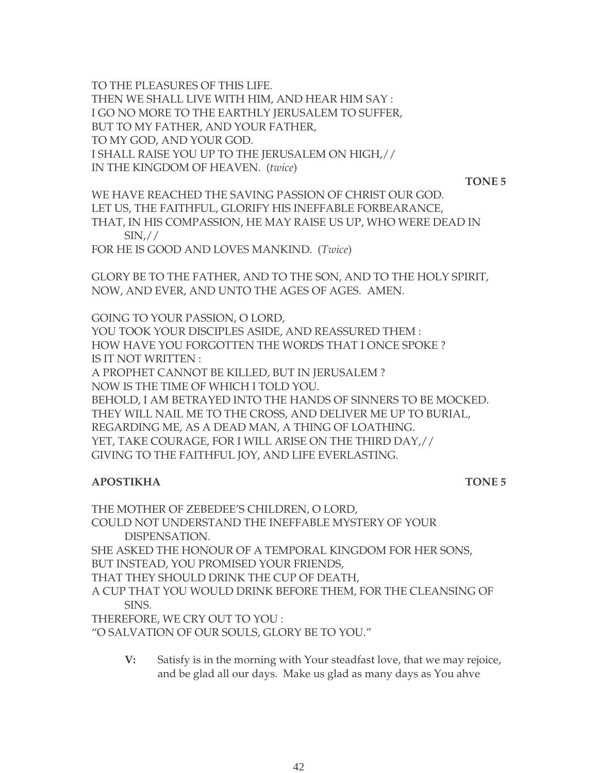TO THE PLEASURES OF THIS LIFE. THEN WE SHALL LIVE WITH HIM, AND HEAR HIM SAY : I GO NO MORE TO THE EARTHLY JERUSALEM TO SUFFER, BUT TO MY FATHER, AND YOUR FATHER, TO MY GOD, AND YOUR GOD. I SHALL RAISE YOU UP TO THE JERUSALEM ON HIGH,// IN THE KINGDOM OF HEAVEN. (*twice*)

**TONE 5**

WE HAVE REACHED THE SAVING PASSION OF CHRIST OUR GOD. LET US, THE FAITHFUL, GLORIFY HIS INEFFABLE FORBEARANCE, THAT, IN HIS COMPASSION, HE MAY RAISE US UP, WHO WERE DEAD IN  $\text{SIN},\!$ //

FOR HE IS GOOD AND LOVES MANKIND. (*Twice*)

GLORY BE TO THE FATHER, AND TO THE SON, AND TO THE HOLY SPIRIT, NOW, AND EVER, AND UNTO THE AGES OF AGES. AMEN.

GOING TO YOUR PASSION, O LORD, YOU TOOK YOUR DISCIPLES ASIDE, AND REASSURED THEM : HOW HAVE YOU FORGOTTEN THE WORDS THAT I ONCE SPOKE ? IS IT NOT WRITTEN :

A PROPHET CANNOT BE KILLED, BUT IN JERUSALEM ? NOW IS THE TIME OF WHICH I TOLD YOU.

BEHOLD, I AM BETRAYED INTO THE HANDS OF SINNERS TO BE MOCKED. THEY WILL NAIL ME TO THE CROSS, AND DELIVER ME UP TO BURIAL, REGARDING ME, AS A DEAD MAN, A THING OF LOATHING. YET, TAKE COURAGE, FOR I WILL ARISE ON THE THIRD DAY,// GIVING TO THE FAITHFUL JOY, AND LIFE EVERLASTING.

#### **APOSTIKHA** TONE 5

THE MOTHER OF ZEBEDEE'S CHILDREN, O LORD, COULD NOT UNDERSTAND THE INEFFABLE MYSTERY OF YOUR DISPENSATION. SHE ASKED THE HONOUR OF A TEMPORAL KINGDOM FOR HER SONS, BUT INSTEAD, YOU PROMISED YOUR FRIENDS, THAT THEY SHOULD DRINK THE CUP OF DEATH, A CUP THAT YOU WOULD DRINK BEFORE THEM, FOR THE CLEANSING OF SINS. THEREFORE, WE CRY OUT TO YOU : "O SALVATION OF OUR SOULS, GLORY BE TO YOU."

**V:** Satisfy is in the morning with Your steadfast love, that we may rejoice, and be glad all our days. Make us glad as many days as You ahve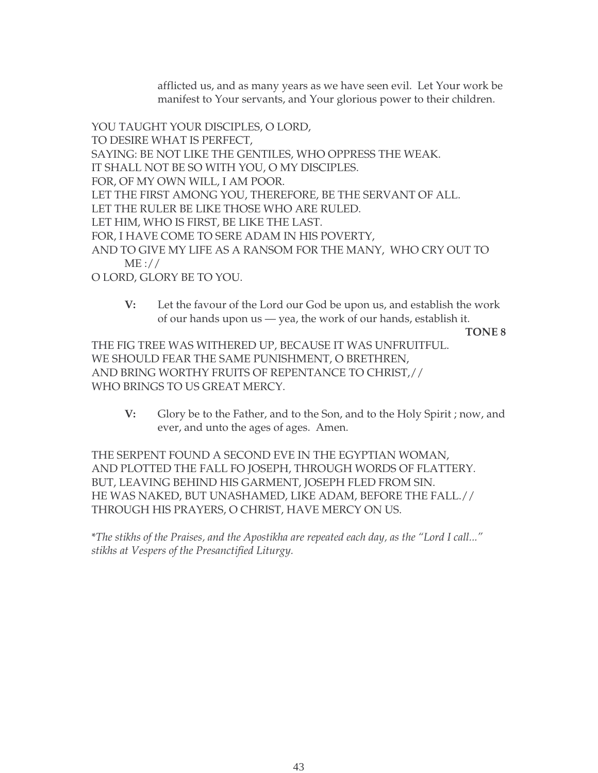afflicted us, and as many years as we have seen evil. Let Your work be manifest to Your servants, and Your glorious power to their children.

YOU TAUGHT YOUR DISCIPLES, O LORD, TO DESIRE WHAT IS PERFECT, SAYING: BE NOT LIKE THE GENTILES, WHO OPPRESS THE WEAK. IT SHALL NOT BE SO WITH YOU, O MY DISCIPLES. FOR, OF MY OWN WILL, I AM POOR. LET THE FIRST AMONG YOU, THEREFORE, BE THE SERVANT OF ALL. LET THE RULER BE LIKE THOSE WHO ARE RULED. LET HIM, WHO IS FIRST, BE LIKE THE LAST. FOR, I HAVE COME TO SERE ADAM IN HIS POVERTY, AND TO GIVE MY LIFE AS A RANSOM FOR THE MANY, WHO CRY OUT TO ME :// O LORD, GLORY BE TO YOU.

**V:** Let the favour of the Lord our God be upon us, and establish the work of our hands upon us — yea, the work of our hands, establish it.

**TONE 8**

THE FIG TREE WAS WITHERED UP, BECAUSE IT WAS UNFRUITFUL. WE SHOULD FEAR THE SAME PUNISHMENT, O BRETHREN, AND BRING WORTHY FRUITS OF REPENTANCE TO CHRIST,// WHO BRINGS TO US GREAT MERCY.

**V:** Glory be to the Father, and to the Son, and to the Holy Spirit ; now, and ever, and unto the ages of ages. Amen.

THE SERPENT FOUND A SECOND EVE IN THE EGYPTIAN WOMAN, AND PLOTTED THE FALL FO JOSEPH, THROUGH WORDS OF FLATTERY. BUT, LEAVING BEHIND HIS GARMENT, JOSEPH FLED FROM SIN. HE WAS NAKED, BUT UNASHAMED, LIKE ADAM, BEFORE THE FALL.// THROUGH HIS PRAYERS, O CHRIST, HAVE MERCY ON US.

\**The stikhs of the Praises, and the Apostikha are repeated each day, as the "Lord I call..." stikhs at Vespers of the Presanctified Liturgy.*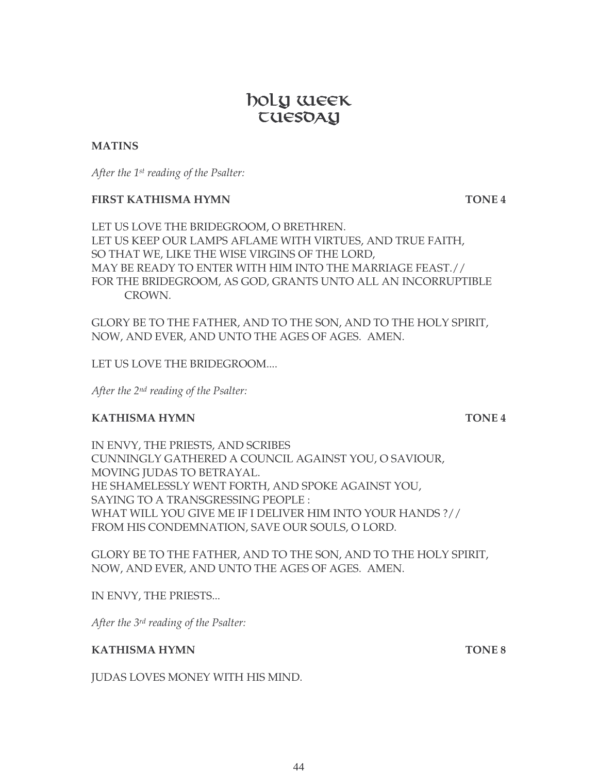# 44

# boly week **EUESDAY**

#### **MATINS**

*After the 1st reading of the Psalter:*

#### **FIRST KATHISMA HYMN TONE 4**

LET US LOVE THE BRIDEGROOM, O BRETHREN. LET US KEEP OUR LAMPS AFLAME WITH VIRTUES, AND TRUE FAITH, SO THAT WE, LIKE THE WISE VIRGINS OF THE LORD, MAY BE READY TO ENTER WITH HIM INTO THE MARRIAGE FEAST.// FOR THE BRIDEGROOM, AS GOD, GRANTS UNTO ALL AN INCORRUPTIBLE CROWN.

GLORY BE TO THE FATHER, AND TO THE SON, AND TO THE HOLY SPIRIT, NOW, AND EVER, AND UNTO THE AGES OF AGES. AMEN.

LET US LOVE THE BRIDEGROOM....

*After the 2nd reading of the Psalter:*

### **KATHISMA HYMN TONE 4**

IN ENVY, THE PRIESTS, AND SCRIBES CUNNINGLY GATHERED A COUNCIL AGAINST YOU, O SAVIOUR, MOVING JUDAS TO BETRAYAL. HE SHAMELESSLY WENT FORTH, AND SPOKE AGAINST YOU, SAYING TO A TRANSGRESSING PEOPLE : WHAT WILL YOU GIVE ME IF I DELIVER HIM INTO YOUR HANDS ?// FROM HIS CONDEMNATION, SAVE OUR SOULS, O LORD.

GLORY BE TO THE FATHER, AND TO THE SON, AND TO THE HOLY SPIRIT, NOW, AND EVER, AND UNTO THE AGES OF AGES. AMEN.

IN ENVY, THE PRIESTS...

*After the 3rd reading of the Psalter:*

#### **KATHISMA HYMN TONE 8**

JUDAS LOVES MONEY WITH HIS MIND.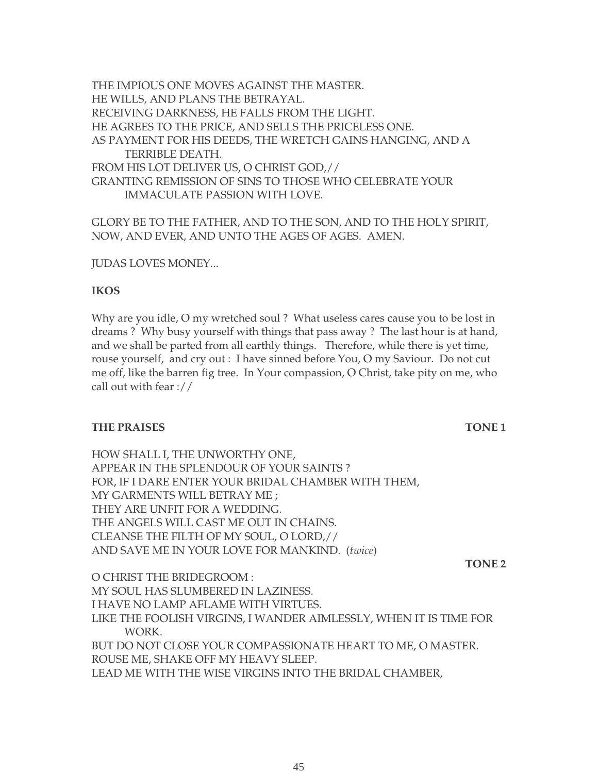THE IMPIOUS ONE MOVES AGAINST THE MASTER. HE WILLS, AND PLANS THE BETRAYAL. RECEIVING DARKNESS, HE FALLS FROM THE LIGHT. HE AGREES TO THE PRICE, AND SELLS THE PRICELESS ONE. AS PAYMENT FOR HIS DEEDS, THE WRETCH GAINS HANGING, AND A TERRIBLE DEATH. FROM HIS LOT DELIVER US, O CHRIST GOD,// GRANTING REMISSION OF SINS TO THOSE WHO CELEBRATE YOUR IMMACULATE PASSION WITH LOVE.

GLORY BE TO THE FATHER, AND TO THE SON, AND TO THE HOLY SPIRIT, NOW, AND EVER, AND UNTO THE AGES OF AGES. AMEN.

JUDAS LOVES MONEY...

#### **IKOS**

Why are you idle, O my wretched soul ? What useless cares cause you to be lost in dreams ? Why busy yourself with things that pass away ? The last hour is at hand, and we shall be parted from all earthly things. Therefore, while there is yet time, rouse yourself, and cry out : I have sinned before You, O my Saviour. Do not cut me off, like the barren fig tree. In Your compassion, O Christ, take pity on me, who call out with fear ://

#### **THE PRAISES** TONE 1

HOW SHALL I, THE UNWORTHY ONE, APPEAR IN THE SPLENDOUR OF YOUR SAINTS ? FOR, IF I DARE ENTER YOUR BRIDAL CHAMBER WITH THEM, MY GARMENTS WILL BETRAY ME ; THEY ARE UNFIT FOR A WEDDING. THE ANGELS WILL CAST ME OUT IN CHAINS. CLEANSE THE FILTH OF MY SOUL, O LORD,// AND SAVE ME IN YOUR LOVE FOR MANKIND. (*twice*)

**TONE 2**

O CHRIST THE BRIDEGROOM : MY SOUL HAS SLUMBERED IN LAZINESS. I HAVE NO LAMP AFLAME WITH VIRTUES. LIKE THE FOOLISH VIRGINS, I WANDER AIMLESSLY, WHEN IT IS TIME FOR WORK. BUT DO NOT CLOSE YOUR COMPASSIONATE HEART TO ME, O MASTER. ROUSE ME, SHAKE OFF MY HEAVY SLEEP. LEAD ME WITH THE WISE VIRGINS INTO THE BRIDAL CHAMBER,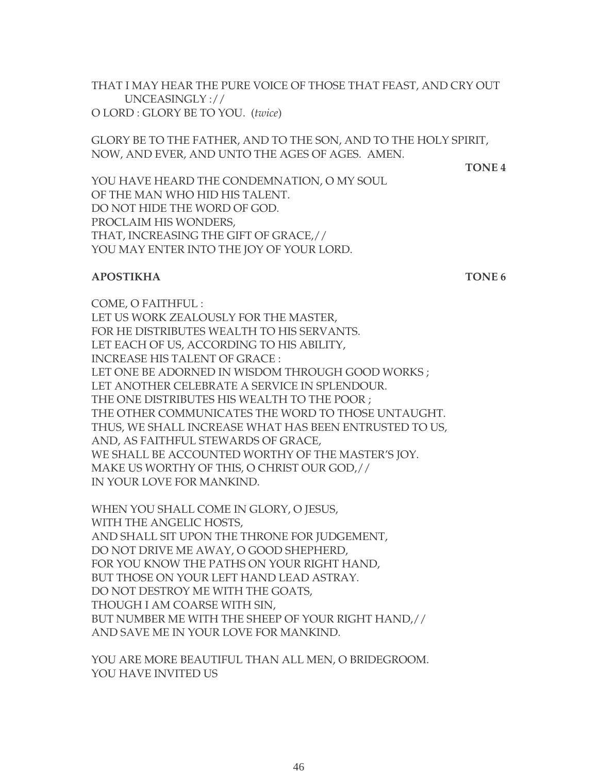THAT I MAY HEAR THE PURE VOICE OF THOSE THAT FEAST, AND CRY OUT UNCEASINGLY :// O LORD : GLORY BE TO YOU. (*twice*)

GLORY BE TO THE FATHER, AND TO THE SON, AND TO THE HOLY SPIRIT, NOW, AND EVER, AND UNTO THE AGES OF AGES. AMEN.

**TONE 4**

YOU HAVE HEARD THE CONDEMNATION, O MY SOUL OF THE MAN WHO HID HIS TALENT. DO NOT HIDE THE WORD OF GOD. PROCLAIM HIS WONDERS, THAT, INCREASING THE GIFT OF GRACE,// YOU MAY ENTER INTO THE JOY OF YOUR LORD.

#### **APOSTIKHA TONE 6**

COME, O FAITHFUL : LET US WORK ZEALOUSLY FOR THE MASTER, FOR HE DISTRIBUTES WEALTH TO HIS SERVANTS. LET EACH OF US, ACCORDING TO HIS ABILITY, INCREASE HIS TALENT OF GRACE : LET ONE BE ADORNED IN WISDOM THROUGH GOOD WORKS ; LET ANOTHER CELEBRATE A SERVICE IN SPLENDOUR. THE ONE DISTRIBUTES HIS WEALTH TO THE POOR ; THE OTHER COMMUNICATES THE WORD TO THOSE UNTAUGHT. THUS, WE SHALL INCREASE WHAT HAS BEEN ENTRUSTED TO US, AND, AS FAITHFUL STEWARDS OF GRACE, WE SHALL BE ACCOUNTED WORTHY OF THE MASTER'S JOY. MAKE US WORTHY OF THIS, O CHRIST OUR GOD,// IN YOUR LOVE FOR MANKIND.

WHEN YOU SHALL COME IN GLORY, O JESUS, WITH THE ANGELIC HOSTS, AND SHALL SIT UPON THE THRONE FOR JUDGEMENT, DO NOT DRIVE ME AWAY, O GOOD SHEPHERD, FOR YOU KNOW THE PATHS ON YOUR RIGHT HAND, BUT THOSE ON YOUR LEFT HAND LEAD ASTRAY. DO NOT DESTROY ME WITH THE GOATS, THOUGH I AM COARSE WITH SIN, BUT NUMBER ME WITH THE SHEEP OF YOUR RIGHT HAND,// AND SAVE ME IN YOUR LOVE FOR MANKIND.

YOU ARE MORE BEAUTIFUL THAN ALL MEN, O BRIDEGROOM. YOU HAVE INVITED US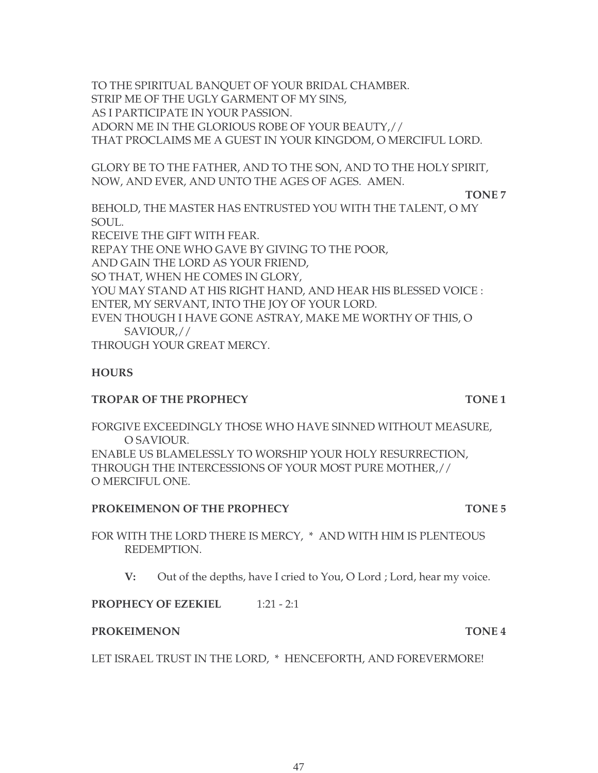TO THE SPIRITUAL BANQUET OF YOUR BRIDAL CHAMBER. STRIP ME OF THE UGLY GARMENT OF MY SINS, AS I PARTICIPATE IN YOUR PASSION. ADORN ME IN THE GLORIOUS ROBE OF YOUR BEAUTY,// THAT PROCLAIMS ME A GUEST IN YOUR KINGDOM, O MERCIFUL LORD.

GLORY BE TO THE FATHER, AND TO THE SON, AND TO THE HOLY SPIRIT, NOW, AND EVER, AND UNTO THE AGES OF AGES. AMEN.

**TONE 7**

BEHOLD, THE MASTER HAS ENTRUSTED YOU WITH THE TALENT, O MY SOUL. RECEIVE THE GIFT WITH FEAR. REPAY THE ONE WHO GAVE BY GIVING TO THE POOR, AND GAIN THE LORD AS YOUR FRIEND, SO THAT, WHEN HE COMES IN GLORY, YOU MAY STAND AT HIS RIGHT HAND, AND HEAR HIS BLESSED VOICE : ENTER, MY SERVANT, INTO THE JOY OF YOUR LORD. EVEN THOUGH I HAVE GONE ASTRAY, MAKE ME WORTHY OF THIS, O SAVIOUR,//

THROUGH YOUR GREAT MERCY.

#### **HOURS**

#### **TROPAR OF THE PROPHECY TONE 1**

FORGIVE EXCEEDINGLY THOSE WHO HAVE SINNED WITHOUT MEASURE, O SAVIOUR. ENABLE US BLAMELESSLY TO WORSHIP YOUR HOLY RESURRECTION, THROUGH THE INTERCESSIONS OF YOUR MOST PURE MOTHER,// O MERCIFUL ONE.

#### **PROKEIMENON OF THE PROPHECY TONE 5**

FOR WITH THE LORD THERE IS MERCY, \* AND WITH HIM IS PLENTEOUS REDEMPTION.

**V:** Out of the depths, have I cried to You, O Lord ; Lord, hear my voice.

**PROPHECY OF EZEKIEL** 1:21 - 2:1

#### **PROKEIMENON TONE 4**

LET ISRAEL TRUST IN THE LORD, \* HENCEFORTH, AND FOREVERMORE!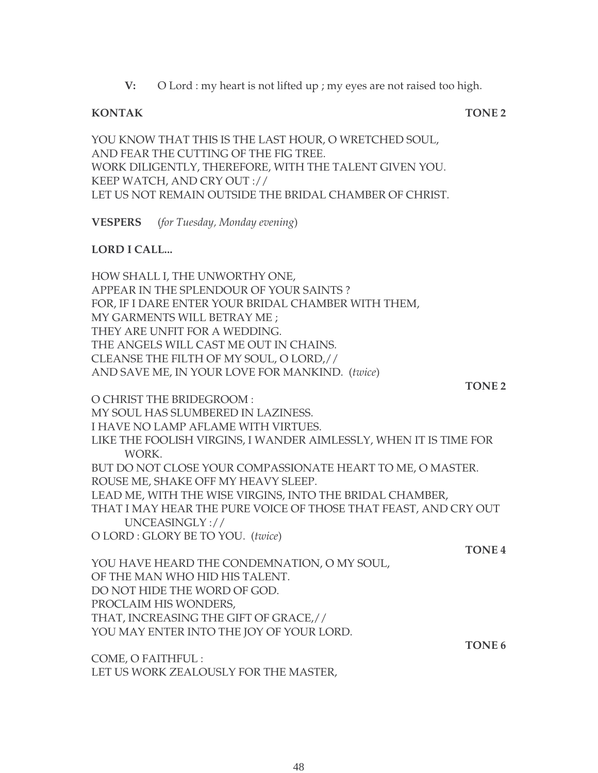**V:** O Lord : my heart is not lifted up ; my eyes are not raised too high.

#### **KONTAK TONE 2**

YOU KNOW THAT THIS IS THE LAST HOUR, O WRETCHED SOUL, AND FEAR THE CUTTING OF THE FIG TREE. WORK DILIGENTLY, THEREFORE, WITH THE TALENT GIVEN YOU. KEEP WATCH, AND CRY OUT :// LET US NOT REMAIN OUTSIDE THE BRIDAL CHAMBER OF CHRIST.

**VESPERS** (*for Tuesday, Monday evening*)

#### **LORD I CALL...**

HOW SHALL I, THE UNWORTHY ONE, APPEAR IN THE SPLENDOUR OF YOUR SAINTS ? FOR, IF I DARE ENTER YOUR BRIDAL CHAMBER WITH THEM, MY GARMENTS WILL BETRAY ME ; THEY ARE UNFIT FOR A WEDDING. THE ANGELS WILL CAST ME OUT IN CHAINS. CLEANSE THE FILTH OF MY SOUL, O LORD,// AND SAVE ME, IN YOUR LOVE FOR MANKIND. (*twice*)

**TONE 2**

O CHRIST THE BRIDEGROOM : MY SOUL HAS SLUMBERED IN LAZINESS. I HAVE NO LAMP AFLAME WITH VIRTUES. LIKE THE FOOLISH VIRGINS, I WANDER AIMLESSLY, WHEN IT IS TIME FOR WORK. BUT DO NOT CLOSE YOUR COMPASSIONATE HEART TO ME, O MASTER. ROUSE ME, SHAKE OFF MY HEAVY SLEEP. LEAD ME, WITH THE WISE VIRGINS, INTO THE BRIDAL CHAMBER, THAT I MAY HEAR THE PURE VOICE OF THOSE THAT FEAST, AND CRY OUT UNCEASINGLY :// O LORD : GLORY BE TO YOU. (*twice*) **TONE 4**

YOU HAVE HEARD THE CONDEMNATION, O MY SOUL, OF THE MAN WHO HID HIS TALENT. DO NOT HIDE THE WORD OF GOD. PROCLAIM HIS WONDERS, THAT, INCREASING THE GIFT OF GRACE,// YOU MAY ENTER INTO THE JOY OF YOUR LORD.

COME, O FAITHFUL : LET US WORK ZEALOUSLY FOR THE MASTER, **TONE 6**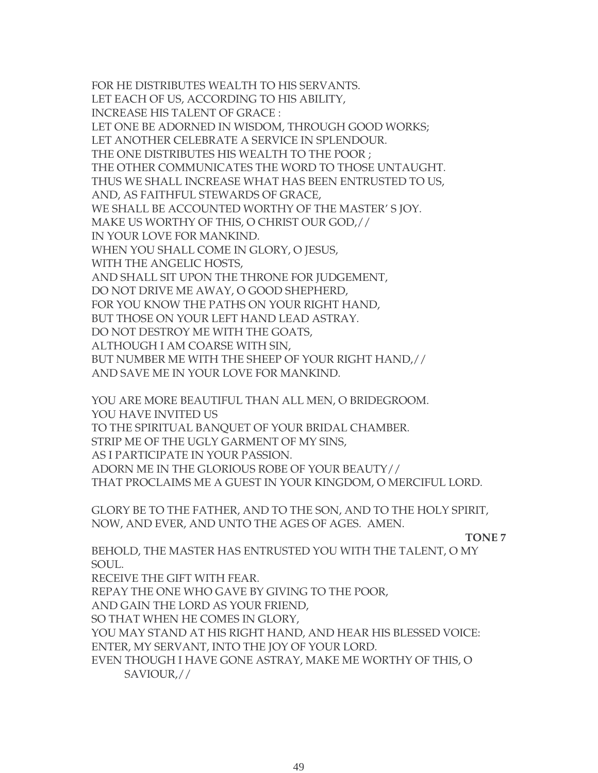FOR HE DISTRIBUTES WEALTH TO HIS SERVANTS. LET EACH OF US, ACCORDING TO HIS ABILITY, INCREASE HIS TALENT OF GRACE : LET ONE BE ADORNED IN WISDOM, THROUGH GOOD WORKS; LET ANOTHER CELEBRATE A SERVICE IN SPLENDOUR. THE ONE DISTRIBUTES HIS WEALTH TO THE POOR ; THE OTHER COMMUNICATES THE WORD TO THOSE UNTAUGHT. THUS WE SHALL INCREASE WHAT HAS BEEN ENTRUSTED TO US, AND, AS FAITHFUL STEWARDS OF GRACE, WE SHALL BE ACCOUNTED WORTHY OF THE MASTER' S JOY. MAKE US WORTHY OF THIS, O CHRIST OUR GOD,// IN YOUR LOVE FOR MANKIND. WHEN YOU SHALL COME IN GLORY, O JESUS, WITH THE ANGELIC HOSTS, AND SHALL SIT UPON THE THRONE FOR JUDGEMENT, DO NOT DRIVE ME AWAY, O GOOD SHEPHERD, FOR YOU KNOW THE PATHS ON YOUR RIGHT HAND, BUT THOSE ON YOUR LEFT HAND LEAD ASTRAY. DO NOT DESTROY ME WITH THE GOATS, ALTHOUGH I AM COARSE WITH SIN, BUT NUMBER ME WITH THE SHEEP OF YOUR RIGHT HAND,// AND SAVE ME IN YOUR LOVE FOR MANKIND.

YOU ARE MORE BEAUTIFUL THAN ALL MEN, O BRIDEGROOM. YOU HAVE INVITED US TO THE SPIRITUAL BANQUET OF YOUR BRIDAL CHAMBER. STRIP ME OF THE UGLY GARMENT OF MY SINS, AS I PARTICIPATE IN YOUR PASSION. ADORN ME IN THE GLORIOUS ROBE OF YOUR BEAUTY// THAT PROCLAIMS ME A GUEST IN YOUR KINGDOM, O MERCIFUL LORD.

GLORY BE TO THE FATHER, AND TO THE SON, AND TO THE HOLY SPIRIT, NOW, AND EVER, AND UNTO THE AGES OF AGES. AMEN.

 **TONE 7**

BEHOLD, THE MASTER HAS ENTRUSTED YOU WITH THE TALENT, O MY SOUL.

RECEIVE THE GIFT WITH FEAR.

REPAY THE ONE WHO GAVE BY GIVING TO THE POOR,

AND GAIN THE LORD AS YOUR FRIEND,

SO THAT WHEN HE COMES IN GLORY,

YOU MAY STAND AT HIS RIGHT HAND, AND HEAR HIS BLESSED VOICE: ENTER, MY SERVANT, INTO THE JOY OF YOUR LORD.

EVEN THOUGH I HAVE GONE ASTRAY, MAKE ME WORTHY OF THIS, O SAVIOUR,//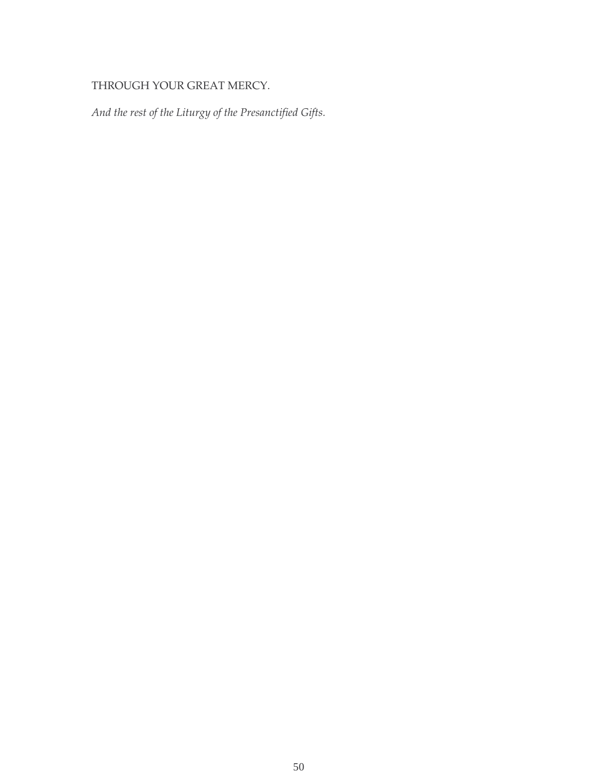# THROUGH YOUR GREAT MERCY.

*And the rest of the Liturgy of the Presanctified Gifts.*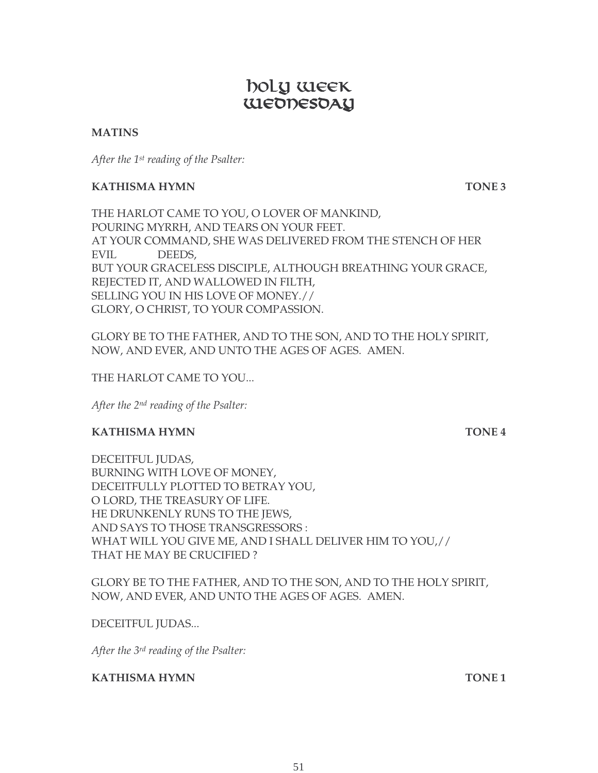# **Example 19 DOLY WEEK** ULEODESOAY

#### **MATINS**

*After the 1st reading of the Psalter:*

#### **KATHISMA HYMN TONE 3**

THE HARLOT CAME TO YOU, O LOVER OF MANKIND, POURING MYRRH, AND TEARS ON YOUR FEET. AT YOUR COMMAND, SHE WAS DELIVERED FROM THE STENCH OF HER EVIL DEEDS, BUT YOUR GRACELESS DISCIPLE, ALTHOUGH BREATHING YOUR GRACE, REJECTED IT, AND WALLOWED IN FILTH, SELLING YOU IN HIS LOVE OF MONEY.// GLORY, O CHRIST, TO YOUR COMPASSION.

GLORY BE TO THE FATHER, AND TO THE SON, AND TO THE HOLY SPIRIT, NOW, AND EVER, AND UNTO THE AGES OF AGES. AMEN.

THE HARLOT CAME TO YOU...

*After the 2nd reading of the Psalter:*

#### **KATHISMA HYMN TONE 4**

DECEITFUL JUDAS, BURNING WITH LOVE OF MONEY, DECEITFULLY PLOTTED TO BETRAY YOU, O LORD, THE TREASURY OF LIFE. HE DRUNKENLY RUNS TO THE JEWS, AND SAYS TO THOSE TRANSGRESSORS : WHAT WILL YOU GIVE ME, AND I SHALL DELIVER HIM TO YOU,// THAT HE MAY BE CRUCIFIED ?

GLORY BE TO THE FATHER, AND TO THE SON, AND TO THE HOLY SPIRIT, NOW, AND EVER, AND UNTO THE AGES OF AGES. AMEN.

#### DECEITFUL JUDAS...

*After the 3rd reading of the Psalter:*

**KATHISMA HYMN TONE 1**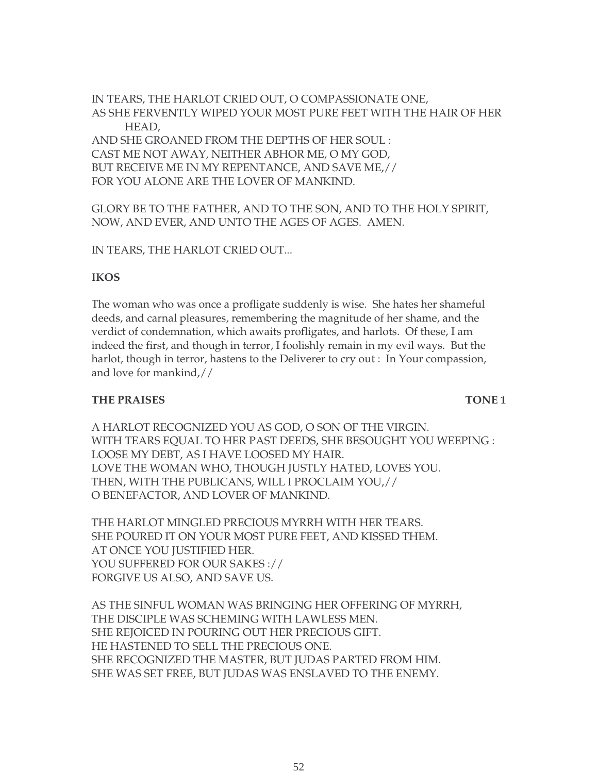IN TEARS, THE HARLOT CRIED OUT, O COMPASSIONATE ONE, AS SHE FERVENTLY WIPED YOUR MOST PURE FEET WITH THE HAIR OF HER HEAD, AND SHE GROANED FROM THE DEPTHS OF HER SOUL : CAST ME NOT AWAY, NEITHER ABHOR ME, O MY GOD, BUT RECEIVE ME IN MY REPENTANCE, AND SAVE ME,// FOR YOU ALONE ARE THE LOVER OF MANKIND.

GLORY BE TO THE FATHER, AND TO THE SON, AND TO THE HOLY SPIRIT, NOW, AND EVER, AND UNTO THE AGES OF AGES. AMEN.

IN TEARS, THE HARLOT CRIED OUT...

#### **IKOS**

The woman who was once a profligate suddenly is wise. She hates her shameful deeds, and carnal pleasures, remembering the magnitude of her shame, and the verdict of condemnation, which awaits profligates, and harlots. Of these, I am indeed the first, and though in terror, I foolishly remain in my evil ways. But the harlot, though in terror, hastens to the Deliverer to cry out : In Your compassion, and love for mankind,//

#### **THE PRAISES** TONE 1

A HARLOT RECOGNIZED YOU AS GOD, O SON OF THE VIRGIN. WITH TEARS EQUAL TO HER PAST DEEDS, SHE BESOUGHT YOU WEEPING : LOOSE MY DEBT, AS I HAVE LOOSED MY HAIR. LOVE THE WOMAN WHO, THOUGH JUSTLY HATED, LOVES YOU. THEN, WITH THE PUBLICANS, WILL I PROCLAIM YOU,// O BENEFACTOR, AND LOVER OF MANKIND.

THE HARLOT MINGLED PRECIOUS MYRRH WITH HER TEARS. SHE POURED IT ON YOUR MOST PURE FEET, AND KISSED THEM. AT ONCE YOU JUSTIFIED HER. YOU SUFFERED FOR OUR SAKES :// FORGIVE US ALSO, AND SAVE US.

AS THE SINFUL WOMAN WAS BRINGING HER OFFERING OF MYRRH, THE DISCIPLE WAS SCHEMING WITH LAWLESS MEN. SHE REJOICED IN POURING OUT HER PRECIOUS GIFT. HE HASTENED TO SELL THE PRECIOUS ONE. SHE RECOGNIZED THE MASTER, BUT JUDAS PARTED FROM HIM. SHE WAS SET FREE, BUT JUDAS WAS ENSLAVED TO THE ENEMY.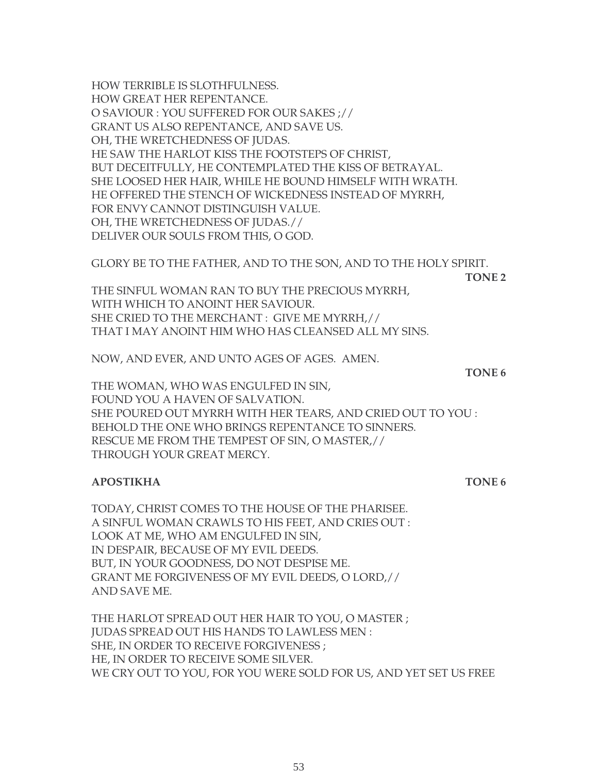HOW TERRIBLE IS SLOTHFULNESS. HOW GREAT HER REPENTANCE. O SAVIOUR : YOU SUFFERED FOR OUR SAKES ;// GRANT US ALSO REPENTANCE, AND SAVE US. OH, THE WRETCHEDNESS OF JUDAS. HE SAW THE HARLOT KISS THE FOOTSTEPS OF CHRIST, BUT DECEITFULLY, HE CONTEMPLATED THE KISS OF BETRAYAL. SHE LOOSED HER HAIR, WHILE HE BOUND HIMSELF WITH WRATH. HE OFFERED THE STENCH OF WICKEDNESS INSTEAD OF MYRRH, FOR ENVY CANNOT DISTINGUISH VALUE. OH, THE WRETCHEDNESS OF JUDAS.// DELIVER OUR SOULS FROM THIS, O GOD.

GLORY BE TO THE FATHER, AND TO THE SON, AND TO THE HOLY SPIRIT.

**TONE 2**

THE SINFUL WOMAN RAN TO BUY THE PRECIOUS MYRRH, WITH WHICH TO ANOINT HER SAVIOUR. SHE CRIED TO THE MERCHANT : GIVE ME MYRRH,// THAT I MAY ANOINT HIM WHO HAS CLEANSED ALL MY SINS.

NOW, AND EVER, AND UNTO AGES OF AGES. AMEN.

**TONE 6**

THE WOMAN, WHO WAS ENGULFED IN SIN, FOUND YOU A HAVEN OF SALVATION. SHE POURED OUT MYRRH WITH HER TEARS, AND CRIED OUT TO YOU : BEHOLD THE ONE WHO BRINGS REPENTANCE TO SINNERS. RESCUE ME FROM THE TEMPEST OF SIN, O MASTER,// THROUGH YOUR GREAT MERCY.

#### **APOSTIKHA TONE 6**

TODAY, CHRIST COMES TO THE HOUSE OF THE PHARISEE. A SINFUL WOMAN CRAWLS TO HIS FEET, AND CRIES OUT : LOOK AT ME, WHO AM ENGULFED IN SIN, IN DESPAIR, BECAUSE OF MY EVIL DEEDS. BUT, IN YOUR GOODNESS, DO NOT DESPISE ME. GRANT ME FORGIVENESS OF MY EVIL DEEDS, O LORD,// AND SAVE ME.

THE HARLOT SPREAD OUT HER HAIR TO YOU, O MASTER ; JUDAS SPREAD OUT HIS HANDS TO LAWLESS MEN : SHE, IN ORDER TO RECEIVE FORGIVENESS ; HE, IN ORDER TO RECEIVE SOME SILVER. WE CRY OUT TO YOU, FOR YOU WERE SOLD FOR US, AND YET SET US FREE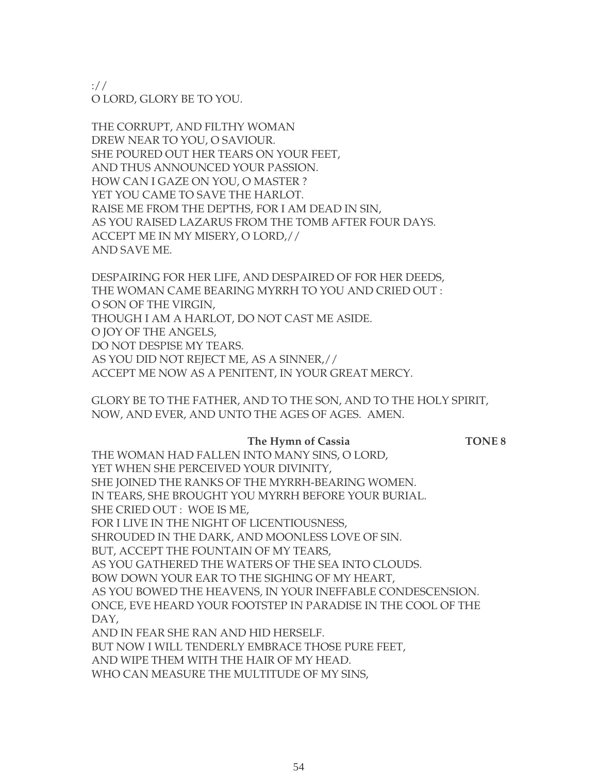://

O LORD, GLORY BE TO YOU.

THE CORRUPT, AND FILTHY WOMAN DREW NEAR TO YOU, O SAVIOUR. SHE POURED OUT HER TEARS ON YOUR FEET, AND THUS ANNOUNCED YOUR PASSION. HOW CAN I GAZE ON YOU, O MASTER ? YET YOU CAME TO SAVE THE HARLOT. RAISE ME FROM THE DEPTHS, FOR I AM DEAD IN SIN, AS YOU RAISED LAZARUS FROM THE TOMB AFTER FOUR DAYS. ACCEPT ME IN MY MISERY, O LORD,// AND SAVE ME.

DESPAIRING FOR HER LIFE, AND DESPAIRED OF FOR HER DEEDS, THE WOMAN CAME BEARING MYRRH TO YOU AND CRIED OUT : O SON OF THE VIRGIN, THOUGH I AM A HARLOT, DO NOT CAST ME ASIDE. O JOY OF THE ANGELS, DO NOT DESPISE MY TEARS. AS YOU DID NOT REJECT ME, AS A SINNER,// ACCEPT ME NOW AS A PENITENT, IN YOUR GREAT MERCY.

GLORY BE TO THE FATHER, AND TO THE SON, AND TO THE HOLY SPIRIT, NOW, AND EVER, AND UNTO THE AGES OF AGES. AMEN.

#### **The Hymn of Cassia TONE 8**

THE WOMAN HAD FALLEN INTO MANY SINS, O LORD, YET WHEN SHE PERCEIVED YOUR DIVINITY. SHE JOINED THE RANKS OF THE MYRRH-BEARING WOMEN. IN TEARS, SHE BROUGHT YOU MYRRH BEFORE YOUR BURIAL. SHE CRIED OUT : WOE IS ME, FOR I LIVE IN THE NIGHT OF LICENTIOUSNESS, SHROUDED IN THE DARK, AND MOONLESS LOVE OF SIN. BUT, ACCEPT THE FOUNTAIN OF MY TEARS, AS YOU GATHERED THE WATERS OF THE SEA INTO CLOUDS. BOW DOWN YOUR EAR TO THE SIGHING OF MY HEART, AS YOU BOWED THE HEAVENS, IN YOUR INEFFABLE CONDESCENSION. ONCE, EVE HEARD YOUR FOOTSTEP IN PARADISE IN THE COOL OF THE DAY, AND IN FEAR SHE RAN AND HID HERSELF. BUT NOW I WILL TENDERLY EMBRACE THOSE PURE FEET, AND WIPE THEM WITH THE HAIR OF MY HEAD.

WHO CAN MEASURE THE MULTITUDE OF MY SINS,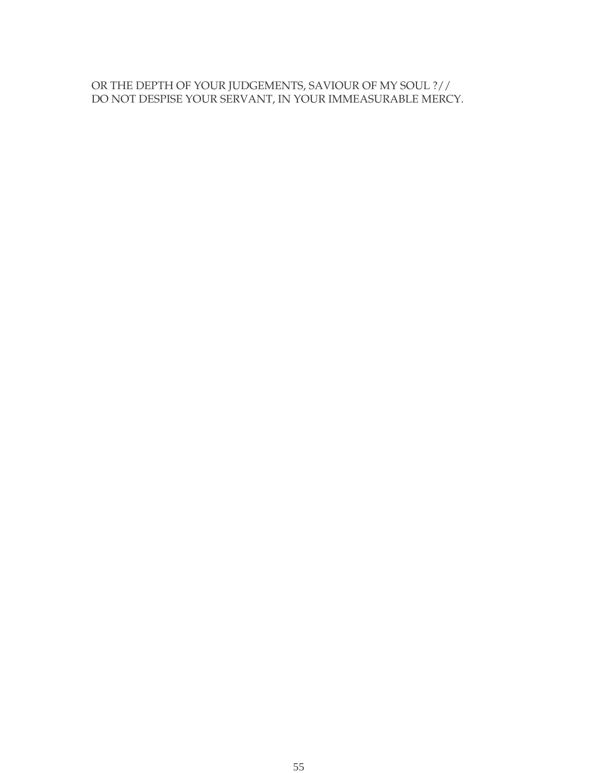### OR THE DEPTH OF YOUR JUDGEMENTS, SAVIOUR OF MY SOUL ?// DO NOT DESPISE YOUR SERVANT, IN YOUR IMMEASURABLE MERCY.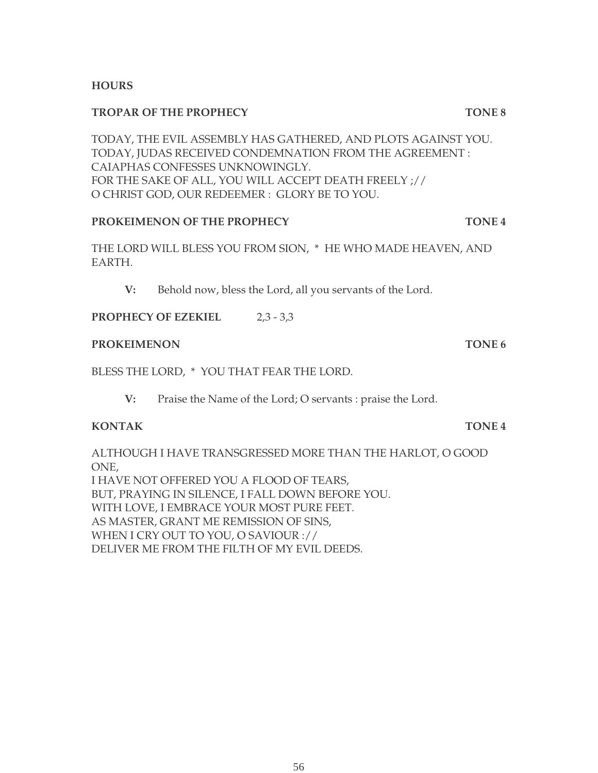#### **HOURS**

#### **TROPAR OF THE PROPHECY TONE 8**

TODAY, THE EVIL ASSEMBLY HAS GATHERED, AND PLOTS AGAINST YOU. TODAY, JUDAS RECEIVED CONDEMNATION FROM THE AGREEMENT : CAIAPHAS CONFESSES UNKNOWINGLY. FOR THE SAKE OF ALL, YOU WILL ACCEPT DEATH FREELY ;// O CHRIST GOD, OUR REDEEMER : GLORY BE TO YOU.

#### **PROKEIMENON OF THE PROPHECY TONE 4**

THE LORD WILL BLESS YOU FROM SION, \* HE WHO MADE HEAVEN, AND EARTH.

**V:** Behold now, bless the Lord, all you servants of the Lord.

**PROPHECY OF EZEKIEL** 2,3 - 3,3

#### **PROKEIMENON** TONE 6

BLESS THE LORD, \* YOU THAT FEAR THE LORD.

**V:** Praise the Name of the Lord; O servants : praise the Lord.

#### **KONTAK TONE 4**

ALTHOUGH I HAVE TRANSGRESSED MORE THAN THE HARLOT, O GOOD ONE, I HAVE NOT OFFERED YOU A FLOOD OF TEARS, BUT, PRAYING IN SILENCE, I FALL DOWN BEFORE YOU. WITH LOVE, I EMBRACE YOUR MOST PURE FEET. AS MASTER, GRANT ME REMISSION OF SINS, WHEN I CRY OUT TO YOU, O SAVIOUR :// DELIVER ME FROM THE FILTH OF MY EVIL DEEDS.

56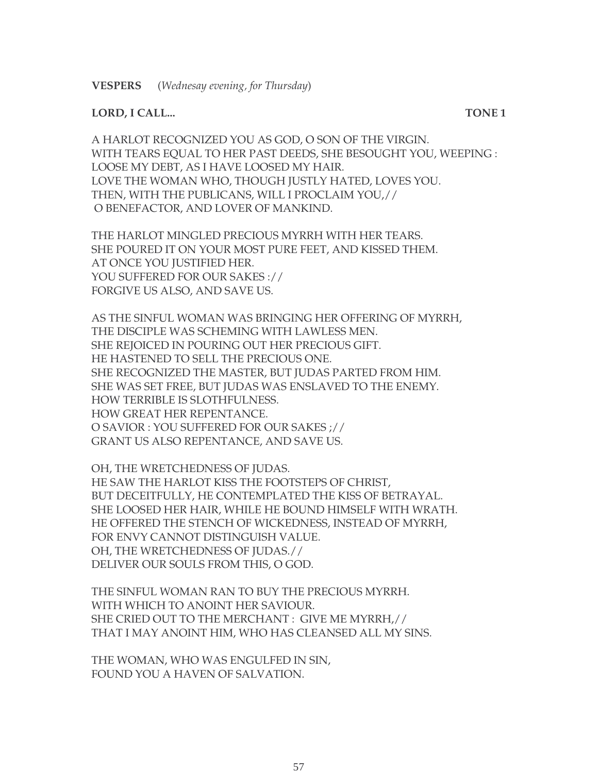#### **LORD, I CALL... TONE 1**

A HARLOT RECOGNIZED YOU AS GOD, O SON OF THE VIRGIN. WITH TEARS EQUAL TO HER PAST DEEDS, SHE BESOUGHT YOU, WEEPING : LOOSE MY DEBT, AS I HAVE LOOSED MY HAIR. LOVE THE WOMAN WHO, THOUGH JUSTLY HATED, LOVES YOU. THEN, WITH THE PUBLICANS, WILL I PROCLAIM YOU,// O BENEFACTOR, AND LOVER OF MANKIND.

THE HARLOT MINGLED PRECIOUS MYRRH WITH HER TEARS. SHE POURED IT ON YOUR MOST PURE FEET, AND KISSED THEM. AT ONCE YOU JUSTIFIED HER. YOU SUFFERED FOR OUR SAKES :// FORGIVE US ALSO, AND SAVE US.

AS THE SINFUL WOMAN WAS BRINGING HER OFFERING OF MYRRH, THE DISCIPLE WAS SCHEMING WITH LAWLESS MEN. SHE REJOICED IN POURING OUT HER PRECIOUS GIFT. HE HASTENED TO SELL THE PRECIOUS ONE. SHE RECOGNIZED THE MASTER, BUT JUDAS PARTED FROM HIM. SHE WAS SET FREE, BUT JUDAS WAS ENSLAVED TO THE ENEMY. HOW TERRIBLE IS SLOTHFULNESS. HOW GREAT HER REPENTANCE. O SAVIOR : YOU SUFFERED FOR OUR SAKES ;// GRANT US ALSO REPENTANCE, AND SAVE US.

OH, THE WRETCHEDNESS OF JUDAS. HE SAW THE HARLOT KISS THE FOOTSTEPS OF CHRIST, BUT DECEITFULLY, HE CONTEMPLATED THE KISS OF BETRAYAL. SHE LOOSED HER HAIR, WHILE HE BOUND HIMSELF WITH WRATH. HE OFFERED THE STENCH OF WICKEDNESS, INSTEAD OF MYRRH, FOR ENVY CANNOT DISTINGUISH VALUE. OH, THE WRETCHEDNESS OF JUDAS.// DELIVER OUR SOULS FROM THIS, O GOD.

THE SINFUL WOMAN RAN TO BUY THE PRECIOUS MYRRH. WITH WHICH TO ANOINT HER SAVIOUR. SHE CRIED OUT TO THE MERCHANT : GIVE ME MYRRH,// THAT I MAY ANOINT HIM, WHO HAS CLEANSED ALL MY SINS.

THE WOMAN, WHO WAS ENGULFED IN SIN, FOUND YOU A HAVEN OF SALVATION.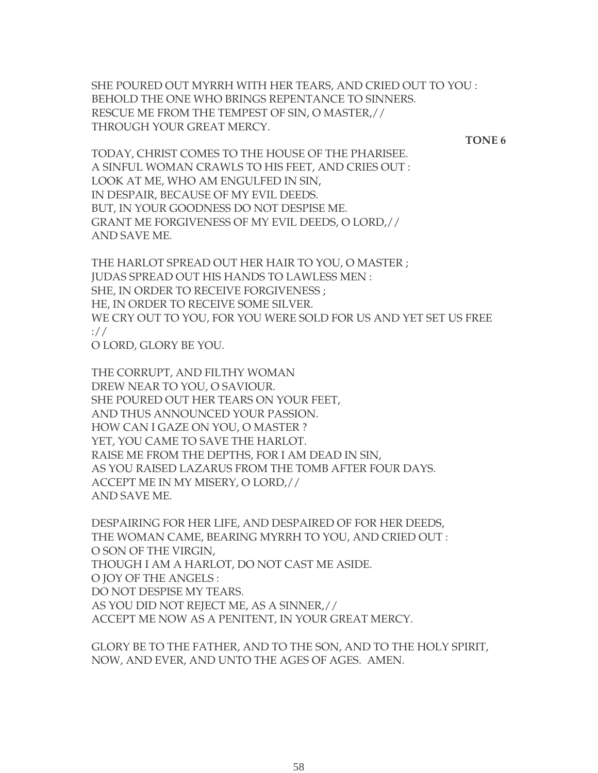SHE POURED OUT MYRRH WITH HER TEARS, AND CRIED OUT TO YOU : BEHOLD THE ONE WHO BRINGS REPENTANCE TO SINNERS. RESCUE ME FROM THE TEMPEST OF SIN, O MASTER,// THROUGH YOUR GREAT MERCY.

**TONE 6**

TODAY, CHRIST COMES TO THE HOUSE OF THE PHARISEE. A SINFUL WOMAN CRAWLS TO HIS FEET, AND CRIES OUT : LOOK AT ME, WHO AM ENGULFED IN SIN, IN DESPAIR, BECAUSE OF MY EVIL DEEDS. BUT, IN YOUR GOODNESS DO NOT DESPISE ME. GRANT ME FORGIVENESS OF MY EVIL DEEDS, O LORD,// AND SAVE ME.

THE HARLOT SPREAD OUT HER HAIR TO YOU, O MASTER ; JUDAS SPREAD OUT HIS HANDS TO LAWLESS MEN : SHE, IN ORDER TO RECEIVE FORGIVENESS ; HE, IN ORDER TO RECEIVE SOME SILVER. WE CRY OUT TO YOU, FOR YOU WERE SOLD FOR US AND YET SET US FREE ://

O LORD, GLORY BE YOU.

THE CORRUPT, AND FILTHY WOMAN DREW NEAR TO YOU, O SAVIOUR. SHE POURED OUT HER TEARS ON YOUR FEET, AND THUS ANNOUNCED YOUR PASSION. HOW CAN I GAZE ON YOU, O MASTER ? YET, YOU CAME TO SAVE THE HARLOT. RAISE ME FROM THE DEPTHS, FOR I AM DEAD IN SIN, AS YOU RAISED LAZARUS FROM THE TOMB AFTER FOUR DAYS. ACCEPT ME IN MY MISERY, O LORD,// AND SAVE ME.

DESPAIRING FOR HER LIFE, AND DESPAIRED OF FOR HER DEEDS, THE WOMAN CAME, BEARING MYRRH TO YOU, AND CRIED OUT : O SON OF THE VIRGIN, THOUGH I AM A HARLOT, DO NOT CAST ME ASIDE. O JOY OF THE ANGELS : DO NOT DESPISE MY TEARS. AS YOU DID NOT REJECT ME, AS A SINNER,// ACCEPT ME NOW AS A PENITENT, IN YOUR GREAT MERCY.

GLORY BE TO THE FATHER, AND TO THE SON, AND TO THE HOLY SPIRIT, NOW, AND EVER, AND UNTO THE AGES OF AGES. AMEN.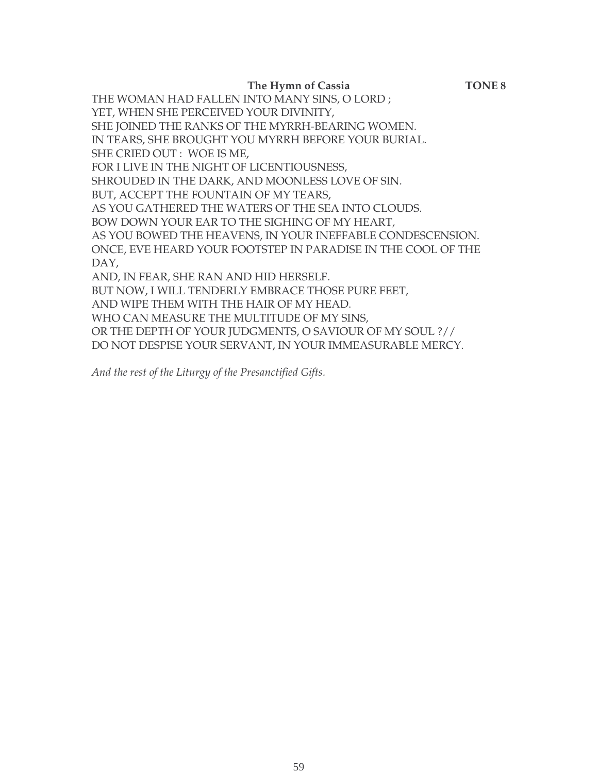**The Hymn of Cassia TONE 8**

THE WOMAN HAD FALLEN INTO MANY SINS, O LORD ; YET, WHEN SHE PERCEIVED YOUR DIVINITY, SHE JOINED THE RANKS OF THE MYRRH-BEARING WOMEN. IN TEARS, SHE BROUGHT YOU MYRRH BEFORE YOUR BURIAL. SHE CRIED OUT : WOE IS ME, FOR I LIVE IN THE NIGHT OF LICENTIOUSNESS, SHROUDED IN THE DARK, AND MOONLESS LOVE OF SIN. BUT, ACCEPT THE FOUNTAIN OF MY TEARS, AS YOU GATHERED THE WATERS OF THE SEA INTO CLOUDS. BOW DOWN YOUR EAR TO THE SIGHING OF MY HEART, AS YOU BOWED THE HEAVENS, IN YOUR INEFFABLE CONDESCENSION. ONCE, EVE HEARD YOUR FOOTSTEP IN PARADISE IN THE COOL OF THE DAY, AND, IN FEAR, SHE RAN AND HID HERSELF. BUT NOW, I WILL TENDERLY EMBRACE THOSE PURE FEET, AND WIPE THEM WITH THE HAIR OF MY HEAD. WHO CAN MEASURE THE MULTITUDE OF MY SINS, OR THE DEPTH OF YOUR JUDGMENTS, O SAVIOUR OF MY SOUL ?// DO NOT DESPISE YOUR SERVANT, IN YOUR IMMEASURABLE MERCY.

*And the rest of the Liturgy of the Presanctified Gifts.*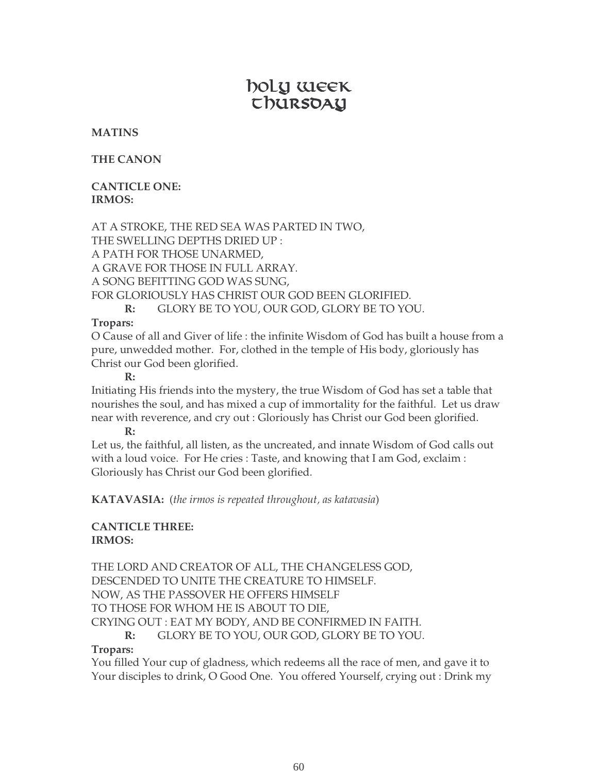# boly week U DURSOAY

#### **MATINS**

**THE CANON**

#### **CANTICLE ONE: IRMOS:**

AT A STROKE, THE RED SEA WAS PARTED IN TWO, THE SWELLING DEPTHS DRIED UP : A PATH FOR THOSE UNARMED, A GRAVE FOR THOSE IN FULL ARRAY. A SONG BEFITTING GOD WAS SUNG, FOR GLORIOUSLY HAS CHRIST OUR GOD BEEN GLORIFIED. **R:** GLORY BE TO YOU, OUR GOD, GLORY BE TO YOU.

#### **Tropars:**

O Cause of all and Giver of life : the infinite Wisdom of God has built a house from a pure, unwedded mother. For, clothed in the temple of His body, gloriously has Christ our God been glorified.

**R:**

Initiating His friends into the mystery, the true Wisdom of God has set a table that nourishes the soul, and has mixed a cup of immortality for the faithful. Let us draw near with reverence, and cry out : Gloriously has Christ our God been glorified. **R:**

Let us, the faithful, all listen, as the uncreated, and innate Wisdom of God calls out with a loud voice. For He cries : Taste, and knowing that I am God, exclaim : Gloriously has Christ our God been glorified.

**KATAVASIA:** (*the irmos is repeated throughout, as katavasia*)

#### **CANTICLE THREE: IRMOS:**

THE LORD AND CREATOR OF ALL, THE CHANGELESS GOD, DESCENDED TO UNITE THE CREATURE TO HIMSELF. NOW, AS THE PASSOVER HE OFFERS HIMSELF TO THOSE FOR WHOM HE IS ABOUT TO DIE, CRYING OUT : EAT MY BODY, AND BE CONFIRMED IN FAITH. **R:** GLORY BE TO YOU, OUR GOD, GLORY BE TO YOU.

#### **Tropars:**

You filled Your cup of gladness, which redeems all the race of men, and gave it to Your disciples to drink, O Good One. You offered Yourself, crying out : Drink my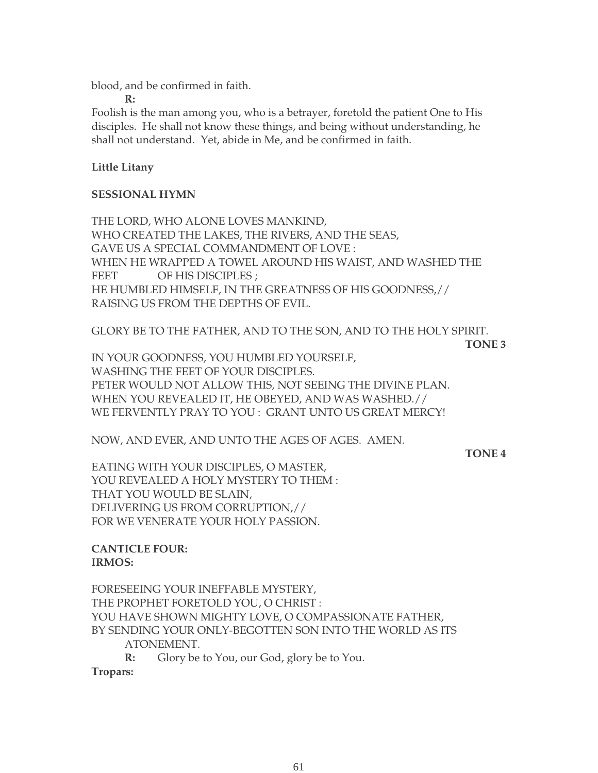blood, and be confirmed in faith.

**R:**

Foolish is the man among you, who is a betrayer, foretold the patient One to His disciples. He shall not know these things, and being without understanding, he shall not understand. Yet, abide in Me, and be confirmed in faith.

#### **Little Litany**

#### **SESSIONAL HYMN**

THE LORD, WHO ALONE LOVES MANKIND, WHO CREATED THE LAKES, THE RIVERS, AND THE SEAS, GAVE US A SPECIAL COMMANDMENT OF LOVE : WHEN HE WRAPPED A TOWEL AROUND HIS WAIST, AND WASHED THE FEET OF HIS DISCIPLES ; HE HUMBLED HIMSELF, IN THE GREATNESS OF HIS GOODNESS,// RAISING US FROM THE DEPTHS OF EVIL.

GLORY BE TO THE FATHER, AND TO THE SON, AND TO THE HOLY SPIRIT.

**TONE 3**

IN YOUR GOODNESS, YOU HUMBLED YOURSELF, WASHING THE FEET OF YOUR DISCIPLES. PETER WOULD NOT ALLOW THIS, NOT SEEING THE DIVINE PLAN. WHEN YOU REVEALED IT, HE OBEYED, AND WAS WASHED.// WE FERVENTLY PRAY TO YOU : GRANT UNTO US GREAT MERCY!

NOW, AND EVER, AND UNTO THE AGES OF AGES. AMEN.

**TONE 4**

EATING WITH YOUR DISCIPLES, O MASTER, YOU REVEALED A HOLY MYSTERY TO THEM : THAT YOU WOULD BE SLAIN, DELIVERING US FROM CORRUPTION,// FOR WE VENERATE YOUR HOLY PASSION.

#### **CANTICLE FOUR: IRMOS:**

FORESEEING YOUR INEFFABLE MYSTERY, THE PROPHET FORETOLD YOU, O CHRIST : YOU HAVE SHOWN MIGHTY LOVE, O COMPASSIONATE FATHER, BY SENDING YOUR ONLY-BEGOTTEN SON INTO THE WORLD AS ITS ATONEMENT. **R:** Glory be to You, our God, glory be to You.

**Tropars:**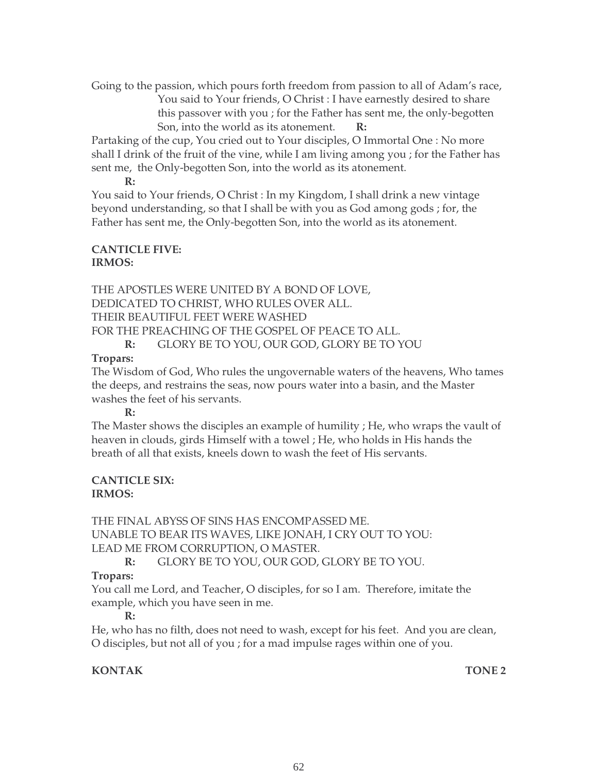Going to the passion, which pours forth freedom from passion to all of Adam's race, You said to Your friends, O Christ : I have earnestly desired to share this passover with you ; for the Father has sent me, the only-begotten Son, into the world as its atonement. **R:**

Partaking of the cup, You cried out to Your disciples, O Immortal One : No more shall I drink of the fruit of the vine, while I am living among you ; for the Father has sent me, the Only-begotten Son, into the world as its atonement.

**R:**

You said to Your friends, O Christ : In my Kingdom, I shall drink a new vintage beyond understanding, so that I shall be with you as God among gods ; for, the Father has sent me, the Only-begotten Son, into the world as its atonement.

#### **CANTICLE FIVE: IRMOS:**

THE APOSTLES WERE UNITED BY A BOND OF LOVE, DEDICATED TO CHRIST, WHO RULES OVER ALL. THEIR BEAUTIFUL FEET WERE WASHED FOR THE PREACHING OF THE GOSPEL OF PEACE TO ALL. **R:** GLORY BE TO YOU, OUR GOD, GLORY BE TO YOU

#### **Tropars:**

The Wisdom of God, Who rules the ungovernable waters of the heavens, Who tames the deeps, and restrains the seas, now pours water into a basin, and the Master washes the feet of his servants.

**R:**

The Master shows the disciples an example of humility ; He, who wraps the vault of heaven in clouds, girds Himself with a towel ; He, who holds in His hands the breath of all that exists, kneels down to wash the feet of His servants.

#### **CANTICLE SIX: IRMOS:**

THE FINAL ABYSS OF SINS HAS ENCOMPASSED ME. UNABLE TO BEAR ITS WAVES, LIKE JONAH, I CRY OUT TO YOU: LEAD ME FROM CORRUPTION, O MASTER.

### **R:** GLORY BE TO YOU, OUR GOD, GLORY BE TO YOU.

### **Tropars:**

You call me Lord, and Teacher, O disciples, for so I am. Therefore, imitate the example, which you have seen in me.

### **R:**

He, who has no filth, does not need to wash, except for his feet. And you are clean, O disciples, but not all of you ; for a mad impulse rages within one of you.

## **KONTAK TONE 2**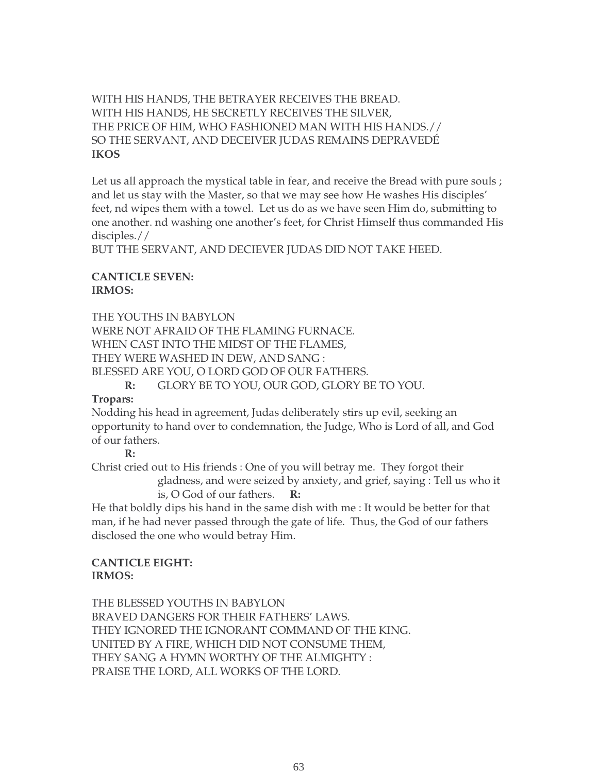#### WITH HIS HANDS, THE BETRAYER RECEIVES THE BREAD. WITH HIS HANDS, HE SECRETLY RECEIVES THE SILVER, THE PRICE OF HIM, WHO FASHIONED MAN WITH HIS HANDS.// SO THE SERVANT, AND DECEIVER JUDAS REMAINS DEPRAVEDÉ **IKOS**

Let us all approach the mystical table in fear, and receive the Bread with pure souls; and let us stay with the Master, so that we may see how He washes His disciples' feet, nd wipes them with a towel. Let us do as we have seen Him do, submitting to one another. nd washing one another's feet, for Christ Himself thus commanded His disciples.//

BUT THE SERVANT, AND DECIEVER JUDAS DID NOT TAKE HEED.

#### **CANTICLE SEVEN: IRMOS:**

THE YOUTHS IN BABYLON WERE NOT AFRAID OF THE FLAMING FURNACE. WHEN CAST INTO THE MIDST OF THE FLAMES, THEY WERE WASHED IN DEW, AND SANG : BLESSED ARE YOU, O LORD GOD OF OUR FATHERS.

**R:** GLORY BE TO YOU, OUR GOD, GLORY BE TO YOU.

#### **Tropars:**

Nodding his head in agreement, Judas deliberately stirs up evil, seeking an opportunity to hand over to condemnation, the Judge, Who is Lord of all, and God of our fathers.

#### **R:**

Christ cried out to His friends : One of you will betray me. They forgot their

gladness, and were seized by anxiety, and grief, saying : Tell us who it is, O God of our fathers. **R:**

He that boldly dips his hand in the same dish with me : It would be better for that man, if he had never passed through the gate of life. Thus, the God of our fathers disclosed the one who would betray Him.

#### **CANTICLE EIGHT: IRMOS:**

THE BLESSED YOUTHS IN BABYLON BRAVED DANGERS FOR THEIR FATHERS' LAWS. THEY IGNORED THE IGNORANT COMMAND OF THE KING. UNITED BY A FIRE, WHICH DID NOT CONSUME THEM, THEY SANG A HYMN WORTHY OF THE ALMIGHTY : PRAISE THE LORD, ALL WORKS OF THE LORD.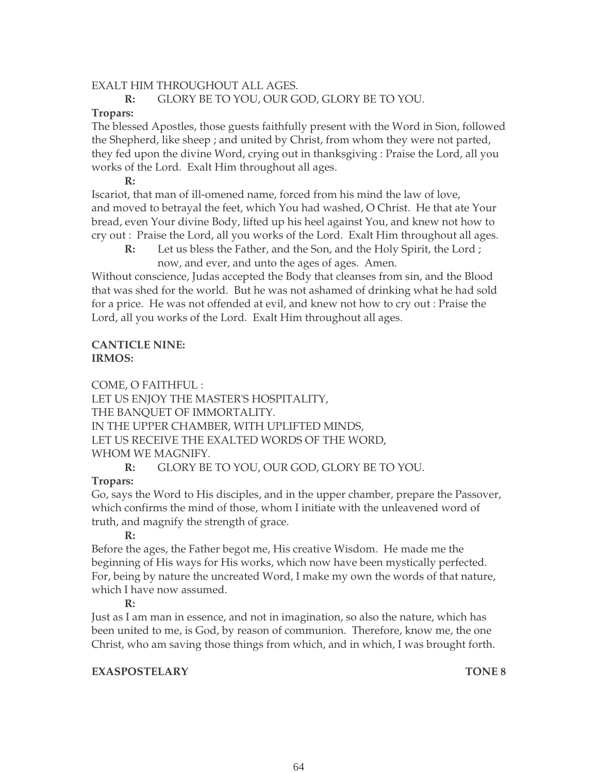#### EXALT HIM THROUGHOUT ALL AGES.

#### **R:** GLORY BE TO YOU, OUR GOD, GLORY BE TO YOU.

#### **Tropars:**

The blessed Apostles, those guests faithfully present with the Word in Sion, followed the Shepherd, like sheep ; and united by Christ, from whom they were not parted, they fed upon the divine Word, crying out in thanksgiving : Praise the Lord, all you works of the Lord. Exalt Him throughout all ages.

**R:**

Iscariot, that man of ill-omened name, forced from his mind the law of love, and moved to betrayal the feet, which You had washed, O Christ. He that ate Your bread, even Your divine Body, lifted up his heel against You, and knew not how to cry out : Praise the Lord, all you works of the Lord. Exalt Him throughout all ages.

 **R:** Let us bless the Father, and the Son, and the Holy Spirit, the Lord ; now, and ever, and unto the ages of ages. Amen.

Without conscience, Judas accepted the Body that cleanses from sin, and the Blood that was shed for the world. But he was not ashamed of drinking what he had sold for a price. He was not offended at evil, and knew not how to cry out : Praise the Lord, all you works of the Lord. Exalt Him throughout all ages.

#### **CANTICLE NINE: IRMOS:**

COME, O FAITHFUL :

LET US ENJOY THE MASTER'S HOSPITALITY, THE BANQUET OF IMMORTALITY. IN THE UPPER CHAMBER, WITH UPLIFTED MINDS, LET US RECEIVE THE EXALTED WORDS OF THE WORD, WHOM WE MAGNIFY.

**R:** GLORY BE TO YOU, OUR GOD, GLORY BE TO YOU.

#### **Tropars:**

Go, says the Word to His disciples, and in the upper chamber, prepare the Passover, which confirms the mind of those, whom I initiate with the unleavened word of truth, and magnify the strength of grace.

**R:** 

Before the ages, the Father begot me, His creative Wisdom. He made me the beginning of His ways for His works, which now have been mystically perfected. For, being by nature the uncreated Word, I make my own the words of that nature, which I have now assumed.

#### **R:**

Just as I am man in essence, and not in imagination, so also the nature, which has been united to me, is God, by reason of communion. Therefore, know me, the one Christ, who am saving those things from which, and in which, I was brought forth.

#### **EXASPOSTELARY TONE 8**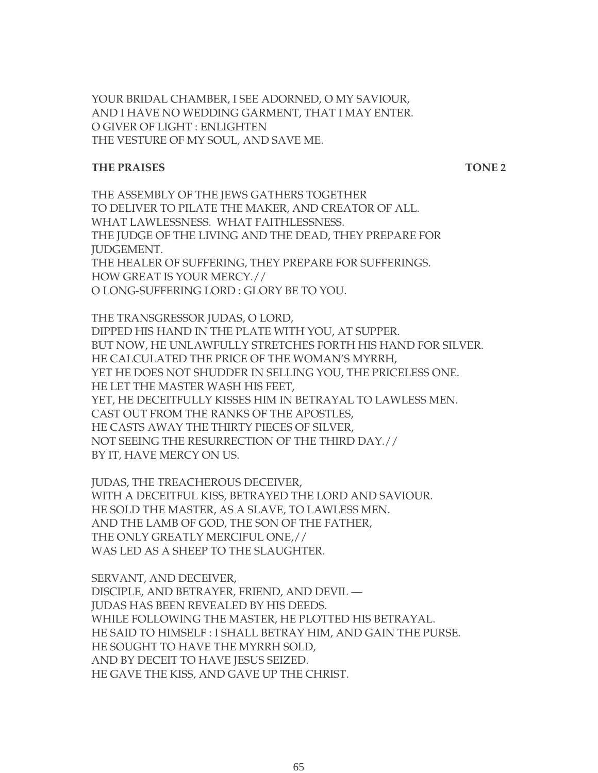YOUR BRIDAL CHAMBER, I SEE ADORNED, O MY SAVIOUR, AND I HAVE NO WEDDING GARMENT, THAT I MAY ENTER. O GIVER OF LIGHT : ENLIGHTEN THE VESTURE OF MY SOUL, AND SAVE ME.

#### **THE PRAISES** TONE 2

THE ASSEMBLY OF THE JEWS GATHERS TOGETHER TO DELIVER TO PILATE THE MAKER, AND CREATOR OF ALL. WHAT LAWLESSNESS. WHAT FAITHLESSNESS. THE JUDGE OF THE LIVING AND THE DEAD, THEY PREPARE FOR JUDGEMENT. THE HEALER OF SUFFERING, THEY PREPARE FOR SUFFERINGS. HOW GREAT IS YOUR MERCY.// O LONG-SUFFERING LORD : GLORY BE TO YOU.

THE TRANSGRESSOR JUDAS, O LORD, DIPPED HIS HAND IN THE PLATE WITH YOU, AT SUPPER. BUT NOW, HE UNLAWFULLY STRETCHES FORTH HIS HAND FOR SILVER. HE CALCULATED THE PRICE OF THE WOMAN'S MYRRH, YET HE DOES NOT SHUDDER IN SELLING YOU, THE PRICELESS ONE. HE LET THE MASTER WASH HIS FEET, YET, HE DECEITFULLY KISSES HIM IN BETRAYAL TO LAWLESS MEN. CAST OUT FROM THE RANKS OF THE APOSTLES, HE CASTS AWAY THE THIRTY PIECES OF SILVER, NOT SEEING THE RESURRECTION OF THE THIRD DAY.// BY IT, HAVE MERCY ON US.

JUDAS, THE TREACHEROUS DECEIVER, WITH A DECEITFUL KISS, BETRAYED THE LORD AND SAVIOUR. HE SOLD THE MASTER, AS A SLAVE, TO LAWLESS MEN. AND THE LAMB OF GOD, THE SON OF THE FATHER, THE ONLY GREATLY MERCIFUL ONE,// WAS LED AS A SHEEP TO THE SLAUGHTER.

SERVANT, AND DECEIVER, DISCIPLE, AND BETRAYER, FRIEND, AND DEVIL — JUDAS HAS BEEN REVEALED BY HIS DEEDS. WHILE FOLLOWING THE MASTER, HE PLOTTED HIS BETRAYAL. HE SAID TO HIMSELF : I SHALL BETRAY HIM, AND GAIN THE PURSE. HE SOUGHT TO HAVE THE MYRRH SOLD, AND BY DECEIT TO HAVE JESUS SEIZED. HE GAVE THE KISS, AND GAVE UP THE CHRIST.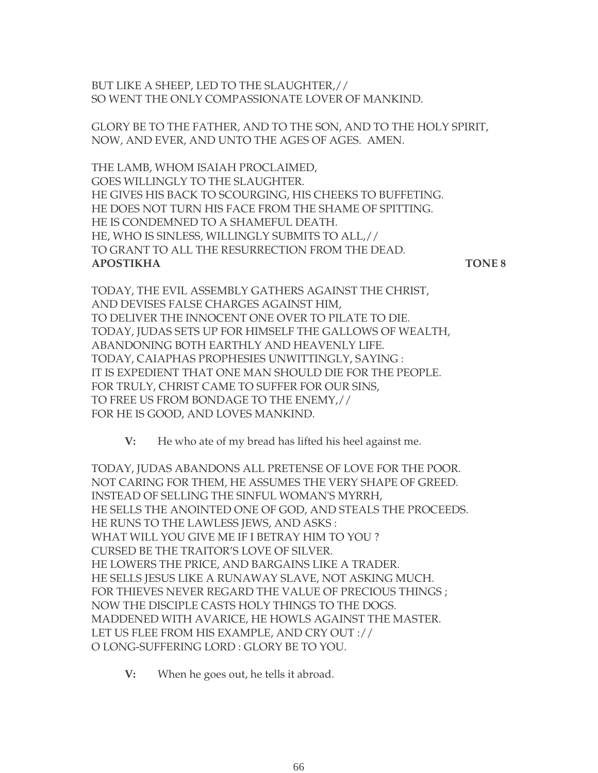BUT LIKE A SHEEP, LED TO THE SLAUGHTER,// SO WENT THE ONLY COMPASSIONATE LOVER OF MANKIND.

GLORY BE TO THE FATHER, AND TO THE SON, AND TO THE HOLY SPIRIT, NOW, AND EVER, AND UNTO THE AGES OF AGES. AMEN.

THE LAMB, WHOM ISAIAH PROCLAIMED, GOES WILLINGLY TO THE SLAUGHTER. HE GIVES HIS BACK TO SCOURGING, HIS CHEEKS TO BUFFETING. HE DOES NOT TURN HIS FACE FROM THE SHAME OF SPITTING. HE IS CONDEMNED TO A SHAMEFUL DEATH. HE, WHO IS SINLESS, WILLINGLY SUBMITS TO ALL,// TO GRANT TO ALL THE RESURRECTION FROM THE DEAD. **APOSTIKHA TONE 8**

TODAY, THE EVIL ASSEMBLY GATHERS AGAINST THE CHRIST, AND DEVISES FALSE CHARGES AGAINST HIM, TO DELIVER THE INNOCENT ONE OVER TO PILATE TO DIE. TODAY, JUDAS SETS UP FOR HIMSELF THE GALLOWS OF WEALTH, ABANDONING BOTH EARTHLY AND HEAVENLY LIFE. TODAY, CAIAPHAS PROPHESIES UNWITTINGLY, SAYING : IT IS EXPEDIENT THAT ONE MAN SHOULD DIE FOR THE PEOPLE. FOR TRULY, CHRIST CAME TO SUFFER FOR OUR SINS, TO FREE US FROM BONDAGE TO THE ENEMY,// FOR HE IS GOOD, AND LOVES MANKIND.

**V:** He who ate of my bread has lifted his heel against me.

TODAY, JUDAS ABANDONS ALL PRETENSE OF LOVE FOR THE POOR. NOT CARING FOR THEM, HE ASSUMES THE VERY SHAPE OF GREED. INSTEAD OF SELLING THE SINFUL WOMAN'S MYRRH, HE SELLS THE ANOINTED ONE OF GOD, AND STEALS THE PROCEEDS. HE RUNS TO THE LAWLESS JEWS, AND ASKS : WHAT WILL YOU GIVE ME IF I BETRAY HIM TO YOU ? CURSED BE THE TRAITOR'S LOVE OF SILVER. HE LOWERS THE PRICE, AND BARGAINS LIKE A TRADER. HE SELLS JESUS LIKE A RUNAWAY SLAVE, NOT ASKING MUCH. FOR THIEVES NEVER REGARD THE VALUE OF PRECIOUS THINGS ; NOW THE DISCIPLE CASTS HOLY THINGS TO THE DOGS. MADDENED WITH AVARICE, HE HOWLS AGAINST THE MASTER. LET US FLEE FROM HIS EXAMPLE, AND CRY OUT :// O LONG-SUFFERING LORD : GLORY BE TO YOU.

**V:** When he goes out, he tells it abroad.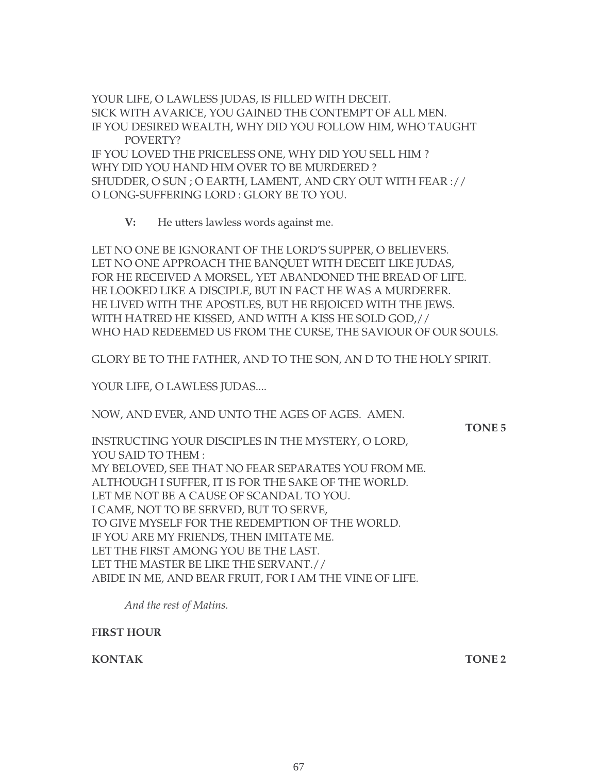YOUR LIFE, O LAWLESS JUDAS, IS FILLED WITH DECEIT. SICK WITH AVARICE, YOU GAINED THE CONTEMPT OF ALL MEN. IF YOU DESIRED WEALTH, WHY DID YOU FOLLOW HIM, WHO TAUGHT POVERTY? IF YOU LOVED THE PRICELESS ONE, WHY DID YOU SELL HIM ? WHY DID YOU HAND HIM OVER TO BE MURDERED ? SHUDDER, O SUN ; O EARTH, LAMENT, AND CRY OUT WITH FEAR :// O LONG-SUFFERING LORD : GLORY BE TO YOU.

**V:** He utters lawless words against me.

LET NO ONE BE IGNORANT OF THE LORD'S SUPPER, O BELIEVERS. LET NO ONE APPROACH THE BANQUET WITH DECEIT LIKE JUDAS, FOR HE RECEIVED A MORSEL, YET ABANDONED THE BREAD OF LIFE. HE LOOKED LIKE A DISCIPLE, BUT IN FACT HE WAS A MURDERER. HE LIVED WITH THE APOSTLES, BUT HE REJOICED WITH THE JEWS. WITH HATRED HE KISSED, AND WITH A KISS HE SOLD GOD,// WHO HAD REDEEMED US FROM THE CURSE, THE SAVIOUR OF OUR SOULS.

GLORY BE TO THE FATHER, AND TO THE SON, AN D TO THE HOLY SPIRIT.

YOUR LIFE, O LAWLESS JUDAS....

NOW, AND EVER, AND UNTO THE AGES OF AGES. AMEN.

**TONE 5**

INSTRUCTING YOUR DISCIPLES IN THE MYSTERY, O LORD, YOU SAID TO THEM : MY BELOVED, SEE THAT NO FEAR SEPARATES YOU FROM ME. ALTHOUGH I SUFFER, IT IS FOR THE SAKE OF THE WORLD. LET ME NOT BE A CAUSE OF SCANDAL TO YOU. I CAME, NOT TO BE SERVED, BUT TO SERVE, TO GIVE MYSELF FOR THE REDEMPTION OF THE WORLD. IF YOU ARE MY FRIENDS, THEN IMITATE ME. LET THE FIRST AMONG YOU BE THE LAST. LET THE MASTER BE LIKE THE SERVANT.// ABIDE IN ME, AND BEAR FRUIT, FOR I AM THE VINE OF LIFE.

*And the rest of Matins.*

**FIRST HOUR**

**KONTAK TONE 2**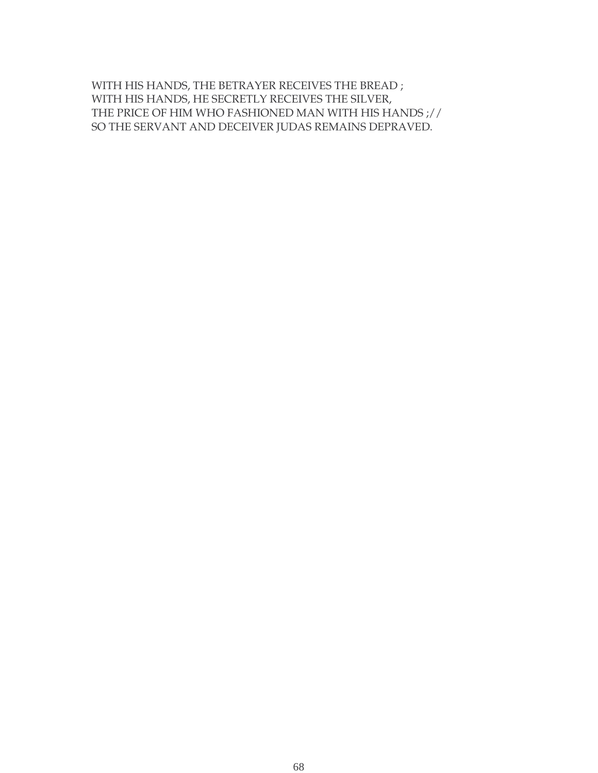WITH HIS HANDS, THE BETRAYER RECEIVES THE BREAD ; WITH HIS HANDS, HE SECRETLY RECEIVES THE SILVER, THE PRICE OF HIM WHO FASHIONED MAN WITH HIS HANDS ;// SO THE SERVANT AND DECEIVER JUDAS REMAINS DEPRAVED.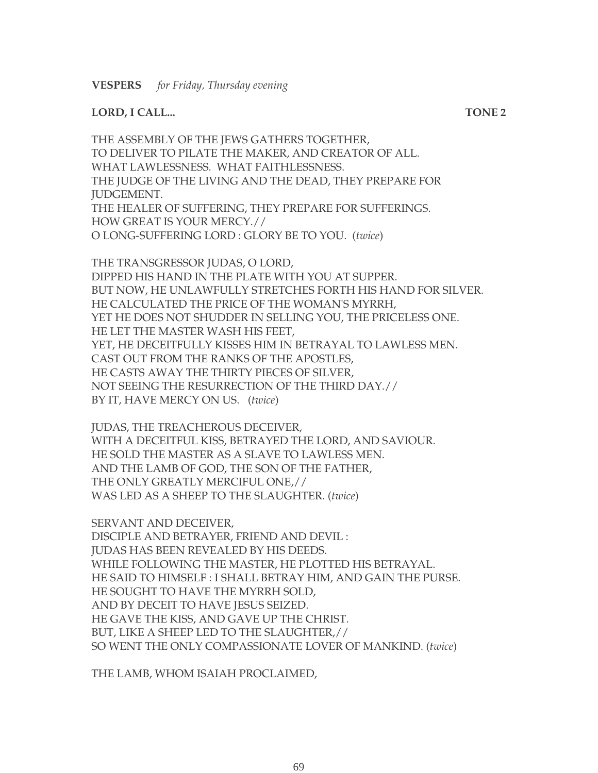#### **LORD, I CALL... TONE 2**

THE ASSEMBLY OF THE JEWS GATHERS TOGETHER, TO DELIVER TO PILATE THE MAKER, AND CREATOR OF ALL. WHAT LAWLESSNESS. WHAT FAITHLESSNESS. THE JUDGE OF THE LIVING AND THE DEAD, THEY PREPARE FOR JUDGEMENT. THE HEALER OF SUFFERING, THEY PREPARE FOR SUFFERINGS. HOW GREAT IS YOUR MERCY.// O LONG-SUFFERING LORD : GLORY BE TO YOU. (*twice*)

THE TRANSGRESSOR JUDAS, O LORD, DIPPED HIS HAND IN THE PLATE WITH YOU AT SUPPER. BUT NOW, HE UNLAWFULLY STRETCHES FORTH HIS HAND FOR SILVER. HE CALCULATED THE PRICE OF THE WOMAN'S MYRRH, YET HE DOES NOT SHUDDER IN SELLING YOU, THE PRICELESS ONE. HE LET THE MASTER WASH HIS FEET, YET, HE DECEITFULLY KISSES HIM IN BETRAYAL TO LAWLESS MEN. CAST OUT FROM THE RANKS OF THE APOSTLES, HE CASTS AWAY THE THIRTY PIECES OF SILVER, NOT SEEING THE RESURRECTION OF THE THIRD DAY.// BY IT, HAVE MERCY ON US. (*twice*)

JUDAS, THE TREACHEROUS DECEIVER, WITH A DECEITFUL KISS, BETRAYED THE LORD, AND SAVIOUR. HE SOLD THE MASTER AS A SLAVE TO LAWLESS MEN. AND THE LAMB OF GOD, THE SON OF THE FATHER, THE ONLY GREATLY MERCIFUL ONE,// WAS LED AS A SHEEP TO THE SLAUGHTER. (*twice*)

SERVANT AND DECEIVER, DISCIPLE AND BETRAYER, FRIEND AND DEVIL : JUDAS HAS BEEN REVEALED BY HIS DEEDS. WHILE FOLLOWING THE MASTER, HE PLOTTED HIS BETRAYAL. HE SAID TO HIMSELF : I SHALL BETRAY HIM, AND GAIN THE PURSE. HE SOUGHT TO HAVE THE MYRRH SOLD, AND BY DECEIT TO HAVE JESUS SEIZED. HE GAVE THE KISS, AND GAVE UP THE CHRIST. BUT, LIKE A SHEEP LED TO THE SLAUGHTER,// SO WENT THE ONLY COMPASSIONATE LOVER OF MANKIND. (*twice*)

THE LAMB, WHOM ISAIAH PROCLAIMED,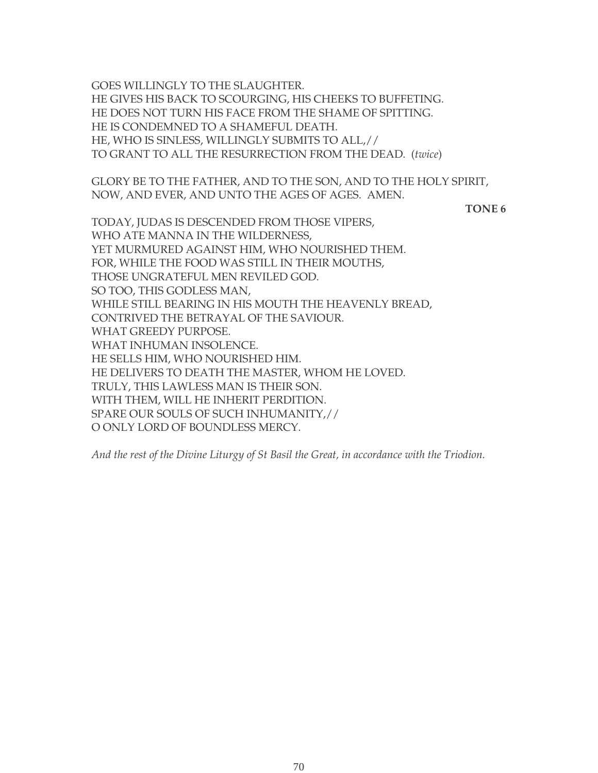GOES WILLINGLY TO THE SLAUGHTER. HE GIVES HIS BACK TO SCOURGING, HIS CHEEKS TO BUFFETING. HE DOES NOT TURN HIS FACE FROM THE SHAME OF SPITTING. HE IS CONDEMNED TO A SHAMEFUL DEATH. HE, WHO IS SINLESS, WILLINGLY SUBMITS TO ALL,// TO GRANT TO ALL THE RESURRECTION FROM THE DEAD. (*twice*)

GLORY BE TO THE FATHER, AND TO THE SON, AND TO THE HOLY SPIRIT, NOW, AND EVER, AND UNTO THE AGES OF AGES. AMEN.

#### **TONE 6**

TODAY, JUDAS IS DESCENDED FROM THOSE VIPERS, WHO ATE MANNA IN THE WILDERNESS, YET MURMURED AGAINST HIM, WHO NOURISHED THEM. FOR, WHILE THE FOOD WAS STILL IN THEIR MOUTHS, THOSE UNGRATEFUL MEN REVILED GOD. SO TOO, THIS GODLESS MAN, WHILE STILL BEARING IN HIS MOUTH THE HEAVENLY BREAD, CONTRIVED THE BETRAYAL OF THE SAVIOUR. WHAT GREEDY PURPOSE. WHAT INHUMAN INSOLENCE. HE SELLS HIM, WHO NOURISHED HIM. HE DELIVERS TO DEATH THE MASTER, WHOM HE LOVED. TRULY, THIS LAWLESS MAN IS THEIR SON. WITH THEM, WILL HE INHERIT PERDITION. SPARE OUR SOULS OF SUCH INHUMANITY,// O ONLY LORD OF BOUNDLESS MERCY.

*And the rest of the Divine Liturgy of St Basil the Great, in accordance with the Triodion.*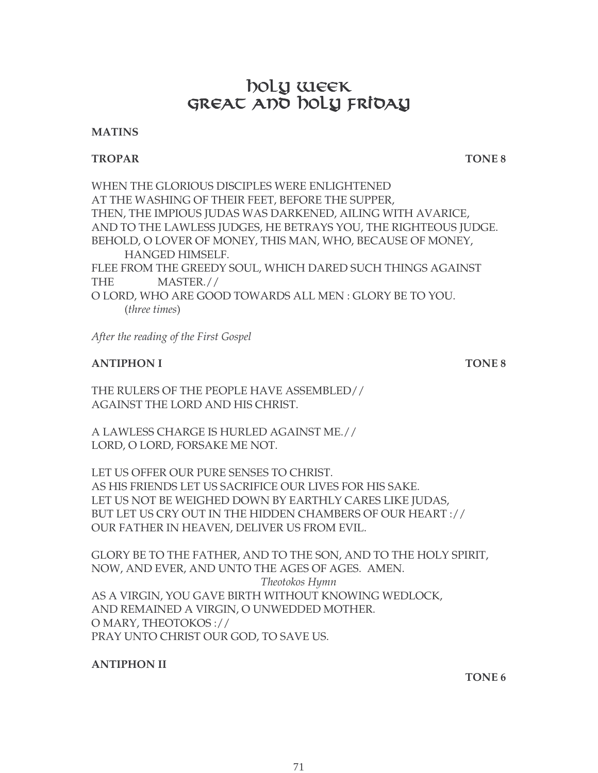# boly week GREAT AND NOLY FRIDAY

#### **MATINS**

#### **TROPAR TONE 8**

WHEN THE GLORIOUS DISCIPLES WERE ENLIGHTENED AT THE WASHING OF THEIR FEET, BEFORE THE SUPPER, THEN, THE IMPIOUS JUDAS WAS DARKENED, AILING WITH AVARICE, AND TO THE LAWLESS JUDGES, HE BETRAYS YOU, THE RIGHTEOUS JUDGE. BEHOLD, O LOVER OF MONEY, THIS MAN, WHO, BECAUSE OF MONEY, HANGED HIMSELF. FLEE FROM THE GREEDY SOUL, WHICH DARED SUCH THINGS AGAINST THE MASTER.// O LORD, WHO ARE GOOD TOWARDS ALL MEN : GLORY BE TO YOU. (*three times*)

*After the reading of the First Gospel*

#### **ANTIPHON I TONE 8**

THE RULERS OF THE PEOPLE HAVE ASSEMBLED// AGAINST THE LORD AND HIS CHRIST.

A LAWLESS CHARGE IS HURLED AGAINST ME.// LORD, O LORD, FORSAKE ME NOT.

LET US OFFER OUR PURE SENSES TO CHRIST. AS HIS FRIENDS LET US SACRIFICE OUR LIVES FOR HIS SAKE. LET US NOT BE WEIGHED DOWN BY EARTHLY CARES LIKE JUDAS, BUT LET US CRY OUT IN THE HIDDEN CHAMBERS OF OUR HEART :// OUR FATHER IN HEAVEN, DELIVER US FROM EVIL.

GLORY BE TO THE FATHER, AND TO THE SON, AND TO THE HOLY SPIRIT, NOW, AND EVER, AND UNTO THE AGES OF AGES. AMEN. *Theotokos Hymn* AS A VIRGIN, YOU GAVE BIRTH WITHOUT KNOWING WEDLOCK, AND REMAINED A VIRGIN, O UNWEDDED MOTHER. O MARY, THEOTOKOS :// PRAY UNTO CHRIST OUR GOD, TO SAVE US.

#### **ANTIPHON II**

**TONE 6**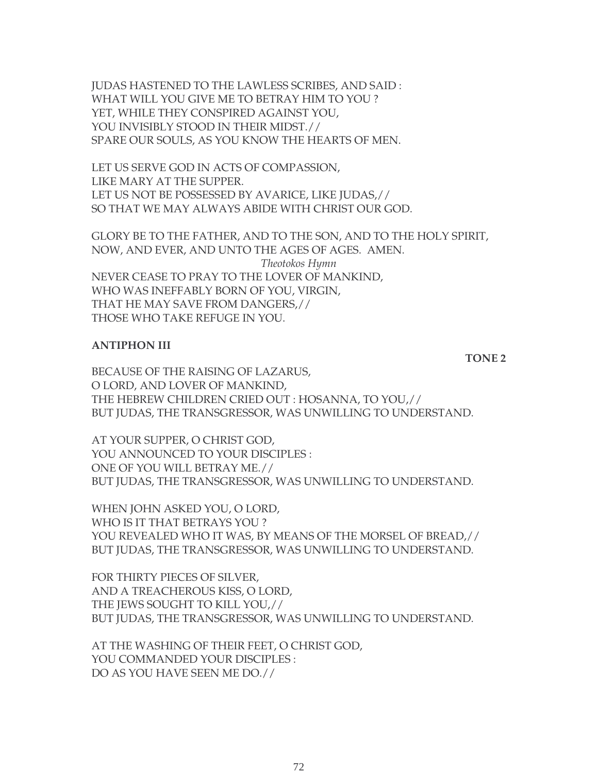JUDAS HASTENED TO THE LAWLESS SCRIBES, AND SAID : WHAT WILL YOU GIVE ME TO BETRAY HIM TO YOU ? YET, WHILE THEY CONSPIRED AGAINST YOU, YOU INVISIBLY STOOD IN THEIR MIDST.// SPARE OUR SOULS, AS YOU KNOW THE HEARTS OF MEN.

LET US SERVE GOD IN ACTS OF COMPASSION, LIKE MARY AT THE SUPPER. LET US NOT BE POSSESSED BY AVARICE, LIKE JUDAS,// SO THAT WE MAY ALWAYS ABIDE WITH CHRIST OUR GOD.

GLORY BE TO THE FATHER, AND TO THE SON, AND TO THE HOLY SPIRIT, NOW, AND EVER, AND UNTO THE AGES OF AGES. AMEN. *Theotokos Hymn* NEVER CEASE TO PRAY TO THE LOVER OF MANKIND, WHO WAS INEFFABLY BORN OF YOU, VIRGIN, THAT HE MAY SAVE FROM DANGERS,// THOSE WHO TAKE REFUGE IN YOU.

#### **ANTIPHON III**

BECAUSE OF THE RAISING OF LAZARUS, O LORD, AND LOVER OF MANKIND, THE HEBREW CHILDREN CRIED OUT : HOSANNA, TO YOU,// BUT JUDAS, THE TRANSGRESSOR, WAS UNWILLING TO UNDERSTAND.

AT YOUR SUPPER, O CHRIST GOD, YOU ANNOUNCED TO YOUR DISCIPLES : ONE OF YOU WILL BETRAY ME.// BUT JUDAS, THE TRANSGRESSOR, WAS UNWILLING TO UNDERSTAND.

WHEN JOHN ASKED YOU, O LORD, WHO IS IT THAT BETRAYS YOU ? YOU REVEALED WHO IT WAS, BY MEANS OF THE MORSEL OF BREAD,// BUT JUDAS, THE TRANSGRESSOR, WAS UNWILLING TO UNDERSTAND.

FOR THIRTY PIECES OF SILVER, AND A TREACHEROUS KISS, O LORD, THE JEWS SOUGHT TO KILL YOU,// BUT JUDAS, THE TRANSGRESSOR, WAS UNWILLING TO UNDERSTAND.

AT THE WASHING OF THEIR FEET, O CHRIST GOD, YOU COMMANDED YOUR DISCIPLES : DO AS YOU HAVE SEEN ME DO.//

**TONE 2**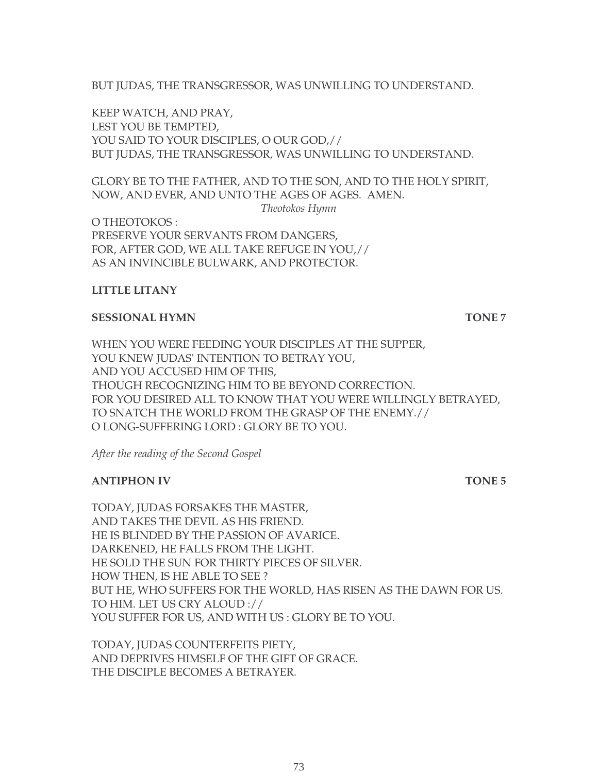BUT JUDAS, THE TRANSGRESSOR, WAS UNWILLING TO UNDERSTAND.

KEEP WATCH, AND PRAY, LEST YOU BE TEMPTED, YOU SAID TO YOUR DISCIPLES, O OUR GOD,// BUT JUDAS, THE TRANSGRESSOR, WAS UNWILLING TO UNDERSTAND.

GLORY BE TO THE FATHER, AND TO THE SON, AND TO THE HOLY SPIRIT, NOW, AND EVER, AND UNTO THE AGES OF AGES. AMEN.

*Theotokos Hymn*

O THEOTOKOS : PRESERVE YOUR SERVANTS FROM DANGERS, FOR, AFTER GOD, WE ALL TAKE REFUGE IN YOU,// AS AN INVINCIBLE BULWARK, AND PROTECTOR.

#### **LITTLE LITANY**

#### **SESSIONAL HYMN** TONE 7

WHEN YOU WERE FEEDING YOUR DISCIPLES AT THE SUPPER, YOU KNEW JUDAS' INTENTION TO BETRAY YOU, AND YOU ACCUSED HIM OF THIS, THOUGH RECOGNIZING HIM TO BE BEYOND CORRECTION. FOR YOU DESIRED ALL TO KNOW THAT YOU WERE WILLINGLY BETRAYED, TO SNATCH THE WORLD FROM THE GRASP OF THE ENEMY.// O LONG-SUFFERING LORD : GLORY BE TO YOU.

*After the reading of the Second Gospel*

### **ANTIPHON IV TONE 5**

TODAY, JUDAS FORSAKES THE MASTER, AND TAKES THE DEVIL AS HIS FRIEND. HE IS BLINDED BY THE PASSION OF AVARICE. DARKENED, HE FALLS FROM THE LIGHT. HE SOLD THE SUN FOR THIRTY PIECES OF SILVER. HOW THEN, IS HE ABLE TO SEE ? BUT HE, WHO SUFFERS FOR THE WORLD, HAS RISEN AS THE DAWN FOR US. TO HIM. LET US CRY ALOUD :// YOU SUFFER FOR US, AND WITH US: GLORY BE TO YOU.

TODAY, JUDAS COUNTERFEITS PIETY, AND DEPRIVES HIMSELF OF THE GIFT OF GRACE. THE DISCIPLE BECOMES A BETRAYER.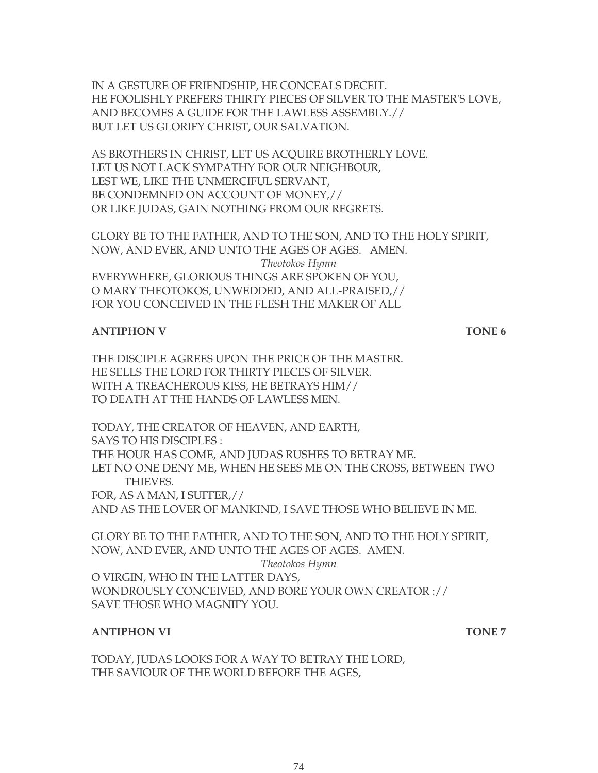IN A GESTURE OF FRIENDSHIP, HE CONCEALS DECEIT. HE FOOLISHLY PREFERS THIRTY PIECES OF SILVER TO THE MASTER'S LOVE, AND BECOMES A GUIDE FOR THE LAWLESS ASSEMBLY.// BUT LET US GLORIFY CHRIST, OUR SALVATION.

AS BROTHERS IN CHRIST, LET US ACQUIRE BROTHERLY LOVE. LET US NOT LACK SYMPATHY FOR OUR NEIGHBOUR, LEST WE, LIKE THE UNMERCIFUL SERVANT, BE CONDEMNED ON ACCOUNT OF MONEY,// OR LIKE JUDAS, GAIN NOTHING FROM OUR REGRETS.

GLORY BE TO THE FATHER, AND TO THE SON, AND TO THE HOLY SPIRIT, NOW, AND EVER, AND UNTO THE AGES OF AGES. AMEN. *Theotokos Hymn* EVERYWHERE, GLORIOUS THINGS ARE SPOKEN OF YOU, O MARY THEOTOKOS, UNWEDDED, AND ALL-PRAISED,// FOR YOU CONCEIVED IN THE FLESH THE MAKER OF ALL

#### **ANTIPHON V TONE 6**

THE DISCIPLE AGREES UPON THE PRICE OF THE MASTER. HE SELLS THE LORD FOR THIRTY PIECES OF SILVER. WITH A TREACHEROUS KISS, HE BETRAYS HIM// TO DEATH AT THE HANDS OF LAWLESS MEN.

TODAY, THE CREATOR OF HEAVEN, AND EARTH, SAYS TO HIS DISCIPLES : THE HOUR HAS COME, AND JUDAS RUSHES TO BETRAY ME. LET NO ONE DENY ME, WHEN HE SEES ME ON THE CROSS, BETWEEN TWO THIEVES. FOR, AS A MAN, I SUFFER,//

AND AS THE LOVER OF MANKIND, I SAVE THOSE WHO BELIEVE IN ME.

GLORY BE TO THE FATHER, AND TO THE SON, AND TO THE HOLY SPIRIT, NOW, AND EVER, AND UNTO THE AGES OF AGES. AMEN. *Theotokos Hymn* O VIRGIN, WHO IN THE LATTER DAYS, WONDROUSLY CONCEIVED, AND BORE YOUR OWN CREATOR :// SAVE THOSE WHO MAGNIFY YOU.

#### **ANTIPHON VI TONE 7**

TODAY, JUDAS LOOKS FOR A WAY TO BETRAY THE LORD, THE SAVIOUR OF THE WORLD BEFORE THE AGES,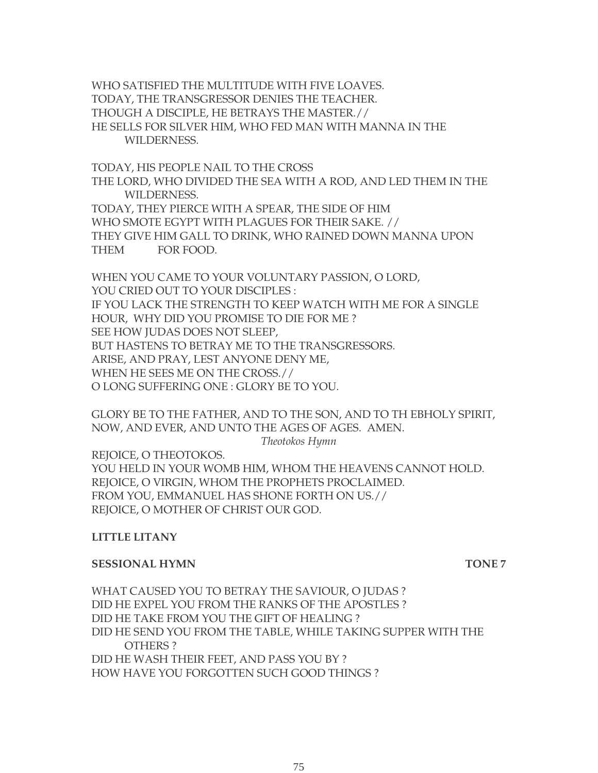WHO SATISFIED THE MULTITUDE WITH FIVE LOAVES. TODAY, THE TRANSGRESSOR DENIES THE TEACHER. THOUGH A DISCIPLE, HE BETRAYS THE MASTER.// HE SELLS FOR SILVER HIM, WHO FED MAN WITH MANNA IN THE WILDERNESS.

TODAY, HIS PEOPLE NAIL TO THE CROSS THE LORD, WHO DIVIDED THE SEA WITH A ROD, AND LED THEM IN THE WILDERNESS. TODAY, THEY PIERCE WITH A SPEAR, THE SIDE OF HIM WHO SMOTE EGYPT WITH PLAGUES FOR THEIR SAKE. // THEY GIVE HIM GALL TO DRINK, WHO RAINED DOWN MANNA UPON THEM FOR FOOD.

WHEN YOU CAME TO YOUR VOLUNTARY PASSION, O LORD, YOU CRIED OUT TO YOUR DISCIPLES : IF YOU LACK THE STRENGTH TO KEEP WATCH WITH ME FOR A SINGLE HOUR, WHY DID YOU PROMISE TO DIE FOR ME ? SEE HOW JUDAS DOES NOT SLEEP, BUT HASTENS TO BETRAY ME TO THE TRANSGRESSORS. ARISE, AND PRAY, LEST ANYONE DENY ME, WHEN HE SEES ME ON THE CROSS.// O LONG SUFFERING ONE : GLORY BE TO YOU.

GLORY BE TO THE FATHER, AND TO THE SON, AND TO TH EBHOLY SPIRIT, NOW, AND EVER, AND UNTO THE AGES OF AGES. AMEN.

*Theotokos Hymn*

REJOICE, O THEOTOKOS. YOU HELD IN YOUR WOMB HIM, WHOM THE HEAVENS CANNOT HOLD. REJOICE, O VIRGIN, WHOM THE PROPHETS PROCLAIMED. FROM YOU, EMMANUEL HAS SHONE FORTH ON US.// REJOICE, O MOTHER OF CHRIST OUR GOD.

#### **LITTLE LITANY**

#### **SESSIONAL HYMN TONE 7**

WHAT CAUSED YOU TO BETRAY THE SAVIOUR, O JUDAS ? DID HE EXPEL YOU FROM THE RANKS OF THE APOSTLES ? DID HE TAKE FROM YOU THE GIFT OF HEALING ? DID HE SEND YOU FROM THE TABLE, WHILE TAKING SUPPER WITH THE OTHERS ? DID HE WASH THEIR FEET, AND PASS YOU BY ? HOW HAVE YOU FORGOTTEN SUCH GOOD THINGS ?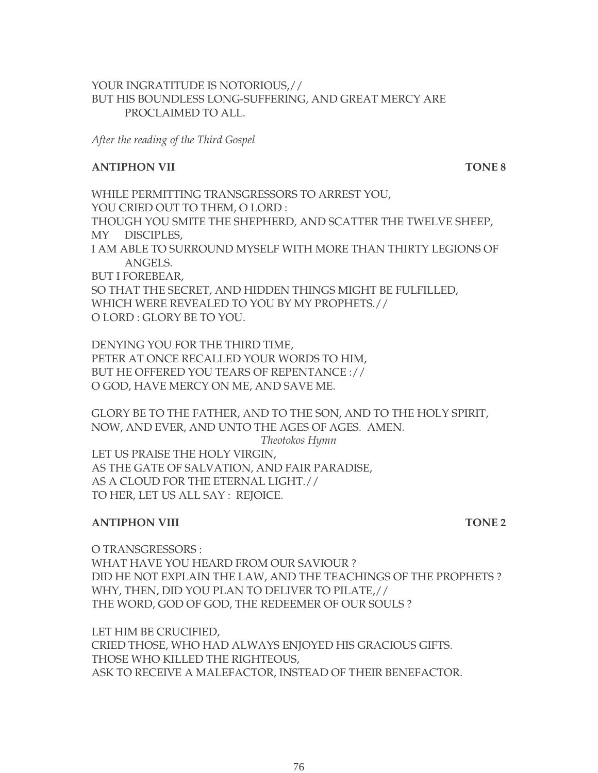#### YOUR INGRATITUDE IS NOTORIOUS,// BUT HIS BOUNDLESS LONG-SUFFERING, AND GREAT MERCY ARE PROCLAIMED TO ALL.

*After the reading of the Third Gospel*

#### **ANTIPHON VII TONE 8**

WHILE PERMITTING TRANSGRESSORS TO ARREST YOU, YOU CRIED OUT TO THEM, O LORD : THOUGH YOU SMITE THE SHEPHERD, AND SCATTER THE TWELVE SHEEP, MY DISCIPLES, I AM ABLE TO SURROUND MYSELF WITH MORE THAN THIRTY LEGIONS OF ANGELS. BUT I FOREBEAR, SO THAT THE SECRET, AND HIDDEN THINGS MIGHT BE FULFILLED, WHICH WERE REVEALED TO YOU BY MY PROPHETS.// O LORD : GLORY BE TO YOU.

DENYING YOU FOR THE THIRD TIME, PETER AT ONCE RECALLED YOUR WORDS TO HIM, BUT HE OFFERED YOU TEARS OF REPENTANCE :// O GOD, HAVE MERCY ON ME, AND SAVE ME.

GLORY BE TO THE FATHER, AND TO THE SON, AND TO THE HOLY SPIRIT, NOW, AND EVER, AND UNTO THE AGES OF AGES. AMEN. *Theotokos Hymn* LET US PRAISE THE HOLY VIRGIN, AS THE GATE OF SALVATION, AND FAIR PARADISE, AS A CLOUD FOR THE ETERNAL LIGHT.// TO HER, LET US ALL SAY : REJOICE.

#### **ANTIPHON VIII** TONE 2

O TRANSGRESSORS : WHAT HAVE YOU HEARD FROM OUR SAVIOUR ? DID HE NOT EXPLAIN THE LAW, AND THE TEACHINGS OF THE PROPHETS ? WHY, THEN, DID YOU PLAN TO DELIVER TO PILATE,// THE WORD, GOD OF GOD, THE REDEEMER OF OUR SOULS ?

LET HIM BE CRUCIFIED, CRIED THOSE, WHO HAD ALWAYS ENJOYED HIS GRACIOUS GIFTS. THOSE WHO KILLED THE RIGHTEOUS, ASK TO RECEIVE A MALEFACTOR, INSTEAD OF THEIR BENEFACTOR.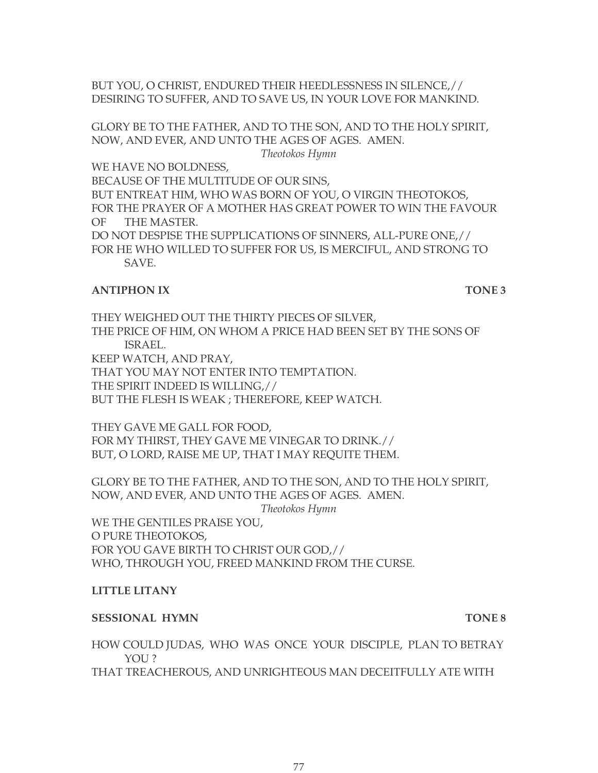BUT YOU, O CHRIST, ENDURED THEIR HEEDLESSNESS IN SILENCE,// DESIRING TO SUFFER, AND TO SAVE US, IN YOUR LOVE FOR MANKIND.

GLORY BE TO THE FATHER, AND TO THE SON, AND TO THE HOLY SPIRIT, NOW, AND EVER, AND UNTO THE AGES OF AGES. AMEN. *Theotokos Hymn*

WE HAVE NO BOLDNESS,

BECAUSE OF THE MULTITUDE OF OUR SINS,

BUT ENTREAT HIM, WHO WAS BORN OF YOU, O VIRGIN THEOTOKOS, FOR THE PRAYER OF A MOTHER HAS GREAT POWER TO WIN THE FAVOUR OF THE MASTER.

DO NOT DESPISE THE SUPPLICATIONS OF SINNERS, ALL-PURE ONE,// FOR HE WHO WILLED TO SUFFER FOR US, IS MERCIFUL, AND STRONG TO SAVE.

#### **ANTIPHON IX TONE 3**

THEY WEIGHED OUT THE THIRTY PIECES OF SILVER, THE PRICE OF HIM, ON WHOM A PRICE HAD BEEN SET BY THE SONS OF ISRAEL. KEEP WATCH, AND PRAY, THAT YOU MAY NOT ENTER INTO TEMPTATION. THE SPIRIT INDEED IS WILLING,// BUT THE FLESH IS WEAK ; THEREFORE, KEEP WATCH.

THEY GAVE ME GALL FOR FOOD, FOR MY THIRST, THEY GAVE ME VINEGAR TO DRINK.// BUT, O LORD, RAISE ME UP, THAT I MAY REQUITE THEM.

GLORY BE TO THE FATHER, AND TO THE SON, AND TO THE HOLY SPIRIT, NOW, AND EVER, AND UNTO THE AGES OF AGES. AMEN. *Theotokos Hymn*

WE THE GENTILES PRAISE YOU, O PURE THEOTOKOS, FOR YOU GAVE BIRTH TO CHRIST OUR GOD,// WHO, THROUGH YOU, FREED MANKIND FROM THE CURSE.

#### **LITTLE LITANY**

#### **SESSIONAL HYMN** TONE 8

HOW COULD JUDAS, WHO WAS ONCE YOUR DISCIPLE, PLAN TO BETRAY YOU ?

THAT TREACHEROUS, AND UNRIGHTEOUS MAN DECEITFULLY ATE WITH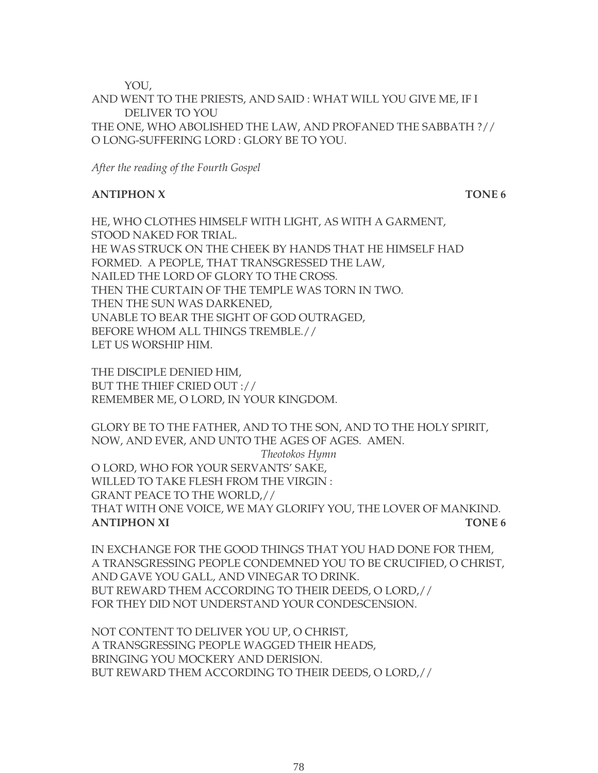YOU,

AND WENT TO THE PRIESTS, AND SAID : WHAT WILL YOU GIVE ME, IF I DELIVER TO YOU THE ONE, WHO ABOLISHED THE LAW, AND PROFANED THE SABBATH ?// O LONG-SUFFERING LORD : GLORY BE TO YOU.

*After the reading of the Fourth Gospel*

#### **ANTIPHON X** TONE 6

HE, WHO CLOTHES HIMSELF WITH LIGHT, AS WITH A GARMENT, STOOD NAKED FOR TRIAL. HE WAS STRUCK ON THE CHEEK BY HANDS THAT HE HIMSELF HAD FORMED. A PEOPLE, THAT TRANSGRESSED THE LAW, NAILED THE LORD OF GLORY TO THE CROSS. THEN THE CURTAIN OF THE TEMPLE WAS TORN IN TWO. THEN THE SUN WAS DARKENED, UNABLE TO BEAR THE SIGHT OF GOD OUTRAGED, BEFORE WHOM ALL THINGS TREMBLE.// LET US WORSHIP HIM.

THE DISCIPLE DENIED HIM, BUT THE THIEF CRIED OUT :// REMEMBER ME, O LORD, IN YOUR KINGDOM.

GLORY BE TO THE FATHER, AND TO THE SON, AND TO THE HOLY SPIRIT, NOW, AND EVER, AND UNTO THE AGES OF AGES. AMEN. *Theotokos Hymn* O LORD, WHO FOR YOUR SERVANTS' SAKE, WILLED TO TAKE FLESH FROM THE VIRGIN : GRANT PEACE TO THE WORLD,// THAT WITH ONE VOICE, WE MAY GLORIFY YOU, THE LOVER OF MANKIND. **ANTIPHON XI TONE 6** 

IN EXCHANGE FOR THE GOOD THINGS THAT YOU HAD DONE FOR THEM, A TRANSGRESSING PEOPLE CONDEMNED YOU TO BE CRUCIFIED, O CHRIST, AND GAVE YOU GALL, AND VINEGAR TO DRINK. BUT REWARD THEM ACCORDING TO THEIR DEEDS, O LORD,// FOR THEY DID NOT UNDERSTAND YOUR CONDESCENSION.

NOT CONTENT TO DELIVER YOU UP, O CHRIST, A TRANSGRESSING PEOPLE WAGGED THEIR HEADS, BRINGING YOU MOCKERY AND DERISION. BUT REWARD THEM ACCORDING TO THEIR DEEDS, O LORD,//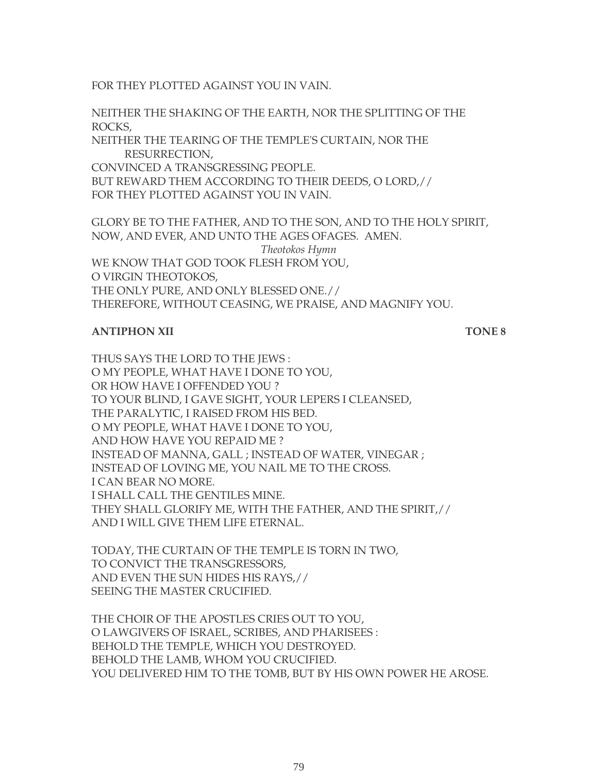FOR THEY PLOTTED AGAINST YOU IN VAIN.

NEITHER THE SHAKING OF THE EARTH, NOR THE SPLITTING OF THE ROCKS, NEITHER THE TEARING OF THE TEMPLE'S CURTAIN, NOR THE RESURRECTION, CONVINCED A TRANSGRESSING PEOPLE. BUT REWARD THEM ACCORDING TO THEIR DEEDS, O LORD,// FOR THEY PLOTTED AGAINST YOU IN VAIN.

GLORY BE TO THE FATHER, AND TO THE SON, AND TO THE HOLY SPIRIT, NOW, AND EVER, AND UNTO THE AGES OFAGES. AMEN. *Theotokos Hymn* WE KNOW THAT GOD TOOK FLESH FROM YOU, O VIRGIN THEOTOKOS, THE ONLY PURE, AND ONLY BLESSED ONE.// THEREFORE, WITHOUT CEASING, WE PRAISE, AND MAGNIFY YOU.

#### **ANTIPHON XII** TONE 8

THUS SAYS THE LORD TO THE JEWS : O MY PEOPLE, WHAT HAVE I DONE TO YOU, OR HOW HAVE I OFFENDED YOU ? TO YOUR BLIND, I GAVE SIGHT, YOUR LEPERS I CLEANSED, THE PARALYTIC, I RAISED FROM HIS BED. O MY PEOPLE, WHAT HAVE I DONE TO YOU, AND HOW HAVE YOU REPAID ME ? INSTEAD OF MANNA, GALL ; INSTEAD OF WATER, VINEGAR ; INSTEAD OF LOVING ME, YOU NAIL ME TO THE CROSS. I CAN BEAR NO MORE. I SHALL CALL THE GENTILES MINE. THEY SHALL GLORIFY ME, WITH THE FATHER, AND THE SPIRIT,// AND I WILL GIVE THEM LIFE ETERNAL.

TODAY, THE CURTAIN OF THE TEMPLE IS TORN IN TWO, TO CONVICT THE TRANSGRESSORS, AND EVEN THE SUN HIDES HIS RAYS,// SEEING THE MASTER CRUCIFIED.

THE CHOIR OF THE APOSTLES CRIES OUT TO YOU, O LAWGIVERS OF ISRAEL, SCRIBES, AND PHARISEES : BEHOLD THE TEMPLE, WHICH YOU DESTROYED. BEHOLD THE LAMB, WHOM YOU CRUCIFIED. YOU DELIVERED HIM TO THE TOMB, BUT BY HIS OWN POWER HE AROSE.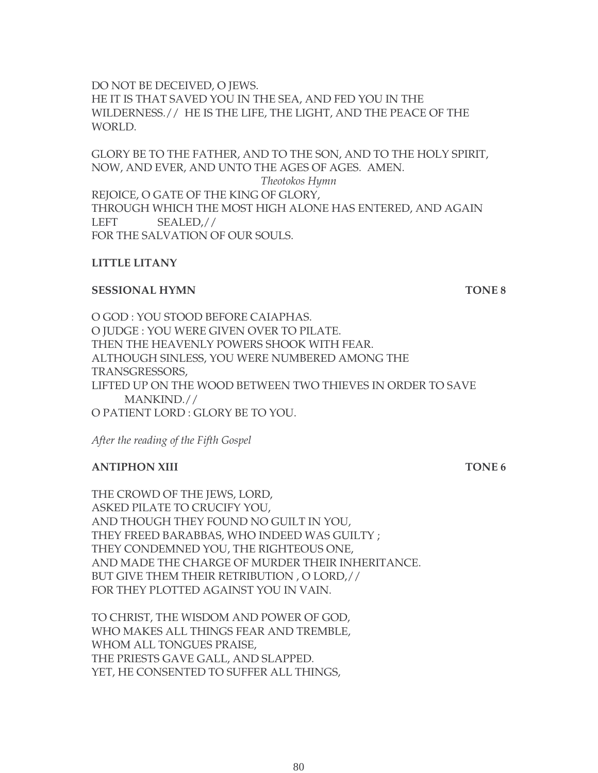DO NOT BE DECEIVED, O JEWS. HE IT IS THAT SAVED YOU IN THE SEA, AND FED YOU IN THE WILDERNESS.// HE IS THE LIFE, THE LIGHT, AND THE PEACE OF THE WORLD.

GLORY BE TO THE FATHER, AND TO THE SON, AND TO THE HOLY SPIRIT, NOW, AND EVER, AND UNTO THE AGES OF AGES. AMEN. *Theotokos Hymn* REJOICE, O GATE OF THE KING OF GLORY, THROUGH WHICH THE MOST HIGH ALONE HAS ENTERED, AND AGAIN LEFT SEALED,// FOR THE SALVATION OF OUR SOULS.

### **LITTLE LITANY**

#### **SESSIONAL HYMN TONE 8**

O GOD : YOU STOOD BEFORE CAIAPHAS. O JUDGE : YOU WERE GIVEN OVER TO PILATE. THEN THE HEAVENLY POWERS SHOOK WITH FEAR. ALTHOUGH SINLESS, YOU WERE NUMBERED AMONG THE TRANSGRESSORS, LIFTED UP ON THE WOOD BETWEEN TWO THIEVES IN ORDER TO SAVE MANKIND.// O PATIENT LORD : GLORY BE TO YOU.

*After the reading of the Fifth Gospel*

### **ANTIPHON XIII** TONE 6

THE CROWD OF THE JEWS, LORD, ASKED PILATE TO CRUCIFY YOU, AND THOUGH THEY FOUND NO GUILT IN YOU, THEY FREED BARABBAS, WHO INDEED WAS GUILTY ; THEY CONDEMNED YOU, THE RIGHTEOUS ONE, AND MADE THE CHARGE OF MURDER THEIR INHERITANCE. BUT GIVE THEM THEIR RETRIBUTION , O LORD,// FOR THEY PLOTTED AGAINST YOU IN VAIN.

TO CHRIST, THE WISDOM AND POWER OF GOD, WHO MAKES ALL THINGS FEAR AND TREMBLE, WHOM ALL TONGUES PRAISE, THE PRIESTS GAVE GALL, AND SLAPPED. YET, HE CONSENTED TO SUFFER ALL THINGS,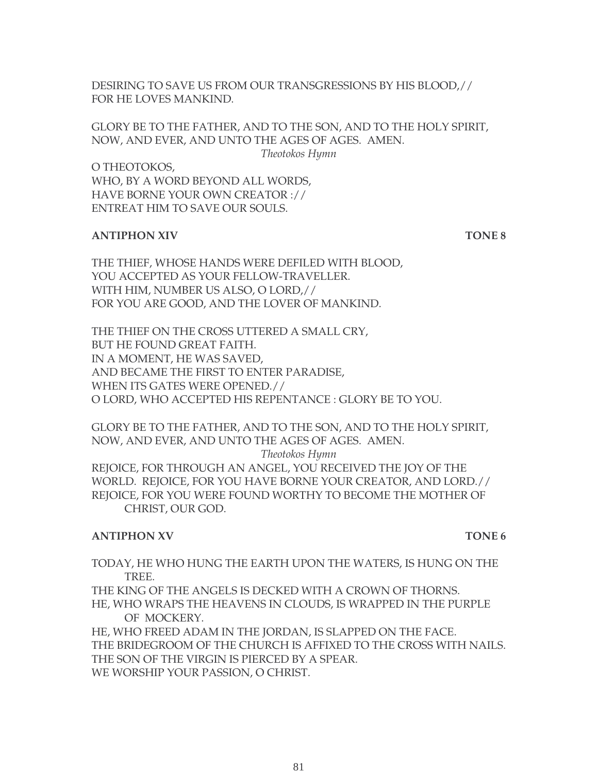DESIRING TO SAVE US FROM OUR TRANSGRESSIONS BY HIS BLOOD,// FOR HE LOVES MANKIND.

GLORY BE TO THE FATHER, AND TO THE SON, AND TO THE HOLY SPIRIT, NOW, AND EVER, AND UNTO THE AGES OF AGES. AMEN. *Theotokos Hymn*

O THEOTOKOS, WHO, BY A WORD BEYOND ALL WORDS, HAVE BORNE YOUR OWN CREATOR :// ENTREAT HIM TO SAVE OUR SOULS.

#### **ANTIPHON XIV TONE 8**

THE THIEF, WHOSE HANDS WERE DEFILED WITH BLOOD, YOU ACCEPTED AS YOUR FELLOW-TRAVELLER. WITH HIM, NUMBER US ALSO, O LORD,// FOR YOU ARE GOOD, AND THE LOVER OF MANKIND.

THE THIEF ON THE CROSS UTTERED A SMALL CRY, BUT HE FOUND GREAT FAITH. IN A MOMENT, HE WAS SAVED, AND BECAME THE FIRST TO ENTER PARADISE, WHEN ITS GATES WERE OPENED.// O LORD, WHO ACCEPTED HIS REPENTANCE : GLORY BE TO YOU.

GLORY BE TO THE FATHER, AND TO THE SON, AND TO THE HOLY SPIRIT, NOW, AND EVER, AND UNTO THE AGES OF AGES. AMEN.

*Theotokos Hymn*

REJOICE, FOR THROUGH AN ANGEL, YOU RECEIVED THE JOY OF THE WORLD. REJOICE, FOR YOU HAVE BORNE YOUR CREATOR, AND LORD.// REJOICE, FOR YOU WERE FOUND WORTHY TO BECOME THE MOTHER OF CHRIST, OUR GOD.

#### **ANTIPHON XV** TONE 6

TODAY, HE WHO HUNG THE EARTH UPON THE WATERS, IS HUNG ON THE TREE.

THE KING OF THE ANGELS IS DECKED WITH A CROWN OF THORNS. HE, WHO WRAPS THE HEAVENS IN CLOUDS, IS WRAPPED IN THE PURPLE OF MOCKERY.

HE, WHO FREED ADAM IN THE JORDAN, IS SLAPPED ON THE FACE. THE BRIDEGROOM OF THE CHURCH IS AFFIXED TO THE CROSS WITH NAILS. THE SON OF THE VIRGIN IS PIERCED BY A SPEAR. WE WORSHIP YOUR PASSION, O CHRIST.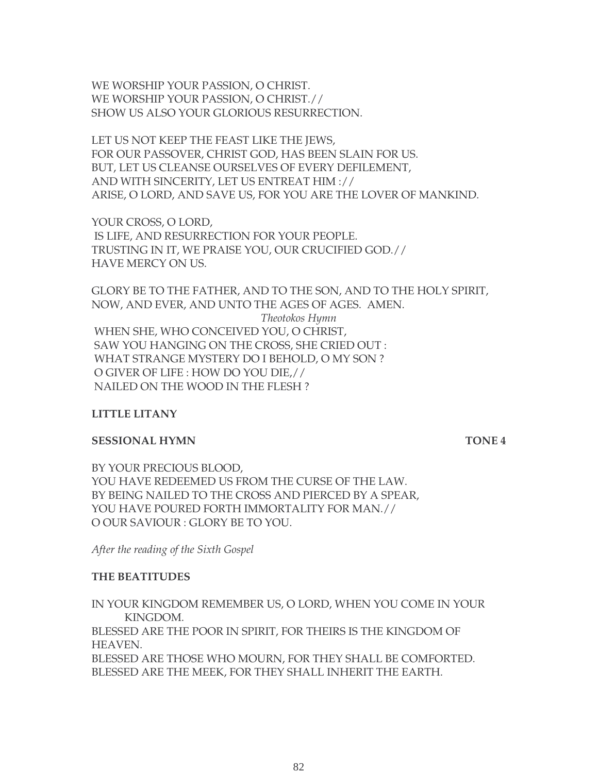WE WORSHIP YOUR PASSION, O CHRIST. WE WORSHIP YOUR PASSION, O CHRIST.// SHOW US ALSO YOUR GLORIOUS RESURRECTION.

LET US NOT KEEP THE FEAST LIKE THE JEWS, FOR OUR PASSOVER, CHRIST GOD, HAS BEEN SLAIN FOR US. BUT, LET US CLEANSE OURSELVES OF EVERY DEFILEMENT, AND WITH SINCERITY, LET US ENTREAT HIM :// ARISE, O LORD, AND SAVE US, FOR YOU ARE THE LOVER OF MANKIND.

YOUR CROSS, O LORD, IS LIFE, AND RESURRECTION FOR YOUR PEOPLE. TRUSTING IN IT, WE PRAISE YOU, OUR CRUCIFIED GOD.// HAVE MERCY ON US.

GLORY BE TO THE FATHER, AND TO THE SON, AND TO THE HOLY SPIRIT, NOW, AND EVER, AND UNTO THE AGES OF AGES. AMEN. *Theotokos Hymn* WHEN SHE, WHO CONCEIVED YOU, O CHRIST, SAW YOU HANGING ON THE CROSS, SHE CRIED OUT : WHAT STRANGE MYSTERY DO I BEHOLD, O MY SON ? O GIVER OF LIFE : HOW DO YOU DIE,// NAILED ON THE WOOD IN THE FLESH ?

#### **LITTLE LITANY**

#### **SESSIONAL HYMN** TONE 4

BY YOUR PRECIOUS BLOOD, YOU HAVE REDEEMED US FROM THE CURSE OF THE LAW. BY BEING NAILED TO THE CROSS AND PIERCED BY A SPEAR, YOU HAVE POURED FORTH IMMORTALITY FOR MAN.// O OUR SAVIOUR : GLORY BE TO YOU.

*After the reading of the Sixth Gospel*

#### **THE BEATITUDES**

IN YOUR KINGDOM REMEMBER US, O LORD, WHEN YOU COME IN YOUR KINGDOM. BLESSED ARE THE POOR IN SPIRIT, FOR THEIRS IS THE KINGDOM OF HEAVEN. BLESSED ARE THOSE WHO MOURN, FOR THEY SHALL BE COMFORTED. BLESSED ARE THE MEEK, FOR THEY SHALL INHERIT THE EARTH.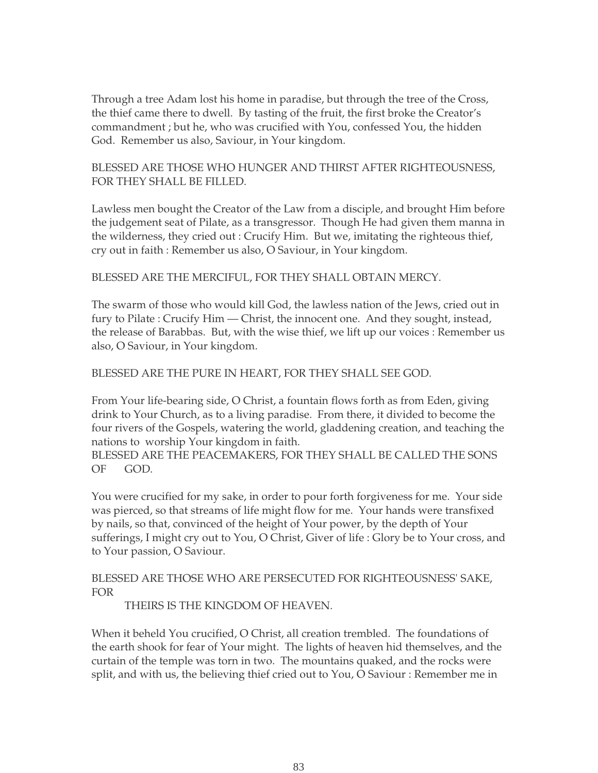Through a tree Adam lost his home in paradise, but through the tree of the Cross, the thief came there to dwell. By tasting of the fruit, the first broke the Creator's commandment ; but he, who was crucified with You, confessed You, the hidden God. Remember us also, Saviour, in Your kingdom.

#### BLESSED ARE THOSE WHO HUNGER AND THIRST AFTER RIGHTEOUSNESS, FOR THEY SHALL BE FILLED.

Lawless men bought the Creator of the Law from a disciple, and brought Him before the judgement seat of Pilate, as a transgressor. Though He had given them manna in the wilderness, they cried out : Crucify Him. But we, imitating the righteous thief, cry out in faith : Remember us also, O Saviour, in Your kingdom.

#### BLESSED ARE THE MERCIFUL, FOR THEY SHALL OBTAIN MERCY.

The swarm of those who would kill God, the lawless nation of the Jews, cried out in fury to Pilate : Crucify Him — Christ, the innocent one. And they sought, instead, the release of Barabbas. But, with the wise thief, we lift up our voices : Remember us also, O Saviour, in Your kingdom.

#### BLESSED ARE THE PURE IN HEART, FOR THEY SHALL SEE GOD.

From Your life-bearing side, O Christ, a fountain flows forth as from Eden, giving drink to Your Church, as to a living paradise. From there, it divided to become the four rivers of the Gospels, watering the world, gladdening creation, and teaching the nations to worship Your kingdom in faith.

BLESSED ARE THE PEACEMAKERS, FOR THEY SHALL BE CALLED THE SONS OF GOD.

You were crucified for my sake, in order to pour forth forgiveness for me. Your side was pierced, so that streams of life might flow for me. Your hands were transfixed by nails, so that, convinced of the height of Your power, by the depth of Your sufferings, I might cry out to You, O Christ, Giver of life : Glory be to Your cross, and to Your passion, O Saviour.

### BLESSED ARE THOSE WHO ARE PERSECUTED FOR RIGHTEOUSNESS' SAKE, FOR

THEIRS IS THE KINGDOM OF HEAVEN.

When it beheld You crucified, O Christ, all creation trembled. The foundations of the earth shook for fear of Your might. The lights of heaven hid themselves, and the curtain of the temple was torn in two. The mountains quaked, and the rocks were split, and with us, the believing thief cried out to You, O Saviour : Remember me in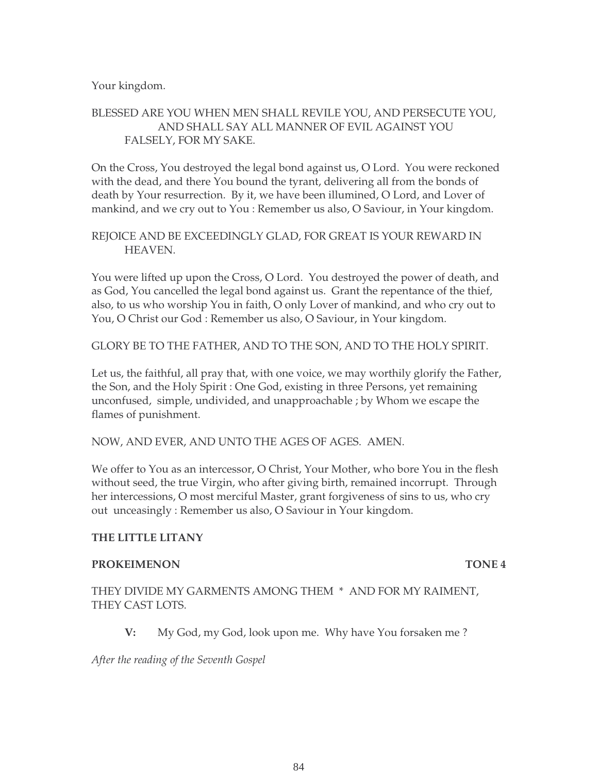Your kingdom.

### BLESSED ARE YOU WHEN MEN SHALL REVILE YOU, AND PERSECUTE YOU, AND SHALL SAY ALL MANNER OF EVIL AGAINST YOU FALSELY, FOR MY SAKE.

On the Cross, You destroyed the legal bond against us, O Lord. You were reckoned with the dead, and there You bound the tyrant, delivering all from the bonds of death by Your resurrection. By it, we have been illumined, O Lord, and Lover of mankind, and we cry out to You : Remember us also, O Saviour, in Your kingdom.

#### REJOICE AND BE EXCEEDINGLY GLAD, FOR GREAT IS YOUR REWARD IN HEAVEN.

You were lifted up upon the Cross, O Lord. You destroyed the power of death, and as God, You cancelled the legal bond against us. Grant the repentance of the thief, also, to us who worship You in faith, O only Lover of mankind, and who cry out to You, O Christ our God : Remember us also, O Saviour, in Your kingdom.

GLORY BE TO THE FATHER, AND TO THE SON, AND TO THE HOLY SPIRIT.

Let us, the faithful, all pray that, with one voice, we may worthily glorify the Father, the Son, and the Holy Spirit : One God, existing in three Persons, yet remaining unconfused, simple, undivided, and unapproachable ; by Whom we escape the flames of punishment.

NOW, AND EVER, AND UNTO THE AGES OF AGES. AMEN.

We offer to You as an intercessor, O Christ, Your Mother, who bore You in the flesh without seed, the true Virgin, who after giving birth, remained incorrupt. Through her intercessions, O most merciful Master, grant forgiveness of sins to us, who cry out unceasingly : Remember us also, O Saviour in Your kingdom.

#### **THE LITTLE LITANY**

#### **PROKEIMENON TONE 4**

#### THEY DIVIDE MY GARMENTS AMONG THEM \* AND FOR MY RAIMENT, THEY CAST LOTS.

**V:** My God, my God, look upon me. Why have You forsaken me ?

*After the reading of the Seventh Gospel*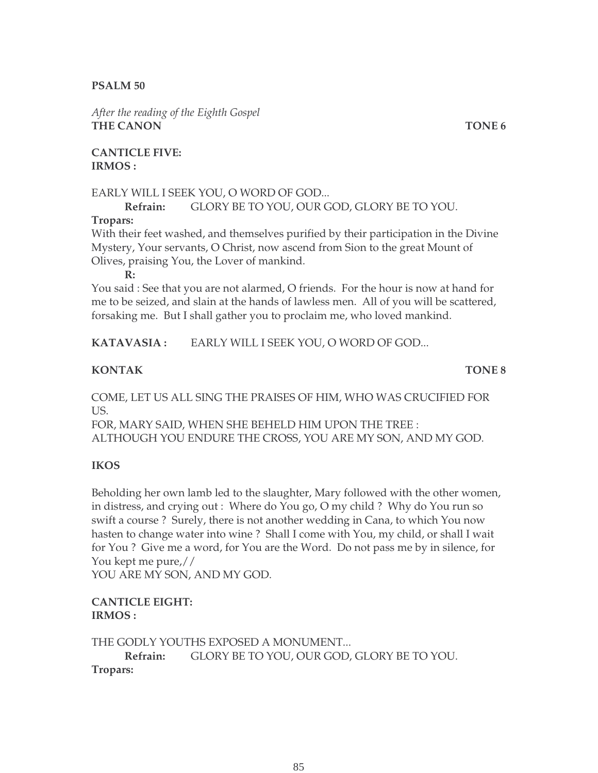#### **PSALM 50**

*After the reading of the Eighth Gospel* **THE CANON** TONE 6

**CANTICLE FIVE: IRMOS :**

#### EARLY WILL I SEEK YOU, O WORD OF GOD...

# **Refrain:** GLORY BE TO YOU, OUR GOD, GLORY BE TO YOU.

#### **Tropars:**

With their feet washed, and themselves purified by their participation in the Divine Mystery, Your servants, O Christ, now ascend from Sion to the great Mount of Olives, praising You, the Lover of mankind.

**R:**

You said : See that you are not alarmed, O friends. For the hour is now at hand for me to be seized, and slain at the hands of lawless men. All of you will be scattered, forsaking me. But I shall gather you to proclaim me, who loved mankind.

**KATAVASIA :** EARLY WILL I SEEK YOU, O WORD OF GOD...

#### **KONTAK TONE 8**

COME, LET US ALL SING THE PRAISES OF HIM, WHO WAS CRUCIFIED FOR US.

FOR, MARY SAID, WHEN SHE BEHELD HIM UPON THE TREE : ALTHOUGH YOU ENDURE THE CROSS, YOU ARE MY SON, AND MY GOD.

#### **IKOS**

Beholding her own lamb led to the slaughter, Mary followed with the other women, in distress, and crying out : Where do You go, O my child ? Why do You run so swift a course ? Surely, there is not another wedding in Cana, to which You now hasten to change water into wine ? Shall I come with You, my child, or shall I wait for You ? Give me a word, for You are the Word. Do not pass me by in silence, for You kept me pure,//

YOU ARE MY SON, AND MY GOD.

#### **CANTICLE EIGHT: IRMOS :**

THE GODLY YOUTHS EXPOSED A MONUMENT... **Refrain:** GLORY BE TO YOU, OUR GOD, GLORY BE TO YOU. **Tropars:**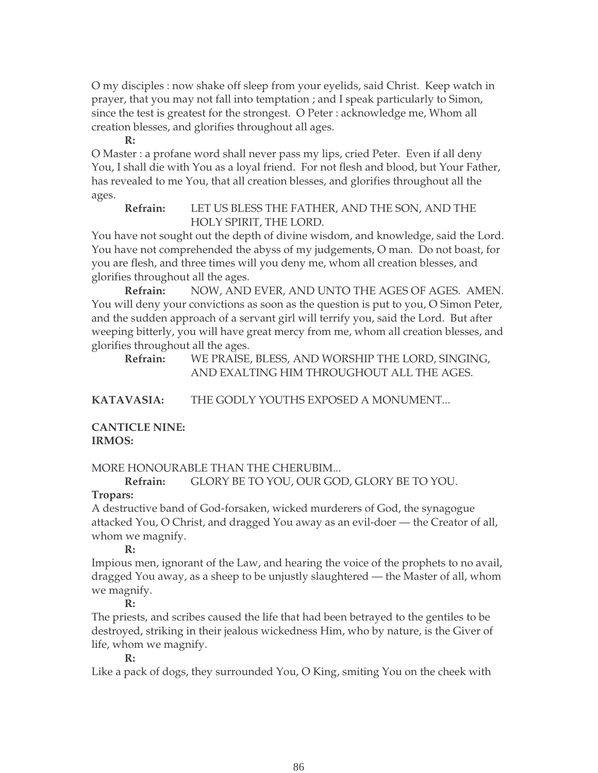O my disciples : now shake off sleep from your eyelids, said Christ. Keep watch in prayer, that you may not fall into temptation ; and I speak particularly to Simon, since the test is greatest for the strongest. O Peter : acknowledge me, Whom all creation blesses, and glorifies throughout all ages.

#### **R:**

O Master : a profane word shall never pass my lips, cried Peter. Even if all deny You, I shall die with You as a loyal friend. For not flesh and blood, but Your Father, has revealed to me You, that all creation blesses, and glorifies throughout all the ages.

**Refrain:** LET US BLESS THE FATHER, AND THE SON, AND THE HOLY SPIRIT, THE LORD.

You have not sought out the depth of divine wisdom, and knowledge, said the Lord. You have not comprehended the abyss of my judgements, O man. Do not boast, for you are flesh, and three times will you deny me, whom all creation blesses, and glorifies throughout all the ages.

**Refrain:** NOW, AND EVER, AND UNTO THE AGES OF AGES. AMEN. You will deny your convictions as soon as the question is put to you, O Simon Peter, and the sudden approach of a servant girl will terrify you, said the Lord. But after weeping bitterly, you will have great mercy from me, whom all creation blesses, and glorifies throughout all the ages.

**Refrain:** WE PRAISE, BLESS, AND WORSHIP THE LORD, SINGING, AND EXALTING HIM THROUGHOUT ALL THE AGES.

**KATAVASIA:** THE GODLY YOUTHS EXPOSED A MONUMENT...

**CANTICLE NINE: IRMOS:**

MORE HONOURABLE THAN THE CHERUBIM...

**Refrain:** GLORY BE TO YOU, OUR GOD, GLORY BE TO YOU.

### **Tropars:**

A destructive band of God-forsaken, wicked murderers of God, the synagogue attacked You, O Christ, and dragged You away as an evil-doer — the Creator of all, whom we magnify.

### **R:**

Impious men, ignorant of the Law, and hearing the voice of the prophets to no avail, dragged You away, as a sheep to be unjustly slaughtered — the Master of all, whom we magnify.

### **R:**

The priests, and scribes caused the life that had been betrayed to the gentiles to be destroyed, striking in their jealous wickedness Him, who by nature, is the Giver of life, whom we magnify.

#### **R:**

Like a pack of dogs, they surrounded You, O King, smiting You on the cheek with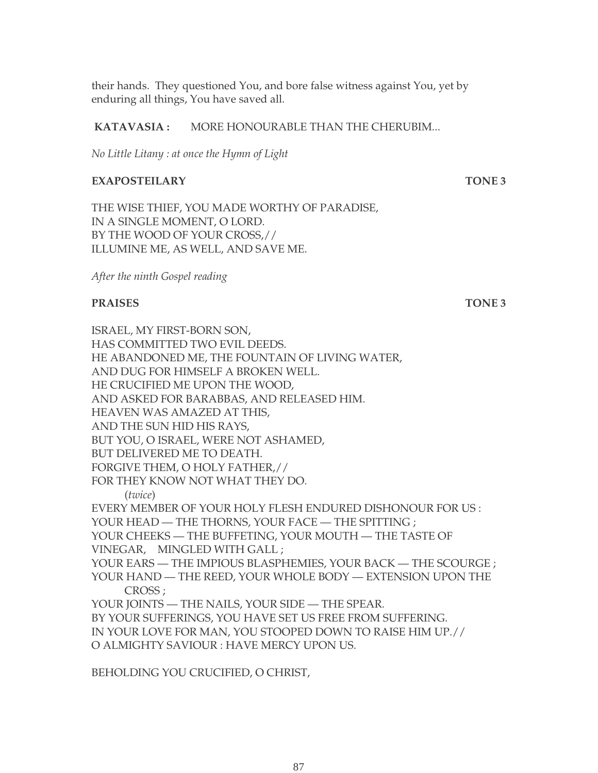their hands. They questioned You, and bore false witness against You, yet by enduring all things, You have saved all.

#### **KATAVASIA :** MORE HONOURABLE THAN THE CHERUBIM...

*No Little Litany : at once the Hymn of Light* 

#### **EXAPOSTEILARY TONE 3**

THE WISE THIEF, YOU MADE WORTHY OF PARADISE, IN A SINGLE MOMENT, O LORD. BY THE WOOD OF YOUR CROSS,// ILLUMINE ME, AS WELL, AND SAVE ME.

*After the ninth Gospel reading*

#### **PRAISES** TONE 3

ISRAEL, MY FIRST-BORN SON, HAS COMMITTED TWO EVIL DEEDS. HE ABANDONED ME, THE FOUNTAIN OF LIVING WATER, AND DUG FOR HIMSELF A BROKEN WELL. HE CRUCIFIED ME UPON THE WOOD, AND ASKED FOR BARABBAS, AND RELEASED HIM. HEAVEN WAS AMAZED AT THIS, AND THE SUN HID HIS RAYS, BUT YOU, O ISRAEL, WERE NOT ASHAMED, BUT DELIVERED ME TO DEATH. FORGIVE THEM, O HOLY FATHER,// FOR THEY KNOW NOT WHAT THEY DO. (*twice*) EVERY MEMBER OF YOUR HOLY FLESH ENDURED DISHONOUR FOR US : YOUR HEAD — THE THORNS, YOUR FACE — THE SPITTING ; YOUR CHEEKS — THE BUFFETING, YOUR MOUTH — THE TASTE OF VINEGAR, MINGLED WITH GALL ; YOUR EARS — THE IMPIOUS BLASPHEMIES, YOUR BACK — THE SCOURGE ; YOUR HAND — THE REED, YOUR WHOLE BODY — EXTENSION UPON THE CROSS ; YOUR JOINTS — THE NAILS, YOUR SIDE — THE SPEAR. BY YOUR SUFFERINGS, YOU HAVE SET US FREE FROM SUFFERING. IN YOUR LOVE FOR MAN, YOU STOOPED DOWN TO RAISE HIM UP.// O ALMIGHTY SAVIOUR : HAVE MERCY UPON US.

BEHOLDING YOU CRUCIFIED, O CHRIST,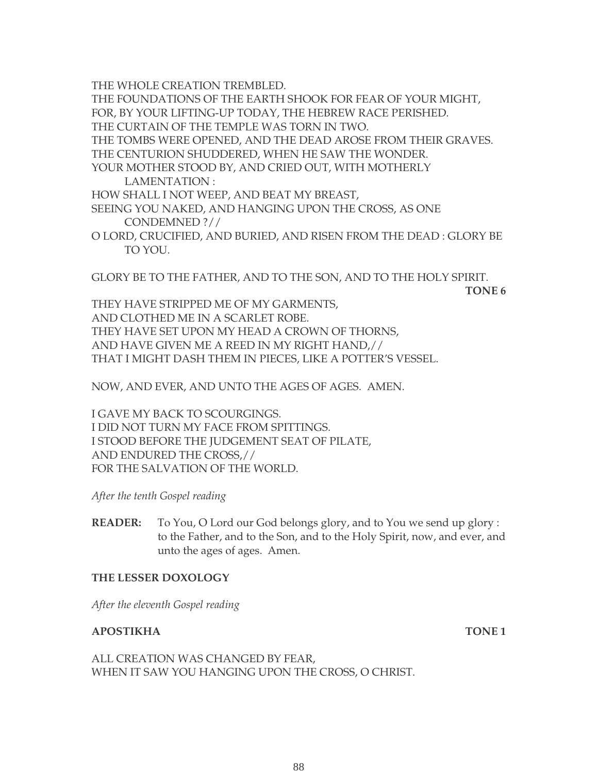THE WHOLE CREATION TREMBLED.

THE FOUNDATIONS OF THE EARTH SHOOK FOR FEAR OF YOUR MIGHT,

FOR, BY YOUR LIFTING-UP TODAY, THE HEBREW RACE PERISHED.

THE CURTAIN OF THE TEMPLE WAS TORN IN TWO.

THE TOMBS WERE OPENED, AND THE DEAD AROSE FROM THEIR GRAVES.

THE CENTURION SHUDDERED, WHEN HE SAW THE WONDER.

YOUR MOTHER STOOD BY, AND CRIED OUT, WITH MOTHERLY LAMENTATION :

HOW SHALL I NOT WEEP, AND BEAT MY BREAST,

SEEING YOU NAKED, AND HANGING UPON THE CROSS, AS ONE CONDEMNED ?//

O LORD, CRUCIFIED, AND BURIED, AND RISEN FROM THE DEAD : GLORY BE TO YOU.

GLORY BE TO THE FATHER, AND TO THE SON, AND TO THE HOLY SPIRIT.

**TONE 6**

THEY HAVE STRIPPED ME OF MY GARMENTS, AND CLOTHED ME IN A SCARLET ROBE. THEY HAVE SET UPON MY HEAD A CROWN OF THORNS, AND HAVE GIVEN ME A REED IN MY RIGHT HAND,// THAT I MIGHT DASH THEM IN PIECES, LIKE A POTTER'S VESSEL.

NOW, AND EVER, AND UNTO THE AGES OF AGES. AMEN.

I GAVE MY BACK TO SCOURGINGS. I DID NOT TURN MY FACE FROM SPITTINGS. I STOOD BEFORE THE JUDGEMENT SEAT OF PILATE, AND ENDURED THE CROSS,// FOR THE SALVATION OF THE WORLD.

*After the tenth Gospel reading*

**READER:** To You, O Lord our God belongs glory, and to You we send up glory : to the Father, and to the Son, and to the Holy Spirit, now, and ever, and unto the ages of ages. Amen.

### **THE LESSER DOXOLOGY**

*After the eleventh Gospel reading* 

#### **APOSTIKHA** TONE 1

ALL CREATION WAS CHANGED BY FEAR, WHEN IT SAW YOU HANGING UPON THE CROSS, O CHRIST.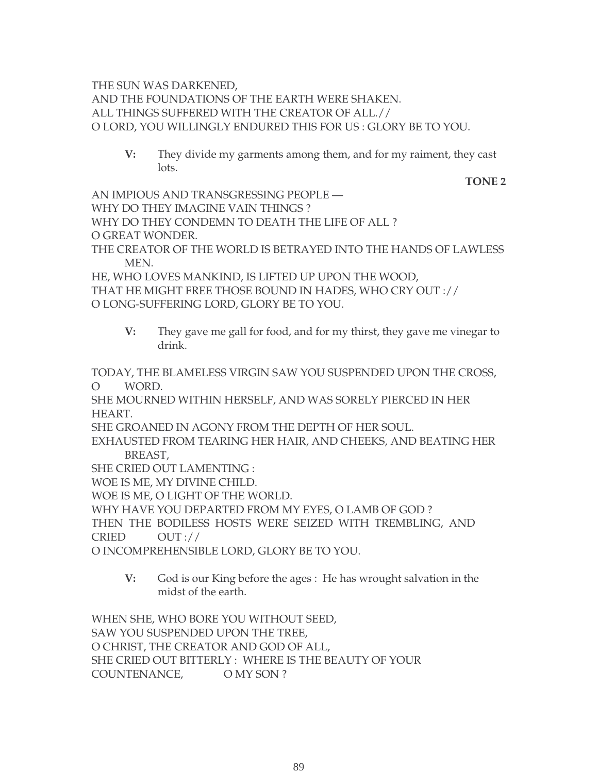THE SUN WAS DARKENED, AND THE FOUNDATIONS OF THE EARTH WERE SHAKEN. ALL THINGS SUFFERED WITH THE CREATOR OF ALL.// O LORD, YOU WILLINGLY ENDURED THIS FOR US : GLORY BE TO YOU.

**V:** They divide my garments among them, and for my raiment, they cast lots.

 **TONE 2**

AN IMPIOUS AND TRANSGRESSING PEOPLE — WHY DO THEY IMAGINE VAIN THINGS ? WHY DO THEY CONDEMN TO DEATH THE LIFE OF ALL ? O GREAT WONDER. THE CREATOR OF THE WORLD IS BETRAYED INTO THE HANDS OF LAWLESS MEN.

HE, WHO LOVES MANKIND, IS LIFTED UP UPON THE WOOD, THAT HE MIGHT FREE THOSE BOUND IN HADES, WHO CRY OUT :// O LONG-SUFFERING LORD, GLORY BE TO YOU.

**V:** They gave me gall for food, and for my thirst, they gave me vinegar to drink.

TODAY, THE BLAMELESS VIRGIN SAW YOU SUSPENDED UPON THE CROSS, O WORD.

SHE MOURNED WITHIN HERSELF, AND WAS SORELY PIERCED IN HER HEART.

SHE GROANED IN AGONY FROM THE DEPTH OF HER SOUL.

EXHAUSTED FROM TEARING HER HAIR, AND CHEEKS, AND BEATING HER BREAST,

SHE CRIED OUT LAMENTING :

WOE IS ME, MY DIVINE CHILD.

WOE IS ME, O LIGHT OF THE WORLD.

WHY HAVE YOU DEPARTED FROM MY EYES, O LAMB OF GOD ?

THEN THE BODILESS HOSTS WERE SEIZED WITH TREMBLING, AND

CRIED OUT ://

O INCOMPREHENSIBLE LORD, GLORY BE TO YOU.

**V:** God is our King before the ages : He has wrought salvation in the midst of the earth.

WHEN SHE, WHO BORE YOU WITHOUT SEED, SAW YOU SUSPENDED UPON THE TREE, O CHRIST, THE CREATOR AND GOD OF ALL, SHE CRIED OUT BITTERLY : WHERE IS THE BEAUTY OF YOUR COUNTENANCE, O MY SON ?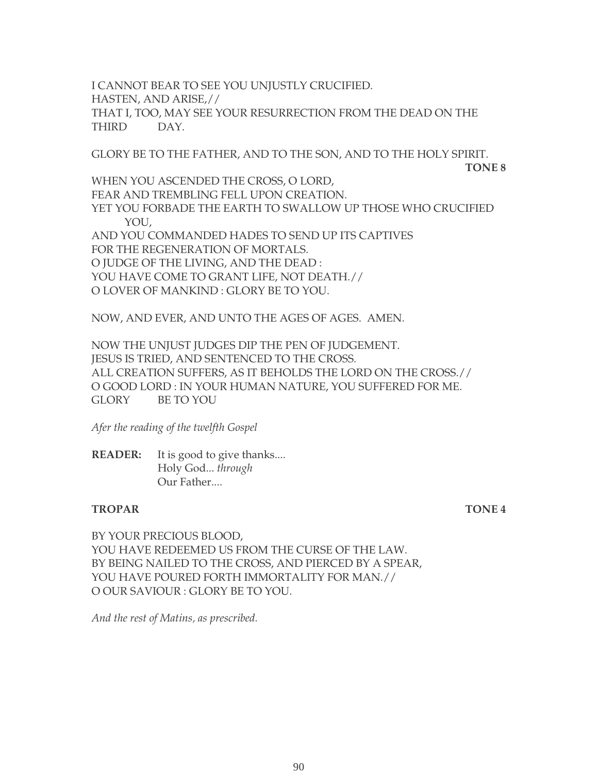I CANNOT BEAR TO SEE YOU UNJUSTLY CRUCIFIED. HASTEN, AND ARISE,// THAT I, TOO, MAY SEE YOUR RESURRECTION FROM THE DEAD ON THE THIRD DAY.

GLORY BE TO THE FATHER, AND TO THE SON, AND TO THE HOLY SPIRIT.

**TONE 8**

WHEN YOU ASCENDED THE CROSS, O LORD, FEAR AND TREMBLING FELL UPON CREATION. YET YOU FORBADE THE EARTH TO SWALLOW UP THOSE WHO CRUCIFIED YOU, AND YOU COMMANDED HADES TO SEND UP ITS CAPTIVES FOR THE REGENERATION OF MORTALS. O JUDGE OF THE LIVING, AND THE DEAD : YOU HAVE COME TO GRANT LIFE, NOT DEATH.// O LOVER OF MANKIND : GLORY BE TO YOU.

NOW, AND EVER, AND UNTO THE AGES OF AGES. AMEN.

NOW THE UNJUST JUDGES DIP THE PEN OF JUDGEMENT. JESUS IS TRIED, AND SENTENCED TO THE CROSS. ALL CREATION SUFFERS, AS IT BEHOLDS THE LORD ON THE CROSS.// O GOOD LORD : IN YOUR HUMAN NATURE, YOU SUFFERED FOR ME. GLORY BE TO YOU

*Afer the reading of the twelfth Gospel*

**READER:** It is good to give thanks.... Holy God... *through* Our Father....

#### **TROPAR TONE 4**

BY YOUR PRECIOUS BLOOD, YOU HAVE REDEEMED US FROM THE CURSE OF THE LAW. BY BEING NAILED TO THE CROSS, AND PIERCED BY A SPEAR, YOU HAVE POURED FORTH IMMORTALITY FOR MAN.// O OUR SAVIOUR : GLORY BE TO YOU.

*And the rest of Matins, as prescribed.*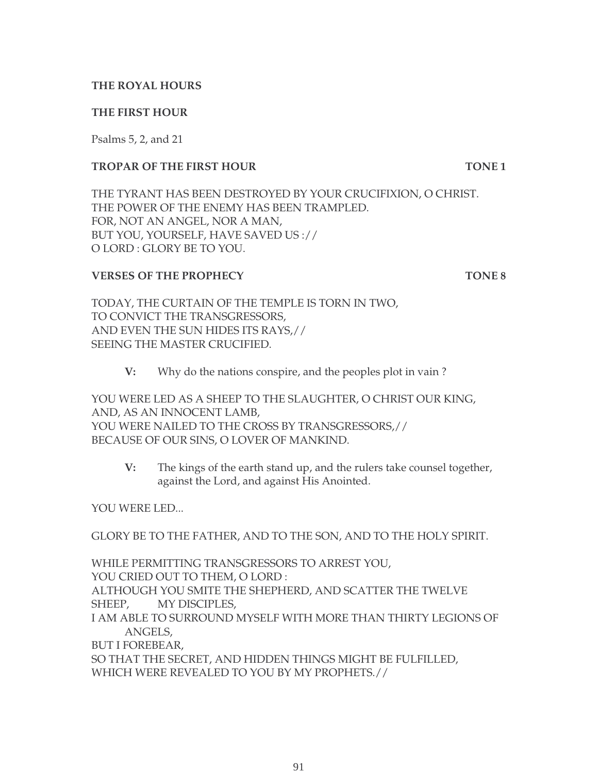#### **THE ROYAL HOURS**

#### **THE FIRST HOUR**

Psalms 5, 2, and 21

#### **TROPAR OF THE FIRST HOUR TONE 1**

THE TYRANT HAS BEEN DESTROYED BY YOUR CRUCIFIXION, O CHRIST. THE POWER OF THE ENEMY HAS BEEN TRAMPLED. FOR, NOT AN ANGEL, NOR A MAN, BUT YOU, YOURSELF, HAVE SAVED US :// O LORD : GLORY BE TO YOU.

#### **VERSES OF THE PROPHECY TONE 8**

TODAY, THE CURTAIN OF THE TEMPLE IS TORN IN TWO, TO CONVICT THE TRANSGRESSORS, AND EVEN THE SUN HIDES ITS RAYS,// SEEING THE MASTER CRUCIFIED.

**V:** Why do the nations conspire, and the peoples plot in vain ?

YOU WERE LED AS A SHEEP TO THE SLAUGHTER, O CHRIST OUR KING, AND, AS AN INNOCENT LAMB, YOU WERE NAILED TO THE CROSS BY TRANSGRESSORS,// BECAUSE OF OUR SINS, O LOVER OF MANKIND.

**V:** The kings of the earth stand up, and the rulers take counsel together, against the Lord, and against His Anointed.

YOU WERE LED...

GLORY BE TO THE FATHER, AND TO THE SON, AND TO THE HOLY SPIRIT.

WHILE PERMITTING TRANSGRESSORS TO ARREST YOU, YOU CRIED OUT TO THEM, O LORD : ALTHOUGH YOU SMITE THE SHEPHERD, AND SCATTER THE TWELVE SHEEP, MY DISCIPLES, I AM ABLE TO SURROUND MYSELF WITH MORE THAN THIRTY LEGIONS OF ANGELS, BUT I FOREBEAR, SO THAT THE SECRET, AND HIDDEN THINGS MIGHT BE FULFILLED,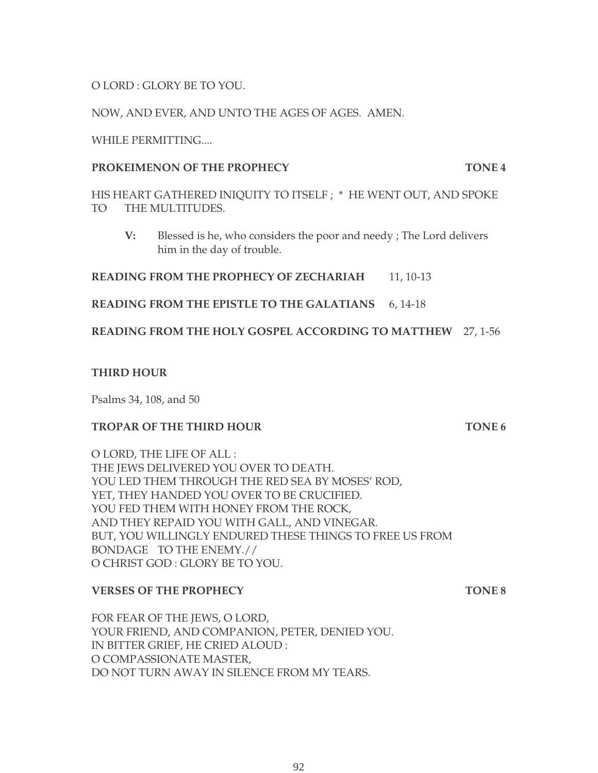O LORD : GLORY BE TO YOU.

NOW, AND EVER, AND UNTO THE AGES OF AGES. AMEN.

WHILE PERMITTING....

#### **PROKEIMENON OF THE PROPHECY TONE 4**

HIS HEART GATHERED INIQUITY TO ITSELF ; \* HE WENT OUT, AND SPOKE TO THE MULTITUDES.

 **V:** Blessed is he, who considers the poor and needy ; The Lord delivers him in the day of trouble.

**READING FROM THE PROPHECY OF ZECHARIAH** 11, 10-13

**READING FROM THE EPISTLE TO THE GALATIANS** 6, 14-18

**READING FROM THE HOLY GOSPEL ACCORDING TO MATTHEW** 27, 1-56

## **THIRD HOUR**

Psalms 34, 108, and 50

## **TROPAR OF THE THIRD HOUR TONE 6**

O LORD, THE LIFE OF ALL : THE JEWS DELIVERED YOU OVER TO DEATH. YOU LED THEM THROUGH THE RED SEA BY MOSES' ROD, YET, THEY HANDED YOU OVER TO BE CRUCIFIED. YOU FED THEM WITH HONEY FROM THE ROCK, AND THEY REPAID YOU WITH GALL, AND VINEGAR. BUT, YOU WILLINGLY ENDURED THESE THINGS TO FREE US FROM BONDAGE TO THE ENEMY.// O CHRIST GOD : GLORY BE TO YOU.

## **VERSES OF THE PROPHECY TONE 8**

FOR FEAR OF THE JEWS, O LORD, YOUR FRIEND, AND COMPANION, PETER, DENIED YOU. IN BITTER GRIEF, HE CRIED ALOUD : O COMPASSIONATE MASTER, DO NOT TURN AWAY IN SILENCE FROM MY TEARS.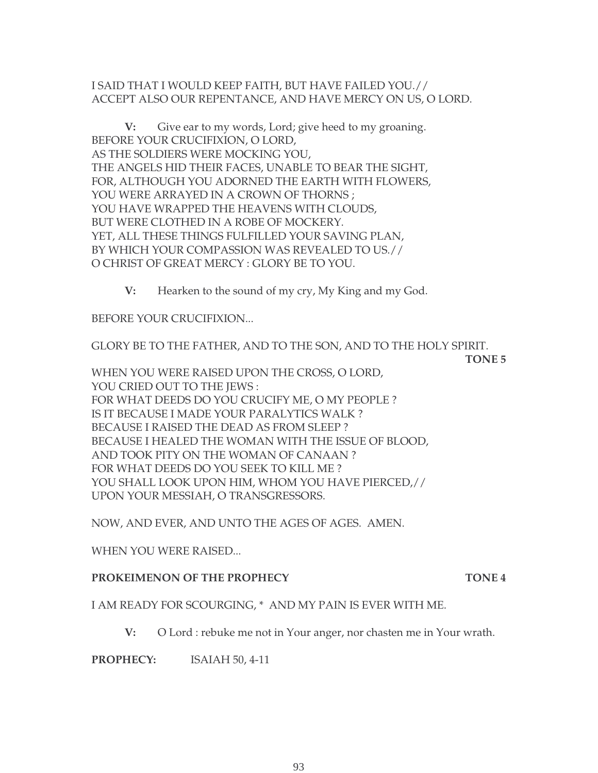#### I SAID THAT I WOULD KEEP FAITH, BUT HAVE FAILED YOU.// ACCEPT ALSO OUR REPENTANCE, AND HAVE MERCY ON US, O LORD.

**V:** Give ear to my words, Lord; give heed to my groaning. BEFORE YOUR CRUCIFIXION, O LORD, AS THE SOLDIERS WERE MOCKING YOU, THE ANGELS HID THEIR FACES, UNABLE TO BEAR THE SIGHT, FOR, ALTHOUGH YOU ADORNED THE EARTH WITH FLOWERS, YOU WERE ARRAYED IN A CROWN OF THORNS ; YOU HAVE WRAPPED THE HEAVENS WITH CLOUDS, BUT WERE CLOTHED IN A ROBE OF MOCKERY. YET, ALL THESE THINGS FULFILLED YOUR SAVING PLAN, BY WHICH YOUR COMPASSION WAS REVEALED TO US.// O CHRIST OF GREAT MERCY : GLORY BE TO YOU.

**V:** Hearken to the sound of my cry, My King and my God.

BEFORE YOUR CRUCIFIXION...

GLORY BE TO THE FATHER, AND TO THE SON, AND TO THE HOLY SPIRIT.

**TONE 5**

WHEN YOU WERE RAISED UPON THE CROSS, O LORD, YOU CRIED OUT TO THE JEWS : FOR WHAT DEEDS DO YOU CRUCIFY ME, O MY PEOPLE ? IS IT BECAUSE I MADE YOUR PARALYTICS WALK ? BECAUSE I RAISED THE DEAD AS FROM SLEEP ? BECAUSE I HEALED THE WOMAN WITH THE ISSUE OF BLOOD, AND TOOK PITY ON THE WOMAN OF CANAAN ? FOR WHAT DEEDS DO YOU SEEK TO KILL ME ? YOU SHALL LOOK UPON HIM, WHOM YOU HAVE PIERCED,// UPON YOUR MESSIAH, O TRANSGRESSORS.

NOW, AND EVER, AND UNTO THE AGES OF AGES. AMEN.

WHEN YOU WERE RAISED...

#### **PROKEIMENON OF THE PROPHECY TONE 4**

I AM READY FOR SCOURGING, \* AND MY PAIN IS EVER WITH ME.

**V:** O Lord : rebuke me not in Your anger, nor chasten me in Your wrath.

**PROPHECY:** ISAIAH 50, 4-11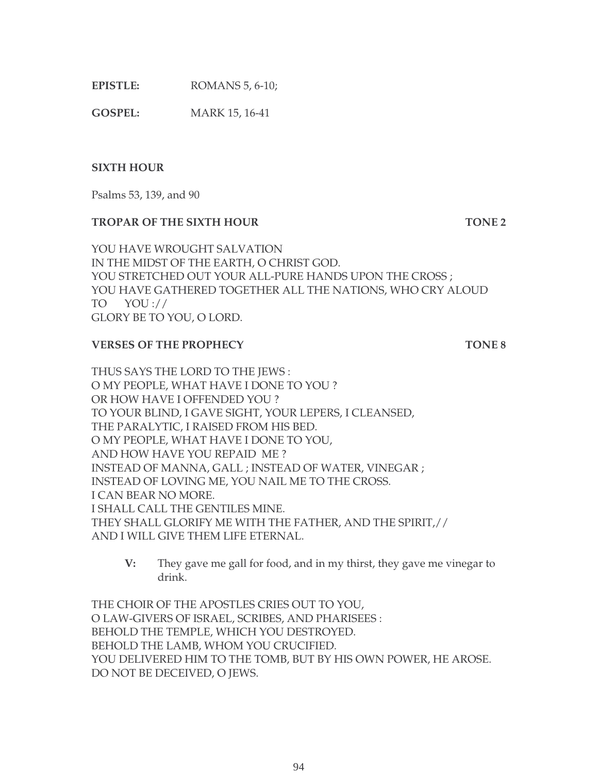| EPISTLE: | ROMANS 5, 6-10; |
|----------|-----------------|
|----------|-----------------|

**GOSPEL:** MARK 15, 16-41

#### **SIXTH HOUR**

Psalms 53, 139, and 90

#### **TROPAR OF THE SIXTH HOUR TONE 2**

YOU HAVE WROUGHT SALVATION IN THE MIDST OF THE EARTH, O CHRIST GOD. YOU STRETCHED OUT YOUR ALL-PURE HANDS UPON THE CROSS ; YOU HAVE GATHERED TOGETHER ALL THE NATIONS, WHO CRY ALOUD TO YOU :// GLORY BE TO YOU, O LORD.

#### **VERSES OF THE PROPHECY TONE 8**

THUS SAYS THE LORD TO THE JEWS : O MY PEOPLE, WHAT HAVE I DONE TO YOU ? OR HOW HAVE I OFFENDED YOU ? TO YOUR BLIND, I GAVE SIGHT, YOUR LEPERS, I CLEANSED, THE PARALYTIC, I RAISED FROM HIS BED. O MY PEOPLE, WHAT HAVE I DONE TO YOU, AND HOW HAVE YOU REPAID ME ? INSTEAD OF MANNA, GALL ; INSTEAD OF WATER, VINEGAR ; INSTEAD OF LOVING ME, YOU NAIL ME TO THE CROSS. I CAN BEAR NO MORE. I SHALL CALL THE GENTILES MINE. THEY SHALL GLORIFY ME WITH THE FATHER, AND THE SPIRIT,// AND I WILL GIVE THEM LIFE ETERNAL.

**V:** They gave me gall for food, and in my thirst, they gave me vinegar to drink.

THE CHOIR OF THE APOSTLES CRIES OUT TO YOU, O LAW-GIVERS OF ISRAEL, SCRIBES, AND PHARISEES : BEHOLD THE TEMPLE, WHICH YOU DESTROYED. BEHOLD THE LAMB, WHOM YOU CRUCIFIED. YOU DELIVERED HIM TO THE TOMB, BUT BY HIS OWN POWER, HE AROSE. DO NOT BE DECEIVED, O JEWS.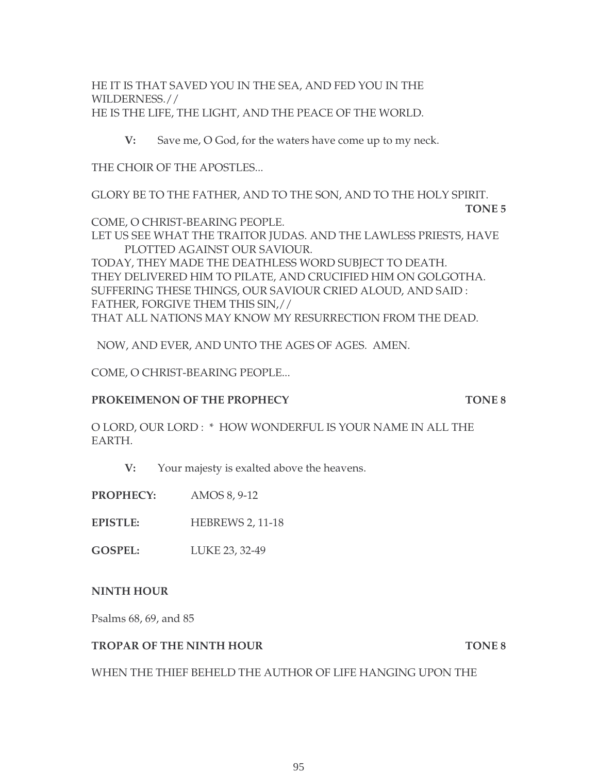HE IT IS THAT SAVED YOU IN THE SEA, AND FED YOU IN THE WILDERNESS.// HE IS THE LIFE, THE LIGHT, AND THE PEACE OF THE WORLD.

**V:** Save me, O God, for the waters have come up to my neck.

THE CHOIR OF THE APOSTLES...

GLORY BE TO THE FATHER, AND TO THE SON, AND TO THE HOLY SPIRIT.

**TONE 5**

COME, O CHRIST-BEARING PEOPLE. LET US SEE WHAT THE TRAITOR JUDAS. AND THE LAWLESS PRIESTS, HAVE PLOTTED AGAINST OUR SAVIOUR. TODAY, THEY MADE THE DEATHLESS WORD SUBJECT TO DEATH. THEY DELIVERED HIM TO PILATE, AND CRUCIFIED HIM ON GOLGOTHA. SUFFERING THESE THINGS, OUR SAVIOUR CRIED ALOUD, AND SAID : FATHER, FORGIVE THEM THIS SIN,// THAT ALL NATIONS MAY KNOW MY RESURRECTION FROM THE DEAD.

NOW, AND EVER, AND UNTO THE AGES OF AGES. AMEN.

COME, O CHRIST-BEARING PEOPLE...

#### **PROKEIMENON OF THE PROPHECY TONE 8**

O LORD, OUR LORD : \* HOW WONDERFUL IS YOUR NAME IN ALL THE EARTH.

**V:** Your majesty is exalted above the heavens.

**PROPHECY:** AMOS 8, 9-12

**EPISTLE:** HEBREWS 2, 11-18

**GOSPEL:** LUKE 23, 32-49

#### **NINTH HOUR**

Psalms 68, 69, and 85

#### **TROPAR OF THE NINTH HOUR TONE 8**

WHEN THE THIEF BEHELD THE AUTHOR OF LIFE HANGING UPON THE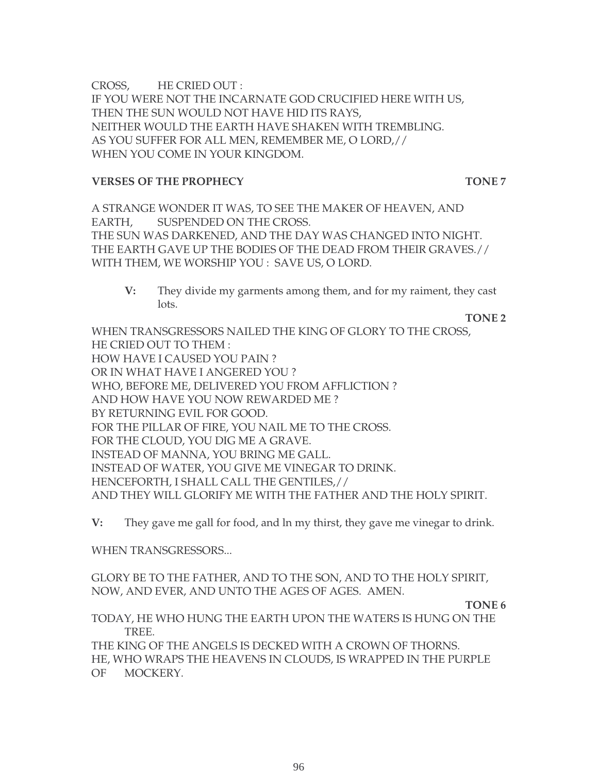CROSS, HE CRIED OUT : IF YOU WERE NOT THE INCARNATE GOD CRUCIFIED HERE WITH US, THEN THE SUN WOULD NOT HAVE HID ITS RAYS, NEITHER WOULD THE EARTH HAVE SHAKEN WITH TREMBLING. AS YOU SUFFER FOR ALL MEN, REMEMBER ME, O LORD,// WHEN YOU COME IN YOUR KINGDOM.

#### **VERSES OF THE PROPHECY TONE 7**

A STRANGE WONDER IT WAS, TO SEE THE MAKER OF HEAVEN, AND EARTH, SUSPENDED ON THE CROSS. THE SUN WAS DARKENED, AND THE DAY WAS CHANGED INTO NIGHT. THE EARTH GAVE UP THE BODIES OF THE DEAD FROM THEIR GRAVES.// WITH THEM, WE WORSHIP YOU : SAVE US, O LORD.

**V:** They divide my garments among them, and for my raiment, they cast lots.

**TONE 2**

WHEN TRANSGRESSORS NAILED THE KING OF GLORY TO THE CROSS, HE CRIED OUT TO THEM : HOW HAVE I CAUSED YOU PAIN ? OR IN WHAT HAVE I ANGERED YOU ? WHO, BEFORE ME, DELIVERED YOU FROM AFFLICTION ? AND HOW HAVE YOU NOW REWARDED ME ? BY RETURNING EVIL FOR GOOD. FOR THE PILLAR OF FIRE, YOU NAIL ME TO THE CROSS. FOR THE CLOUD, YOU DIG ME A GRAVE. INSTEAD OF MANNA, YOU BRING ME GALL. INSTEAD OF WATER, YOU GIVE ME VINEGAR TO DRINK. HENCEFORTH, I SHALL CALL THE GENTILES,// AND THEY WILL GLORIFY ME WITH THE FATHER AND THE HOLY SPIRIT.

**V:** They gave me gall for food, and ln my thirst, they gave me vinegar to drink.

WHEN TRANSGRESSORS...

GLORY BE TO THE FATHER, AND TO THE SON, AND TO THE HOLY SPIRIT, NOW, AND EVER, AND UNTO THE AGES OF AGES. AMEN.

**TONE 6**

TODAY, HE WHO HUNG THE EARTH UPON THE WATERS IS HUNG ON THE TREE. THE KING OF THE ANGELS IS DECKED WITH A CROWN OF THORNS. HE, WHO WRAPS THE HEAVENS IN CLOUDS, IS WRAPPED IN THE PURPLE OF MOCKERY.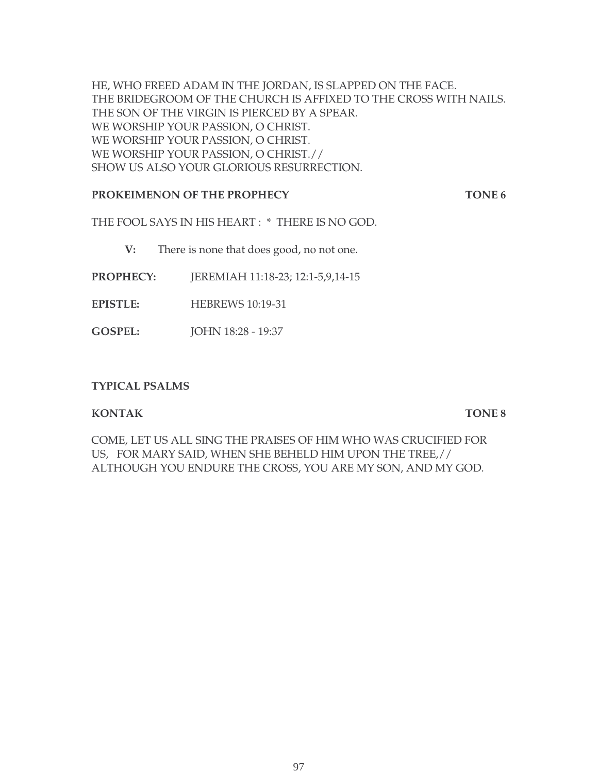HE, WHO FREED ADAM IN THE JORDAN, IS SLAPPED ON THE FACE. THE BRIDEGROOM OF THE CHURCH IS AFFIXED TO THE CROSS WITH NAILS. THE SON OF THE VIRGIN IS PIERCED BY A SPEAR. WE WORSHIP YOUR PASSION, O CHRIST. WE WORSHIP YOUR PASSION, O CHRIST. WE WORSHIP YOUR PASSION, O CHRIST.// SHOW US ALSO YOUR GLORIOUS RESURRECTION.

#### **PROKEIMENON OF THE PROPHECY TONE 6**

THE FOOL SAYS IN HIS HEART : \* THERE IS NO GOD.

**V:** There is none that does good, no not one.

- **PROPHECY:** JEREMIAH 11:18-23; 12:1-5,9,14-15
- **EPISTLE:** HEBREWS 10:19-31
- **GOSPEL:** JOHN 18:28 19:37

#### **TYPICAL PSALMS**

#### **KONTAK TONE 8**

COME, LET US ALL SING THE PRAISES OF HIM WHO WAS CRUCIFIED FOR US, FOR MARY SAID, WHEN SHE BEHELD HIM UPON THE TREE,// ALTHOUGH YOU ENDURE THE CROSS, YOU ARE MY SON, AND MY GOD.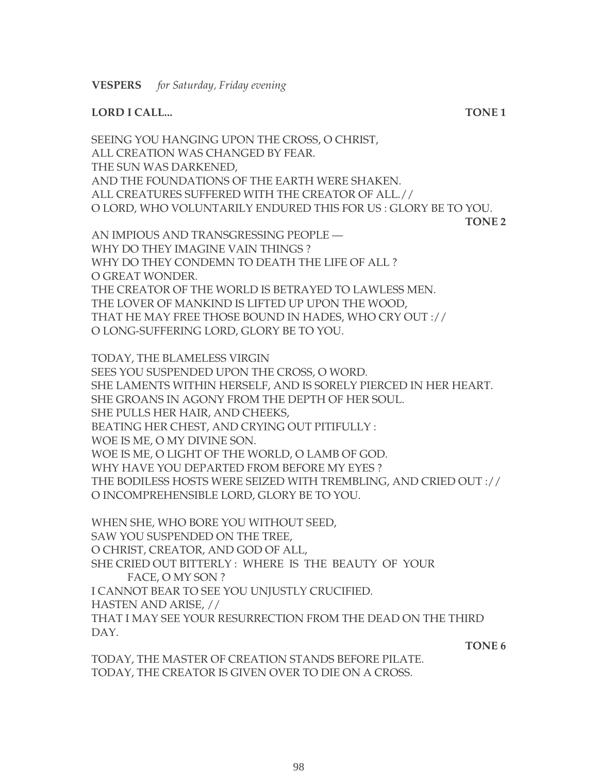#### **LORD I CALL... TONE 1**

SEEING YOU HANGING UPON THE CROSS, O CHRIST, ALL CREATION WAS CHANGED BY FEAR. THE SUN WAS DARKENED, AND THE FOUNDATIONS OF THE EARTH WERE SHAKEN. ALL CREATURES SUFFERED WITH THE CREATOR OF ALL.// O LORD, WHO VOLUNTARILY ENDURED THIS FOR US : GLORY BE TO YOU. **TONE 2**

AN IMPIOUS AND TRANSGRESSING PEOPLE — WHY DO THEY IMAGINE VAIN THINGS ? WHY DO THEY CONDEMN TO DEATH THE LIFE OF ALL ? O GREAT WONDER. THE CREATOR OF THE WORLD IS BETRAYED TO LAWLESS MEN. THE LOVER OF MANKIND IS LIFTED UP UPON THE WOOD, THAT HE MAY FREE THOSE BOUND IN HADES, WHO CRY OUT :// O LONG-SUFFERING LORD, GLORY BE TO YOU.

TODAY, THE BLAMELESS VIRGIN SEES YOU SUSPENDED UPON THE CROSS, O WORD. SHE LAMENTS WITHIN HERSELF, AND IS SORELY PIERCED IN HER HEART. SHE GROANS IN AGONY FROM THE DEPTH OF HER SOUL. SHE PULLS HER HAIR, AND CHEEKS, BEATING HER CHEST, AND CRYING OUT PITIFULLY : WOE IS ME, O MY DIVINE SON. WOE IS ME, O LIGHT OF THE WORLD, O LAMB OF GOD. WHY HAVE YOU DEPARTED FROM BEFORE MY EYES ? THE BODILESS HOSTS WERE SEIZED WITH TREMBLING, AND CRIED OUT :// O INCOMPREHENSIBLE LORD, GLORY BE TO YOU.

WHEN SHE, WHO BORE YOU WITHOUT SEED, SAW YOU SUSPENDED ON THE TREE, O CHRIST, CREATOR, AND GOD OF ALL, SHE CRIED OUT BITTERLY : WHERE IS THE BEAUTY OF YOUR FACE, O MY SON ? I CANNOT BEAR TO SEE YOU UNJUSTLY CRUCIFIED. HASTEN AND ARISE, // THAT I MAY SEE YOUR RESURRECTION FROM THE DEAD ON THE THIRD DAY.

**TONE 6**

TODAY, THE MASTER OF CREATION STANDS BEFORE PILATE. TODAY, THE CREATOR IS GIVEN OVER TO DIE ON A CROSS.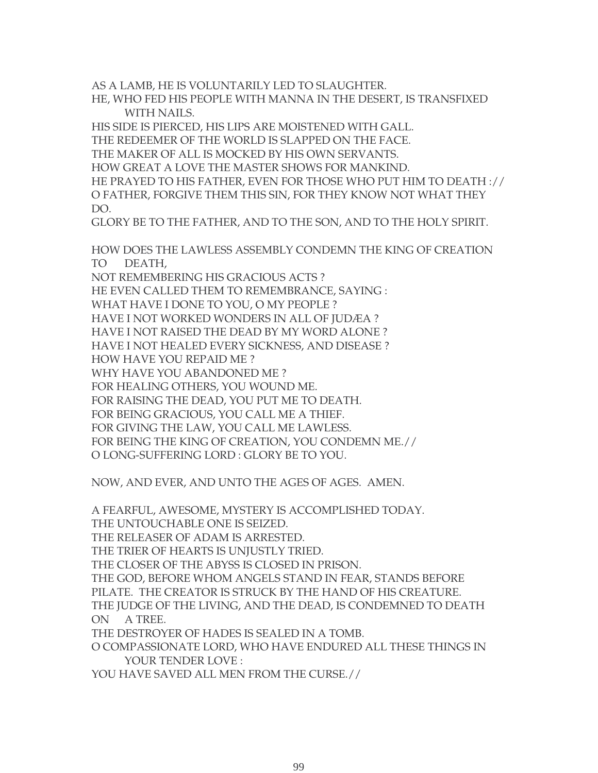AS A LAMB, HE IS VOLUNTARILY LED TO SLAUGHTER.

HE, WHO FED HIS PEOPLE WITH MANNA IN THE DESERT, IS TRANSFIXED WITH NAILS.

HIS SIDE IS PIERCED, HIS LIPS ARE MOISTENED WITH GALL.

THE REDEEMER OF THE WORLD IS SLAPPED ON THE FACE.

THE MAKER OF ALL IS MOCKED BY HIS OWN SERVANTS.

HOW GREAT A LOVE THE MASTER SHOWS FOR MANKIND.

HE PRAYED TO HIS FATHER, EVEN FOR THOSE WHO PUT HIM TO DEATH :// O FATHER, FORGIVE THEM THIS SIN, FOR THEY KNOW NOT WHAT THEY DO.

GLORY BE TO THE FATHER, AND TO THE SON, AND TO THE HOLY SPIRIT.

HOW DOES THE LAWLESS ASSEMBLY CONDEMN THE KING OF CREATION TO DEATH,

NOT REMEMBERING HIS GRACIOUS ACTS ?

HE EVEN CALLED THEM TO REMEMBRANCE, SAYING :

WHAT HAVE I DONE TO YOU, O MY PEOPLE ?

HAVE I NOT WORKED WONDERS IN ALL OF JUDÆA ?

HAVE I NOT RAISED THE DEAD BY MY WORD ALONE ?

HAVE I NOT HEALED EVERY SICKNESS, AND DISEASE ?

HOW HAVE YOU REPAID ME ?

WHY HAVE YOU ABANDONED ME ?

FOR HEALING OTHERS, YOU WOUND ME.

FOR RAISING THE DEAD, YOU PUT ME TO DEATH.

FOR BEING GRACIOUS, YOU CALL ME A THIEF.

FOR GIVING THE LAW, YOU CALL ME LAWLESS.

FOR BEING THE KING OF CREATION, YOU CONDEMN ME.//

O LONG-SUFFERING LORD : GLORY BE TO YOU.

NOW, AND EVER, AND UNTO THE AGES OF AGES. AMEN.

A FEARFUL, AWESOME, MYSTERY IS ACCOMPLISHED TODAY.

THE UNTOUCHABLE ONE IS SEIZED.

THE RELEASER OF ADAM IS ARRESTED.

THE TRIER OF HEARTS IS UNJUSTLY TRIED.

THE CLOSER OF THE ABYSS IS CLOSED IN PRISON.

THE GOD, BEFORE WHOM ANGELS STAND IN FEAR, STANDS BEFORE

PILATE. THE CREATOR IS STRUCK BY THE HAND OF HIS CREATURE.

THE JUDGE OF THE LIVING, AND THE DEAD, IS CONDEMNED TO DEATH ON A TREE.

THE DESTROYER OF HADES IS SEALED IN A TOMB.

O COMPASSIONATE LORD, WHO HAVE ENDURED ALL THESE THINGS IN YOUR TENDER LOVE :

YOU HAVE SAVED ALL MEN FROM THE CURSE.//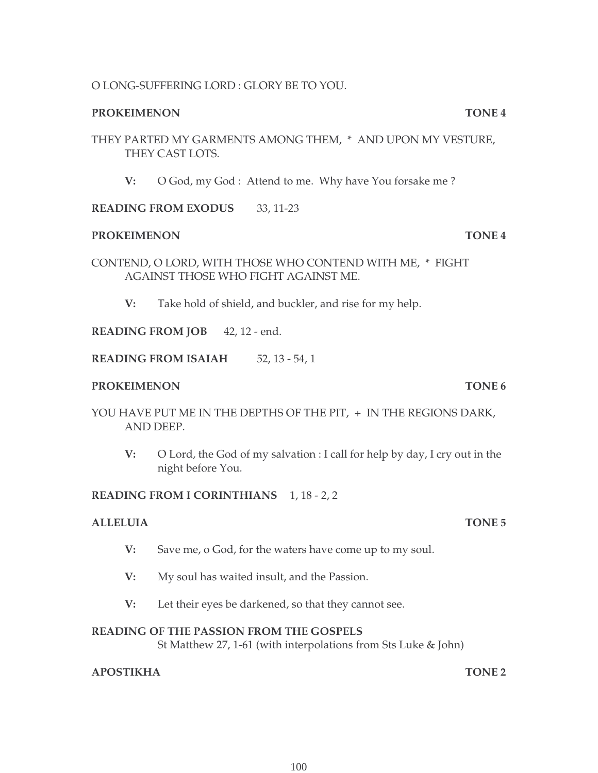## O LONG-SUFFERING LORD : GLORY BE TO YOU.

## **PROKEIMENON TONE 4**

### THEY PARTED MY GARMENTS AMONG THEM, \* AND UPON MY VESTURE, THEY CAST LOTS.

**V:** O God, my God : Attend to me. Why have You forsake me ?

### **READING FROM EXODUS** 33, 11-23

#### **PROKEIMENON TONE 4**

CONTEND, O LORD, WITH THOSE WHO CONTEND WITH ME, \* FIGHT AGAINST THOSE WHO FIGHT AGAINST ME.

**V:** Take hold of shield, and buckler, and rise for my help.

**READING FROM JOB** 42, 12 - end.

**READING FROM ISAIAH** 52, 13 - 54, 1

#### **PROKEIMENON TONE 6**

YOU HAVE PUT ME IN THE DEPTHS OF THE PIT, + IN THE REGIONS DARK, AND DEEP.

**V:** O Lord, the God of my salvation : I call for help by day, I cry out in the night before You.

### **READING FROM I CORINTHIANS** 1, 18 - 2, 2

### **ALLELUIA TONE 5**

- **V:** Save me, o God, for the waters have come up to my soul.
- **V:** My soul has waited insult, and the Passion.
- **V:** Let their eyes be darkened, so that they cannot see.

### **READING OF THE PASSION FROM THE GOSPELS**

St Matthew 27, 1-61 (with interpolations from Sts Luke & John)

### **APOSTIKHA TONE 2**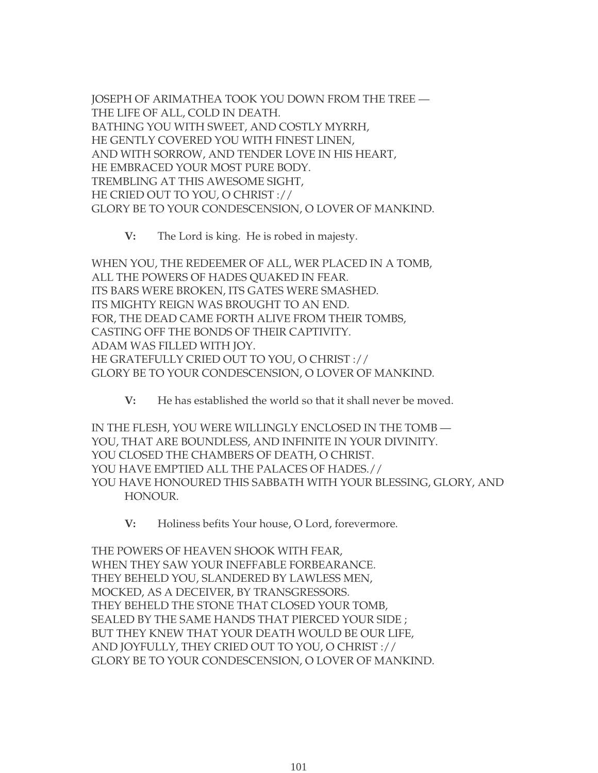JOSEPH OF ARIMATHEA TOOK YOU DOWN FROM THE TREE — THE LIFE OF ALL, COLD IN DEATH. BATHING YOU WITH SWEET, AND COSTLY MYRRH, HE GENTLY COVERED YOU WITH FINEST LINEN, AND WITH SORROW, AND TENDER LOVE IN HIS HEART, HE EMBRACED YOUR MOST PURE BODY. TREMBLING AT THIS AWESOME SIGHT, HE CRIED OUT TO YOU, O CHRIST :// GLORY BE TO YOUR CONDESCENSION, O LOVER OF MANKIND.

**V:** The Lord is king. He is robed in majesty.

WHEN YOU, THE REDEEMER OF ALL, WER PLACED IN A TOMB, ALL THE POWERS OF HADES QUAKED IN FEAR. ITS BARS WERE BROKEN, ITS GATES WERE SMASHED. ITS MIGHTY REIGN WAS BROUGHT TO AN END. FOR, THE DEAD CAME FORTH ALIVE FROM THEIR TOMBS, CASTING OFF THE BONDS OF THEIR CAPTIVITY. ADAM WAS FILLED WITH JOY. HE GRATEFULLY CRIED OUT TO YOU, O CHRIST :// GLORY BE TO YOUR CONDESCENSION, O LOVER OF MANKIND.

**V:** He has established the world so that it shall never be moved.

IN THE FLESH, YOU WERE WILLINGLY ENCLOSED IN THE TOMB — YOU, THAT ARE BOUNDLESS, AND INFINITE IN YOUR DIVINITY. YOU CLOSED THE CHAMBERS OF DEATH, O CHRIST. YOU HAVE EMPTIED ALL THE PALACES OF HADES.// YOU HAVE HONOURED THIS SABBATH WITH YOUR BLESSING, GLORY, AND HONOUR.

**V:** Holiness befits Your house, O Lord, forevermore.

THE POWERS OF HEAVEN SHOOK WITH FEAR, WHEN THEY SAW YOUR INEFFABLE FORBEARANCE. THEY BEHELD YOU, SLANDERED BY LAWLESS MEN, MOCKED, AS A DECEIVER, BY TRANSGRESSORS. THEY BEHELD THE STONE THAT CLOSED YOUR TOMB, SEALED BY THE SAME HANDS THAT PIERCED YOUR SIDE ; BUT THEY KNEW THAT YOUR DEATH WOULD BE OUR LIFE, AND JOYFULLY, THEY CRIED OUT TO YOU, O CHRIST :// GLORY BE TO YOUR CONDESCENSION, O LOVER OF MANKIND.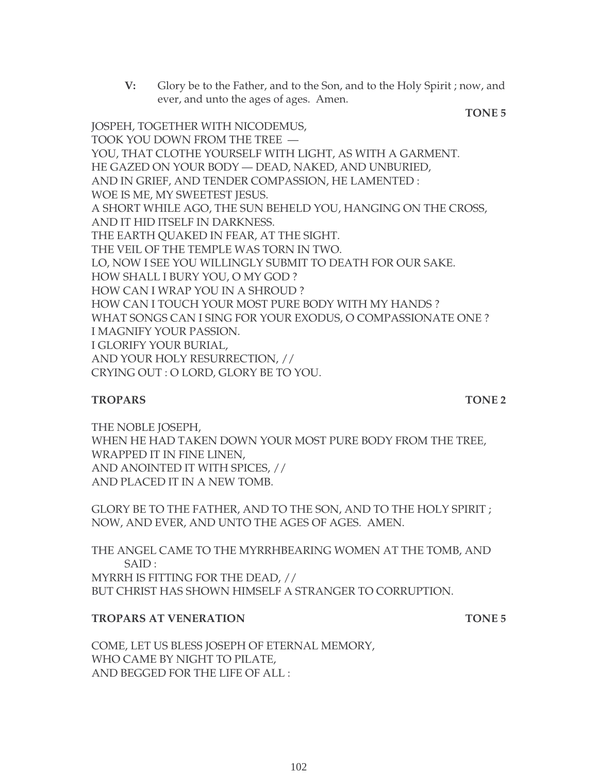**V:** Glory be to the Father, and to the Son, and to the Holy Spirit ; now, and ever, and unto the ages of ages. Amen.

**TONE 5**

JOSPEH, TOGETHER WITH NICODEMUS, TOOK YOU DOWN FROM THE TREE — YOU, THAT CLOTHE YOURSELF WITH LIGHT, AS WITH A GARMENT. HE GAZED ON YOUR BODY — DEAD, NAKED, AND UNBURIED, AND IN GRIEF, AND TENDER COMPASSION, HE LAMENTED : WOE IS ME, MY SWEETEST JESUS. A SHORT WHILE AGO, THE SUN BEHELD YOU, HANGING ON THE CROSS, AND IT HID ITSELF IN DARKNESS. THE EARTH QUAKED IN FEAR, AT THE SIGHT. THE VEIL OF THE TEMPLE WAS TORN IN TWO. LO, NOW I SEE YOU WILLINGLY SUBMIT TO DEATH FOR OUR SAKE. HOW SHALL I BURY YOU, O MY GOD ? HOW CAN I WRAP YOU IN A SHROUD ? HOW CAN I TOUCH YOUR MOST PURE BODY WITH MY HANDS ? WHAT SONGS CAN I SING FOR YOUR EXODUS, O COMPASSIONATE ONE ? I MAGNIFY YOUR PASSION. I GLORIFY YOUR BURIAL, AND YOUR HOLY RESURRECTION, // CRYING OUT : O LORD, GLORY BE TO YOU.

#### **TROPARS** TONE 2

THE NOBLE JOSEPH, WHEN HE HAD TAKEN DOWN YOUR MOST PURE BODY FROM THE TREE, WRAPPED IT IN FINE LINEN, AND ANOINTED IT WITH SPICES, // AND PLACED IT IN A NEW TOMB.

GLORY BE TO THE FATHER, AND TO THE SON, AND TO THE HOLY SPIRIT ; NOW, AND EVER, AND UNTO THE AGES OF AGES. AMEN.

THE ANGEL CAME TO THE MYRRHBEARING WOMEN AT THE TOMB, AND SAID : MYRRH IS FITTING FOR THE DEAD, // BUT CHRIST HAS SHOWN HIMSELF A STRANGER TO CORRUPTION.

### **TROPARS AT VENERATION TONE 5**

COME, LET US BLESS JOSEPH OF ETERNAL MEMORY, WHO CAME BY NIGHT TO PILATE, AND BEGGED FOR THE LIFE OF ALL :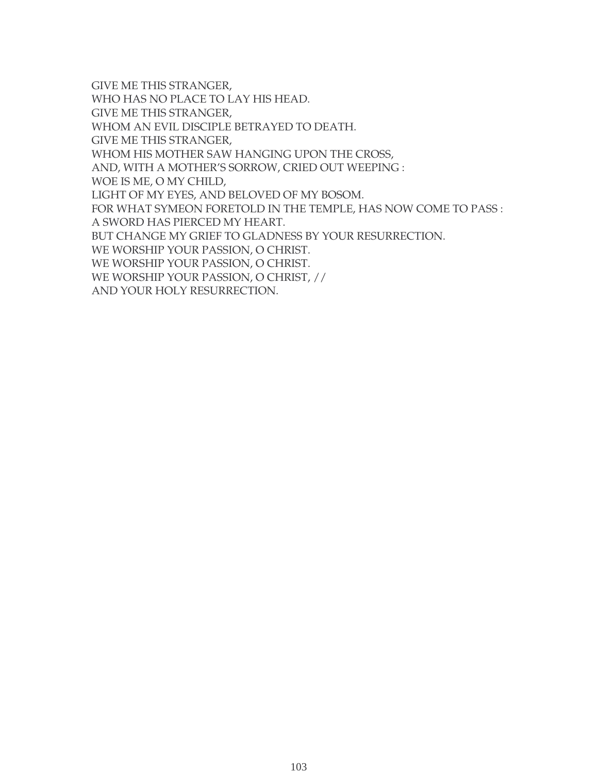GIVE ME THIS STRANGER, WHO HAS NO PLACE TO LAY HIS HEAD. GIVE ME THIS STRANGER, WHOM AN EVIL DISCIPLE BETRAYED TO DEATH. GIVE ME THIS STRANGER, WHOM HIS MOTHER SAW HANGING UPON THE CROSS, AND, WITH A MOTHER'S SORROW, CRIED OUT WEEPING : WOE IS ME, O MY CHILD, LIGHT OF MY EYES, AND BELOVED OF MY BOSOM. FOR WHAT SYMEON FORETOLD IN THE TEMPLE, HAS NOW COME TO PASS : A SWORD HAS PIERCED MY HEART. BUT CHANGE MY GRIEF TO GLADNESS BY YOUR RESURRECTION. WE WORSHIP YOUR PASSION, O CHRIST. WE WORSHIP YOUR PASSION, O CHRIST. WE WORSHIP YOUR PASSION, O CHRIST, // AND YOUR HOLY RESURRECTION.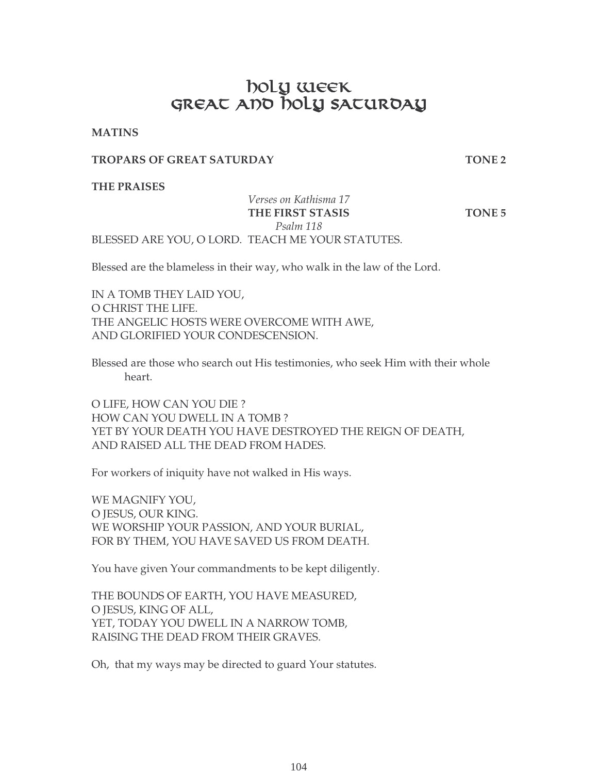# <u>na matang pangalang sa pangalang sa pangalang sa pangalang sa pangalang sa pangalang sa pangalang sa pangalang sa pangalang sa pangalang sa pangalang sa pangalang sa pangalang sa pangalang sa pangalang sa pangalang sa pan</u> GREAT AND NOLY SATURDAY

**MATINS**

#### **TROPARS OF GREAT SATURDAY TONE 2**

**THE PRAISES**

## *Verses on Kathisma 17* THE FIRST STASIS TONE 5 *Psalm 118*

BLESSED ARE YOU, O LORD. TEACH ME YOUR STATUTES.

Blessed are the blameless in their way, who walk in the law of the Lord.

IN A TOMB THEY LAID YOU, O CHRIST THE LIFE. THE ANGELIC HOSTS WERE OVERCOME WITH AWE, AND GLORIFIED YOUR CONDESCENSION.

Blessed are those who search out His testimonies, who seek Him with their whole heart.

O LIFE, HOW CAN YOU DIE ? HOW CAN YOU DWELL IN A TOMB ? YET BY YOUR DEATH YOU HAVE DESTROYED THE REIGN OF DEATH, AND RAISED ALL THE DEAD FROM HADES.

For workers of iniquity have not walked in His ways.

WE MAGNIFY YOU, O JESUS, OUR KING. WE WORSHIP YOUR PASSION, AND YOUR BURIAL, FOR BY THEM, YOU HAVE SAVED US FROM DEATH.

You have given Your commandments to be kept diligently.

THE BOUNDS OF EARTH, YOU HAVE MEASURED, O JESUS, KING OF ALL, YET, TODAY YOU DWELL IN A NARROW TOMB, RAISING THE DEAD FROM THEIR GRAVES.

Oh, that my ways may be directed to guard Your statutes.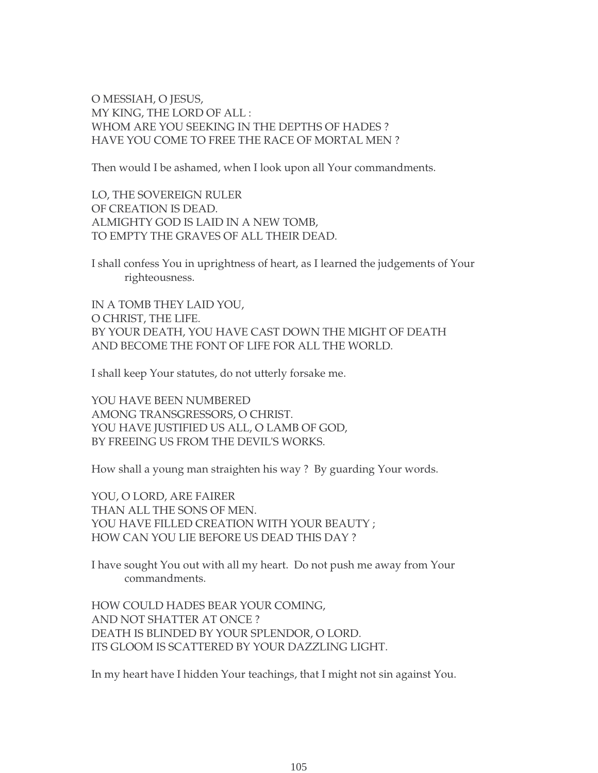O MESSIAH, O JESUS, MY KING, THE LORD OF ALL : WHOM ARE YOU SEEKING IN THE DEPTHS OF HADES ? HAVE YOU COME TO FREE THE RACE OF MORTAL MEN ?

Then would I be ashamed, when I look upon all Your commandments.

LO, THE SOVEREIGN RULER OF CREATION IS DEAD. ALMIGHTY GOD IS LAID IN A NEW TOMB, TO EMPTY THE GRAVES OF ALL THEIR DEAD.

I shall confess You in uprightness of heart, as I learned the judgements of Your righteousness.

IN A TOMB THEY LAID YOU, O CHRIST, THE LIFE. BY YOUR DEATH, YOU HAVE CAST DOWN THE MIGHT OF DEATH AND BECOME THE FONT OF LIFE FOR ALL THE WORLD.

I shall keep Your statutes, do not utterly forsake me.

YOU HAVE BEEN NUMBERED AMONG TRANSGRESSORS, O CHRIST. YOU HAVE JUSTIFIED US ALL, O LAMB OF GOD, BY FREEING US FROM THE DEVIL'S WORKS.

How shall a young man straighten his way ? By guarding Your words.

YOU, O LORD, ARE FAIRER THAN ALL THE SONS OF MEN. YOU HAVE FILLED CREATION WITH YOUR BEAUTY ; HOW CAN YOU LIE BEFORE US DEAD THIS DAY ?

I have sought You out with all my heart. Do not push me away from Your commandments.

HOW COULD HADES BEAR YOUR COMING, AND NOT SHATTER AT ONCE ? DEATH IS BLINDED BY YOUR SPLENDOR, O LORD. ITS GLOOM IS SCATTERED BY YOUR DAZZLING LIGHT.

In my heart have I hidden Your teachings, that I might not sin against You.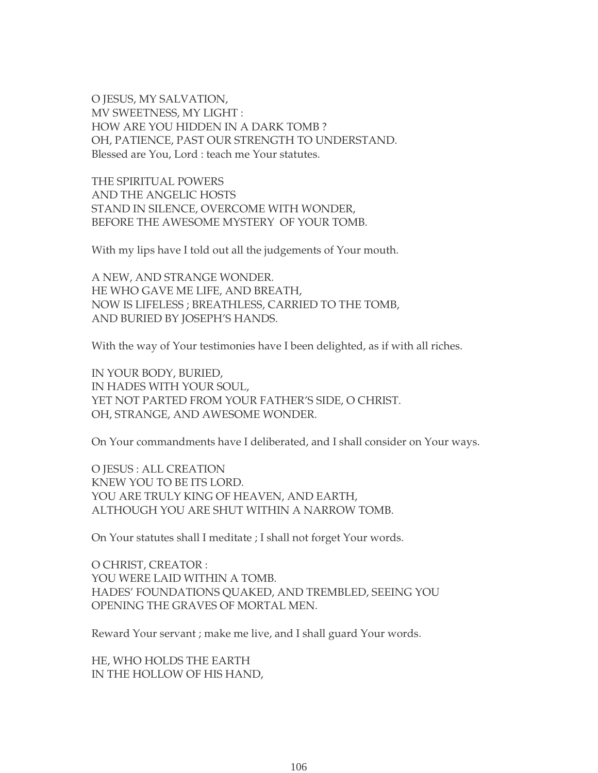O JESUS, MY SALVATION, MV SWEETNESS, MY LIGHT : HOW ARE YOU HIDDEN IN A DARK TOMB ? OH, PATIENCE, PAST OUR STRENGTH TO UNDERSTAND. Blessed are You, Lord : teach me Your statutes.

THE SPIRITUAL POWERS AND THE ANGELIC HOSTS STAND IN SILENCE, OVERCOME WITH WONDER, BEFORE THE AWESOME MYSTERY OF YOUR TOMB.

With my lips have I told out all the judgements of Your mouth.

A NEW, AND STRANGE WONDER. HE WHO GAVE ME LIFE, AND BREATH, NOW IS LIFELESS ; BREATHLESS, CARRIED TO THE TOMB, AND BURIED BY JOSEPH'S HANDS.

With the way of Your testimonies have I been delighted, as if with all riches.

IN YOUR BODY, BURIED, IN HADES WITH YOUR SOUL, YET NOT PARTED FROM YOUR FATHER'S SIDE, O CHRIST. OH, STRANGE, AND AWESOME WONDER.

On Your commandments have I deliberated, and I shall consider on Your ways.

O JESUS : ALL CREATION KNEW YOU TO BE ITS LORD. YOU ARE TRULY KING OF HEAVEN, AND EARTH, ALTHOUGH YOU ARE SHUT WITHIN A NARROW TOMB.

On Your statutes shall I meditate ; I shall not forget Your words.

O CHRIST, CREATOR : YOU WERE LAID WITHIN A TOMB. HADES' FOUNDATIONS QUAKED, AND TREMBLED, SEEING YOU OPENING THE GRAVES OF MORTAL MEN.

Reward Your servant ; make me live, and I shall guard Your words.

HE, WHO HOLDS THE EARTH IN THE HOLLOW OF HIS HAND,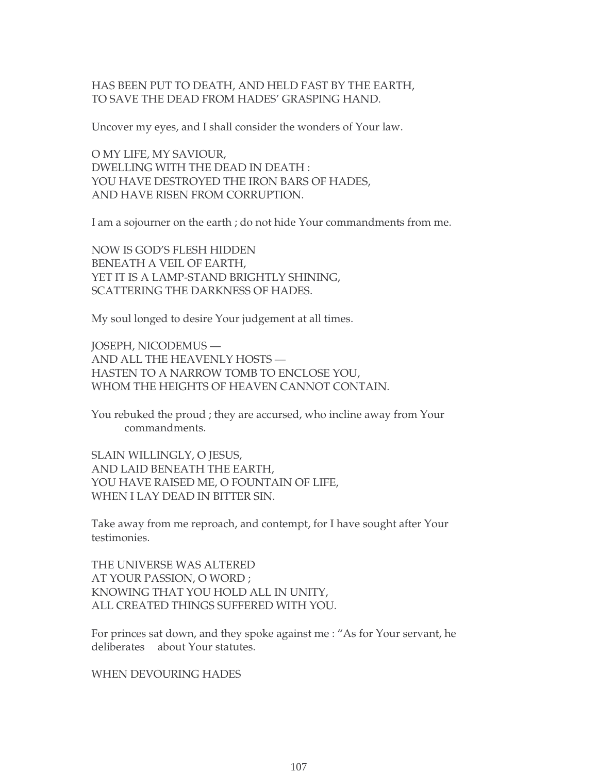#### HAS BEEN PUT TO DEATH, AND HELD FAST BY THE EARTH, TO SAVE THE DEAD FROM HADES' GRASPING HAND.

Uncover my eyes, and I shall consider the wonders of Your law.

O MY LIFE, MY SAVIOUR, DWELLING WITH THE DEAD IN DEATH : YOU HAVE DESTROYED THE IRON BARS OF HADES, AND HAVE RISEN FROM CORRUPTION.

I am a sojourner on the earth ; do not hide Your commandments from me.

NOW IS GOD'S FLESH HIDDEN BENEATH A VEIL OF EARTH, YET IT IS A LAMP-STAND BRIGHTLY SHINING, SCATTERING THE DARKNESS OF HADES.

My soul longed to desire Your judgement at all times.

JOSEPH, NICODEMUS — AND ALL THE HEAVENLY HOSTS — HASTEN TO A NARROW TOMB TO ENCLOSE YOU, WHOM THE HEIGHTS OF HEAVEN CANNOT CONTAIN.

You rebuked the proud ; they are accursed, who incline away from Your commandments.

SLAIN WILLINGLY, O JESUS, AND LAID BENEATH THE EARTH, YOU HAVE RAISED ME, O FOUNTAIN OF LIFE, WHEN I LAY DEAD IN BITTER SIN.

Take away from me reproach, and contempt, for I have sought after Your testimonies.

THE UNIVERSE WAS ALTERED AT YOUR PASSION, O WORD ; KNOWING THAT YOU HOLD ALL IN UNITY, ALL CREATED THINGS SUFFERED WITH YOU.

For princes sat down, and they spoke against me : "As for Your servant, he deliberates about Your statutes.

WHEN DEVOURING HADES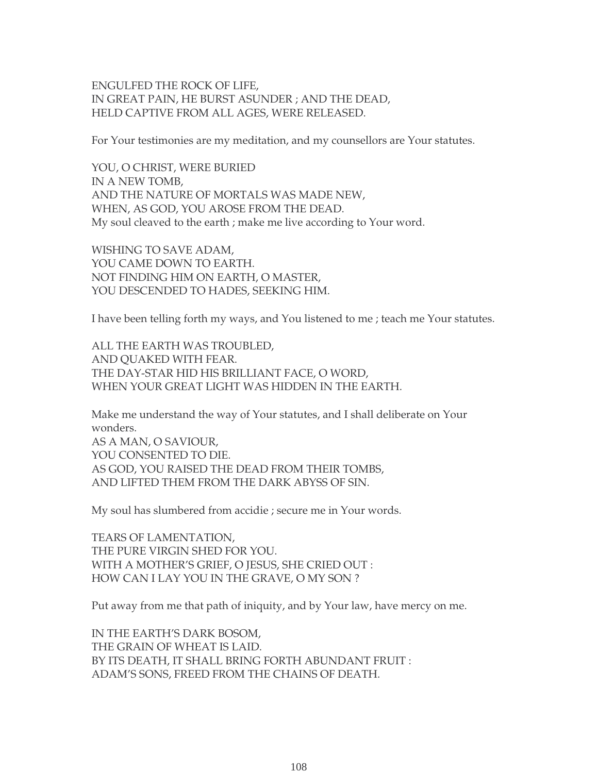ENGULFED THE ROCK OF LIFE, IN GREAT PAIN, HE BURST ASUNDER ; AND THE DEAD, HELD CAPTIVE FROM ALL AGES, WERE RELEASED.

For Your testimonies are my meditation, and my counsellors are Your statutes.

YOU, O CHRIST, WERE BURIED IN A NEW TOMB, AND THE NATURE OF MORTALS WAS MADE NEW, WHEN, AS GOD, YOU AROSE FROM THE DEAD. My soul cleaved to the earth ; make me live according to Your word.

WISHING TO SAVE ADAM, YOU CAME DOWN TO EARTH. NOT FINDING HIM ON EARTH, O MASTER, YOU DESCENDED TO HADES, SEEKING HIM.

I have been telling forth my ways, and You listened to me ; teach me Your statutes.

ALL THE EARTH WAS TROUBLED, AND QUAKED WITH FEAR. THE DAY-STAR HID HIS BRILLIANT FACE, O WORD, WHEN YOUR GREAT LIGHT WAS HIDDEN IN THE EARTH.

Make me understand the way of Your statutes, and I shall deliberate on Your wonders. AS A MAN, O SAVIOUR, YOU CONSENTED TO DIE. AS GOD, YOU RAISED THE DEAD FROM THEIR TOMBS, AND LIFTED THEM FROM THE DARK ABYSS OF SIN.

My soul has slumbered from accidie ; secure me in Your words.

TEARS OF LAMENTATION, THE PURE VIRGIN SHED FOR YOU. WITH A MOTHER'S GRIEF, O JESUS, SHE CRIED OUT : HOW CAN I LAY YOU IN THE GRAVE, O MY SON ?

Put away from me that path of iniquity, and by Your law, have mercy on me.

IN THE EARTH'S DARK BOSOM, THE GRAIN OF WHEAT IS LAID. BY ITS DEATH, IT SHALL BRING FORTH ABUNDANT FRUIT : ADAM'S SONS, FREED FROM THE CHAINS OF DEATH.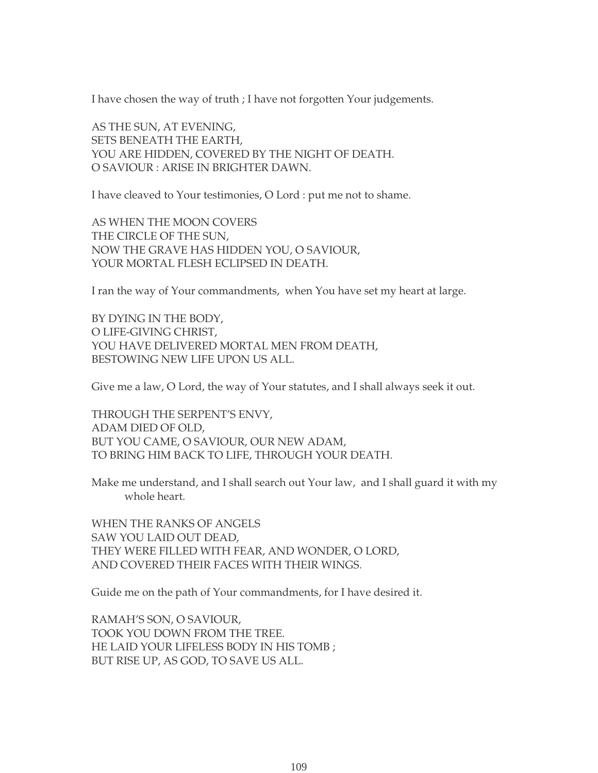I have chosen the way of truth ; I have not forgotten Your judgements.

AS THE SUN, AT EVENING, SETS BENEATH THE EARTH, YOU ARE HIDDEN, COVERED BY THE NIGHT OF DEATH. O SAVIOUR : ARISE IN BRIGHTER DAWN.

I have cleaved to Your testimonies, O Lord : put me not to shame.

AS WHEN THE MOON COVERS THE CIRCLE OF THE SUN, NOW THE GRAVE HAS HIDDEN YOU, O SAVIOUR, YOUR MORTAL FLESH ECLIPSED IN DEATH.

I ran the way of Your commandments, when You have set my heart at large.

BY DYING IN THE BODY, O LIFE-GIVING CHRIST, YOU HAVE DELIVERED MORTAL MEN FROM DEATH, BESTOWING NEW LIFE UPON US ALL.

Give me a law, O Lord, the way of Your statutes, and I shall always seek it out.

THROUGH THE SERPENT'S ENVY, ADAM DIED OF OLD, BUT YOU CAME, O SAVIOUR, OUR NEW ADAM, TO BRING HIM BACK TO LIFE, THROUGH YOUR DEATH.

Make me understand, and I shall search out Your law, and I shall guard it with my whole heart.

WHEN THE RANKS OF ANGELS SAW YOU LAID OUT DEAD, THEY WERE FILLED WITH FEAR, AND WONDER, O LORD, AND COVERED THEIR FACES WITH THEIR WINGS.

Guide me on the path of Your commandments, for I have desired it.

RAMAH'S SON, O SAVIOUR, TOOK YOU DOWN FROM THE TREE. HE LAID YOUR LIFELESS BODY IN HIS TOMB ; BUT RISE UP, AS GOD, TO SAVE US ALL.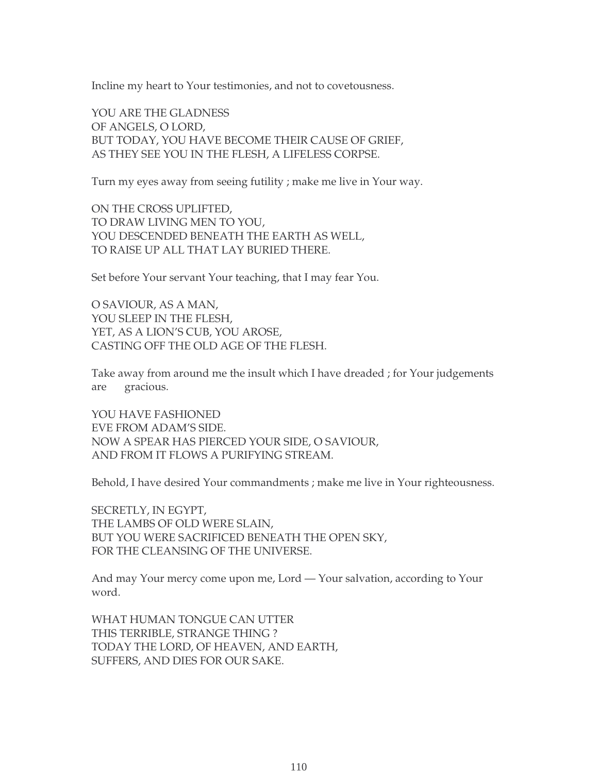Incline my heart to Your testimonies, and not to covetousness.

YOU ARE THE GLADNESS OF ANGELS, O LORD, BUT TODAY, YOU HAVE BECOME THEIR CAUSE OF GRIEF, AS THEY SEE YOU IN THE FLESH, A LIFELESS CORPSE.

Turn my eyes away from seeing futility ; make me live in Your way.

ON THE CROSS UPLIFTED, TO DRAW LIVING MEN TO YOU, YOU DESCENDED BENEATH THE EARTH AS WELL, TO RAISE UP ALL THAT LAY BURIED THERE.

Set before Your servant Your teaching, that I may fear You.

O SAVIOUR, AS A MAN, YOU SLEEP IN THE FLESH, YET, AS A LION'S CUB, YOU AROSE, CASTING OFF THE OLD AGE OF THE FLESH.

Take away from around me the insult which I have dreaded ; for Your judgements are gracious.

YOU HAVE FASHIONED EVE FROM ADAM'S SIDE. NOW A SPEAR HAS PIERCED YOUR SIDE, O SAVIOUR, AND FROM IT FLOWS A PURIFYING STREAM.

Behold, I have desired Your commandments ; make me live in Your righteousness.

SECRETLY, IN EGYPT, THE LAMBS OF OLD WERE SLAIN, BUT YOU WERE SACRIFICED BENEATH THE OPEN SKY, FOR THE CLEANSING OF THE UNIVERSE.

And may Your mercy come upon me, Lord — Your salvation, according to Your word.

WHAT HUMAN TONGUE CAN UTTER THIS TERRIBLE, STRANGE THING ? TODAY THE LORD, OF HEAVEN, AND EARTH, SUFFERS, AND DIES FOR OUR SAKE.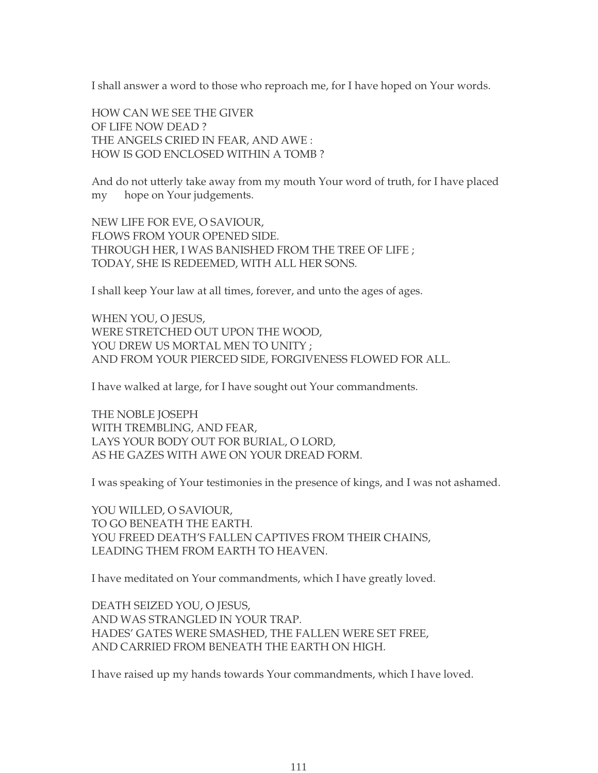I shall answer a word to those who reproach me, for I have hoped on Your words.

HOW CAN WE SEE THE GIVER OF LIFE NOW DEAD ? THE ANGELS CRIED IN FEAR, AND AWE : HOW IS GOD ENCLOSED WITHIN A TOMB ?

And do not utterly take away from my mouth Your word of truth, for I have placed my hope on Your judgements.

NEW LIFE FOR EVE, O SAVIOUR, FLOWS FROM YOUR OPENED SIDE. THROUGH HER, I WAS BANISHED FROM THE TREE OF LIFE ; TODAY, SHE IS REDEEMED, WITH ALL HER SONS.

I shall keep Your law at all times, forever, and unto the ages of ages.

WHEN YOU, O JESUS, WERE STRETCHED OUT UPON THE WOOD, YOU DREW US MORTAL MEN TO UNITY ; AND FROM YOUR PIERCED SIDE, FORGIVENESS FLOWED FOR ALL.

I have walked at large, for I have sought out Your commandments.

THE NOBLE JOSEPH WITH TREMBLING, AND FEAR, LAYS YOUR BODY OUT FOR BURIAL, O LORD, AS HE GAZES WITH AWE ON YOUR DREAD FORM.

I was speaking of Your testimonies in the presence of kings, and I was not ashamed.

YOU WILLED, O SAVIOUR, TO GO BENEATH THE EARTH. YOU FREED DEATH'S FALLEN CAPTIVES FROM THEIR CHAINS, LEADING THEM FROM EARTH TO HEAVEN.

I have meditated on Your commandments, which I have greatly loved.

DEATH SEIZED YOU, O JESUS, AND WAS STRANGLED IN YOUR TRAP. HADES' GATES WERE SMASHED, THE FALLEN WERE SET FREE, AND CARRIED FROM BENEATH THE EARTH ON HIGH.

I have raised up my hands towards Your commandments, which I have loved.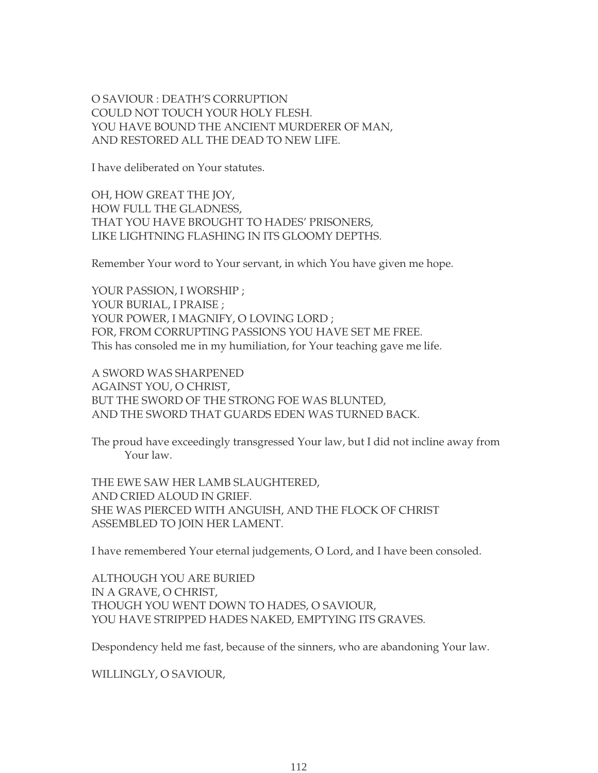O SAVIOUR : DEATH'S CORRUPTION COULD NOT TOUCH YOUR HOLY FLESH. YOU HAVE BOUND THE ANCIENT MURDERER OF MAN, AND RESTORED ALL THE DEAD TO NEW LIFE.

I have deliberated on Your statutes.

OH, HOW GREAT THE JOY, HOW FULL THE GLADNESS, THAT YOU HAVE BROUGHT TO HADES' PRISONERS, LIKE LIGHTNING FLASHING IN ITS GLOOMY DEPTHS.

Remember Your word to Your servant, in which You have given me hope.

YOUR PASSION, I WORSHIP ; YOUR BURIAL, I PRAISE ; YOUR POWER, I MAGNIFY, O LOVING LORD ; FOR, FROM CORRUPTING PASSIONS YOU HAVE SET ME FREE. This has consoled me in my humiliation, for Your teaching gave me life.

A SWORD WAS SHARPENED AGAINST YOU, O CHRIST, BUT THE SWORD OF THE STRONG FOE WAS BLUNTED, AND THE SWORD THAT GUARDS EDEN WAS TURNED BACK.

The proud have exceedingly transgressed Your law, but I did not incline away from Your law.

THE EWE SAW HER LAMB SLAUGHTERED, AND CRIED ALOUD IN GRIEF. SHE WAS PIERCED WITH ANGUISH, AND THE FLOCK OF CHRIST ASSEMBLED TO JOIN HER LAMENT.

I have remembered Your eternal judgements, O Lord, and I have been consoled.

ALTHOUGH YOU ARE BURIED IN A GRAVE, O CHRIST, THOUGH YOU WENT DOWN TO HADES, O SAVIOUR, YOU HAVE STRIPPED HADES NAKED, EMPTYING ITS GRAVES.

Despondency held me fast, because of the sinners, who are abandoning Your law.

WILLINGLY, O SAVIOUR,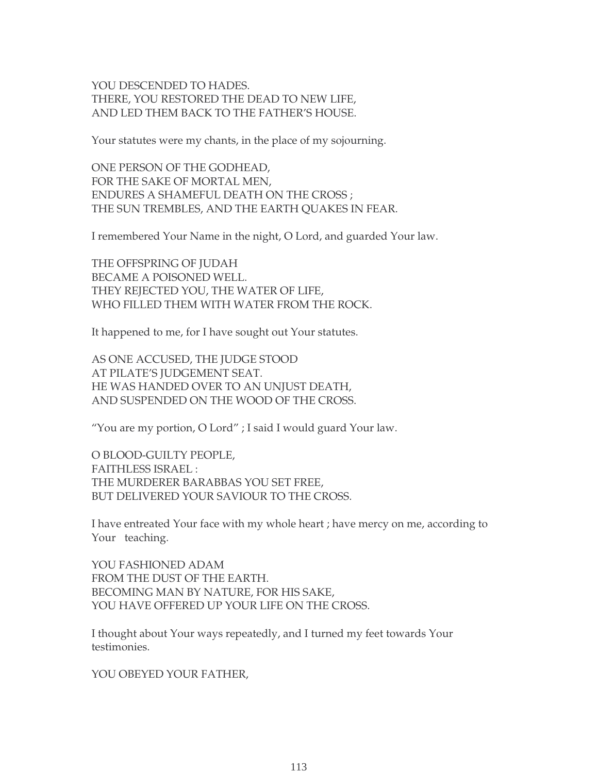# YOU DESCENDED TO HADES. THERE, YOU RESTORED THE DEAD TO NEW LIFE, AND LED THEM BACK TO THE FATHER'S HOUSE.

Your statutes were my chants, in the place of my sojourning.

ONE PERSON OF THE GODHEAD, FOR THE SAKE OF MORTAL MEN, ENDURES A SHAMEFUL DEATH ON THE CROSS ; THE SUN TREMBLES, AND THE EARTH QUAKES IN FEAR.

I remembered Your Name in the night, O Lord, and guarded Your law.

THE OFFSPRING OF JUDAH BECAME A POISONED WELL. THEY REJECTED YOU, THE WATER OF LIFE, WHO FILLED THEM WITH WATER FROM THE ROCK.

It happened to me, for I have sought out Your statutes.

AS ONE ACCUSED, THE JUDGE STOOD AT PILATE'S JUDGEMENT SEAT. HE WAS HANDED OVER TO AN UNJUST DEATH, AND SUSPENDED ON THE WOOD OF THE CROSS.

"You are my portion, O Lord" ; I said I would guard Your law.

O BLOOD-GUILTY PEOPLE, FAITHLESS ISRAEL : THE MURDERER BARABBAS YOU SET FREE, BUT DELIVERED YOUR SAVIOUR TO THE CROSS.

I have entreated Your face with my whole heart ; have mercy on me, according to Your teaching.

YOU FASHIONED ADAM FROM THE DUST OF THE EARTH. BECOMING MAN BY NATURE, FOR HIS SAKE, YOU HAVE OFFERED UP YOUR LIFE ON THE CROSS.

I thought about Your ways repeatedly, and I turned my feet towards Your testimonies.

YOU OBEYED YOUR FATHER,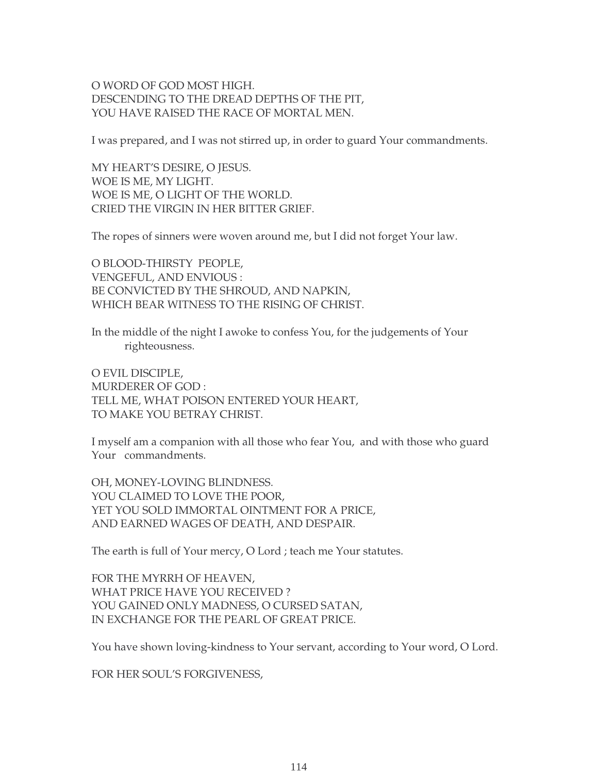# O WORD OF GOD MOST HIGH. DESCENDING TO THE DREAD DEPTHS OF THE PIT, YOU HAVE RAISED THE RACE OF MORTAL MEN.

I was prepared, and I was not stirred up, in order to guard Your commandments.

MY HEART'S DESIRE, O JESUS. WOE IS ME, MY LIGHT. WOE IS ME, O LIGHT OF THE WORLD. CRIED THE VIRGIN IN HER BITTER GRIEF.

The ropes of sinners were woven around me, but I did not forget Your law.

O BLOOD-THIRSTY PEOPLE, VENGEFUL, AND ENVIOUS : BE CONVICTED BY THE SHROUD, AND NAPKIN, WHICH BEAR WITNESS TO THE RISING OF CHRIST.

In the middle of the night I awoke to confess You, for the judgements of Your righteousness.

O EVIL DISCIPLE, MURDERER OF GOD : TELL ME, WHAT POISON ENTERED YOUR HEART, TO MAKE YOU BETRAY CHRIST.

I myself am a companion with all those who fear You, and with those who guard Your commandments.

OH, MONEY-LOVING BLINDNESS. YOU CLAIMED TO LOVE THE POOR, YET YOU SOLD IMMORTAL OINTMENT FOR A PRICE, AND EARNED WAGES OF DEATH, AND DESPAIR.

The earth is full of Your mercy, O Lord ; teach me Your statutes.

FOR THE MYRRH OF HEAVEN, WHAT PRICE HAVE YOU RECEIVED ? YOU GAINED ONLY MADNESS, O CURSED SATAN, IN EXCHANGE FOR THE PEARL OF GREAT PRICE.

You have shown loving-kindness to Your servant, according to Your word, O Lord.

FOR HER SOUL'S FORGIVENESS,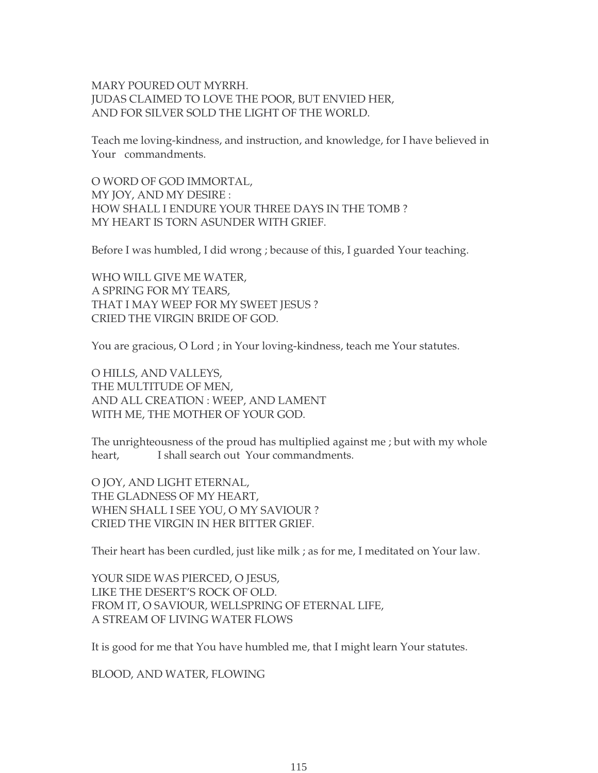# MARY POURED OUT MYRRH. JUDAS CLAIMED TO LOVE THE POOR, BUT ENVIED HER, AND FOR SILVER SOLD THE LIGHT OF THE WORLD.

Teach me loving-kindness, and instruction, and knowledge, for I have believed in Your commandments.

O WORD OF GOD IMMORTAL, MY JOY, AND MY DESIRE : HOW SHALL I ENDURE YOUR THREE DAYS IN THE TOMB ? MY HEART IS TORN ASUNDER WITH GRIEF.

Before I was humbled, I did wrong ; because of this, I guarded Your teaching.

WHO WILL GIVE ME WATER, A SPRING FOR MY TEARS, THAT I MAY WEEP FOR MY SWEET JESUS ? CRIED THE VIRGIN BRIDE OF GOD.

You are gracious, O Lord ; in Your loving-kindness, teach me Your statutes.

O HILLS, AND VALLEYS, THE MULTITUDE OF MEN, AND ALL CREATION : WEEP, AND LAMENT WITH ME, THE MOTHER OF YOUR GOD.

The unrighteousness of the proud has multiplied against me ; but with my whole heart, I shall search out Your commandments.

O JOY, AND LIGHT ETERNAL, THE GLADNESS OF MY HEART, WHEN SHALL I SEE YOU, O MY SAVIOUR ? CRIED THE VIRGIN IN HER BITTER GRIEF.

Their heart has been curdled, just like milk ; as for me, I meditated on Your law.

YOUR SIDE WAS PIERCED, O JESUS, LIKE THE DESERT'S ROCK OF OLD. FROM IT, O SAVIOUR, WELLSPRING OF ETERNAL LIFE, A STREAM OF LIVING WATER FLOWS

It is good for me that You have humbled me, that I might learn Your statutes.

BLOOD, AND WATER, FLOWING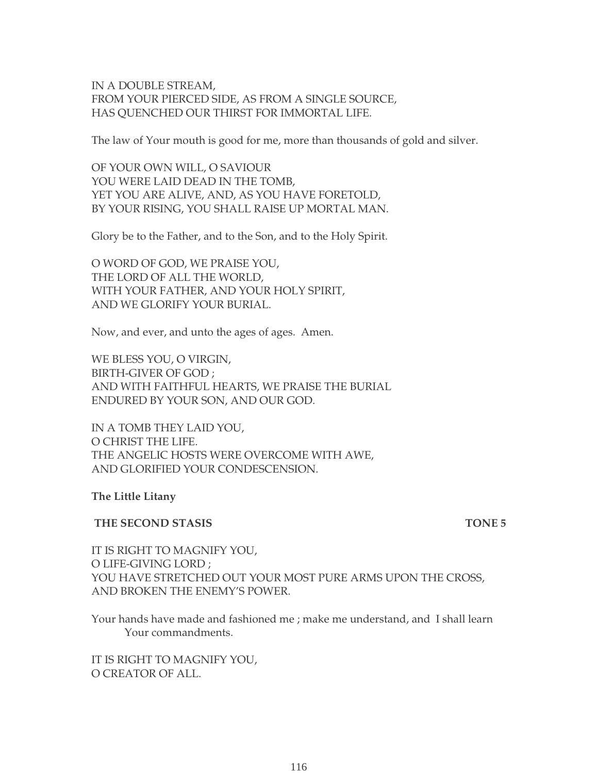IN A DOUBLE STREAM, FROM YOUR PIERCED SIDE, AS FROM A SINGLE SOURCE, HAS QUENCHED OUR THIRST FOR IMMORTAL LIFE.

The law of Your mouth is good for me, more than thousands of gold and silver.

OF YOUR OWN WILL, O SAVIOUR YOU WERE LAID DEAD IN THE TOMB, YET YOU ARE ALIVE, AND, AS YOU HAVE FORETOLD, BY YOUR RISING, YOU SHALL RAISE UP MORTAL MAN.

Glory be to the Father, and to the Son, and to the Holy Spirit.

O WORD OF GOD, WE PRAISE YOU, THE LORD OF ALL THE WORLD, WITH YOUR FATHER, AND YOUR HOLY SPIRIT, AND WE GLORIFY YOUR BURIAL.

Now, and ever, and unto the ages of ages. Amen.

WE BLESS YOU, O VIRGIN, BIRTH-GIVER OF GOD ; AND WITH FAITHFUL HEARTS, WE PRAISE THE BURIAL ENDURED BY YOUR SON, AND OUR GOD.

IN A TOMB THEY LAID YOU, O CHRIST THE LIFE. THE ANGELIC HOSTS WERE OVERCOME WITH AWE, AND GLORIFIED YOUR CONDESCENSION.

**The Little Litany**

**THE SECOND STASIS TONE 5** 

IT IS RIGHT TO MAGNIFY YOU, O LIFE-GIVING LORD ; YOU HAVE STRETCHED OUT YOUR MOST PURE ARMS UPON THE CROSS, AND BROKEN THE ENEMY'S POWER.

Your hands have made and fashioned me ; make me understand, and I shall learn Your commandments.

IT IS RIGHT TO MAGNIFY YOU, O CREATOR OF ALL.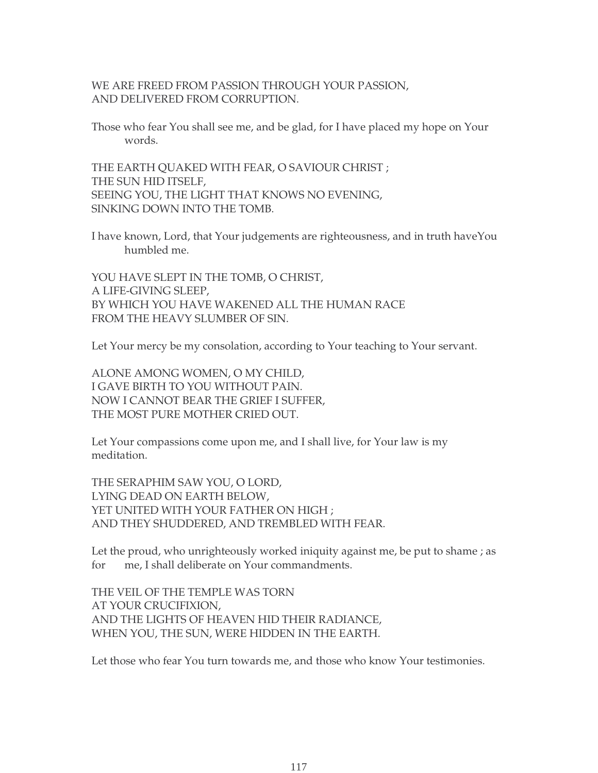# WE ARE FREED FROM PASSION THROUGH YOUR PASSION, AND DELIVERED FROM CORRUPTION.

Those who fear You shall see me, and be glad, for I have placed my hope on Your words.

THE EARTH QUAKED WITH FEAR, O SAVIOUR CHRIST ; THE SUN HID ITSELF, SEEING YOU, THE LIGHT THAT KNOWS NO EVENING, SINKING DOWN INTO THE TOMB.

I have known, Lord, that Your judgements are righteousness, and in truth haveYou humbled me.

YOU HAVE SLEPT IN THE TOMB, O CHRIST, A LIFE-GIVING SLEEP, BY WHICH YOU HAVE WAKENED ALL THE HUMAN RACE FROM THE HEAVY SLUMBER OF SIN.

Let Your mercy be my consolation, according to Your teaching to Your servant.

ALONE AMONG WOMEN, O MY CHILD, I GAVE BIRTH TO YOU WITHOUT PAIN. NOW I CANNOT BEAR THE GRIEF I SUFFER, THE MOST PURE MOTHER CRIED OUT.

Let Your compassions come upon me, and I shall live, for Your law is my meditation.

THE SERAPHIM SAW YOU, O LORD, LYING DEAD ON EARTH BELOW, YET UNITED WITH YOUR FATHER ON HIGH; AND THEY SHUDDERED, AND TREMBLED WITH FEAR.

Let the proud, who unrighteously worked iniquity against me, be put to shame ; as for me, I shall deliberate on Your commandments.

THE VEIL OF THE TEMPLE WAS TORN AT YOUR CRUCIFIXION, AND THE LIGHTS OF HEAVEN HID THEIR RADIANCE, WHEN YOU, THE SUN, WERE HIDDEN IN THE EARTH.

Let those who fear You turn towards me, and those who know Your testimonies.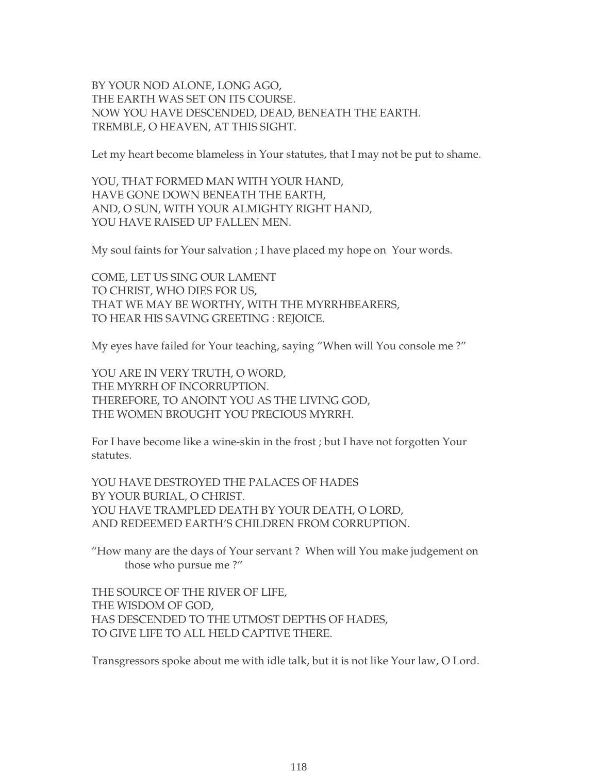BY YOUR NOD ALONE, LONG AGO, THE EARTH WAS SET ON ITS COURSE. NOW YOU HAVE DESCENDED, DEAD, BENEATH THE EARTH. TREMBLE, O HEAVEN, AT THIS SIGHT.

Let my heart become blameless in Your statutes, that I may not be put to shame.

YOU, THAT FORMED MAN WITH YOUR HAND, HAVE GONE DOWN BENEATH THE EARTH, AND, O SUN, WITH YOUR ALMIGHTY RIGHT HAND, YOU HAVE RAISED UP FALLEN MEN.

My soul faints for Your salvation ; I have placed my hope on Your words.

COME, LET US SING OUR LAMENT TO CHRIST, WHO DIES FOR US, THAT WE MAY BE WORTHY, WITH THE MYRRHBEARERS, TO HEAR HIS SAVING GREETING : REJOICE.

My eyes have failed for Your teaching, saying "When will You console me ?"

YOU ARE IN VERY TRUTH, O WORD, THE MYRRH OF INCORRUPTION. THEREFORE, TO ANOINT YOU AS THE LIVING GOD, THE WOMEN BROUGHT YOU PRECIOUS MYRRH.

For I have become like a wine-skin in the frost ; but I have not forgotten Your statutes.

YOU HAVE DESTROYED THE PALACES OF HADES BY YOUR BURIAL, O CHRIST. YOU HAVE TRAMPLED DEATH BY YOUR DEATH, O LORD, AND REDEEMED EARTH'S CHILDREN FROM CORRUPTION.

"How many are the days of Your servant ? When will You make judgement on those who pursue me ?"

THE SOURCE OF THE RIVER OF LIFE, THE WISDOM OF GOD, HAS DESCENDED TO THE UTMOST DEPTHS OF HADES, TO GIVE LIFE TO ALL HELD CAPTIVE THERE.

Transgressors spoke about me with idle talk, but it is not like Your law, O Lord.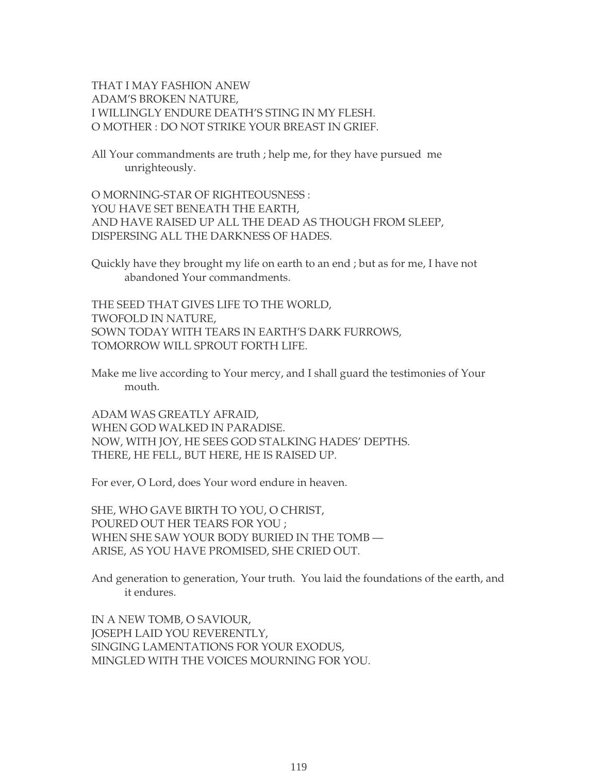THAT I MAY FASHION ANEW ADAM'S BROKEN NATURE, I WILLINGLY ENDURE DEATH'S STING IN MY FLESH. O MOTHER : DO NOT STRIKE YOUR BREAST IN GRIEF.

All Your commandments are truth ; help me, for they have pursued me unrighteously.

O MORNING-STAR OF RIGHTEOUSNESS : YOU HAVE SET BENEATH THE EARTH, AND HAVE RAISED UP ALL THE DEAD AS THOUGH FROM SLEEP, DISPERSING ALL THE DARKNESS OF HADES.

Quickly have they brought my life on earth to an end ; but as for me, I have not abandoned Your commandments.

THE SEED THAT GIVES LIFE TO THE WORLD, TWOFOLD IN NATURE, SOWN TODAY WITH TEARS IN EARTH'S DARK FURROWS, TOMORROW WILL SPROUT FORTH LIFE.

Make me live according to Your mercy, and I shall guard the testimonies of Your mouth.

ADAM WAS GREATLY AFRAID, WHEN GOD WALKED IN PARADISE. NOW, WITH JOY, HE SEES GOD STALKING HADES' DEPTHS. THERE, HE FELL, BUT HERE, HE IS RAISED UP.

For ever, O Lord, does Your word endure in heaven.

SHE, WHO GAVE BIRTH TO YOU, O CHRIST, POURED OUT HER TEARS FOR YOU ; WHEN SHE SAW YOUR BODY BURIED IN THE TOMB — ARISE, AS YOU HAVE PROMISED, SHE CRIED OUT.

And generation to generation, Your truth. You laid the foundations of the earth, and it endures.

IN A NEW TOMB, O SAVIOUR, JOSEPH LAID YOU REVERENTLY, SINGING LAMENTATIONS FOR YOUR EXODUS, MINGLED WITH THE VOICES MOURNING FOR YOU.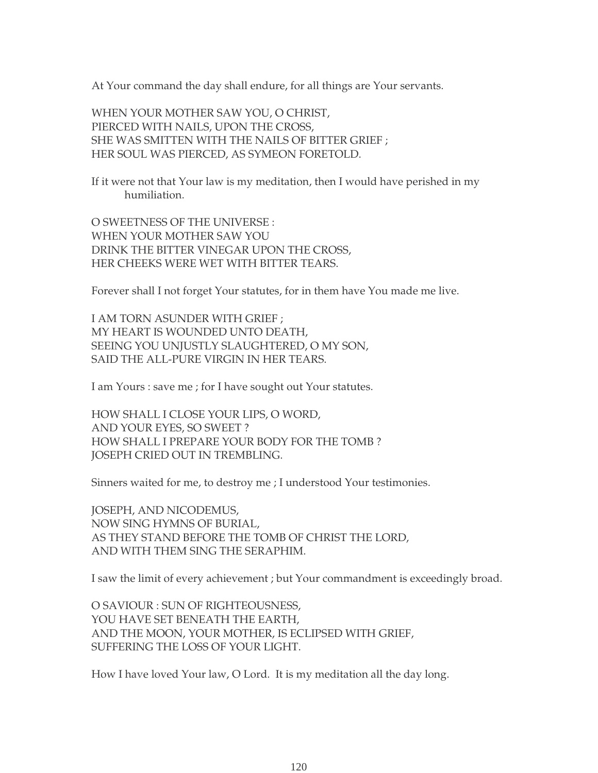At Your command the day shall endure, for all things are Your servants.

WHEN YOUR MOTHER SAW YOU, O CHRIST, PIERCED WITH NAILS, UPON THE CROSS, SHE WAS SMITTEN WITH THE NAILS OF BITTER GRIEF ; HER SOUL WAS PIERCED, AS SYMEON FORETOLD.

If it were not that Your law is my meditation, then I would have perished in my humiliation.

O SWEETNESS OF THE UNIVERSE : WHEN YOUR MOTHER SAW YOU DRINK THE BITTER VINEGAR UPON THE CROSS, HER CHEEKS WERE WET WITH BITTER TEARS.

Forever shall I not forget Your statutes, for in them have You made me live.

I AM TORN ASUNDER WITH GRIEF ; MY HEART IS WOUNDED UNTO DEATH, SEEING YOU UNJUSTLY SLAUGHTERED, O MY SON, SAID THE ALL-PURE VIRGIN IN HER TEARS.

I am Yours : save me ; for I have sought out Your statutes.

HOW SHALL I CLOSE YOUR LIPS, O WORD, AND YOUR EYES, SO SWEET ? HOW SHALL I PREPARE YOUR BODY FOR THE TOMB ? JOSEPH CRIED OUT IN TREMBLING.

Sinners waited for me, to destroy me ; I understood Your testimonies.

JOSEPH, AND NICODEMUS, NOW SING HYMNS OF BURIAL, AS THEY STAND BEFORE THE TOMB OF CHRIST THE LORD, AND WITH THEM SING THE SERAPHIM.

I saw the limit of every achievement ; but Your commandment is exceedingly broad.

O SAVIOUR : SUN OF RIGHTEOUSNESS, YOU HAVE SET BENEATH THE EARTH, AND THE MOON, YOUR MOTHER, IS ECLIPSED WITH GRIEF, SUFFERING THE LOSS OF YOUR LIGHT.

How I have loved Your law, O Lord. It is my meditation all the day long.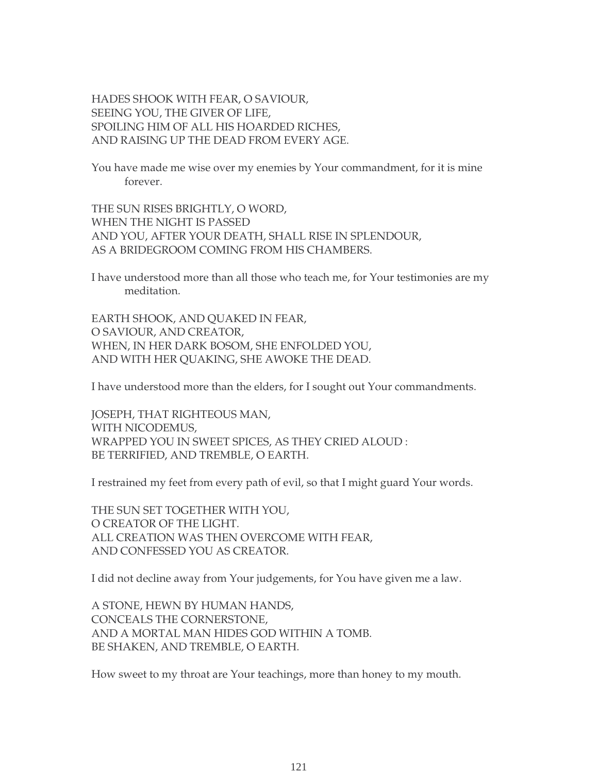HADES SHOOK WITH FEAR, O SAVIOUR, SEEING YOU, THE GIVER OF LIFE, SPOILING HIM OF ALL HIS HOARDED RICHES, AND RAISING UP THE DEAD FROM EVERY AGE.

You have made me wise over my enemies by Your commandment, for it is mine forever.

THE SUN RISES BRIGHTLY, O WORD, WHEN THE NIGHT IS PASSED AND YOU, AFTER YOUR DEATH, SHALL RISE IN SPLENDOUR, AS A BRIDEGROOM COMING FROM HIS CHAMBERS.

I have understood more than all those who teach me, for Your testimonies are my meditation.

EARTH SHOOK, AND QUAKED IN FEAR, O SAVIOUR, AND CREATOR, WHEN, IN HER DARK BOSOM, SHE ENFOLDED YOU, AND WITH HER QUAKING, SHE AWOKE THE DEAD.

I have understood more than the elders, for I sought out Your commandments.

JOSEPH, THAT RIGHTEOUS MAN, WITH NICODEMUS, WRAPPED YOU IN SWEET SPICES, AS THEY CRIED ALOUD : BE TERRIFIED, AND TREMBLE, O EARTH.

I restrained my feet from every path of evil, so that I might guard Your words.

THE SUN SET TOGETHER WITH YOU, O CREATOR OF THE LIGHT. ALL CREATION WAS THEN OVERCOME WITH FEAR, AND CONFESSED YOU AS CREATOR.

I did not decline away from Your judgements, for You have given me a law.

A STONE, HEWN BY HUMAN HANDS, CONCEALS THE CORNERSTONE, AND A MORTAL MAN HIDES GOD WITHIN A TOMB. BE SHAKEN, AND TREMBLE, O EARTH.

How sweet to my throat are Your teachings, more than honey to my mouth.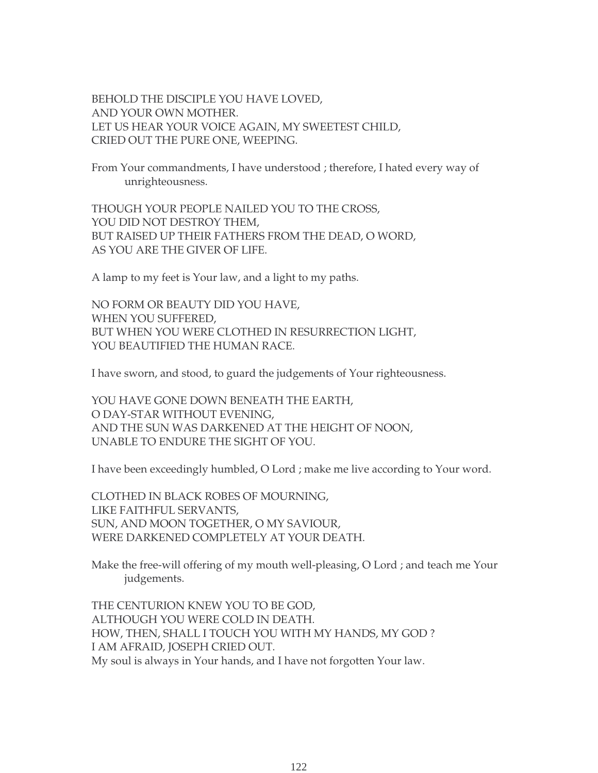BEHOLD THE DISCIPLE YOU HAVE LOVED, AND YOUR OWN MOTHER. LET US HEAR YOUR VOICE AGAIN, MY SWEETEST CHILD, CRIED OUT THE PURE ONE, WEEPING.

From Your commandments, I have understood ; therefore, I hated every way of unrighteousness.

THOUGH YOUR PEOPLE NAILED YOU TO THE CROSS, YOU DID NOT DESTROY THEM, BUT RAISED UP THEIR FATHERS FROM THE DEAD, O WORD, AS YOU ARE THE GIVER OF LIFE.

A lamp to my feet is Your law, and a light to my paths.

NO FORM OR BEAUTY DID YOU HAVE, WHEN YOU SUFFERED, BUT WHEN YOU WERE CLOTHED IN RESURRECTION LIGHT, YOU BEAUTIFIED THE HUMAN RACE.

I have sworn, and stood, to guard the judgements of Your righteousness.

YOU HAVE GONE DOWN BENEATH THE EARTH, O DAY-STAR WITHOUT EVENING, AND THE SUN WAS DARKENED AT THE HEIGHT OF NOON, UNABLE TO ENDURE THE SIGHT OF YOU.

I have been exceedingly humbled, O Lord ; make me live according to Your word.

CLOTHED IN BLACK ROBES OF MOURNING, LIKE FAITHFUL SERVANTS, SUN, AND MOON TOGETHER, O MY SAVIOUR, WERE DARKENED COMPLETELY AT YOUR DEATH.

Make the free-will offering of my mouth well-pleasing, O Lord ; and teach me Your judgements.

THE CENTURION KNEW YOU TO BE GOD, ALTHOUGH YOU WERE COLD IN DEATH. HOW, THEN, SHALL I TOUCH YOU WITH MY HANDS, MY GOD ? I AM AFRAID, JOSEPH CRIED OUT. My soul is always in Your hands, and I have not forgotten Your law.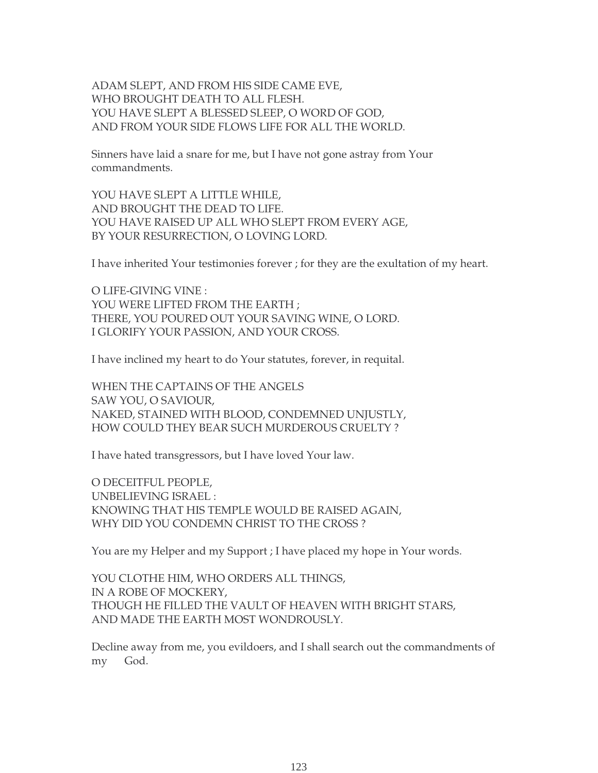ADAM SLEPT, AND FROM HIS SIDE CAME EVE, WHO BROUGHT DEATH TO ALL FLESH. YOU HAVE SLEPT A BLESSED SLEEP, O WORD OF GOD, AND FROM YOUR SIDE FLOWS LIFE FOR ALL THE WORLD.

Sinners have laid a snare for me, but I have not gone astray from Your commandments.

YOU HAVE SLEPT A LITTLE WHILE, AND BROUGHT THE DEAD TO LIFE. YOU HAVE RAISED UP ALL WHO SLEPT FROM EVERY AGE, BY YOUR RESURRECTION, O LOVING LORD.

I have inherited Your testimonies forever ; for they are the exultation of my heart.

O LIFE-GIVING VINE : YOU WERE LIFTED FROM THE EARTH ; THERE, YOU POURED OUT YOUR SAVING WINE, O LORD. I GLORIFY YOUR PASSION, AND YOUR CROSS.

I have inclined my heart to do Your statutes, forever, in requital.

WHEN THE CAPTAINS OF THE ANGELS SAW YOU, O SAVIOUR, NAKED, STAINED WITH BLOOD, CONDEMNED UNJUSTLY, HOW COULD THEY BEAR SUCH MURDEROUS CRUELTY ?

I have hated transgressors, but I have loved Your law.

O DECEITFUL PEOPLE, UNBELIEVING ISRAEL : KNOWING THAT HIS TEMPLE WOULD BE RAISED AGAIN, WHY DID YOU CONDEMN CHRIST TO THE CROSS ?

You are my Helper and my Support ; I have placed my hope in Your words.

YOU CLOTHE HIM, WHO ORDERS ALL THINGS, IN A ROBE OF MOCKERY, THOUGH HE FILLED THE VAULT OF HEAVEN WITH BRIGHT STARS, AND MADE THE EARTH MOST WONDROUSLY.

Decline away from me, you evildoers, and I shall search out the commandments of my God.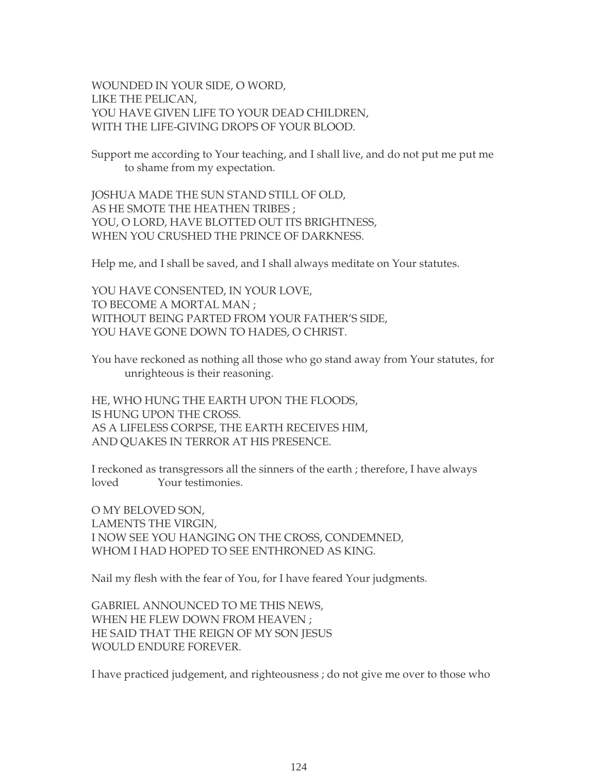WOUNDED IN YOUR SIDE, O WORD, LIKE THE PELICAN, YOU HAVE GIVEN LIFE TO YOUR DEAD CHILDREN, WITH THE LIFE-GIVING DROPS OF YOUR BLOOD.

Support me according to Your teaching, and I shall live, and do not put me put me to shame from my expectation.

JOSHUA MADE THE SUN STAND STILL OF OLD, AS HE SMOTE THE HEATHEN TRIBES ; YOU, O LORD, HAVE BLOTTED OUT ITS BRIGHTNESS, WHEN YOU CRUSHED THE PRINCE OF DARKNESS.

Help me, and I shall be saved, and I shall always meditate on Your statutes.

YOU HAVE CONSENTED, IN YOUR LOVE, TO BECOME A MORTAL MAN ; WITHOUT BEING PARTED FROM YOUR FATHER'S SIDE, YOU HAVE GONE DOWN TO HADES, O CHRIST.

You have reckoned as nothing all those who go stand away from Your statutes, for unrighteous is their reasoning.

HE, WHO HUNG THE EARTH UPON THE FLOODS, IS HUNG UPON THE CROSS. AS A LIFELESS CORPSE, THE EARTH RECEIVES HIM, AND QUAKES IN TERROR AT HIS PRESENCE.

I reckoned as transgressors all the sinners of the earth ; therefore, I have always loved Your testimonies.

O MY BELOVED SON, LAMENTS THE VIRGIN, I NOW SEE YOU HANGING ON THE CROSS, CONDEMNED, WHOM I HAD HOPED TO SEE ENTHRONED AS KING.

Nail my flesh with the fear of You, for I have feared Your judgments.

GABRIEL ANNOUNCED TO ME THIS NEWS, WHEN HE FLEW DOWN FROM HEAVEN ; HE SAID THAT THE REIGN OF MY SON JESUS WOULD ENDURE FOREVER.

I have practiced judgement, and righteousness ; do not give me over to those who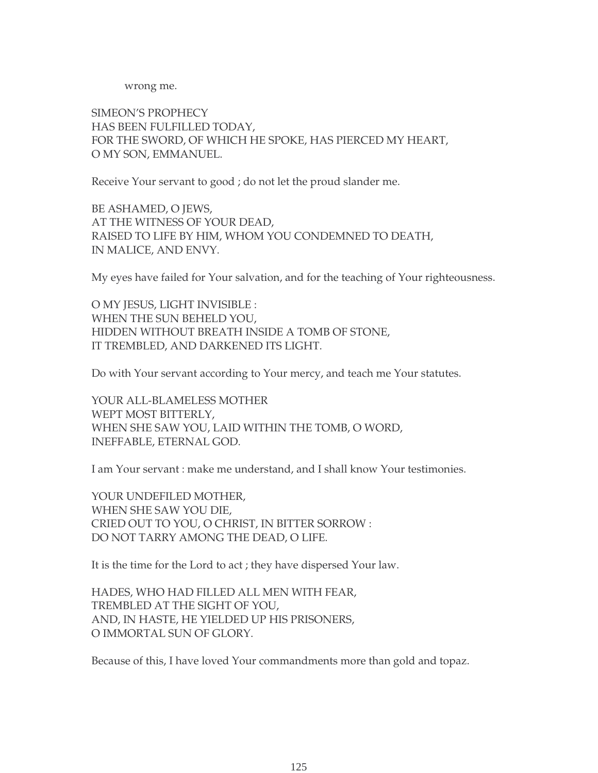wrong me.

SIMEON'S PROPHECY HAS BEEN FULFILLED TODAY, FOR THE SWORD, OF WHICH HE SPOKE, HAS PIERCED MY HEART, O MY SON, EMMANUEL.

Receive Your servant to good ; do not let the proud slander me.

BE ASHAMED, O JEWS, AT THE WITNESS OF YOUR DEAD, RAISED TO LIFE BY HIM, WHOM YOU CONDEMNED TO DEATH, IN MALICE, AND ENVY.

My eyes have failed for Your salvation, and for the teaching of Your righteousness.

O MY JESUS, LIGHT INVISIBLE : WHEN THE SUN BEHELD YOU, HIDDEN WITHOUT BREATH INSIDE A TOMB OF STONE, IT TREMBLED, AND DARKENED ITS LIGHT.

Do with Your servant according to Your mercy, and teach me Your statutes.

YOUR ALL-BLAMELESS MOTHER WEPT MOST BITTERLY, WHEN SHE SAW YOU, LAID WITHIN THE TOMB, O WORD, INEFFABLE, ETERNAL GOD.

I am Your servant : make me understand, and I shall know Your testimonies.

YOUR UNDEFILED MOTHER, WHEN SHE SAW YOU DIE, CRIED OUT TO YOU, O CHRIST, IN BITTER SORROW : DO NOT TARRY AMONG THE DEAD, O LIFE.

It is the time for the Lord to act ; they have dispersed Your law.

HADES, WHO HAD FILLED ALL MEN WITH FEAR, TREMBLED AT THE SIGHT OF YOU, AND, IN HASTE, HE YIELDED UP HIS PRISONERS, O IMMORTAL SUN OF GLORY.

Because of this, I have loved Your commandments more than gold and topaz.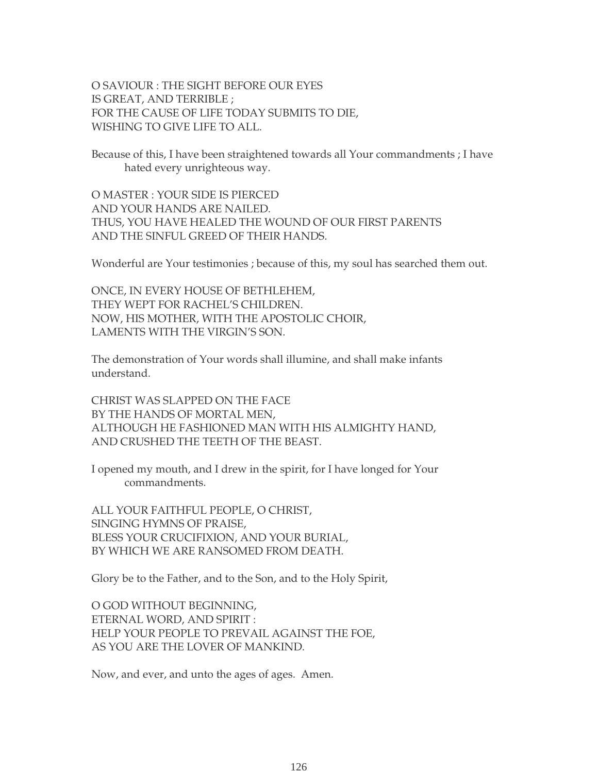O SAVIOUR : THE SIGHT BEFORE OUR EYES IS GREAT, AND TERRIBLE ; FOR THE CAUSE OF LIFE TODAY SUBMITS TO DIE, WISHING TO GIVE LIFE TO ALL.

Because of this, I have been straightened towards all Your commandments ; I have hated every unrighteous way.

O MASTER : YOUR SIDE IS PIERCED AND YOUR HANDS ARE NAILED. THUS, YOU HAVE HEALED THE WOUND OF OUR FIRST PARENTS AND THE SINFUL GREED OF THEIR HANDS.

Wonderful are Your testimonies ; because of this, my soul has searched them out.

ONCE, IN EVERY HOUSE OF BETHLEHEM, THEY WEPT FOR RACHEL'S CHILDREN. NOW, HIS MOTHER, WITH THE APOSTOLIC CHOIR, LAMENTS WITH THE VIRGIN'S SON.

The demonstration of Your words shall illumine, and shall make infants understand.

CHRIST WAS SLAPPED ON THE FACE BY THE HANDS OF MORTAL MEN, ALTHOUGH HE FASHIONED MAN WITH HIS ALMIGHTY HAND, AND CRUSHED THE TEETH OF THE BEAST.

I opened my mouth, and I drew in the spirit, for I have longed for Your commandments.

ALL YOUR FAITHFUL PEOPLE, O CHRIST, SINGING HYMNS OF PRAISE, BLESS YOUR CRUCIFIXION, AND YOUR BURIAL, BY WHICH WE ARE RANSOMED FROM DEATH.

Glory be to the Father, and to the Son, and to the Holy Spirit,

O GOD WITHOUT BEGINNING, ETERNAL WORD, AND SPIRIT : HELP YOUR PEOPLE TO PREVAIL AGAINST THE FOE, AS YOU ARE THE LOVER OF MANKIND.

Now, and ever, and unto the ages of ages. Amen.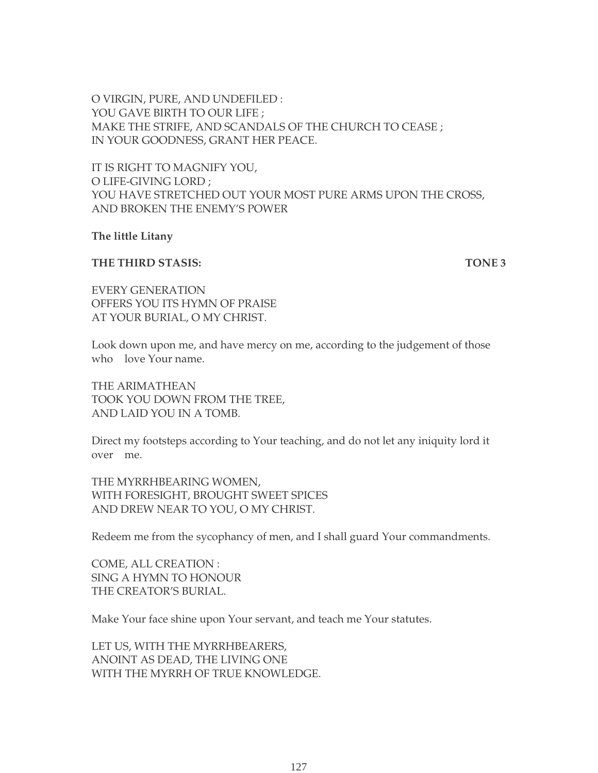O VIRGIN, PURE, AND UNDEFILED : YOU GAVE BIRTH TO OUR LIFE ; MAKE THE STRIFE, AND SCANDALS OF THE CHURCH TO CEASE ; IN YOUR GOODNESS, GRANT HER PEACE.

IT IS RIGHT TO MAGNIFY YOU, O LIFE-GIVING LORD ; YOU HAVE STRETCHED OUT YOUR MOST PURE ARMS UPON THE CROSS, AND BROKEN THE ENEMY'S POWER

**The little Litany**

#### **THE THIRD STASIS:** TONE 3

EVERY GENERATION OFFERS YOU ITS HYMN OF PRAISE AT YOUR BURIAL, O MY CHRIST.

Look down upon me, and have mercy on me, according to the judgement of those who love Your name.

THE ARIMATHEAN TOOK YOU DOWN FROM THE TREE, AND LAID YOU IN A TOMB.

Direct my footsteps according to Your teaching, and do not let any iniquity lord it over me.

THE MYRRHBEARING WOMEN, WITH FORESIGHT, BROUGHT SWEET SPICES AND DREW NEAR TO YOU, O MY CHRIST.

Redeem me from the sycophancy of men, and I shall guard Your commandments.

COME, ALL CREATION : SING A HYMN TO HONOUR THE CREATOR'S BURIAL.

Make Your face shine upon Your servant, and teach me Your statutes.

LET US, WITH THE MYRRHBEARERS, ANOINT AS DEAD, THE LIVING ONE WITH THE MYRRH OF TRUE KNOWLEDGE.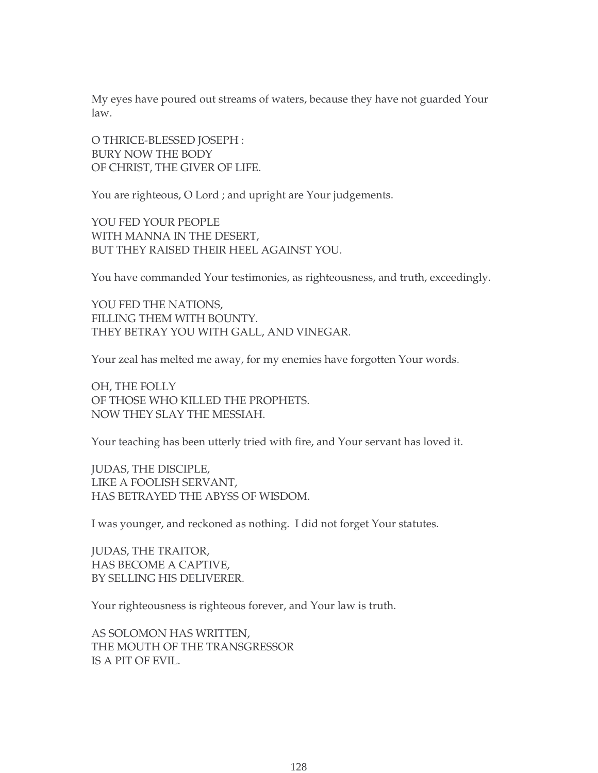My eyes have poured out streams of waters, because they have not guarded Your law.

O THRICE-BLESSED JOSEPH : BURY NOW THE BODY OF CHRIST, THE GIVER OF LIFE.

You are righteous, O Lord ; and upright are Your judgements.

YOU FED YOUR PEOPLE WITH MANNA IN THE DESERT, BUT THEY RAISED THEIR HEEL AGAINST YOU.

You have commanded Your testimonies, as righteousness, and truth, exceedingly.

YOU FED THE NATIONS, FILLING THEM WITH BOUNTY. THEY BETRAY YOU WITH GALL, AND VINEGAR.

Your zeal has melted me away, for my enemies have forgotten Your words.

OH, THE FOLLY OF THOSE WHO KILLED THE PROPHETS. NOW THEY SLAY THE MESSIAH.

Your teaching has been utterly tried with fire, and Your servant has loved it.

JUDAS, THE DISCIPLE, LIKE A FOOLISH SERVANT, HAS BETRAYED THE ABYSS OF WISDOM.

I was younger, and reckoned as nothing. I did not forget Your statutes.

JUDAS, THE TRAITOR, HAS BECOME A CAPTIVE, BY SELLING HIS DELIVERER.

Your righteousness is righteous forever, and Your law is truth.

AS SOLOMON HAS WRITTEN, THE MOUTH OF THE TRANSGRESSOR IS A PIT OF EVIL.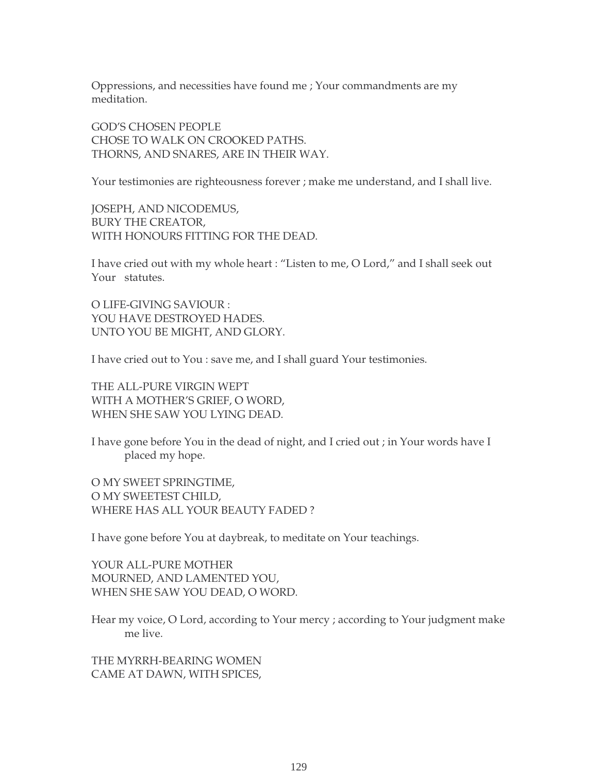Oppressions, and necessities have found me ; Your commandments are my meditation.

GOD'S CHOSEN PEOPLE CHOSE TO WALK ON CROOKED PATHS. THORNS, AND SNARES, ARE IN THEIR WAY.

Your testimonies are righteousness forever ; make me understand, and I shall live.

JOSEPH, AND NICODEMUS, BURY THE CREATOR, WITH HONOURS FITTING FOR THE DEAD.

I have cried out with my whole heart : "Listen to me, O Lord," and I shall seek out Your statutes.

O LIFE-GIVING SAVIOUR : YOU HAVE DESTROYED HADES. UNTO YOU BE MIGHT, AND GLORY.

I have cried out to You : save me, and I shall guard Your testimonies.

THE ALL-PURE VIRGIN WEPT WITH A MOTHER'S GRIEF, O WORD, WHEN SHE SAW YOU LYING DEAD.

I have gone before You in the dead of night, and I cried out ; in Your words have I placed my hope.

O MY SWEET SPRINGTIME, O MY SWEETEST CHILD, WHERE HAS ALL YOUR BEAUTY FADED ?

I have gone before You at daybreak, to meditate on Your teachings.

YOUR ALL-PURE MOTHER MOURNED, AND LAMENTED YOU, WHEN SHE SAW YOU DEAD, O WORD.

Hear my voice, O Lord, according to Your mercy ; according to Your judgment make me live.

THE MYRRH-BEARING WOMEN CAME AT DAWN, WITH SPICES,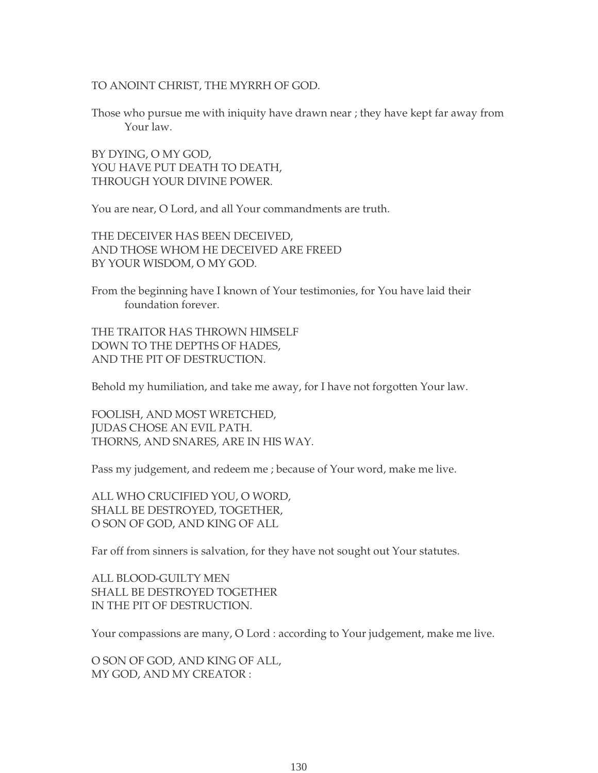#### TO ANOINT CHRIST, THE MYRRH OF GOD.

Those who pursue me with iniquity have drawn near ; they have kept far away from Your law.

BY DYING, O MY GOD, YOU HAVE PUT DEATH TO DEATH, THROUGH YOUR DIVINE POWER.

You are near, O Lord, and all Your commandments are truth.

THE DECEIVER HAS BEEN DECEIVED, AND THOSE WHOM HE DECEIVED ARE FREED BY YOUR WISDOM, O MY GOD.

From the beginning have I known of Your testimonies, for You have laid their foundation forever.

THE TRAITOR HAS THROWN HIMSELF DOWN TO THE DEPTHS OF HADES, AND THE PIT OF DESTRUCTION.

Behold my humiliation, and take me away, for I have not forgotten Your law.

FOOLISH, AND MOST WRETCHED, JUDAS CHOSE AN EVIL PATH. THORNS, AND SNARES, ARE IN HIS WAY.

Pass my judgement, and redeem me ; because of Your word, make me live.

ALL WHO CRUCIFIED YOU, O WORD, SHALL BE DESTROYED, TOGETHER, O SON OF GOD, AND KING OF ALL

Far off from sinners is salvation, for they have not sought out Your statutes.

ALL BLOOD-GUILTY MEN SHALL BE DESTROYED TOGETHER IN THE PIT OF DESTRUCTION.

Your compassions are many, O Lord : according to Your judgement, make me live.

O SON OF GOD, AND KING OF ALL, MY GOD, AND MY CREATOR :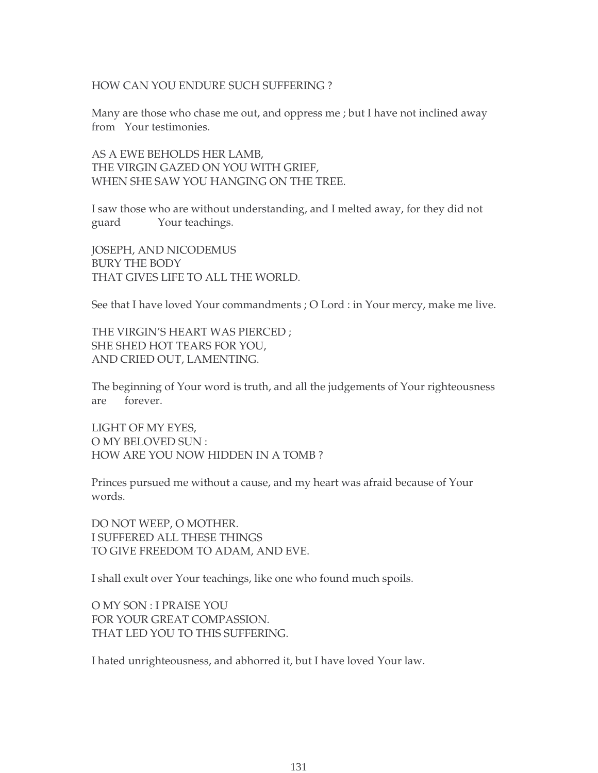#### HOW CAN YOU ENDURE SUCH SUFFERING ?

Many are those who chase me out, and oppress me ; but I have not inclined away from Your testimonies.

AS A EWE BEHOLDS HER LAMB, THE VIRGIN GAZED ON YOU WITH GRIEF, WHEN SHE SAW YOU HANGING ON THE TREE.

I saw those who are without understanding, and I melted away, for they did not guard Your teachings.

JOSEPH, AND NICODEMUS BURY THE BODY THAT GIVES LIFE TO ALL THE WORLD.

See that I have loved Your commandments ; O Lord : in Your mercy, make me live.

THE VIRGIN'S HEART WAS PIERCED ; SHE SHED HOT TEARS FOR YOU, AND CRIED OUT, LAMENTING.

The beginning of Your word is truth, and all the judgements of Your righteousness are forever.

LIGHT OF MY EYES, O MY BELOVED SUN : HOW ARE YOU NOW HIDDEN IN A TOMB ?

Princes pursued me without a cause, and my heart was afraid because of Your words.

DO NOT WEEP, O MOTHER. I SUFFERED ALL THESE THINGS TO GIVE FREEDOM TO ADAM, AND EVE.

I shall exult over Your teachings, like one who found much spoils.

O MY SON : I PRAISE YOU FOR YOUR GREAT COMPASSION. THAT LED YOU TO THIS SUFFERING.

I hated unrighteousness, and abhorred it, but I have loved Your law.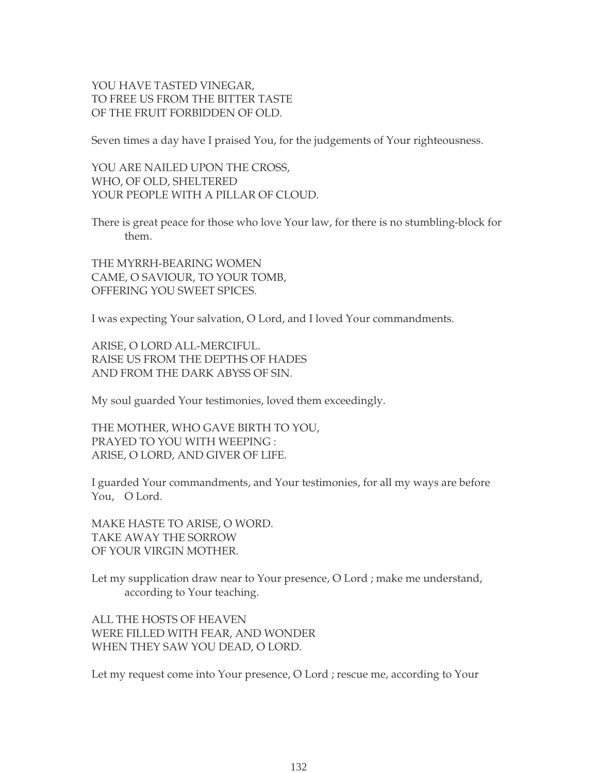# YOU HAVE TASTED VINEGAR, TO FREE US FROM THE BITTER TASTE OF THE FRUIT FORBIDDEN OF OLD.

Seven times a day have I praised You, for the judgements of Your righteousness.

YOU ARE NAILED UPON THE CROSS, WHO, OF OLD, SHELTERED YOUR PEOPLE WITH A PILLAR OF CLOUD.

There is great peace for those who love Your law, for there is no stumbling-block for them.

THE MYRRH-BEARING WOMEN CAME, O SAVIOUR, TO YOUR TOMB, OFFERING YOU SWEET SPICES.

I was expecting Your salvation, O Lord, and I loved Your commandments.

ARISE, O LORD ALL-MERCIFUL. RAISE US FROM THE DEPTHS OF HADES AND FROM THE DARK ABYSS OF SIN.

My soul guarded Your testimonies, loved them exceedingly.

THE MOTHER, WHO GAVE BIRTH TO YOU, PRAYED TO YOU WITH WEEPING : ARISE, O LORD, AND GIVER OF LIFE.

I guarded Your commandments, and Your testimonies, for all my ways are before You, O Lord.

MAKE HASTE TO ARISE, O WORD. TAKE AWAY THE SORROW OF YOUR VIRGIN MOTHER.

Let my supplication draw near to Your presence, O Lord ; make me understand, according to Your teaching.

ALL THE HOSTS OF HEAVEN WERE FILLED WITH FEAR, AND WONDER WHEN THEY SAW YOU DEAD, O LORD.

Let my request come into Your presence, O Lord ; rescue me, according to Your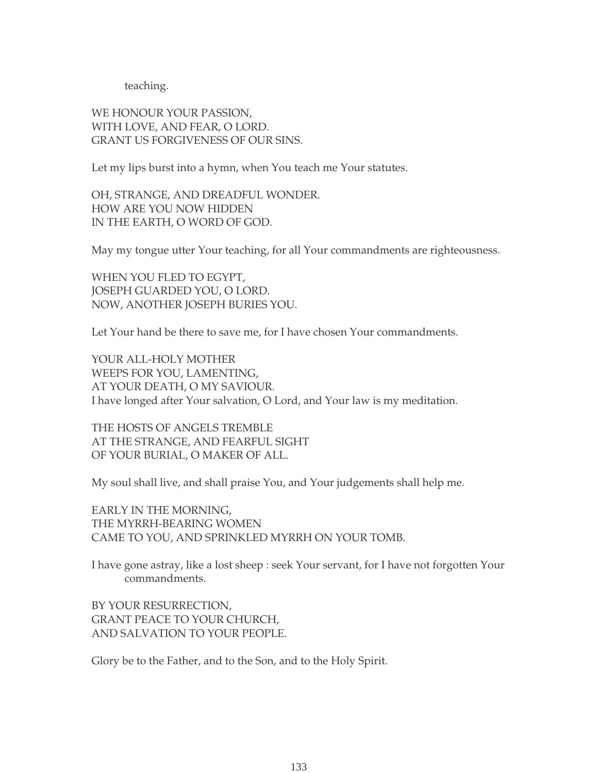teaching.

WE HONOUR YOUR PASSION, WITH LOVE, AND FEAR, O LORD. GRANT US FORGIVENESS OF OUR SINS.

Let my lips burst into a hymn, when You teach me Your statutes.

OH, STRANGE, AND DREADFUL WONDER. HOW ARE YOU NOW HIDDEN IN THE EARTH, O WORD OF GOD.

May my tongue utter Your teaching, for all Your commandments are righteousness.

WHEN YOU FLED TO EGYPT, JOSEPH GUARDED YOU, O LORD. NOW, ANOTHER JOSEPH BURIES YOU.

Let Your hand be there to save me, for I have chosen Your commandments.

YOUR ALL-HOLY MOTHER WEEPS FOR YOU, LAMENTING, AT YOUR DEATH, O MY SAVIOUR. I have longed after Your salvation, O Lord, and Your law is my meditation.

THE HOSTS OF ANGELS TREMBLE AT THE STRANGE, AND FEARFUL SIGHT OF YOUR BURIAL, O MAKER OF ALL.

My soul shall live, and shall praise You, and Your judgements shall help me.

EARLY IN THE MORNING, THE MYRRH-BEARING WOMEN CAME TO YOU, AND SPRINKLED MYRRH ON YOUR TOMB.

I have gone astray, like a lost sheep : seek Your servant, for I have not forgotten Your commandments.

BY YOUR RESURRECTION, GRANT PEACE TO YOUR CHURCH, AND SALVATION TO YOUR PEOPLE.

Glory be to the Father, and to the Son, and to the Holy Spirit.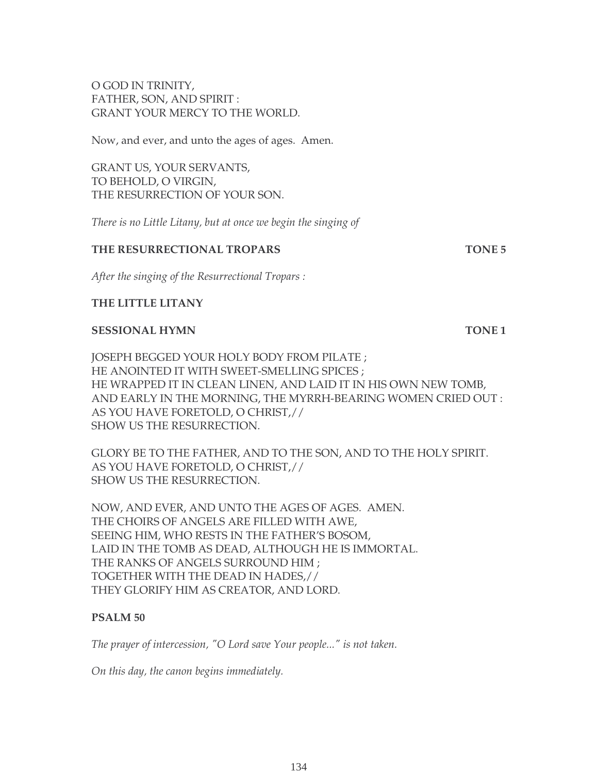# O GOD IN TRINITY, FATHER, SON, AND SPIRIT : GRANT YOUR MERCY TO THE WORLD.

Now, and ever, and unto the ages of ages. Amen.

GRANT US, YOUR SERVANTS, TO BEHOLD, O VIRGIN, THE RESURRECTION OF YOUR SON.

*There is no Little Litany, but at once we begin the singing of* 

### **THE RESURRECTIONAL TROPARS TONE 5**

*After the singing of the Resurrectional Tropars :*

# **THE LITTLE LITANY**

#### **SESSIONAL HYMN** TONE 1

JOSEPH BEGGED YOUR HOLY BODY FROM PILATE ; HE ANOINTED IT WITH SWEET-SMELLING SPICES ; HE WRAPPED IT IN CLEAN LINEN, AND LAID IT IN HIS OWN NEW TOMB, AND EARLY IN THE MORNING, THE MYRRH-BEARING WOMEN CRIED OUT : AS YOU HAVE FORETOLD, O CHRIST,// SHOW US THE RESURRECTION.

GLORY BE TO THE FATHER, AND TO THE SON, AND TO THE HOLY SPIRIT. AS YOU HAVE FORETOLD, O CHRIST,// SHOW US THE RESURRECTION.

NOW, AND EVER, AND UNTO THE AGES OF AGES. AMEN. THE CHOIRS OF ANGELS ARE FILLED WITH AWE, SEEING HIM, WHO RESTS IN THE FATHER'S BOSOM, LAID IN THE TOMB AS DEAD, ALTHOUGH HE IS IMMORTAL. THE RANKS OF ANGELS SURROUND HIM ; TOGETHER WITH THE DEAD IN HADES,// THEY GLORIFY HIM AS CREATOR, AND LORD.

# **PSALM 50**

*The prayer of intercession, "O Lord save Your people..." is not taken.* 

*On this day, the canon begins immediately.*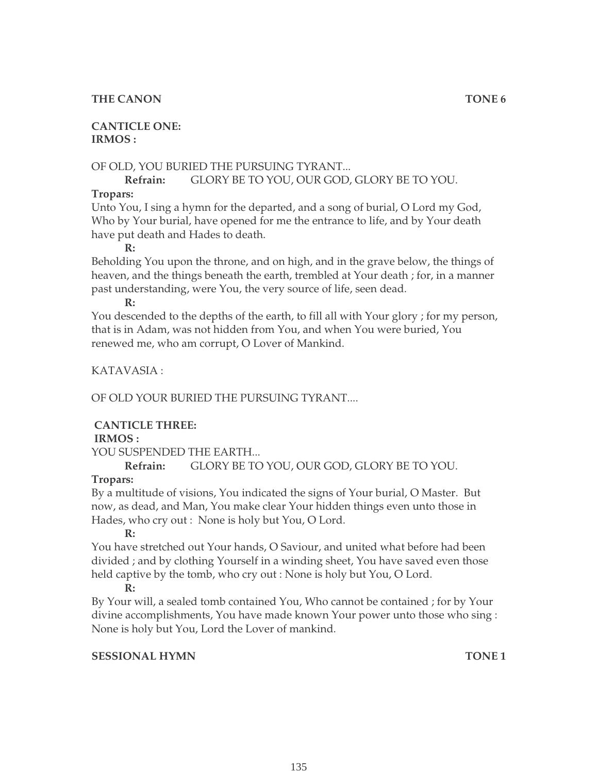# **THE CANON TONE 6**

# **CANTICLE ONE: IRMOS :**

# OF OLD, YOU BURIED THE PURSUING TYRANT...

# **Refrain:** GLORY BE TO YOU, OUR GOD, GLORY BE TO YOU.

## **Tropars:**

Unto You, I sing a hymn for the departed, and a song of burial, O Lord my God, Who by Your burial, have opened for me the entrance to life, and by Your death have put death and Hades to death.

#### **R:**

Beholding You upon the throne, and on high, and in the grave below, the things of heaven, and the things beneath the earth, trembled at Your death ; for, in a manner past understanding, were You, the very source of life, seen dead.

**R:**

You descended to the depths of the earth, to fill all with Your glory ; for my person, that is in Adam, was not hidden from You, and when You were buried, You renewed me, who am corrupt, O Lover of Mankind.

# KATAVASIA :

OF OLD YOUR BURIED THE PURSUING TYRANT....

# **CANTICLE THREE:**

#### **IRMOS :**

YOU SUSPENDED THE EARTH...

# **Refrain:** GLORY BE TO YOU, OUR GOD, GLORY BE TO YOU.

# **Tropars:**

By a multitude of visions, You indicated the signs of Your burial, O Master. But now, as dead, and Man, You make clear Your hidden things even unto those in Hades, who cry out : None is holy but You, O Lord.

**R:**

You have stretched out Your hands, O Saviour, and united what before had been divided ; and by clothing Yourself in a winding sheet, You have saved even those held captive by the tomb, who cry out : None is holy but You, O Lord.

#### **R:**

By Your will, a sealed tomb contained You, Who cannot be contained ; for by Your divine accomplishments, You have made known Your power unto those who sing : None is holy but You, Lord the Lover of mankind.

# **SESSIONAL HYMN** TONE 1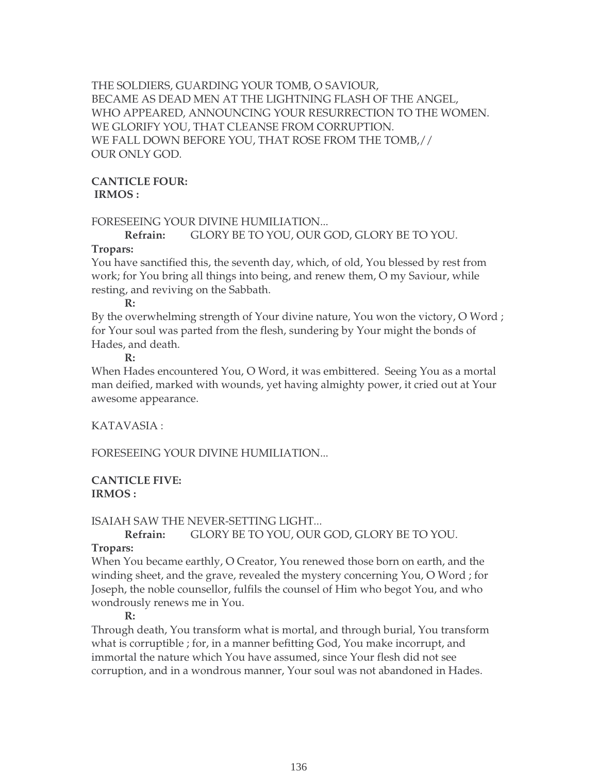THE SOLDIERS, GUARDING YOUR TOMB, O SAVIOUR, BECAME AS DEAD MEN AT THE LIGHTNING FLASH OF THE ANGEL, WHO APPEARED, ANNOUNCING YOUR RESURRECTION TO THE WOMEN. WE GLORIFY YOU, THAT CLEANSE FROM CORRUPTION. WE FALL DOWN BEFORE YOU, THAT ROSE FROM THE TOMB,// OUR ONLY GOD.

#### **CANTICLE FOUR: IRMOS :**

#### FORESEEING YOUR DIVINE HUMILIATION...

#### **Refrain:** GLORY BE TO YOU, OUR GOD, GLORY BE TO YOU.

#### **Tropars:**

You have sanctified this, the seventh day, which, of old, You blessed by rest from work; for You bring all things into being, and renew them, O my Saviour, while resting, and reviving on the Sabbath.

#### **R:**

By the overwhelming strength of Your divine nature, You won the victory, O Word ; for Your soul was parted from the flesh, sundering by Your might the bonds of Hades, and death.

#### **R:**

When Hades encountered You, O Word, it was embittered. Seeing You as a mortal man deified, marked with wounds, yet having almighty power, it cried out at Your awesome appearance.

# KATAVASIA :

FORESEEING YOUR DIVINE HUMILIATION...

#### **CANTICLE FIVE: IRMOS :**

#### ISAIAH SAW THE NEVER-SETTING LIGHT...

**Refrain:** GLORY BE TO YOU, OUR GOD, GLORY BE TO YOU.

### **Tropars:**

When You became earthly, O Creator, You renewed those born on earth, and the winding sheet, and the grave, revealed the mystery concerning You, O Word ; for Joseph, the noble counsellor, fulfils the counsel of Him who begot You, and who wondrously renews me in You.

#### **R:**

Through death, You transform what is mortal, and through burial, You transform what is corruptible ; for, in a manner befitting God, You make incorrupt, and immortal the nature which You have assumed, since Your flesh did not see corruption, and in a wondrous manner, Your soul was not abandoned in Hades.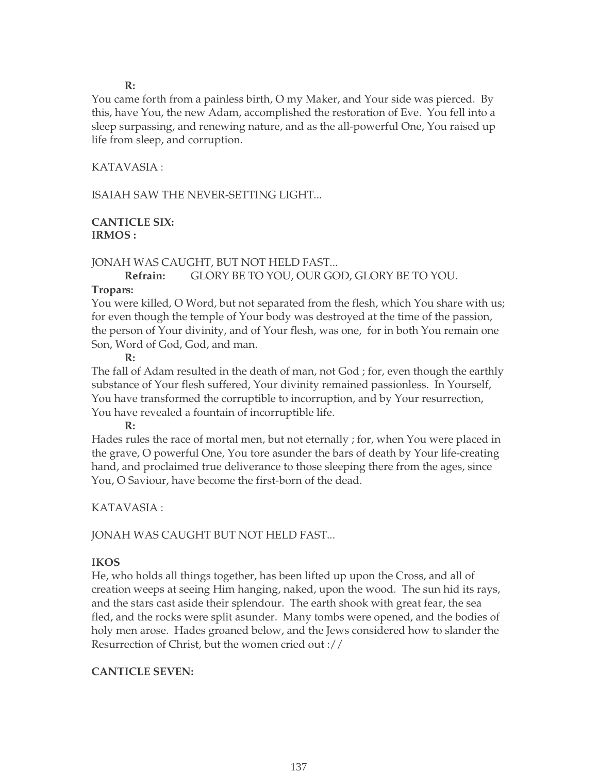**R:**

You came forth from a painless birth, O my Maker, and Your side was pierced. By this, have You, the new Adam, accomplished the restoration of Eve. You fell into a sleep surpassing, and renewing nature, and as the all-powerful One, You raised up life from sleep, and corruption.

# KATAVASIA :

ISAIAH SAW THE NEVER-SETTING LIGHT...

## **CANTICLE SIX: IRMOS :**

# JONAH WAS CAUGHT, BUT NOT HELD FAST...

**Refrain:** GLORY BE TO YOU, OUR GOD, GLORY BE TO YOU.

# **Tropars:**

You were killed, O Word, but not separated from the flesh, which You share with us; for even though the temple of Your body was destroyed at the time of the passion, the person of Your divinity, and of Your flesh, was one, for in both You remain one Son, Word of God, God, and man.

## **R:**

The fall of Adam resulted in the death of man, not God ; for, even though the earthly substance of Your flesh suffered, Your divinity remained passionless. In Yourself, You have transformed the corruptible to incorruption, and by Your resurrection, You have revealed a fountain of incorruptible life.

#### **R:**

Hades rules the race of mortal men, but not eternally ; for, when You were placed in the grave, O powerful One, You tore asunder the bars of death by Your life-creating hand, and proclaimed true deliverance to those sleeping there from the ages, since You, O Saviour, have become the first-born of the dead.

# KATAVASIA :

# JONAH WAS CAUGHT BUT NOT HELD FAST...

# **IKOS**

He, who holds all things together, has been lifted up upon the Cross, and all of creation weeps at seeing Him hanging, naked, upon the wood. The sun hid its rays, and the stars cast aside their splendour. The earth shook with great fear, the sea fled, and the rocks were split asunder. Many tombs were opened, and the bodies of holy men arose. Hades groaned below, and the Jews considered how to slander the Resurrection of Christ, but the women cried out ://

# **CANTICLE SEVEN:**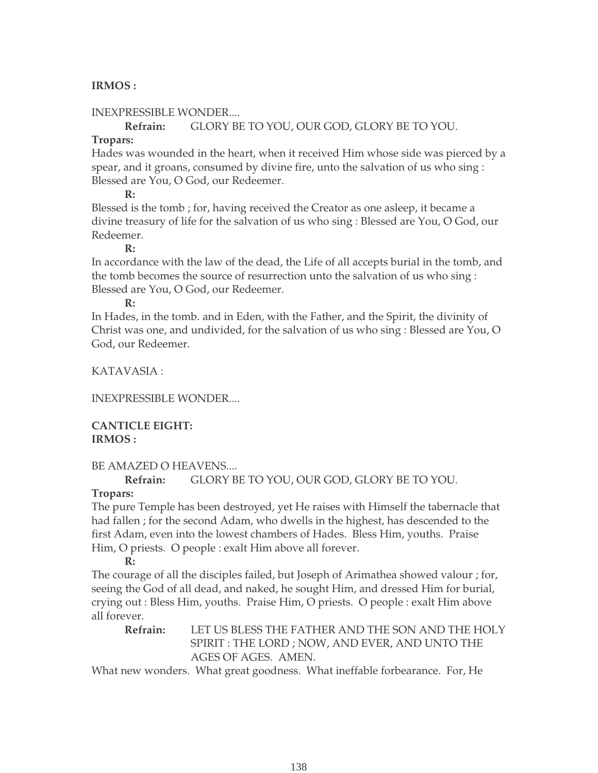# **IRMOS :**

# INEXPRESSIBLE WONDER....

## **Refrain:** GLORY BE TO YOU, OUR GOD, GLORY BE TO YOU.

# **Tropars:**

Hades was wounded in the heart, when it received Him whose side was pierced by a spear, and it groans, consumed by divine fire, unto the salvation of us who sing : Blessed are You, O God, our Redeemer.

**R:**

Blessed is the tomb ; for, having received the Creator as one asleep, it became a divine treasury of life for the salvation of us who sing : Blessed are You, O God, our Redeemer.

## **R:**

In accordance with the law of the dead, the Life of all accepts burial in the tomb, and the tomb becomes the source of resurrection unto the salvation of us who sing : Blessed are You, O God, our Redeemer.

#### **R:**

In Hades, in the tomb. and in Eden, with the Father, and the Spirit, the divinity of Christ was one, and undivided, for the salvation of us who sing : Blessed are You, O God, our Redeemer.

KATAVASIA :

INEXPRESSIBLE WONDER....

# **CANTICLE EIGHT: IRMOS :**

# BE AMAZED O HEAVENS....

**Refrain:** GLORY BE TO YOU, OUR GOD, GLORY BE TO YOU.

# **Tropars:**

The pure Temple has been destroyed, yet He raises with Himself the tabernacle that had fallen ; for the second Adam, who dwells in the highest, has descended to the first Adam, even into the lowest chambers of Hades. Bless Him, youths. Praise Him, O priests. O people : exalt Him above all forever.

#### **R:**

The courage of all the disciples failed, but Joseph of Arimathea showed valour ; for, seeing the God of all dead, and naked, he sought Him, and dressed Him for burial, crying out : Bless Him, youths. Praise Him, O priests. O people : exalt Him above all forever.

**Refrain:** LET US BLESS THE FATHER AND THE SON AND THE HOLY SPIRIT : THE LORD ; NOW, AND EVER, AND UNTO THE AGES OF AGES. AMEN.

What new wonders. What great goodness. What ineffable forbearance. For, He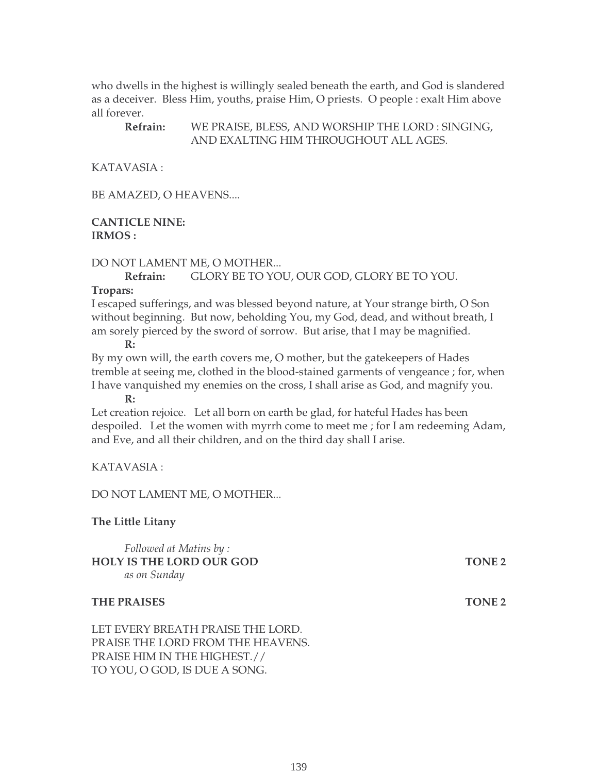who dwells in the highest is willingly sealed beneath the earth, and God is slandered as a deceiver. Bless Him, youths, praise Him, O priests. O people : exalt Him above all forever.

# **Refrain:** WE PRAISE, BLESS, AND WORSHIP THE LORD : SINGING, AND EXALTING HIM THROUGHOUT ALL AGES.

KATAVASIA :

BE AMAZED, O HEAVENS....

#### **CANTICLE NINE: IRMOS :**

#### DO NOT LAMENT ME, O MOTHER...

# **Refrain:** GLORY BE TO YOU, OUR GOD, GLORY BE TO YOU.

#### **Tropars:**

I escaped sufferings, and was blessed beyond nature, at Your strange birth, O Son without beginning. But now, beholding You, my God, dead, and without breath, I am sorely pierced by the sword of sorrow. But arise, that I may be magnified.

**R:**

By my own will, the earth covers me, O mother, but the gatekeepers of Hades tremble at seeing me, clothed in the blood-stained garments of vengeance ; for, when I have vanquished my enemies on the cross, I shall arise as God, and magnify you.

**R:**

Let creation rejoice. Let all born on earth be glad, for hateful Hades has been despoiled. Let the women with myrrh come to meet me ; for I am redeeming Adam, and Eve, and all their children, and on the third day shall I arise.

# KATAVASIA :

# DO NOT LAMENT ME, O MOTHER...

#### **The Little Litany**

*Followed at Matins by :* **HOLY IS THE LORD OUR GOD TONE 2** *as on Sunday*

#### **THE PRAISES** TONE 2

LET EVERY BREATH PRAISE THE LORD. PRAISE THE LORD FROM THE HEAVENS. PRAISE HIM IN THE HIGHEST.// TO YOU, O GOD, IS DUE A SONG.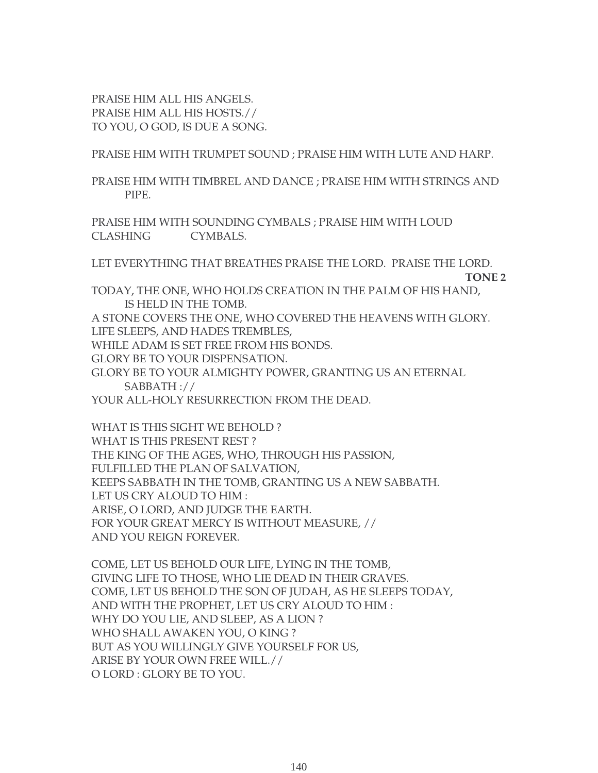PRAISE HIM ALL HIS ANGELS. PRAISE HIM ALL HIS HOSTS.// TO YOU, O GOD, IS DUE A SONG.

PRAISE HIM WITH TRUMPET SOUND ; PRAISE HIM WITH LUTE AND HARP.

PRAISE HIM WITH TIMBREL AND DANCE ; PRAISE HIM WITH STRINGS AND PIPE.

PRAISE HIM WITH SOUNDING CYMBALS ; PRAISE HIM WITH LOUD CLASHING CYMBALS.

LET EVERYTHING THAT BREATHES PRAISE THE LORD. PRAISE THE LORD.

**TONE 2**

TODAY, THE ONE, WHO HOLDS CREATION IN THE PALM OF HIS HAND, IS HELD IN THE TOMB.

A STONE COVERS THE ONE, WHO COVERED THE HEAVENS WITH GLORY. LIFE SLEEPS, AND HADES TREMBLES,

WHILE ADAM IS SET FREE FROM HIS BONDS.

GLORY BE TO YOUR DISPENSATION.

GLORY BE TO YOUR ALMIGHTY POWER, GRANTING US AN ETERNAL SABBATH ://

YOUR ALL-HOLY RESURRECTION FROM THE DEAD.

WHAT IS THIS SIGHT WE BEHOLD ? WHAT IS THIS PRESENT REST ? THE KING OF THE AGES, WHO, THROUGH HIS PASSION, FULFILLED THE PLAN OF SALVATION, KEEPS SABBATH IN THE TOMB, GRANTING US A NEW SABBATH. LET US CRY ALOUD TO HIM : ARISE, O LORD, AND JUDGE THE EARTH. FOR YOUR GREAT MERCY IS WITHOUT MEASURE, // AND YOU REIGN FOREVER.

COME, LET US BEHOLD OUR LIFE, LYING IN THE TOMB, GIVING LIFE TO THOSE, WHO LIE DEAD IN THEIR GRAVES. COME, LET US BEHOLD THE SON OF JUDAH, AS HE SLEEPS TODAY, AND WITH THE PROPHET, LET US CRY ALOUD TO HIM : WHY DO YOU LIE, AND SLEEP, AS A LION ? WHO SHALL AWAKEN YOU, O KING ? BUT AS YOU WILLINGLY GIVE YOURSELF FOR US, ARISE BY YOUR OWN FREE WILL.// O LORD : GLORY BE TO YOU.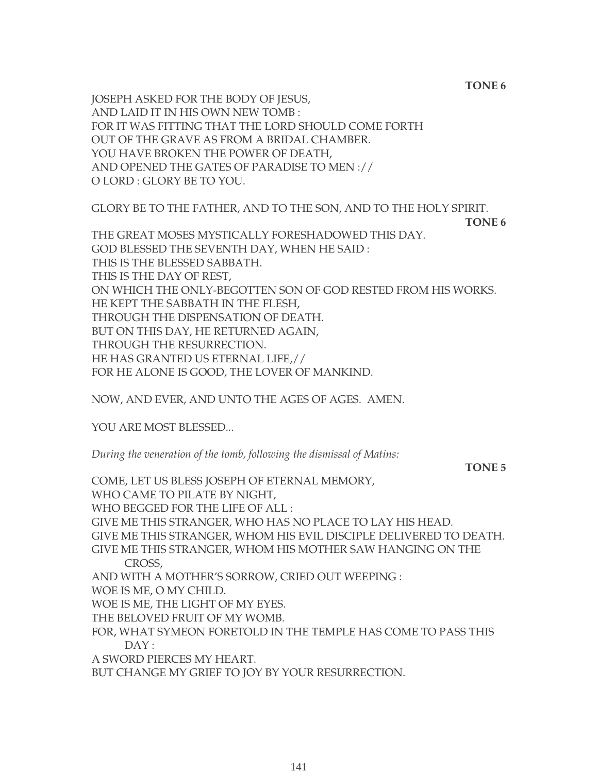**TONE 6**

JOSEPH ASKED FOR THE BODY OF JESUS, AND LAID IT IN HIS OWN NEW TOMB : FOR IT WAS FITTING THAT THE LORD SHOULD COME FORTH OUT OF THE GRAVE AS FROM A BRIDAL CHAMBER. YOU HAVE BROKEN THE POWER OF DEATH, AND OPENED THE GATES OF PARADISE TO MEN :// O LORD : GLORY BE TO YOU.

GLORY BE TO THE FATHER, AND TO THE SON, AND TO THE HOLY SPIRIT.

**TONE 6**

THE GREAT MOSES MYSTICALLY FORESHADOWED THIS DAY. GOD BLESSED THE SEVENTH DAY, WHEN HE SAID : THIS IS THE BLESSED SABBATH. THIS IS THE DAY OF REST, ON WHICH THE ONLY-BEGOTTEN SON OF GOD RESTED FROM HIS WORKS. HE KEPT THE SABBATH IN THE FLESH, THROUGH THE DISPENSATION OF DEATH. BUT ON THIS DAY, HE RETURNED AGAIN, THROUGH THE RESURRECTION. HE HAS GRANTED US ETERNAL LIFE,// FOR HE ALONE IS GOOD, THE LOVER OF MANKIND.

NOW, AND EVER, AND UNTO THE AGES OF AGES. AMEN.

YOU ARE MOST BLESSED...

*During the veneration of the tomb, following the dismissal of Matins:*

**TONE 5**

COME, LET US BLESS JOSEPH OF ETERNAL MEMORY, WHO CAME TO PILATE BY NIGHT, WHO BEGGED FOR THE LIFE OF ALL : GIVE ME THIS STRANGER, WHO HAS NO PLACE TO LAY HIS HEAD. GIVE ME THIS STRANGER, WHOM HIS EVIL DISCIPLE DELIVERED TO DEATH. GIVE ME THIS STRANGER, WHOM HIS MOTHER SAW HANGING ON THE CROSS, AND WITH A MOTHER'S SORROW, CRIED OUT WEEPING : WOE IS ME, O MY CHILD. WOE IS ME, THE LIGHT OF MY EYES. THE BELOVED FRUIT OF MY WOMB. FOR, WHAT SYMEON FORETOLD IN THE TEMPLE HAS COME TO PASS THIS DAY: A SWORD PIERCES MY HEART. BUT CHANGE MY GRIEF TO JOY BY YOUR RESURRECTION.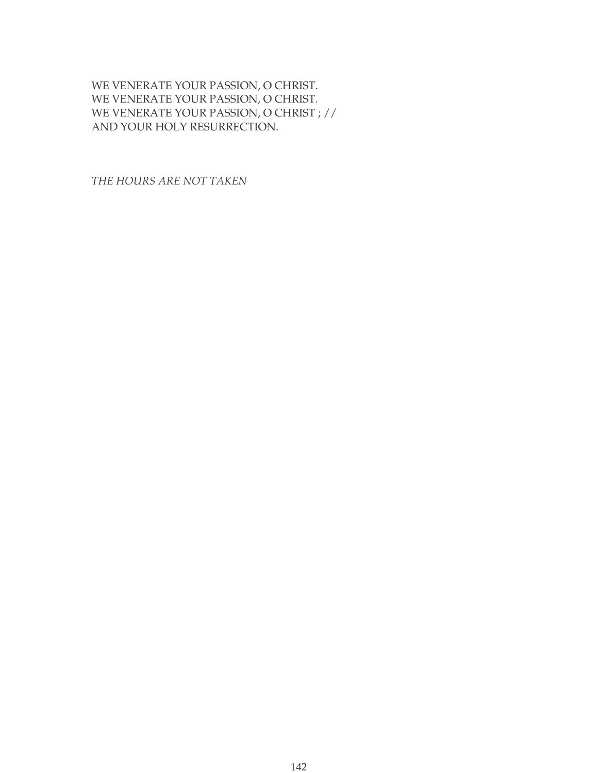WE VENERATE YOUR PASSION, O CHRIST. WE VENERATE YOUR PASSION, O CHRIST. WE VENERATE YOUR PASSION, O CHRIST ; // AND YOUR HOLY RESURRECTION.

*THE HOURS ARE NOT TAKEN*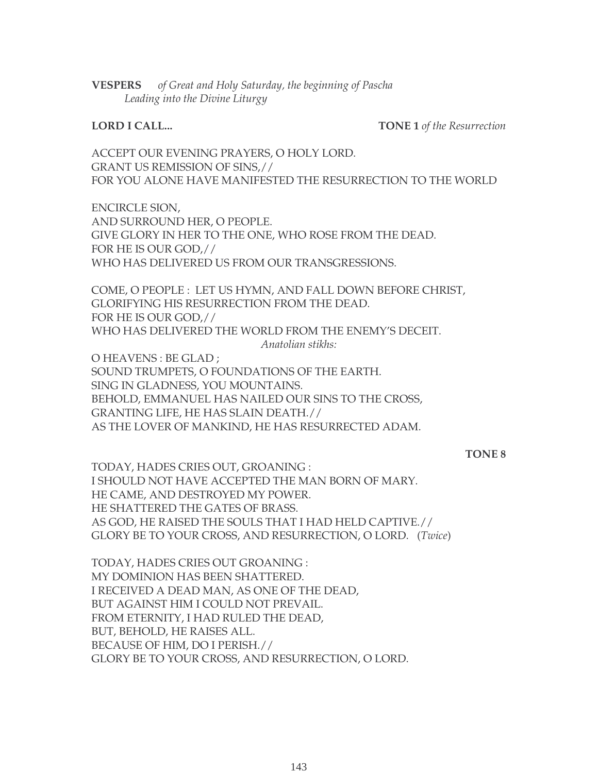**VESPERS** *of Great and Holy Saturday, the beginning of Pascha Leading into the Divine Liturgy*

**LORD I CALL... TONE 1** *of the Resurrection*

ACCEPT OUR EVENING PRAYERS, O HOLY LORD. GRANT US REMISSION OF SINS,// FOR YOU ALONE HAVE MANIFESTED THE RESURRECTION TO THE WORLD

ENCIRCLE SION, AND SURROUND HER, O PEOPLE. GIVE GLORY IN HER TO THE ONE, WHO ROSE FROM THE DEAD. FOR HE IS OUR GOD,// WHO HAS DELIVERED US FROM OUR TRANSGRESSIONS.

COME, O PEOPLE : LET US HYMN, AND FALL DOWN BEFORE CHRIST, GLORIFYING HIS RESURRECTION FROM THE DEAD. FOR HE IS OUR GOD,// WHO HAS DELIVERED THE WORLD FROM THE ENEMY'S DECEIT.

*Anatolian stikhs:*

O HEAVENS : BE GLAD ; SOUND TRUMPETS, O FOUNDATIONS OF THE EARTH. SING IN GLADNESS, YOU MOUNTAINS. BEHOLD, EMMANUEL HAS NAILED OUR SINS TO THE CROSS, GRANTING LIFE, HE HAS SLAIN DEATH.// AS THE LOVER OF MANKIND, HE HAS RESURRECTED ADAM.

**TONE 8**

TODAY, HADES CRIES OUT, GROANING : I SHOULD NOT HAVE ACCEPTED THE MAN BORN OF MARY. HE CAME, AND DESTROYED MY POWER. HE SHATTERED THE GATES OF BRASS. AS GOD, HE RAISED THE SOULS THAT I HAD HELD CAPTIVE.// GLORY BE TO YOUR CROSS, AND RESURRECTION, O LORD. (*Twice*)

TODAY, HADES CRIES OUT GROANING : MY DOMINION HAS BEEN SHATTERED. I RECEIVED A DEAD MAN, AS ONE OF THE DEAD, BUT AGAINST HIM I COULD NOT PREVAIL. FROM ETERNITY, I HAD RULED THE DEAD, BUT, BEHOLD, HE RAISES ALL. BECAUSE OF HIM, DO I PERISH.// GLORY BE TO YOUR CROSS, AND RESURRECTION, O LORD.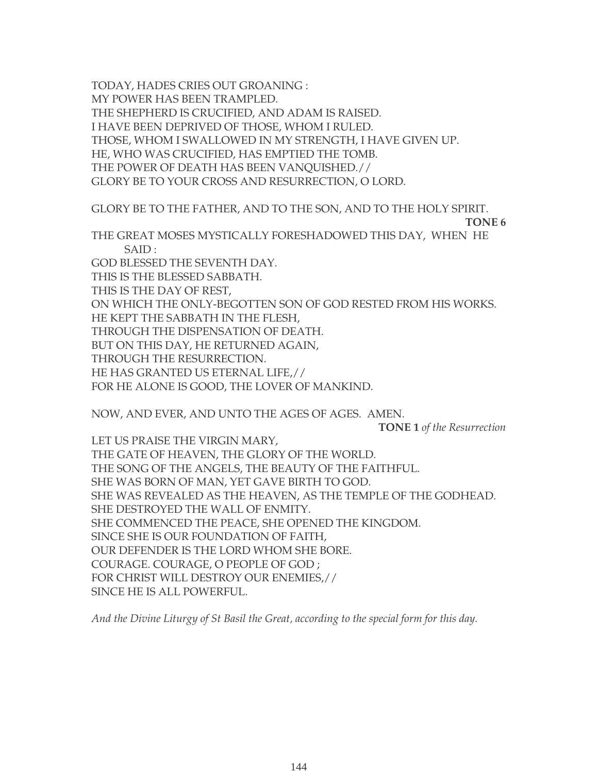TODAY, HADES CRIES OUT GROANING : MY POWER HAS BEEN TRAMPLED. THE SHEPHERD IS CRUCIFIED, AND ADAM IS RAISED. I HAVE BEEN DEPRIVED OF THOSE, WHOM I RULED. THOSE, WHOM I SWALLOWED IN MY STRENGTH, I HAVE GIVEN UP. HE, WHO WAS CRUCIFIED, HAS EMPTIED THE TOMB. THE POWER OF DEATH HAS BEEN VANQUISHED.// GLORY BE TO YOUR CROSS AND RESURRECTION, O LORD.

GLORY BE TO THE FATHER, AND TO THE SON, AND TO THE HOLY SPIRIT. **TONE 6** THE GREAT MOSES MYSTICALLY FORESHADOWED THIS DAY, WHEN HE SAID : GOD BLESSED THE SEVENTH DAY. THIS IS THE BLESSED SABBATH. THIS IS THE DAY OF REST, ON WHICH THE ONLY-BEGOTTEN SON OF GOD RESTED FROM HIS WORKS. HE KEPT THE SABBATH IN THE FLESH, THROUGH THE DISPENSATION OF DEATH. BUT ON THIS DAY, HE RETURNED AGAIN, THROUGH THE RESURRECTION. HE HAS GRANTED US ETERNAL LIFE,// FOR HE ALONE IS GOOD, THE LOVER OF MANKIND.

NOW, AND EVER, AND UNTO THE AGES OF AGES. AMEN.

**TONE 1** *of the Resurrection*

LET US PRAISE THE VIRGIN MARY, THE GATE OF HEAVEN, THE GLORY OF THE WORLD. THE SONG OF THE ANGELS, THE BEAUTY OF THE FAITHFUL. SHE WAS BORN OF MAN, YET GAVE BIRTH TO GOD. SHE WAS REVEALED AS THE HEAVEN, AS THE TEMPLE OF THE GODHEAD. SHE DESTROYED THE WALL OF ENMITY. SHE COMMENCED THE PEACE, SHE OPENED THE KINGDOM. SINCE SHE IS OUR FOUNDATION OF FAITH, OUR DEFENDER IS THE LORD WHOM SHE BORE. COURAGE. COURAGE, O PEOPLE OF GOD ; FOR CHRIST WILL DESTROY OUR ENEMIES,// SINCE HE IS ALL POWERFUL.

*And the Divine Liturgy of St Basil the Great, according to the special form for this day.*